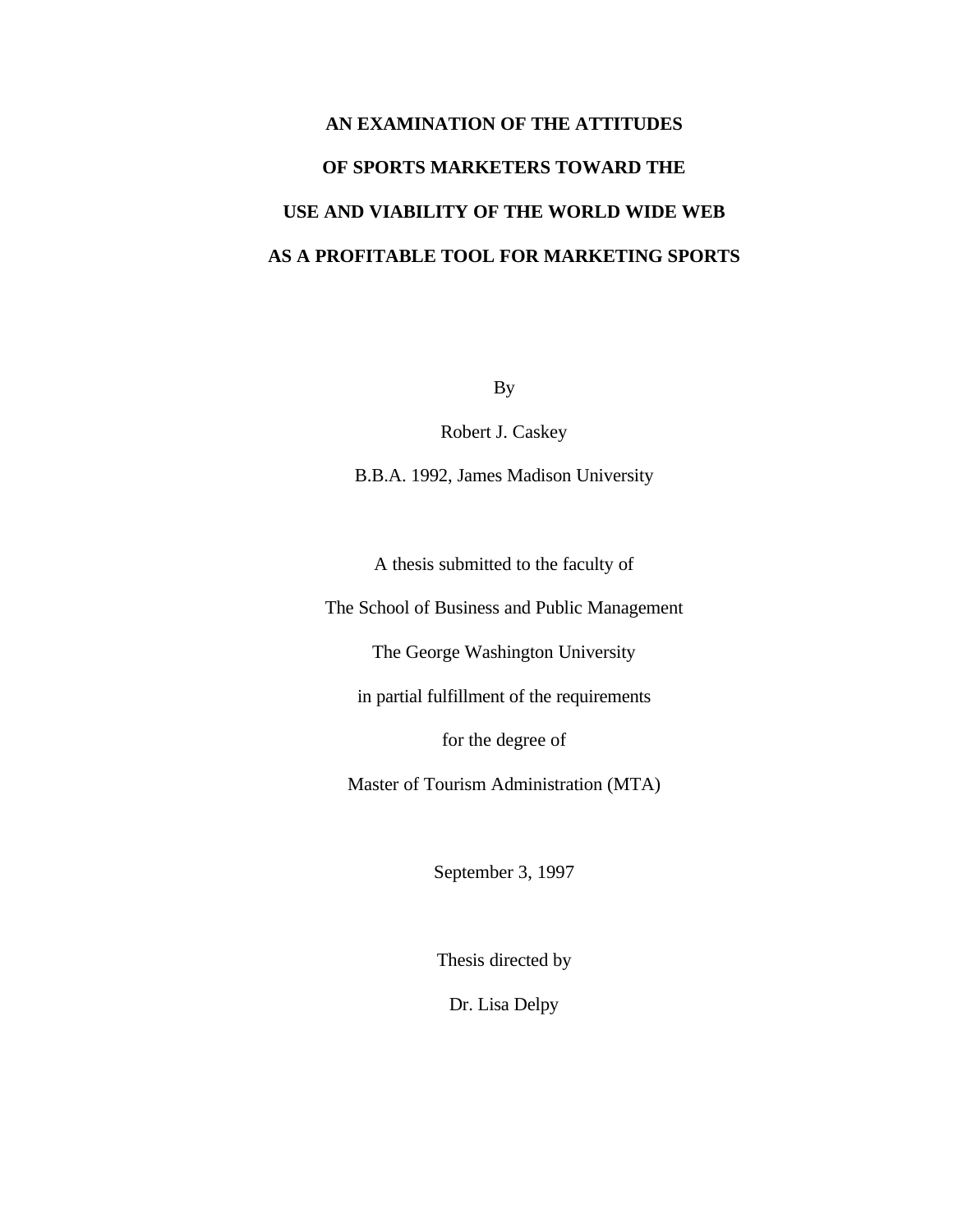# **AN EXAMINATION OF THE ATTITUDES OF SPORTS MARKETERS TOWARD THE USE AND VIABILITY OF THE WORLD WIDE WEB AS A PROFITABLE TOOL FOR MARKETING SPORTS**

By

Robert J. Caskey

B.B.A. 1992, James Madison University

A thesis submitted to the faculty of

The School of Business and Public Management

The George Washington University

in partial fulfillment of the requirements

for the degree of

Master of Tourism Administration (MTA)

September 3, 1997

Thesis directed by

Dr. Lisa Delpy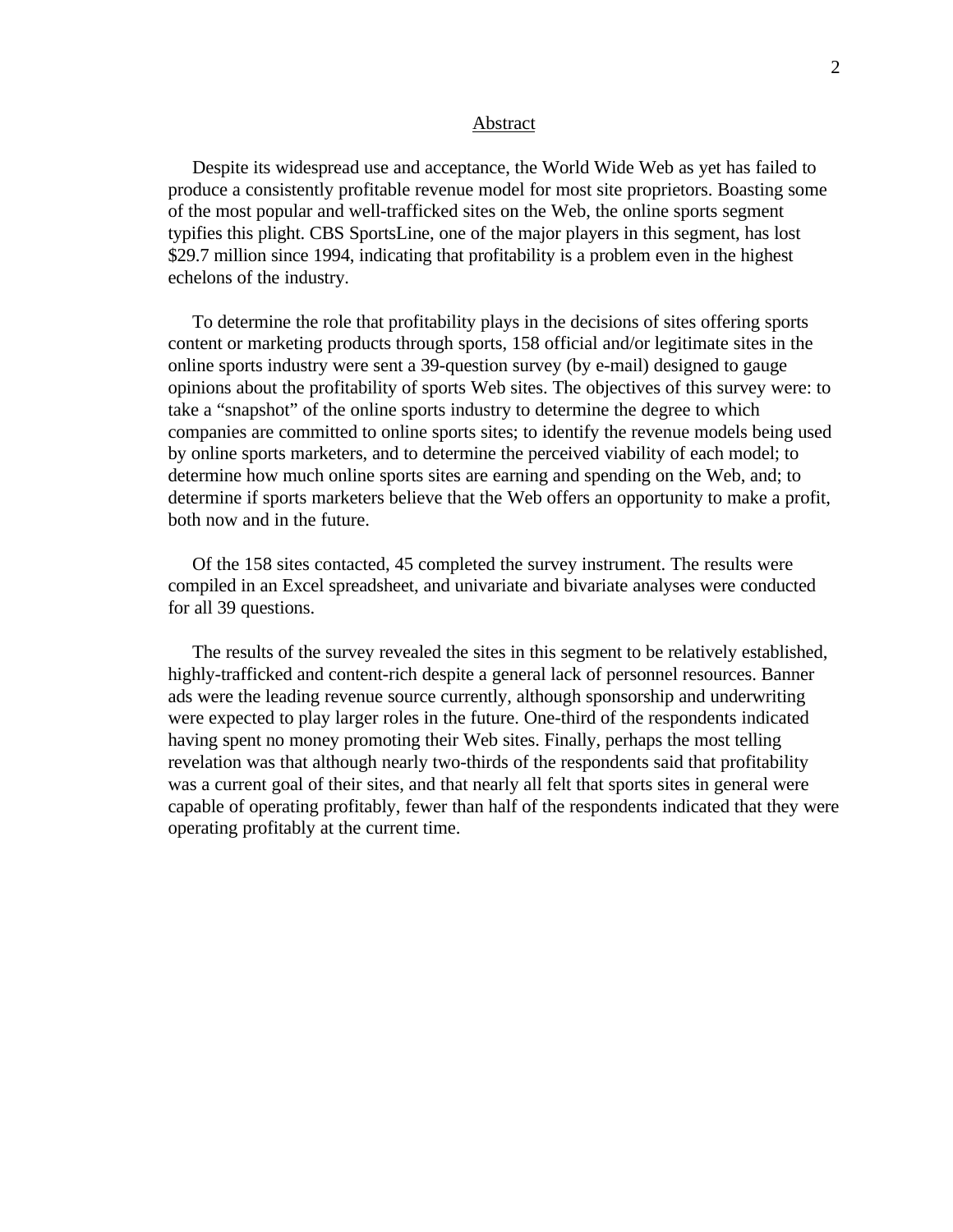#### Abstract

 Despite its widespread use and acceptance, the World Wide Web as yet has failed to produce a consistently profitable revenue model for most site proprietors. Boasting some of the most popular and well-trafficked sites on the Web, the online sports segment typifies this plight. CBS SportsLine, one of the major players in this segment, has lost \$29.7 million since 1994, indicating that profitability is a problem even in the highest echelons of the industry.

 To determine the role that profitability plays in the decisions of sites offering sports content or marketing products through sports, 158 official and/or legitimate sites in the online sports industry were sent a 39-question survey (by e-mail) designed to gauge opinions about the profitability of sports Web sites. The objectives of this survey were: to take a "snapshot" of the online sports industry to determine the degree to which companies are committed to online sports sites; to identify the revenue models being used by online sports marketers, and to determine the perceived viability of each model; to determine how much online sports sites are earning and spending on the Web, and; to determine if sports marketers believe that the Web offers an opportunity to make a profit, both now and in the future.

 Of the 158 sites contacted, 45 completed the survey instrument. The results were compiled in an Excel spreadsheet, and univariate and bivariate analyses were conducted for all 39 questions.

 The results of the survey revealed the sites in this segment to be relatively established, highly-trafficked and content-rich despite a general lack of personnel resources. Banner ads were the leading revenue source currently, although sponsorship and underwriting were expected to play larger roles in the future. One-third of the respondents indicated having spent no money promoting their Web sites. Finally, perhaps the most telling revelation was that although nearly two-thirds of the respondents said that profitability was a current goal of their sites, and that nearly all felt that sports sites in general were capable of operating profitably, fewer than half of the respondents indicated that they were operating profitably at the current time.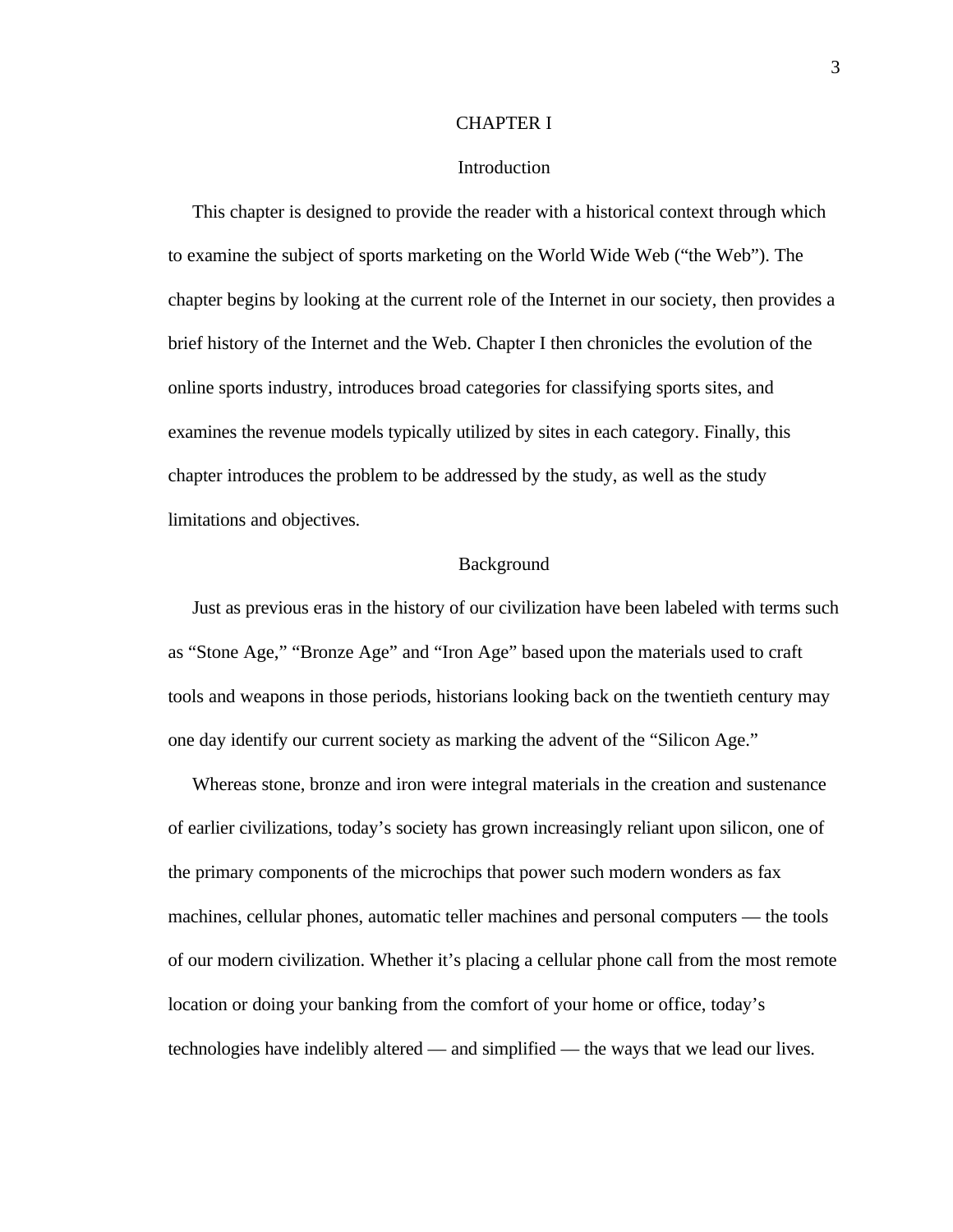# CHAPTER I

#### Introduction

 This chapter is designed to provide the reader with a historical context through which to examine the subject of sports marketing on the World Wide Web ("the Web"). The chapter begins by looking at the current role of the Internet in our society, then provides a brief history of the Internet and the Web. Chapter I then chronicles the evolution of the online sports industry, introduces broad categories for classifying sports sites, and examines the revenue models typically utilized by sites in each category. Finally, this chapter introduces the problem to be addressed by the study, as well as the study limitations and objectives.

# Background

 Just as previous eras in the history of our civilization have been labeled with terms such as "Stone Age," "Bronze Age" and "Iron Age" based upon the materials used to craft tools and weapons in those periods, historians looking back on the twentieth century may one day identify our current society as marking the advent of the "Silicon Age."

 Whereas stone, bronze and iron were integral materials in the creation and sustenance of earlier civilizations, today's society has grown increasingly reliant upon silicon, one of the primary components of the microchips that power such modern wonders as fax machines, cellular phones, automatic teller machines and personal computers — the tools of our modern civilization. Whether it's placing a cellular phone call from the most remote location or doing your banking from the comfort of your home or office, today's technologies have indelibly altered — and simplified — the ways that we lead our lives.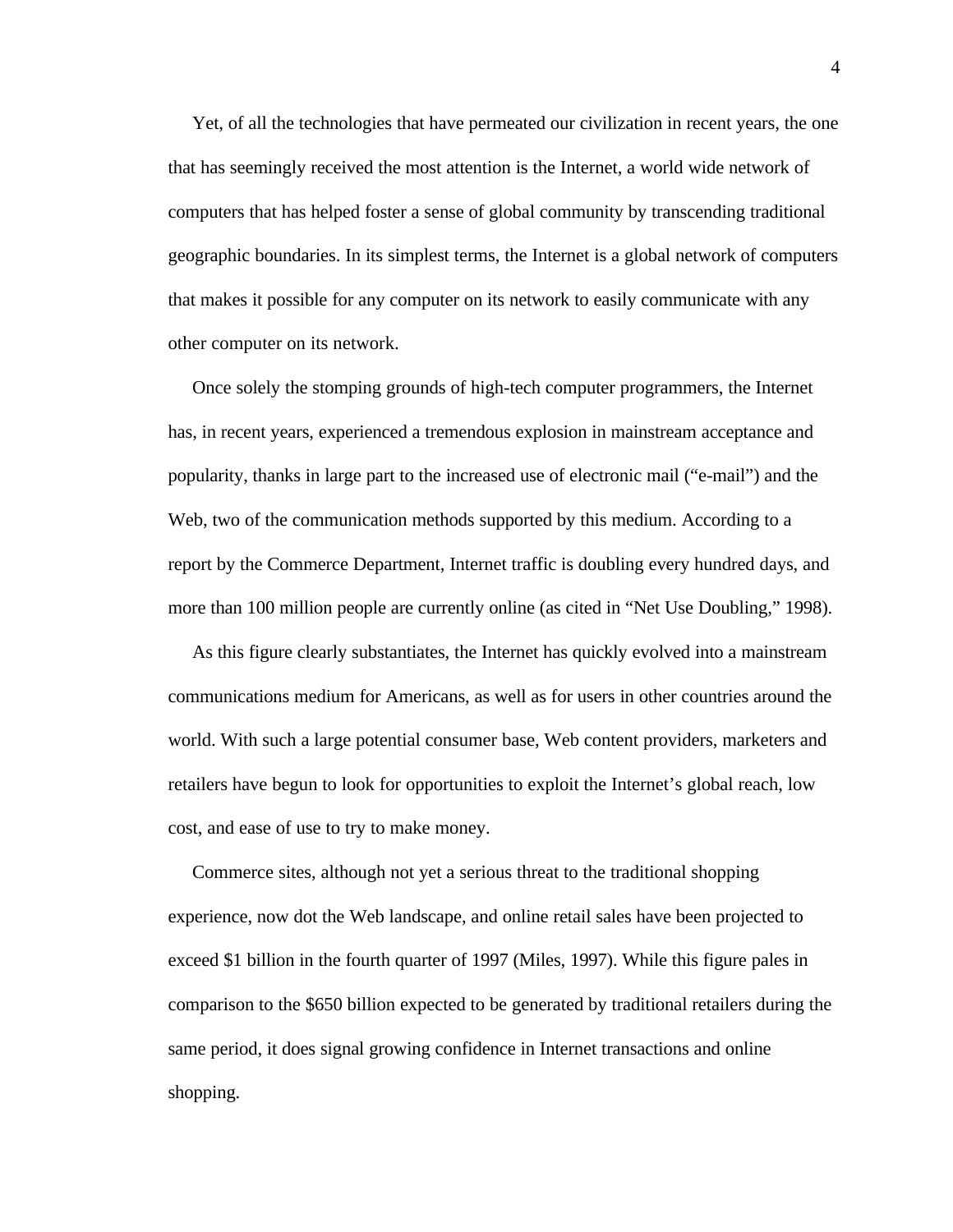Yet, of all the technologies that have permeated our civilization in recent years, the one that has seemingly received the most attention is the Internet, a world wide network of computers that has helped foster a sense of global community by transcending traditional geographic boundaries. In its simplest terms, the Internet is a global network of computers that makes it possible for any computer on its network to easily communicate with any other computer on its network.

 Once solely the stomping grounds of high-tech computer programmers, the Internet has, in recent years, experienced a tremendous explosion in mainstream acceptance and popularity, thanks in large part to the increased use of electronic mail ("e-mail") and the Web, two of the communication methods supported by this medium. According to a report by the Commerce Department, Internet traffic is doubling every hundred days, and more than 100 million people are currently online (as cited in "Net Use Doubling," 1998).

 As this figure clearly substantiates, the Internet has quickly evolved into a mainstream communications medium for Americans, as well as for users in other countries around the world. With such a large potential consumer base, Web content providers, marketers and retailers have begun to look for opportunities to exploit the Internet's global reach, low cost, and ease of use to try to make money.

 Commerce sites, although not yet a serious threat to the traditional shopping experience, now dot the Web landscape, and online retail sales have been projected to exceed \$1 billion in the fourth quarter of 1997 (Miles, 1997). While this figure pales in comparison to the \$650 billion expected to be generated by traditional retailers during the same period, it does signal growing confidence in Internet transactions and online shopping.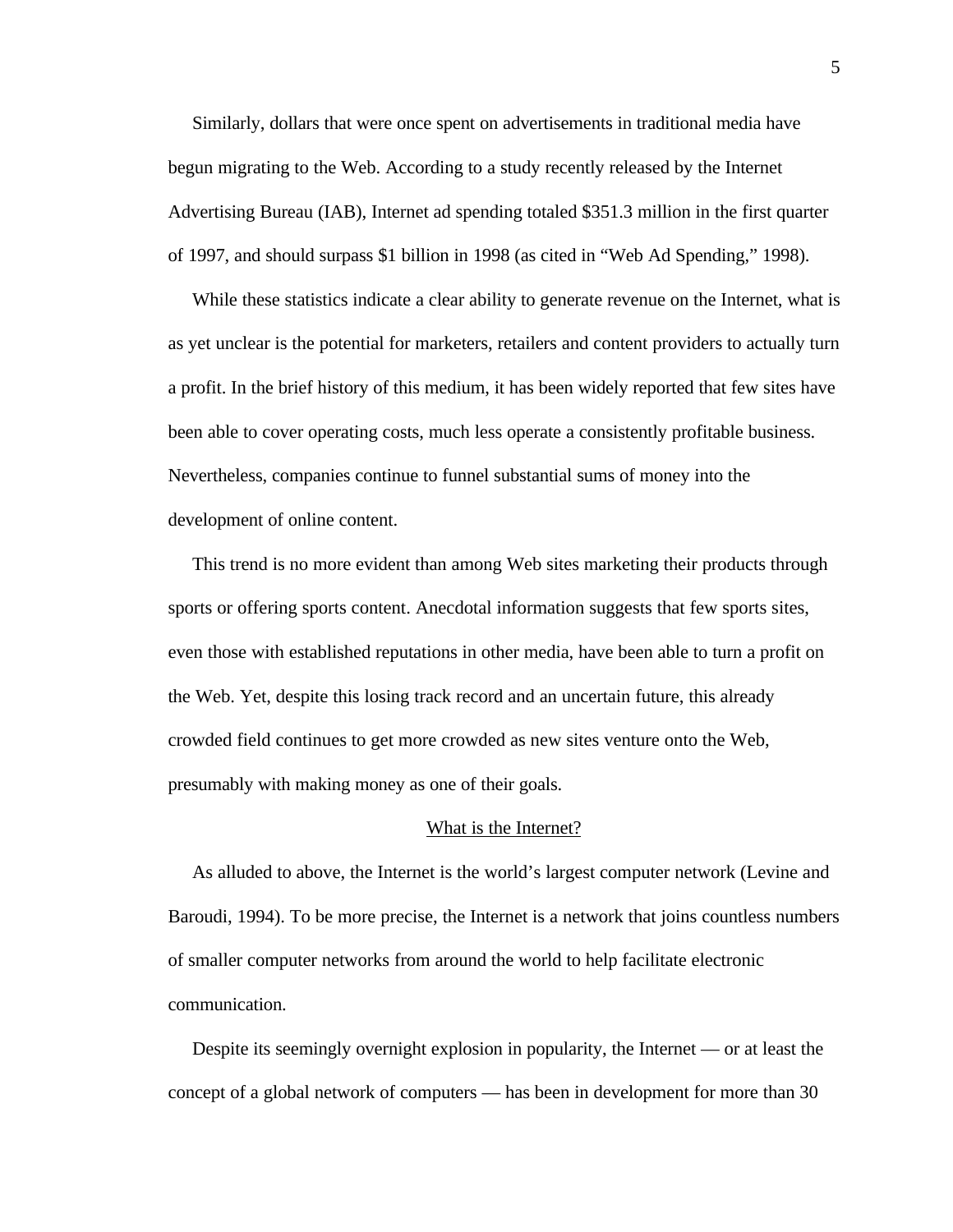Similarly, dollars that were once spent on advertisements in traditional media have begun migrating to the Web. According to a study recently released by the Internet Advertising Bureau (IAB), Internet ad spending totaled \$351.3 million in the first quarter of 1997, and should surpass \$1 billion in 1998 (as cited in "Web Ad Spending," 1998).

 While these statistics indicate a clear ability to generate revenue on the Internet, what is as yet unclear is the potential for marketers, retailers and content providers to actually turn a profit. In the brief history of this medium, it has been widely reported that few sites have been able to cover operating costs, much less operate a consistently profitable business. Nevertheless, companies continue to funnel substantial sums of money into the development of online content.

 This trend is no more evident than among Web sites marketing their products through sports or offering sports content. Anecdotal information suggests that few sports sites, even those with established reputations in other media, have been able to turn a profit on the Web. Yet, despite this losing track record and an uncertain future, this already crowded field continues to get more crowded as new sites venture onto the Web, presumably with making money as one of their goals.

#### What is the Internet?

 As alluded to above, the Internet is the world's largest computer network (Levine and Baroudi, 1994). To be more precise, the Internet is a network that joins countless numbers of smaller computer networks from around the world to help facilitate electronic communication.

 Despite its seemingly overnight explosion in popularity, the Internet — or at least the concept of a global network of computers — has been in development for more than 30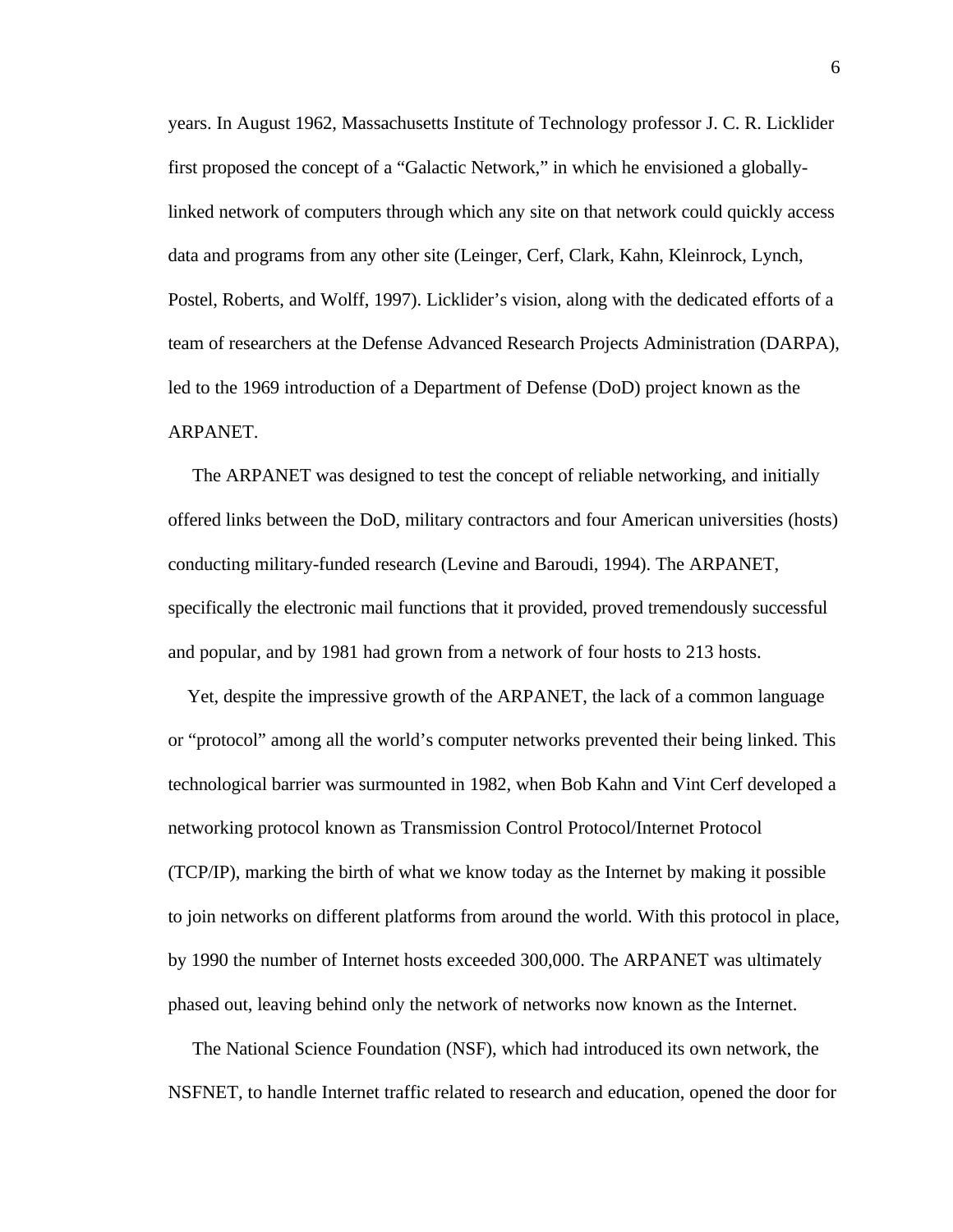years. In August 1962, Massachusetts Institute of Technology professor J. C. R. Licklider first proposed the concept of a "Galactic Network," in which he envisioned a globallylinked network of computers through which any site on that network could quickly access data and programs from any other site (Leinger, Cerf, Clark, Kahn, Kleinrock, Lynch, Postel, Roberts, and Wolff, 1997). Licklider's vision, along with the dedicated efforts of a team of researchers at the Defense Advanced Research Projects Administration (DARPA), led to the 1969 introduction of a Department of Defense (DoD) project known as the ARPANET.

 The ARPANET was designed to test the concept of reliable networking, and initially offered links between the DoD, military contractors and four American universities (hosts) conducting military-funded research (Levine and Baroudi, 1994). The ARPANET, specifically the electronic mail functions that it provided, proved tremendously successful and popular, and by 1981 had grown from a network of four hosts to 213 hosts.

 Yet, despite the impressive growth of the ARPANET, the lack of a common language or "protocol" among all the world's computer networks prevented their being linked. This technological barrier was surmounted in 1982, when Bob Kahn and Vint Cerf developed a networking protocol known as Transmission Control Protocol/Internet Protocol (TCP/IP), marking the birth of what we know today as the Internet by making it possible to join networks on different platforms from around the world. With this protocol in place, by 1990 the number of Internet hosts exceeded 300,000. The ARPANET was ultimately phased out, leaving behind only the network of networks now known as the Internet.

 The National Science Foundation (NSF), which had introduced its own network, the NSFNET, to handle Internet traffic related to research and education, opened the door for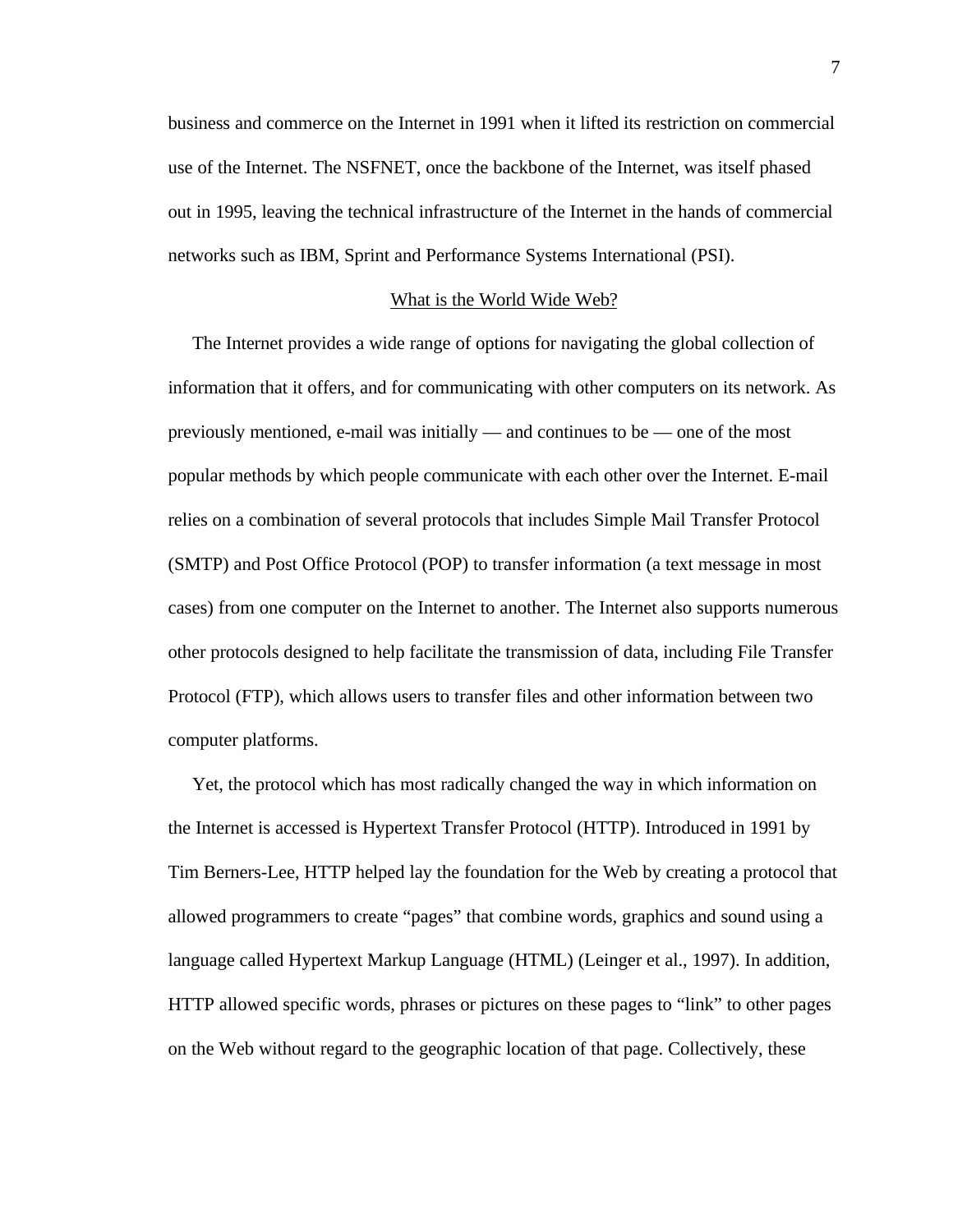business and commerce on the Internet in 1991 when it lifted its restriction on commercial use of the Internet. The NSFNET, once the backbone of the Internet, was itself phased out in 1995, leaving the technical infrastructure of the Internet in the hands of commercial networks such as IBM, Sprint and Performance Systems International (PSI).

#### What is the World Wide Web?

 The Internet provides a wide range of options for navigating the global collection of information that it offers, and for communicating with other computers on its network. As previously mentioned, e-mail was initially — and continues to be — one of the most popular methods by which people communicate with each other over the Internet. E-mail relies on a combination of several protocols that includes Simple Mail Transfer Protocol (SMTP) and Post Office Protocol (POP) to transfer information (a text message in most cases) from one computer on the Internet to another. The Internet also supports numerous other protocols designed to help facilitate the transmission of data, including File Transfer Protocol (FTP), which allows users to transfer files and other information between two computer platforms.

 Yet, the protocol which has most radically changed the way in which information on the Internet is accessed is Hypertext Transfer Protocol (HTTP). Introduced in 1991 by Tim Berners-Lee, HTTP helped lay the foundation for the Web by creating a protocol that allowed programmers to create "pages" that combine words, graphics and sound using a language called Hypertext Markup Language (HTML) (Leinger et al., 1997). In addition, HTTP allowed specific words, phrases or pictures on these pages to "link" to other pages on the Web without regard to the geographic location of that page. Collectively, these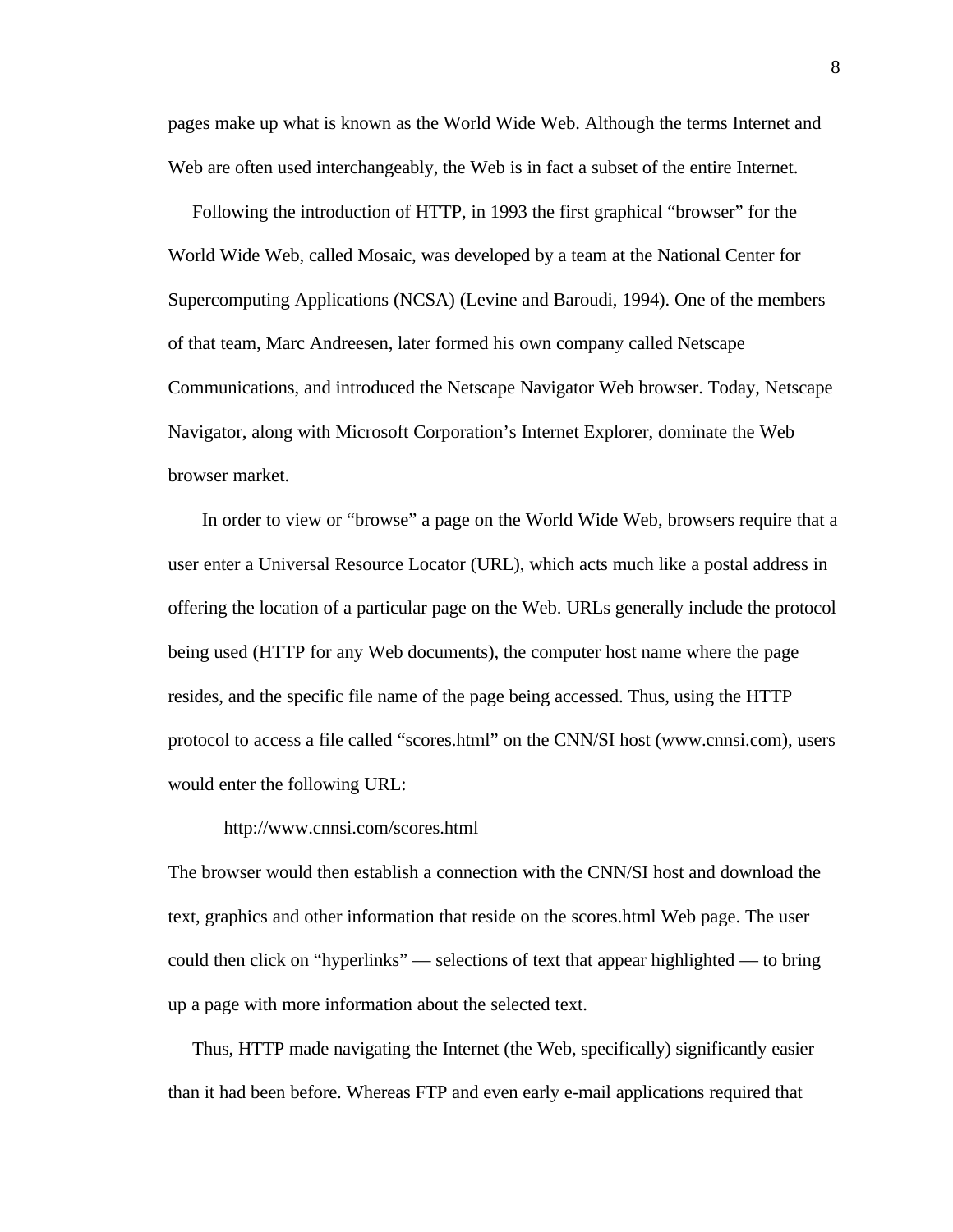pages make up what is known as the World Wide Web. Although the terms Internet and Web are often used interchangeably, the Web is in fact a subset of the entire Internet.

 Following the introduction of HTTP, in 1993 the first graphical "browser" for the World Wide Web, called Mosaic, was developed by a team at the National Center for Supercomputing Applications (NCSA) (Levine and Baroudi, 1994). One of the members of that team, Marc Andreesen, later formed his own company called Netscape Communications, and introduced the Netscape Navigator Web browser. Today, Netscape Navigator, along with Microsoft Corporation's Internet Explorer, dominate the Web browser market.

 In order to view or "browse" a page on the World Wide Web, browsers require that a user enter a Universal Resource Locator (URL), which acts much like a postal address in offering the location of a particular page on the Web. URLs generally include the protocol being used (HTTP for any Web documents), the computer host name where the page resides, and the specific file name of the page being accessed. Thus, using the HTTP protocol to access a file called "scores.html" on the CNN/SI host (www.cnnsi.com), users would enter the following URL:

#### http://www.cnnsi.com/scores.html

The browser would then establish a connection with the CNN/SI host and download the text, graphics and other information that reside on the scores.html Web page. The user could then click on "hyperlinks" — selections of text that appear highlighted — to bring up a page with more information about the selected text.

 Thus, HTTP made navigating the Internet (the Web, specifically) significantly easier than it had been before. Whereas FTP and even early e-mail applications required that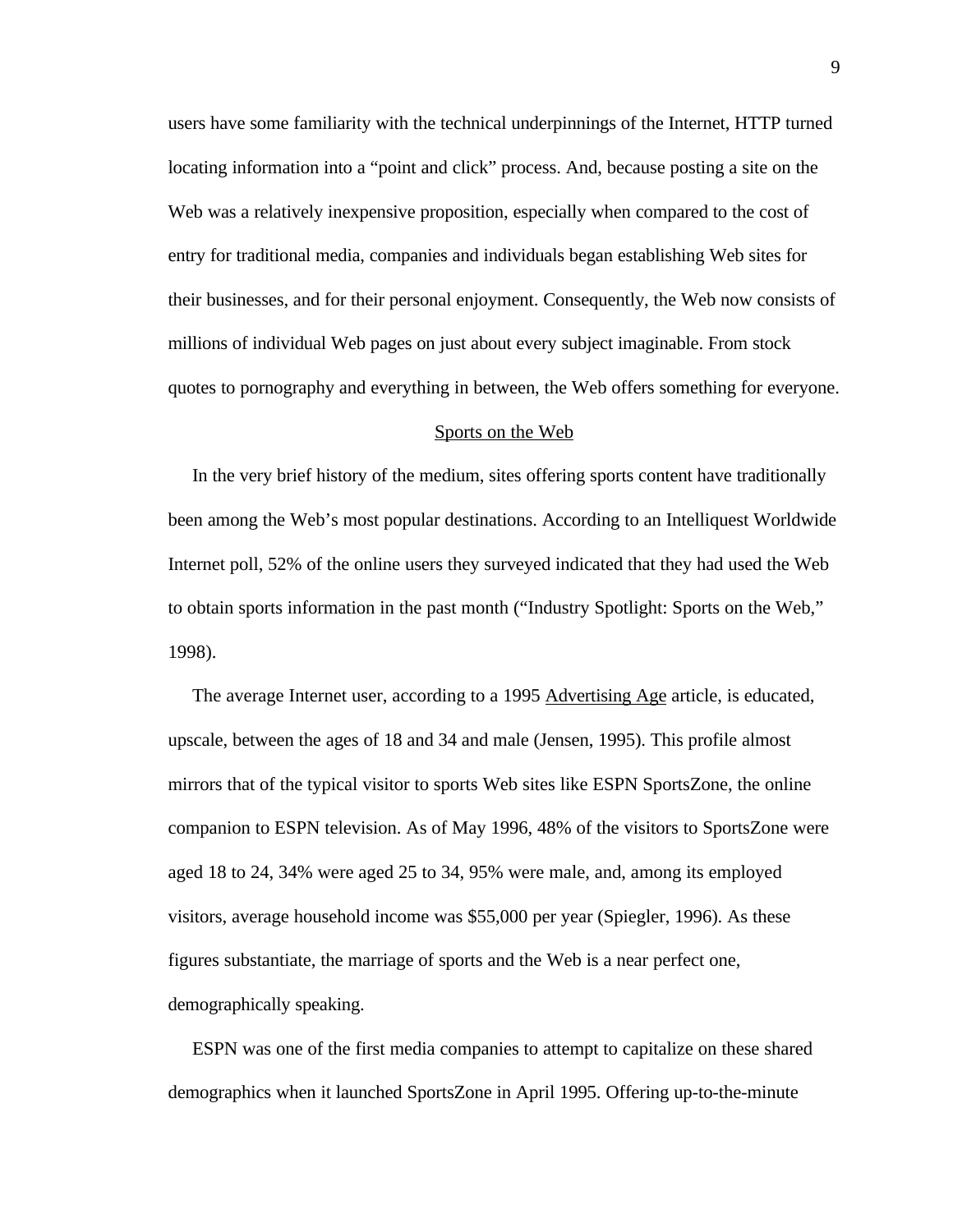users have some familiarity with the technical underpinnings of the Internet, HTTP turned locating information into a "point and click" process. And, because posting a site on the Web was a relatively inexpensive proposition, especially when compared to the cost of entry for traditional media, companies and individuals began establishing Web sites for their businesses, and for their personal enjoyment. Consequently, the Web now consists of millions of individual Web pages on just about every subject imaginable. From stock quotes to pornography and everything in between, the Web offers something for everyone.

#### Sports on the Web

 In the very brief history of the medium, sites offering sports content have traditionally been among the Web's most popular destinations. According to an Intelliquest Worldwide Internet poll, 52% of the online users they surveyed indicated that they had used the Web to obtain sports information in the past month ("Industry Spotlight: Sports on the Web," 1998).

The average Internet user, according to a 1995 Advertising Age article, is educated, upscale, between the ages of 18 and 34 and male (Jensen, 1995). This profile almost mirrors that of the typical visitor to sports Web sites like ESPN SportsZone, the online companion to ESPN television. As of May 1996, 48% of the visitors to SportsZone were aged 18 to 24, 34% were aged 25 to 34, 95% were male, and, among its employed visitors, average household income was \$55,000 per year (Spiegler, 1996). As these figures substantiate, the marriage of sports and the Web is a near perfect one, demographically speaking.

 ESPN was one of the first media companies to attempt to capitalize on these shared demographics when it launched SportsZone in April 1995. Offering up-to-the-minute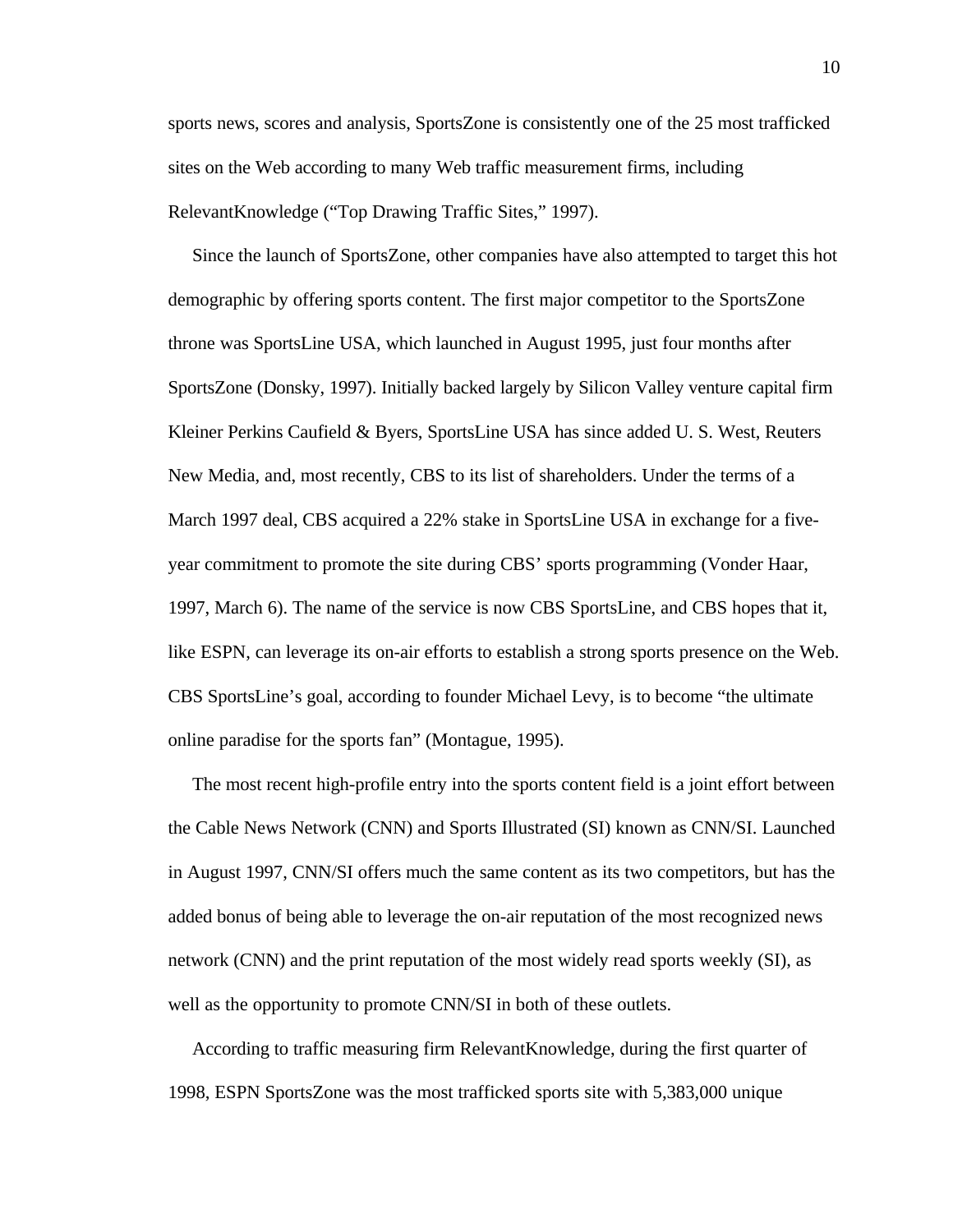sports news, scores and analysis, SportsZone is consistently one of the 25 most trafficked sites on the Web according to many Web traffic measurement firms, including RelevantKnowledge ("Top Drawing Traffic Sites," 1997).

 Since the launch of SportsZone, other companies have also attempted to target this hot demographic by offering sports content. The first major competitor to the SportsZone throne was SportsLine USA, which launched in August 1995, just four months after SportsZone (Donsky, 1997). Initially backed largely by Silicon Valley venture capital firm Kleiner Perkins Caufield & Byers, SportsLine USA has since added U. S. West, Reuters New Media, and, most recently, CBS to its list of shareholders. Under the terms of a March 1997 deal, CBS acquired a 22% stake in SportsLine USA in exchange for a fiveyear commitment to promote the site during CBS' sports programming (Vonder Haar, 1997, March 6). The name of the service is now CBS SportsLine, and CBS hopes that it, like ESPN, can leverage its on-air efforts to establish a strong sports presence on the Web. CBS SportsLine's goal, according to founder Michael Levy, is to become "the ultimate online paradise for the sports fan" (Montague, 1995).

 The most recent high-profile entry into the sports content field is a joint effort between the Cable News Network (CNN) and Sports Illustrated (SI) known as CNN/SI. Launched in August 1997, CNN/SI offers much the same content as its two competitors, but has the added bonus of being able to leverage the on-air reputation of the most recognized news network (CNN) and the print reputation of the most widely read sports weekly (SI), as well as the opportunity to promote CNN/SI in both of these outlets.

 According to traffic measuring firm RelevantKnowledge, during the first quarter of 1998, ESPN SportsZone was the most trafficked sports site with 5,383,000 unique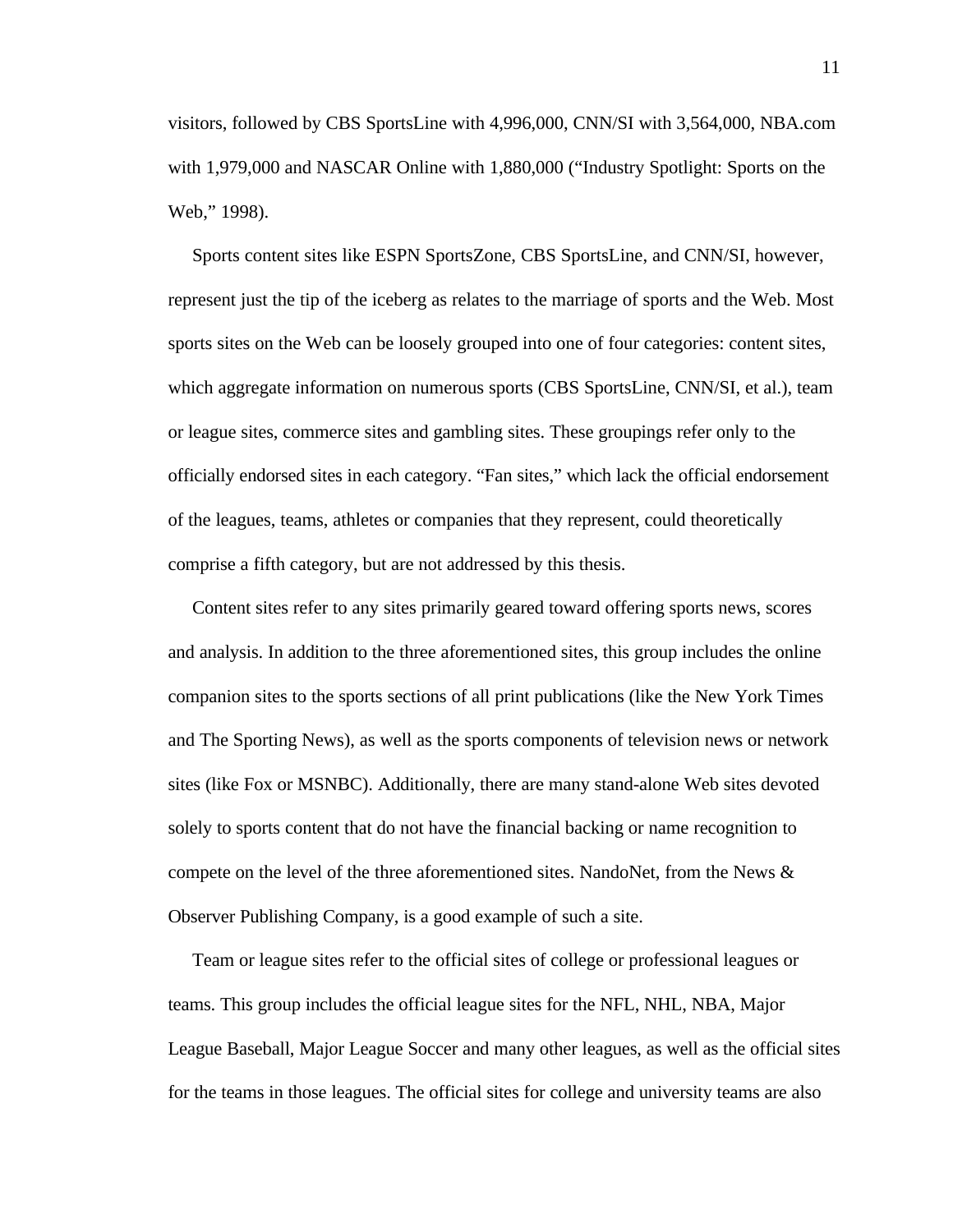visitors, followed by CBS SportsLine with 4,996,000, CNN/SI with 3,564,000, NBA.com with 1,979,000 and NASCAR Online with 1,880,000 ("Industry Spotlight: Sports on the Web," 1998).

 Sports content sites like ESPN SportsZone, CBS SportsLine, and CNN/SI, however, represent just the tip of the iceberg as relates to the marriage of sports and the Web. Most sports sites on the Web can be loosely grouped into one of four categories: content sites, which aggregate information on numerous sports (CBS SportsLine, CNN/SI, et al.), team or league sites, commerce sites and gambling sites. These groupings refer only to the officially endorsed sites in each category. "Fan sites," which lack the official endorsement of the leagues, teams, athletes or companies that they represent, could theoretically comprise a fifth category, but are not addressed by this thesis.

 Content sites refer to any sites primarily geared toward offering sports news, scores and analysis. In addition to the three aforementioned sites, this group includes the online companion sites to the sports sections of all print publications (like the New York Times and The Sporting News), as well as the sports components of television news or network sites (like Fox or MSNBC). Additionally, there are many stand-alone Web sites devoted solely to sports content that do not have the financial backing or name recognition to compete on the level of the three aforementioned sites. NandoNet, from the News & Observer Publishing Company, is a good example of such a site.

 Team or league sites refer to the official sites of college or professional leagues or teams. This group includes the official league sites for the NFL, NHL, NBA, Major League Baseball, Major League Soccer and many other leagues, as well as the official sites for the teams in those leagues. The official sites for college and university teams are also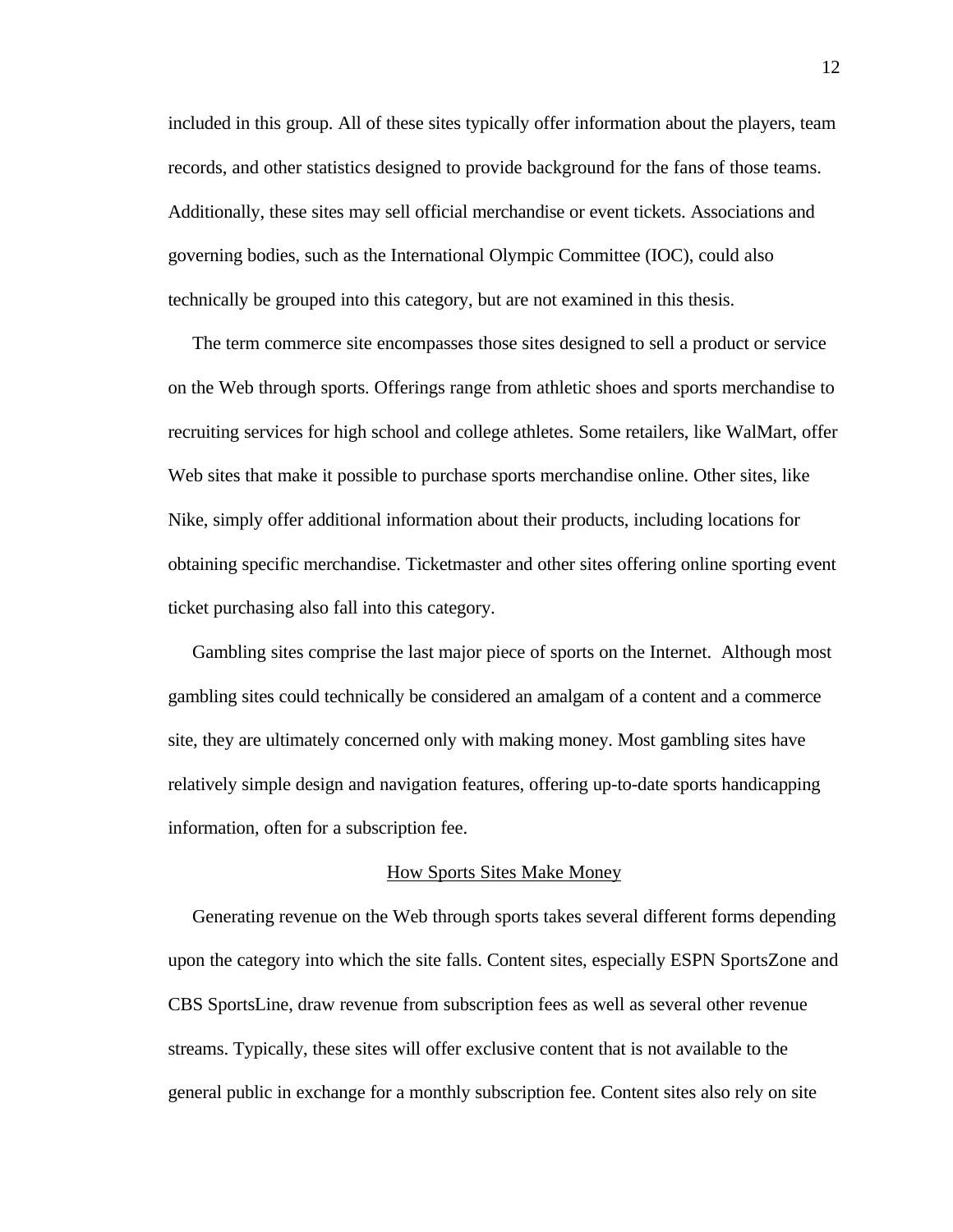included in this group. All of these sites typically offer information about the players, team records, and other statistics designed to provide background for the fans of those teams. Additionally, these sites may sell official merchandise or event tickets. Associations and governing bodies, such as the International Olympic Committee (IOC), could also technically be grouped into this category, but are not examined in this thesis.

 The term commerce site encompasses those sites designed to sell a product or service on the Web through sports. Offerings range from athletic shoes and sports merchandise to recruiting services for high school and college athletes. Some retailers, like WalMart, offer Web sites that make it possible to purchase sports merchandise online. Other sites, like Nike, simply offer additional information about their products, including locations for obtaining specific merchandise. Ticketmaster and other sites offering online sporting event ticket purchasing also fall into this category.

 Gambling sites comprise the last major piece of sports on the Internet. Although most gambling sites could technically be considered an amalgam of a content and a commerce site, they are ultimately concerned only with making money. Most gambling sites have relatively simple design and navigation features, offering up-to-date sports handicapping information, often for a subscription fee.

# How Sports Sites Make Money

 Generating revenue on the Web through sports takes several different forms depending upon the category into which the site falls. Content sites, especially ESPN SportsZone and CBS SportsLine, draw revenue from subscription fees as well as several other revenue streams. Typically, these sites will offer exclusive content that is not available to the general public in exchange for a monthly subscription fee. Content sites also rely on site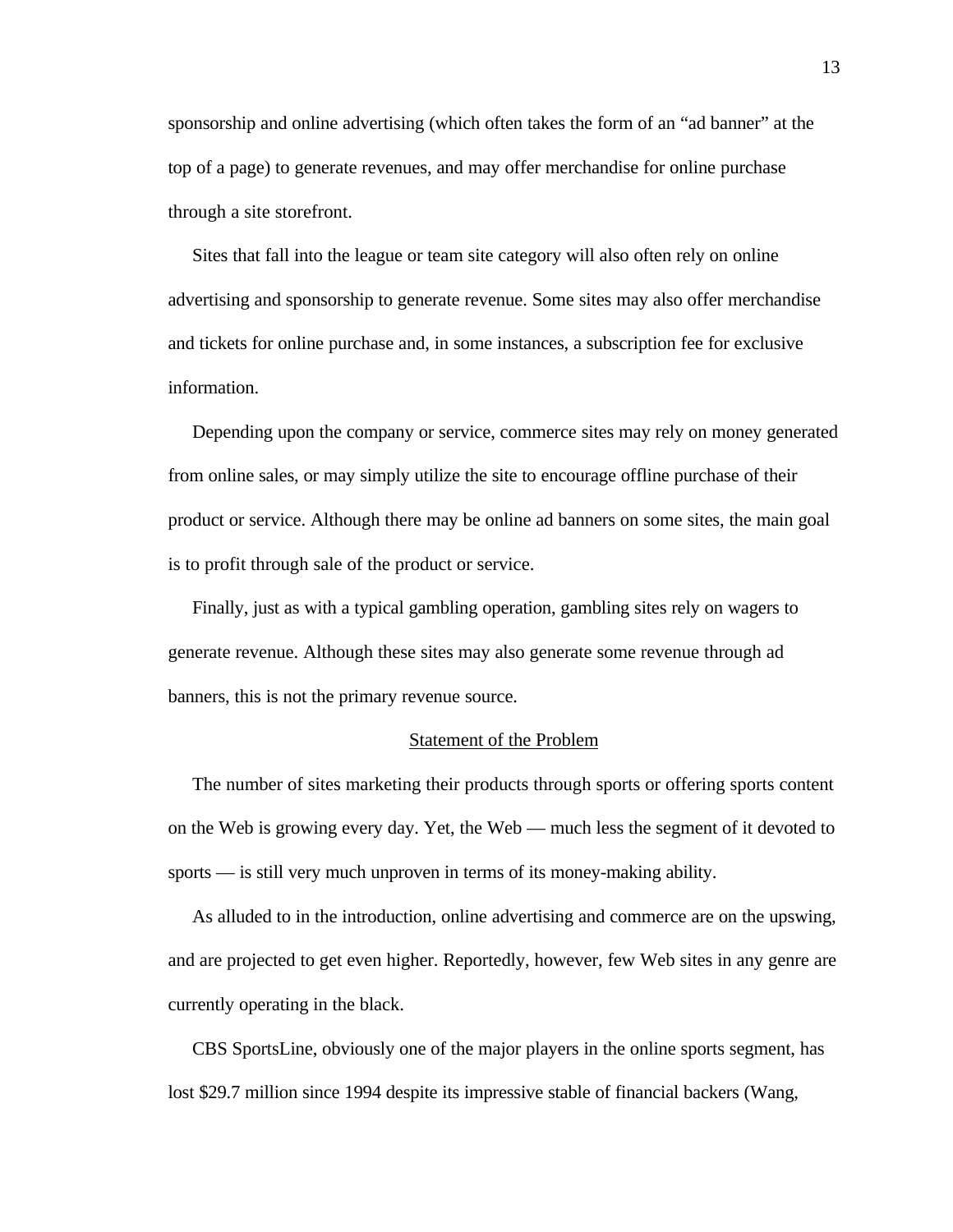sponsorship and online advertising (which often takes the form of an "ad banner" at the top of a page) to generate revenues, and may offer merchandise for online purchase through a site storefront.

 Sites that fall into the league or team site category will also often rely on online advertising and sponsorship to generate revenue. Some sites may also offer merchandise and tickets for online purchase and, in some instances, a subscription fee for exclusive information.

 Depending upon the company or service, commerce sites may rely on money generated from online sales, or may simply utilize the site to encourage offline purchase of their product or service. Although there may be online ad banners on some sites, the main goal is to profit through sale of the product or service.

 Finally, just as with a typical gambling operation, gambling sites rely on wagers to generate revenue. Although these sites may also generate some revenue through ad banners, this is not the primary revenue source.

## Statement of the Problem

 The number of sites marketing their products through sports or offering sports content on the Web is growing every day. Yet, the Web — much less the segment of it devoted to sports — is still very much unproven in terms of its money-making ability.

 As alluded to in the introduction, online advertising and commerce are on the upswing, and are projected to get even higher. Reportedly, however, few Web sites in any genre are currently operating in the black.

 CBS SportsLine, obviously one of the major players in the online sports segment, has lost \$29.7 million since 1994 despite its impressive stable of financial backers (Wang,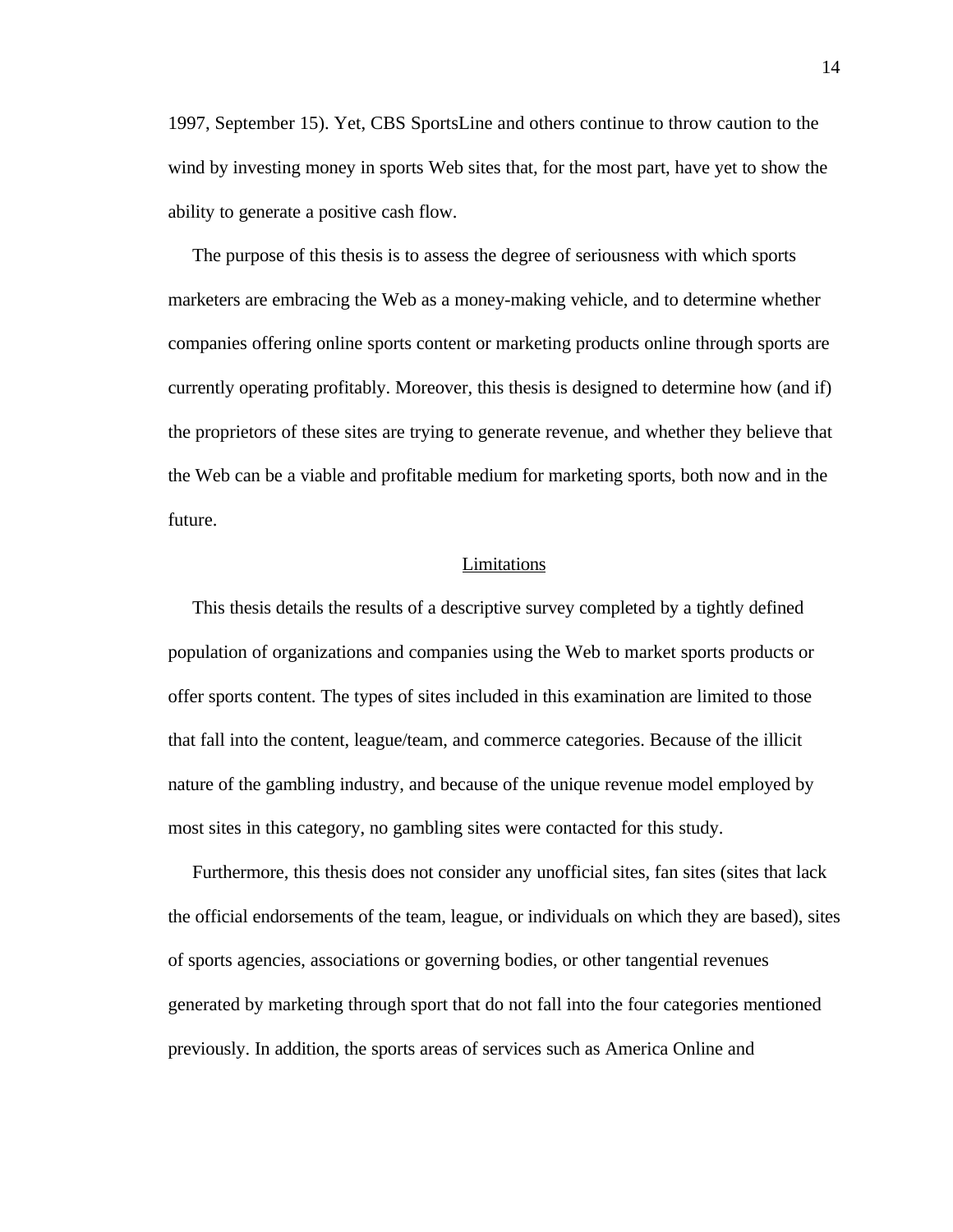1997, September 15). Yet, CBS SportsLine and others continue to throw caution to the wind by investing money in sports Web sites that, for the most part, have yet to show the ability to generate a positive cash flow.

 The purpose of this thesis is to assess the degree of seriousness with which sports marketers are embracing the Web as a money-making vehicle, and to determine whether companies offering online sports content or marketing products online through sports are currently operating profitably. Moreover, this thesis is designed to determine how (and if) the proprietors of these sites are trying to generate revenue, and whether they believe that the Web can be a viable and profitable medium for marketing sports, both now and in the future.

# **Limitations**

 This thesis details the results of a descriptive survey completed by a tightly defined population of organizations and companies using the Web to market sports products or offer sports content. The types of sites included in this examination are limited to those that fall into the content, league/team, and commerce categories. Because of the illicit nature of the gambling industry, and because of the unique revenue model employed by most sites in this category, no gambling sites were contacted for this study.

 Furthermore, this thesis does not consider any unofficial sites, fan sites (sites that lack the official endorsements of the team, league, or individuals on which they are based), sites of sports agencies, associations or governing bodies, or other tangential revenues generated by marketing through sport that do not fall into the four categories mentioned previously. In addition, the sports areas of services such as America Online and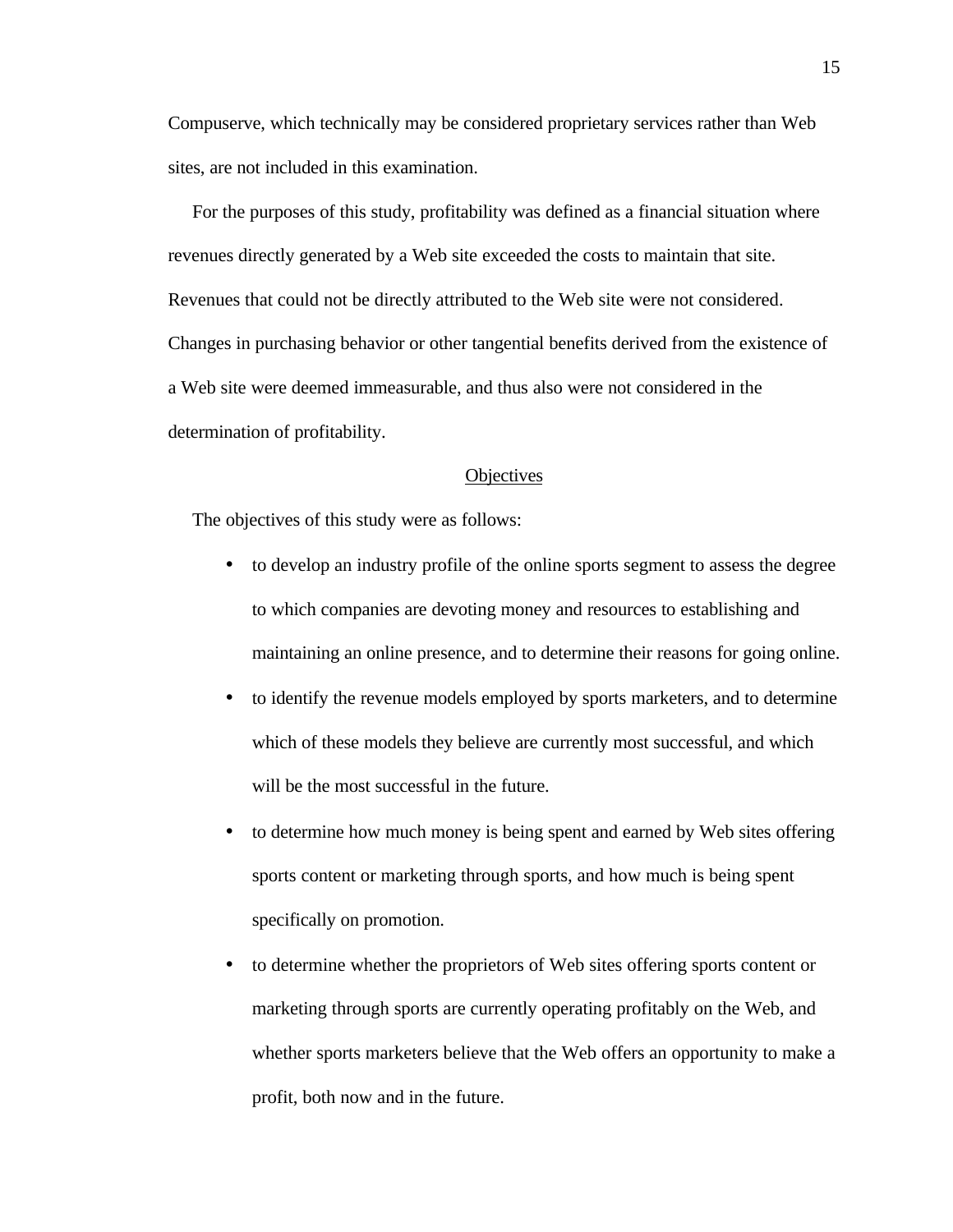Compuserve, which technically may be considered proprietary services rather than Web sites, are not included in this examination.

 For the purposes of this study, profitability was defined as a financial situation where revenues directly generated by a Web site exceeded the costs to maintain that site. Revenues that could not be directly attributed to the Web site were not considered. Changes in purchasing behavior or other tangential benefits derived from the existence of a Web site were deemed immeasurable, and thus also were not considered in the determination of profitability.

#### **Objectives**

The objectives of this study were as follows:

- to develop an industry profile of the online sports segment to assess the degree to which companies are devoting money and resources to establishing and maintaining an online presence, and to determine their reasons for going online.
- to identify the revenue models employed by sports marketers, and to determine which of these models they believe are currently most successful, and which will be the most successful in the future.
- to determine how much money is being spent and earned by Web sites offering sports content or marketing through sports, and how much is being spent specifically on promotion.
- to determine whether the proprietors of Web sites offering sports content or marketing through sports are currently operating profitably on the Web, and whether sports marketers believe that the Web offers an opportunity to make a profit, both now and in the future.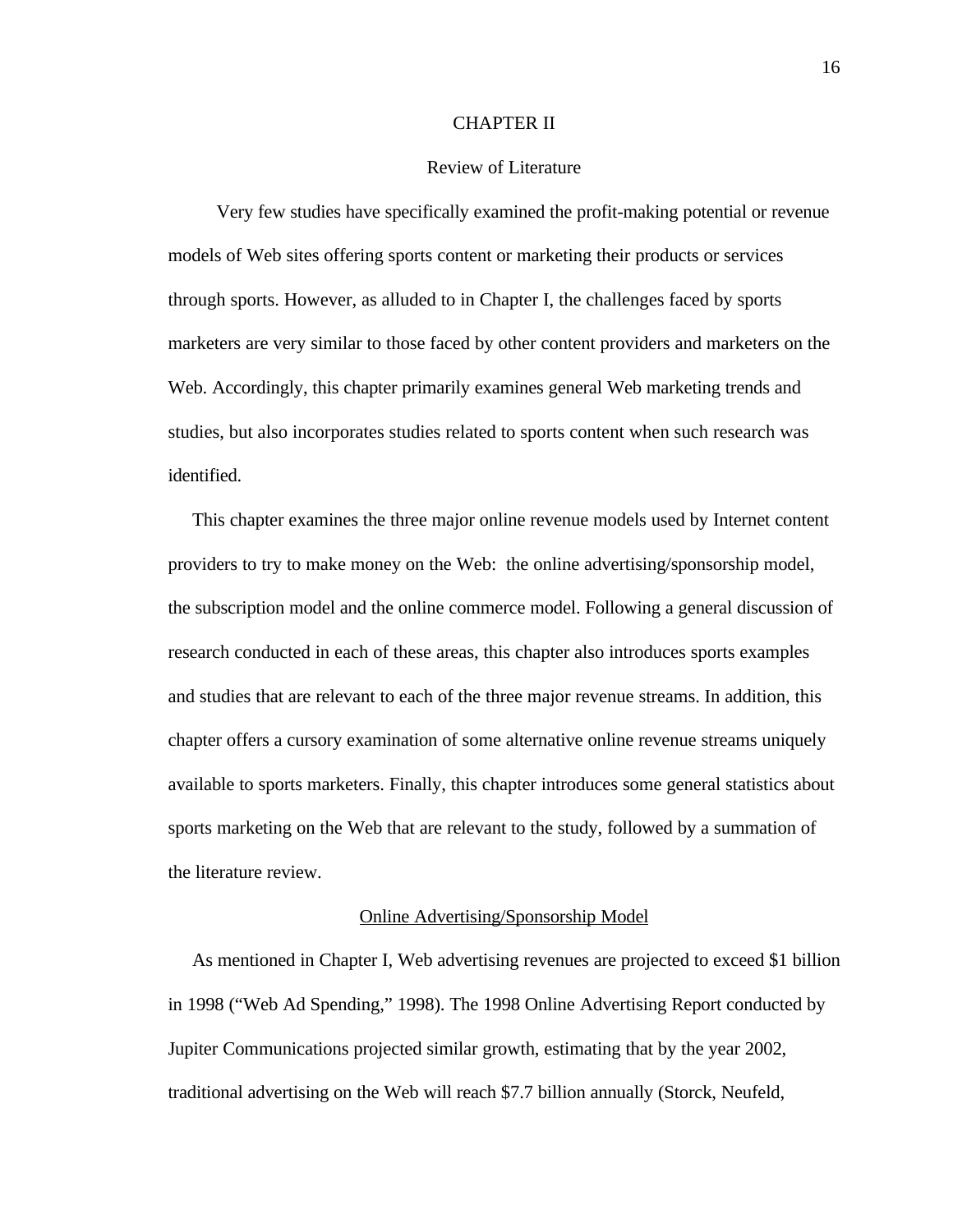### CHAPTER II

#### Review of Literature

 Very few studies have specifically examined the profit-making potential or revenue models of Web sites offering sports content or marketing their products or services through sports. However, as alluded to in Chapter I, the challenges faced by sports marketers are very similar to those faced by other content providers and marketers on the Web. Accordingly, this chapter primarily examines general Web marketing trends and studies, but also incorporates studies related to sports content when such research was identified.

 This chapter examines the three major online revenue models used by Internet content providers to try to make money on the Web: the online advertising/sponsorship model, the subscription model and the online commerce model. Following a general discussion of research conducted in each of these areas, this chapter also introduces sports examples and studies that are relevant to each of the three major revenue streams. In addition, this chapter offers a cursory examination of some alternative online revenue streams uniquely available to sports marketers. Finally, this chapter introduces some general statistics about sports marketing on the Web that are relevant to the study, followed by a summation of the literature review.

# Online Advertising/Sponsorship Model

 As mentioned in Chapter I, Web advertising revenues are projected to exceed \$1 billion in 1998 ("Web Ad Spending," 1998). The 1998 Online Advertising Report conducted by Jupiter Communications projected similar growth, estimating that by the year 2002, traditional advertising on the Web will reach \$7.7 billion annually (Storck, Neufeld,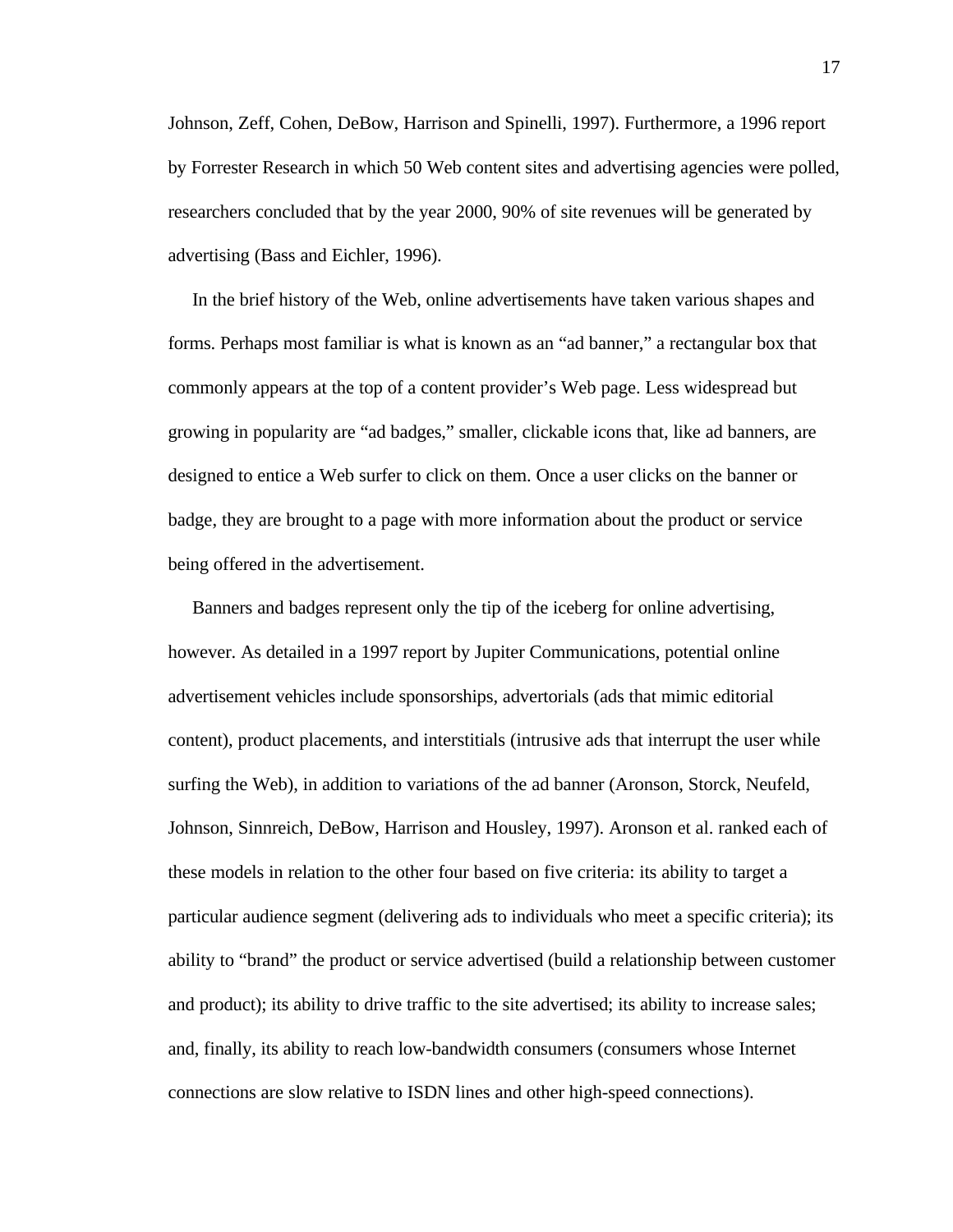Johnson, Zeff, Cohen, DeBow, Harrison and Spinelli, 1997). Furthermore, a 1996 report by Forrester Research in which 50 Web content sites and advertising agencies were polled, researchers concluded that by the year 2000, 90% of site revenues will be generated by advertising (Bass and Eichler, 1996).

 In the brief history of the Web, online advertisements have taken various shapes and forms. Perhaps most familiar is what is known as an "ad banner," a rectangular box that commonly appears at the top of a content provider's Web page. Less widespread but growing in popularity are "ad badges," smaller, clickable icons that, like ad banners, are designed to entice a Web surfer to click on them. Once a user clicks on the banner or badge, they are brought to a page with more information about the product or service being offered in the advertisement.

 Banners and badges represent only the tip of the iceberg for online advertising, however. As detailed in a 1997 report by Jupiter Communications, potential online advertisement vehicles include sponsorships, advertorials (ads that mimic editorial content), product placements, and interstitials (intrusive ads that interrupt the user while surfing the Web), in addition to variations of the ad banner (Aronson, Storck, Neufeld, Johnson, Sinnreich, DeBow, Harrison and Housley, 1997). Aronson et al. ranked each of these models in relation to the other four based on five criteria: its ability to target a particular audience segment (delivering ads to individuals who meet a specific criteria); its ability to "brand" the product or service advertised (build a relationship between customer and product); its ability to drive traffic to the site advertised; its ability to increase sales; and, finally, its ability to reach low-bandwidth consumers (consumers whose Internet connections are slow relative to ISDN lines and other high-speed connections).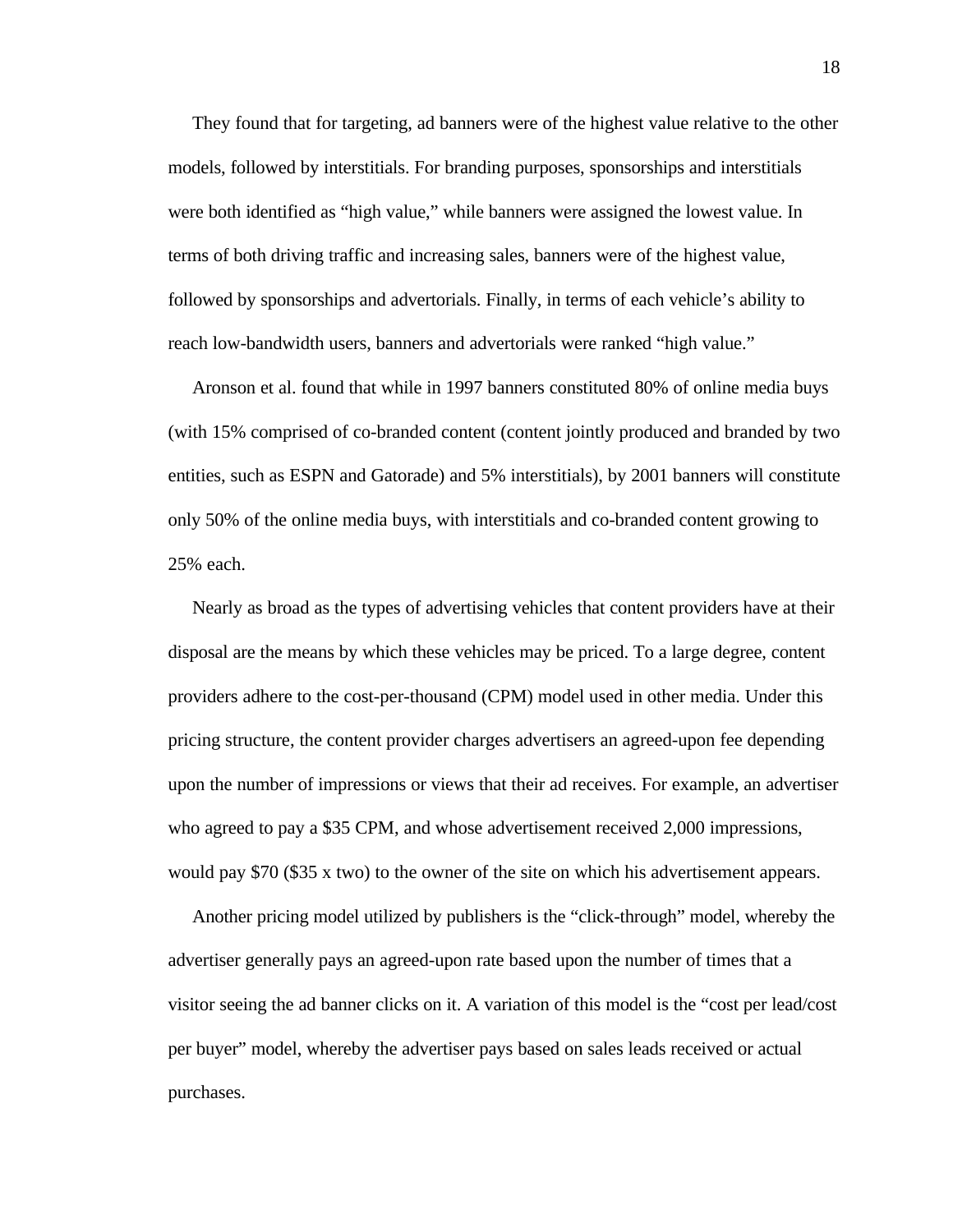They found that for targeting, ad banners were of the highest value relative to the other models, followed by interstitials. For branding purposes, sponsorships and interstitials were both identified as "high value," while banners were assigned the lowest value. In terms of both driving traffic and increasing sales, banners were of the highest value, followed by sponsorships and advertorials. Finally, in terms of each vehicle's ability to reach low-bandwidth users, banners and advertorials were ranked "high value."

 Aronson et al. found that while in 1997 banners constituted 80% of online media buys (with 15% comprised of co-branded content (content jointly produced and branded by two entities, such as ESPN and Gatorade) and 5% interstitials), by 2001 banners will constitute only 50% of the online media buys, with interstitials and co-branded content growing to 25% each.

 Nearly as broad as the types of advertising vehicles that content providers have at their disposal are the means by which these vehicles may be priced. To a large degree, content providers adhere to the cost-per-thousand (CPM) model used in other media. Under this pricing structure, the content provider charges advertisers an agreed-upon fee depending upon the number of impressions or views that their ad receives. For example, an advertiser who agreed to pay a \$35 CPM, and whose advertisement received 2,000 impressions, would pay \$70 (\$35 x two) to the owner of the site on which his advertisement appears.

 Another pricing model utilized by publishers is the "click-through" model, whereby the advertiser generally pays an agreed-upon rate based upon the number of times that a visitor seeing the ad banner clicks on it. A variation of this model is the "cost per lead/cost per buyer" model, whereby the advertiser pays based on sales leads received or actual purchases.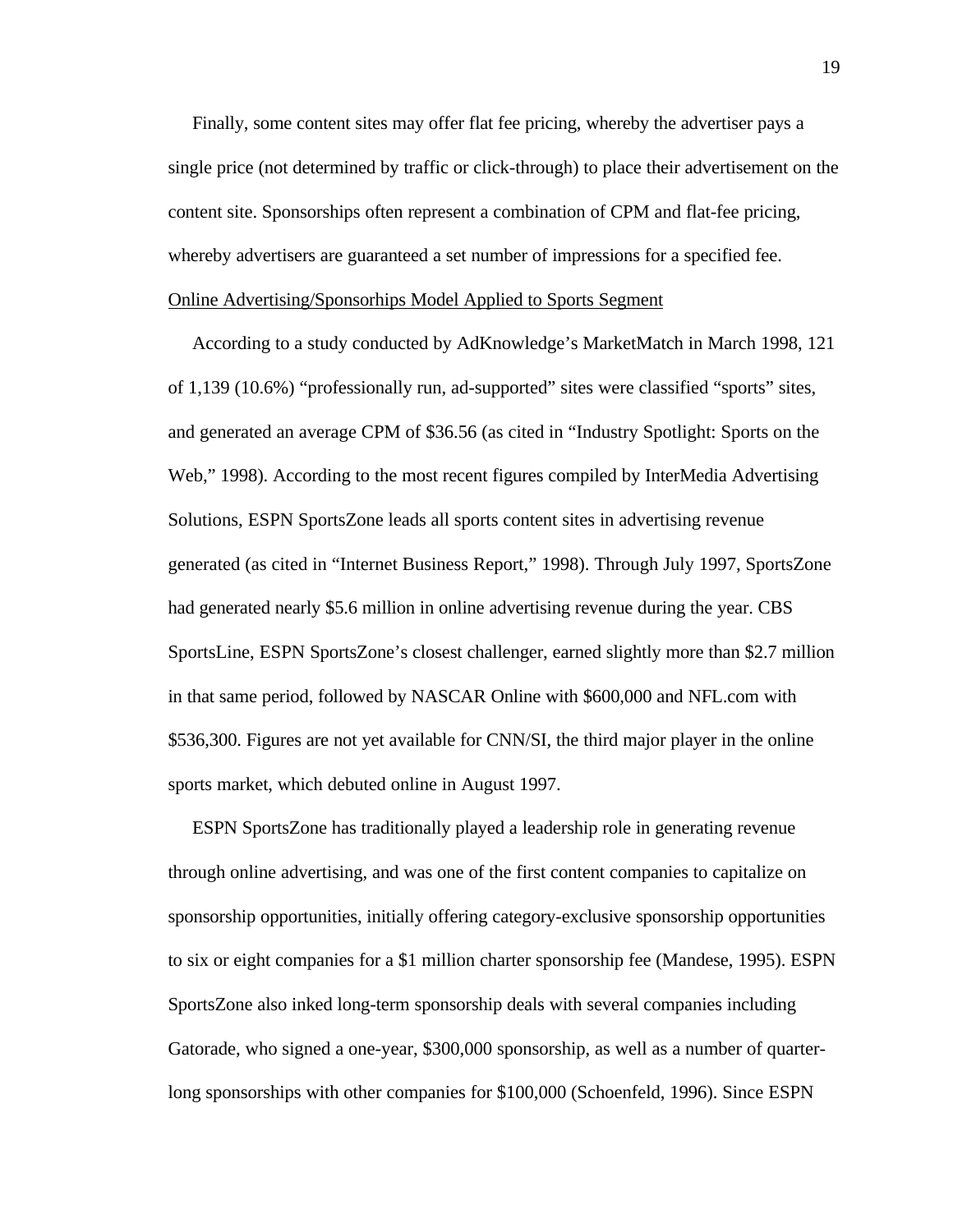Finally, some content sites may offer flat fee pricing, whereby the advertiser pays a single price (not determined by traffic or click-through) to place their advertisement on the content site. Sponsorships often represent a combination of CPM and flat-fee pricing, whereby advertisers are guaranteed a set number of impressions for a specified fee. Online Advertising/Sponsorhips Model Applied to Sports Segment

 According to a study conducted by AdKnowledge's MarketMatch in March 1998, 121 of 1,139 (10.6%) "professionally run, ad-supported" sites were classified "sports" sites, and generated an average CPM of \$36.56 (as cited in "Industry Spotlight: Sports on the Web," 1998). According to the most recent figures compiled by InterMedia Advertising Solutions, ESPN SportsZone leads all sports content sites in advertising revenue generated (as cited in "Internet Business Report," 1998). Through July 1997, SportsZone had generated nearly \$5.6 million in online advertising revenue during the year. CBS SportsLine, ESPN SportsZone's closest challenger, earned slightly more than \$2.7 million in that same period, followed by NASCAR Online with \$600,000 and NFL.com with \$536,300. Figures are not yet available for CNN/SI, the third major player in the online sports market, which debuted online in August 1997.

 ESPN SportsZone has traditionally played a leadership role in generating revenue through online advertising, and was one of the first content companies to capitalize on sponsorship opportunities, initially offering category-exclusive sponsorship opportunities to six or eight companies for a \$1 million charter sponsorship fee (Mandese, 1995). ESPN SportsZone also inked long-term sponsorship deals with several companies including Gatorade, who signed a one-year, \$300,000 sponsorship, as well as a number of quarterlong sponsorships with other companies for \$100,000 (Schoenfeld, 1996). Since ESPN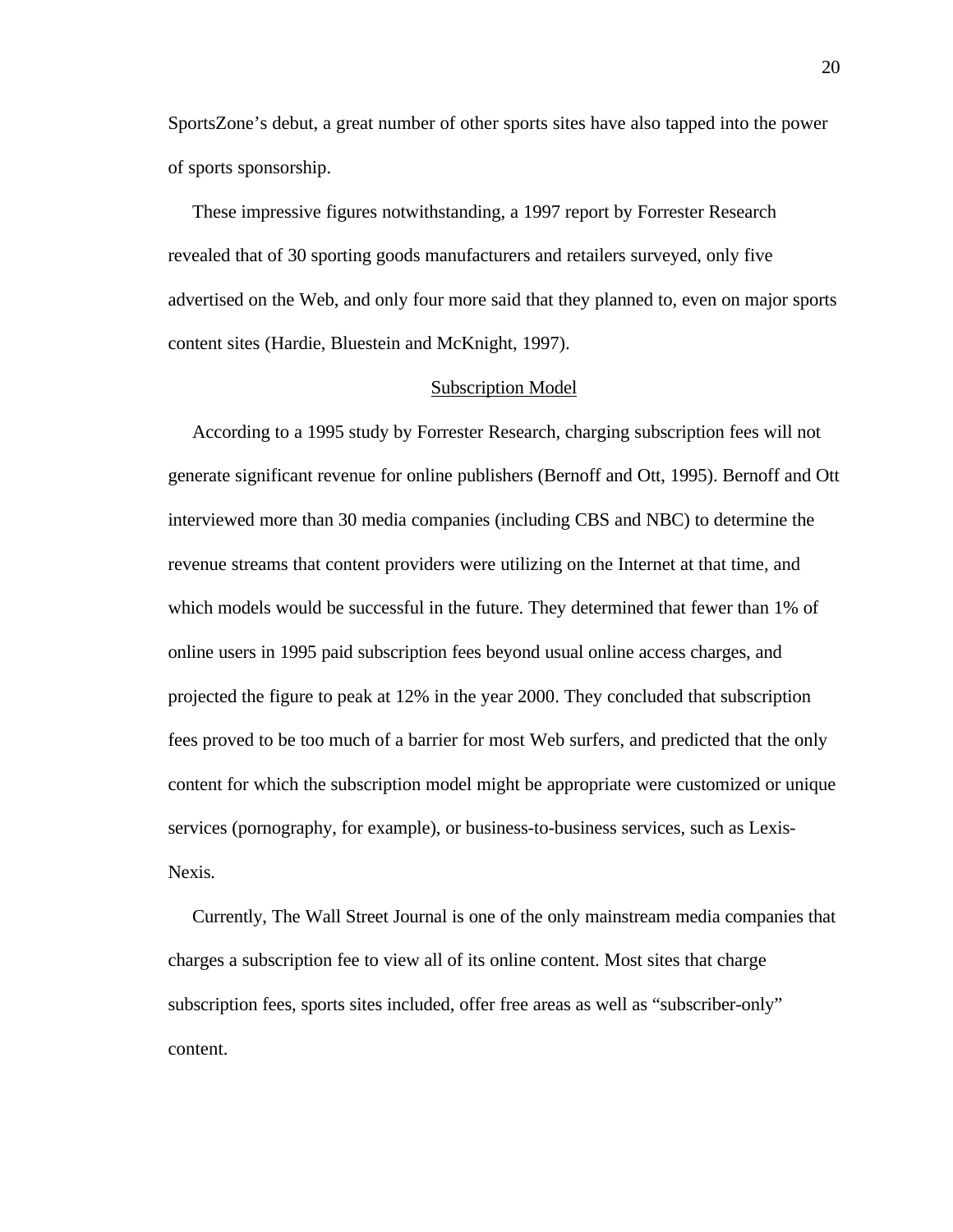SportsZone's debut, a great number of other sports sites have also tapped into the power of sports sponsorship.

 These impressive figures notwithstanding, a 1997 report by Forrester Research revealed that of 30 sporting goods manufacturers and retailers surveyed, only five advertised on the Web, and only four more said that they planned to, even on major sports content sites (Hardie, Bluestein and McKnight, 1997).

# Subscription Model

 According to a 1995 study by Forrester Research, charging subscription fees will not generate significant revenue for online publishers (Bernoff and Ott, 1995). Bernoff and Ott interviewed more than 30 media companies (including CBS and NBC) to determine the revenue streams that content providers were utilizing on the Internet at that time, and which models would be successful in the future. They determined that fewer than 1% of online users in 1995 paid subscription fees beyond usual online access charges, and projected the figure to peak at 12% in the year 2000. They concluded that subscription fees proved to be too much of a barrier for most Web surfers, and predicted that the only content for which the subscription model might be appropriate were customized or unique services (pornography, for example), or business-to-business services, such as Lexis-Nexis.

 Currently, The Wall Street Journal is one of the only mainstream media companies that charges a subscription fee to view all of its online content. Most sites that charge subscription fees, sports sites included, offer free areas as well as "subscriber-only" content.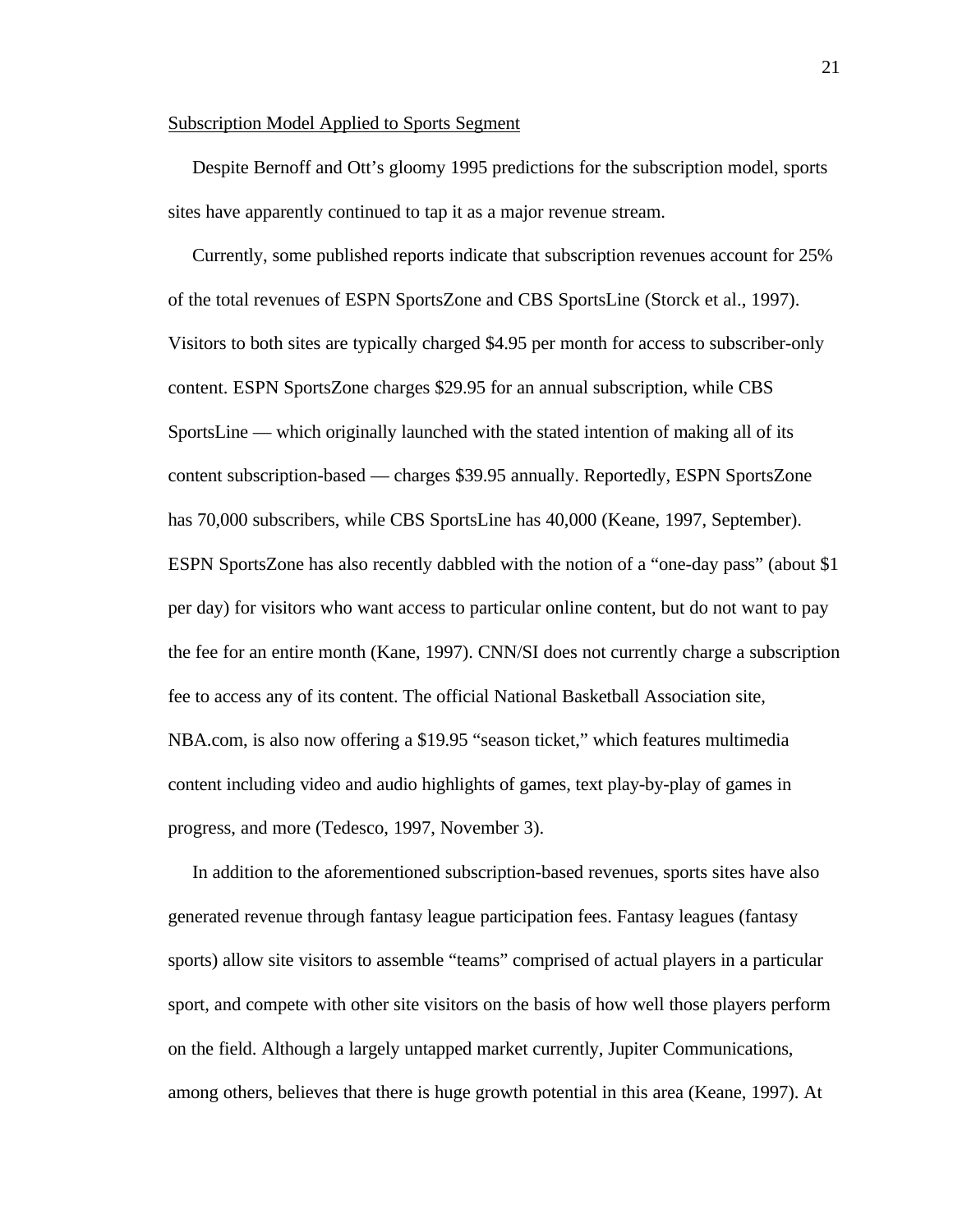#### Subscription Model Applied to Sports Segment

 Despite Bernoff and Ott's gloomy 1995 predictions for the subscription model, sports sites have apparently continued to tap it as a major revenue stream.

 Currently, some published reports indicate that subscription revenues account for 25% of the total revenues of ESPN SportsZone and CBS SportsLine (Storck et al., 1997). Visitors to both sites are typically charged \$4.95 per month for access to subscriber-only content. ESPN SportsZone charges \$29.95 for an annual subscription, while CBS SportsLine — which originally launched with the stated intention of making all of its content subscription-based — charges \$39.95 annually. Reportedly, ESPN SportsZone has 70,000 subscribers, while CBS SportsLine has 40,000 (Keane, 1997, September). ESPN SportsZone has also recently dabbled with the notion of a "one-day pass" (about \$1 per day) for visitors who want access to particular online content, but do not want to pay the fee for an entire month (Kane, 1997). CNN/SI does not currently charge a subscription fee to access any of its content. The official National Basketball Association site, NBA.com, is also now offering a \$19.95 "season ticket," which features multimedia content including video and audio highlights of games, text play-by-play of games in progress, and more (Tedesco, 1997, November 3).

 In addition to the aforementioned subscription-based revenues, sports sites have also generated revenue through fantasy league participation fees. Fantasy leagues (fantasy sports) allow site visitors to assemble "teams" comprised of actual players in a particular sport, and compete with other site visitors on the basis of how well those players perform on the field. Although a largely untapped market currently, Jupiter Communications, among others, believes that there is huge growth potential in this area (Keane, 1997). At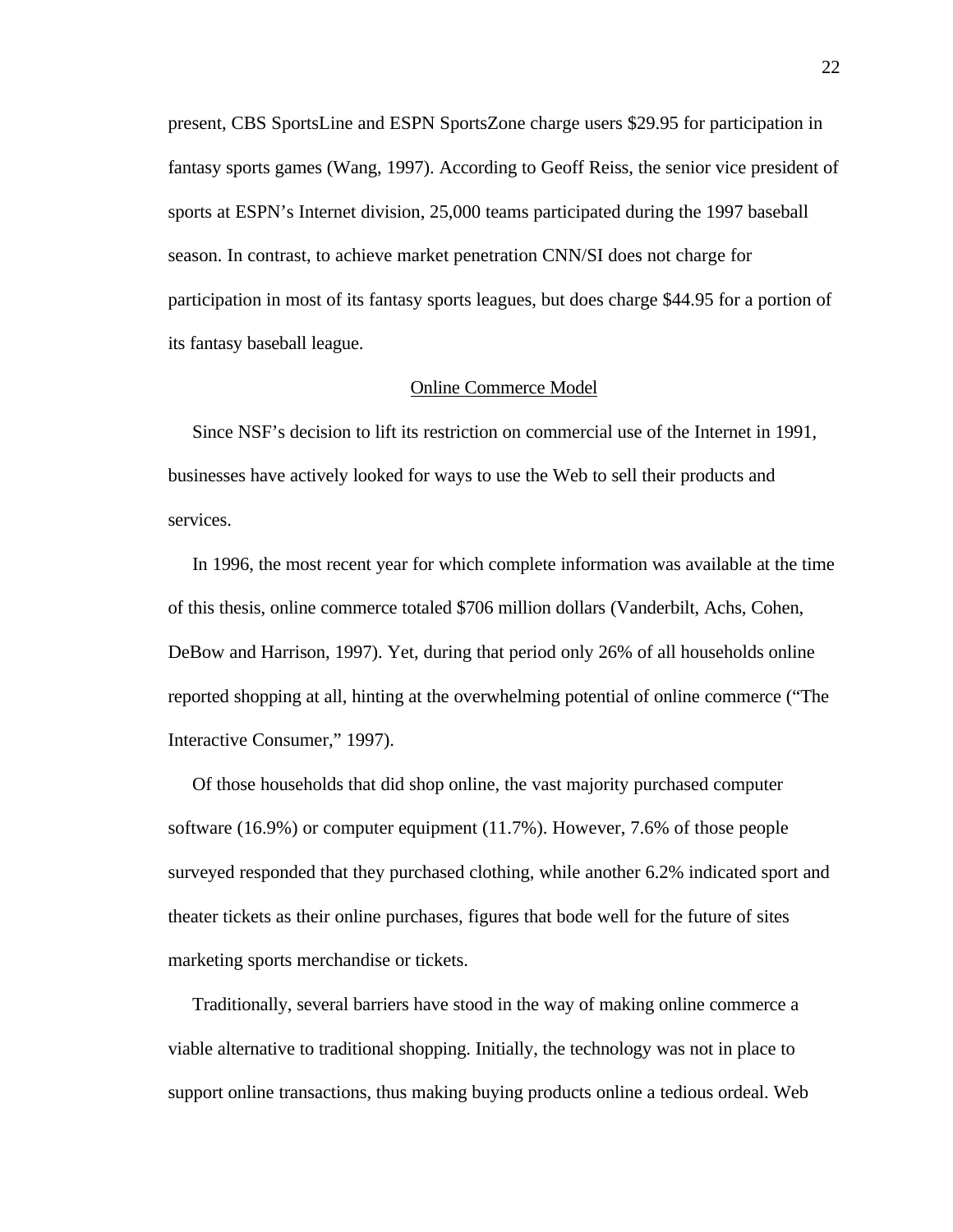present, CBS SportsLine and ESPN SportsZone charge users \$29.95 for participation in fantasy sports games (Wang, 1997). According to Geoff Reiss, the senior vice president of sports at ESPN's Internet division, 25,000 teams participated during the 1997 baseball season. In contrast, to achieve market penetration CNN/SI does not charge for participation in most of its fantasy sports leagues, but does charge \$44.95 for a portion of its fantasy baseball league.

# Online Commerce Model

 Since NSF's decision to lift its restriction on commercial use of the Internet in 1991, businesses have actively looked for ways to use the Web to sell their products and services.

 In 1996, the most recent year for which complete information was available at the time of this thesis, online commerce totaled \$706 million dollars (Vanderbilt, Achs, Cohen, DeBow and Harrison, 1997). Yet, during that period only 26% of all households online reported shopping at all, hinting at the overwhelming potential of online commerce ("The Interactive Consumer," 1997).

 Of those households that did shop online, the vast majority purchased computer software (16.9%) or computer equipment (11.7%). However, 7.6% of those people surveyed responded that they purchased clothing, while another 6.2% indicated sport and theater tickets as their online purchases, figures that bode well for the future of sites marketing sports merchandise or tickets.

 Traditionally, several barriers have stood in the way of making online commerce a viable alternative to traditional shopping. Initially, the technology was not in place to support online transactions, thus making buying products online a tedious ordeal. Web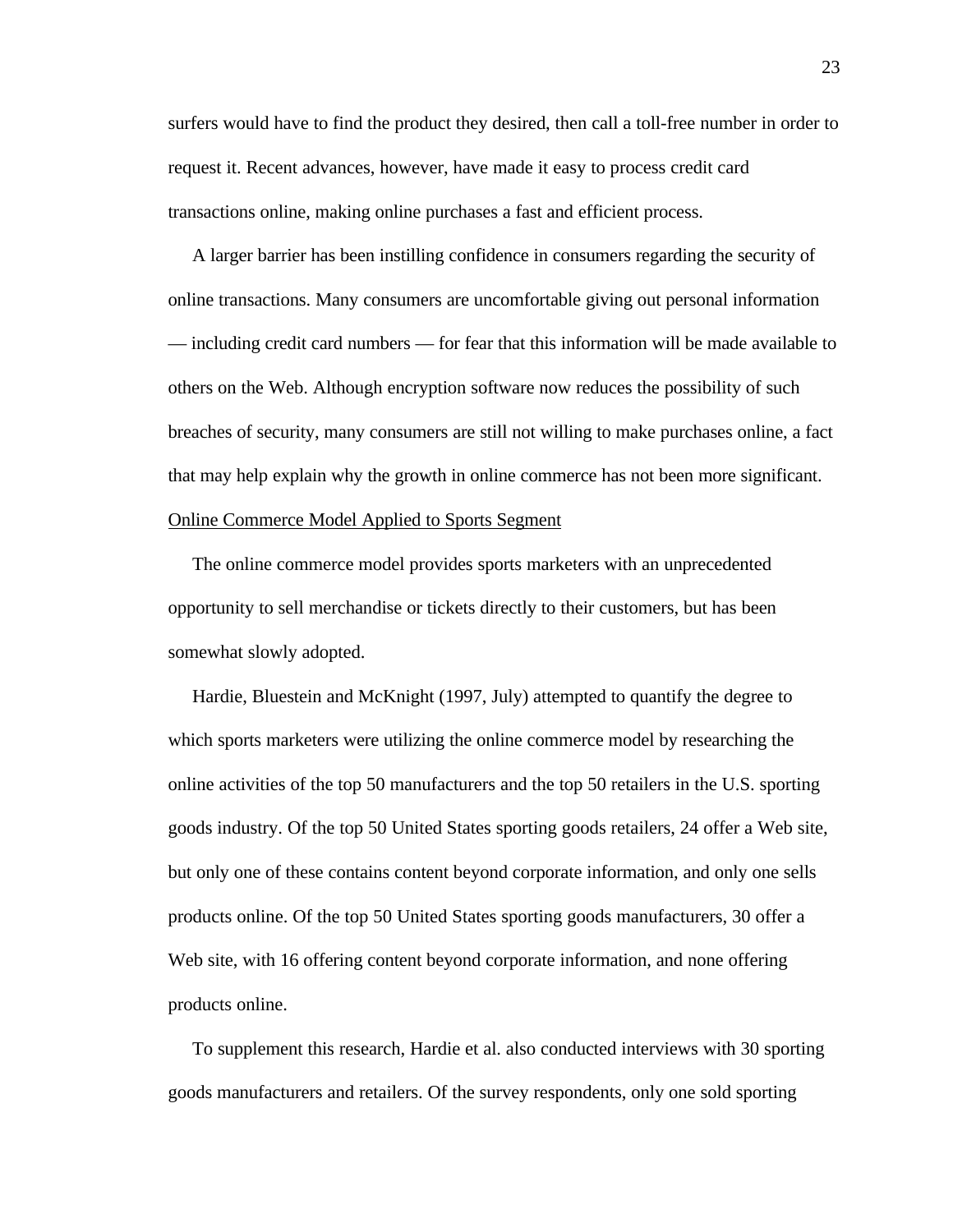surfers would have to find the product they desired, then call a toll-free number in order to request it. Recent advances, however, have made it easy to process credit card transactions online, making online purchases a fast and efficient process.

 A larger barrier has been instilling confidence in consumers regarding the security of online transactions. Many consumers are uncomfortable giving out personal information — including credit card numbers — for fear that this information will be made available to others on the Web. Although encryption software now reduces the possibility of such breaches of security, many consumers are still not willing to make purchases online, a fact that may help explain why the growth in online commerce has not been more significant.

# Online Commerce Model Applied to Sports Segment

 The online commerce model provides sports marketers with an unprecedented opportunity to sell merchandise or tickets directly to their customers, but has been somewhat slowly adopted.

 Hardie, Bluestein and McKnight (1997, July) attempted to quantify the degree to which sports marketers were utilizing the online commerce model by researching the online activities of the top 50 manufacturers and the top 50 retailers in the U.S. sporting goods industry. Of the top 50 United States sporting goods retailers, 24 offer a Web site, but only one of these contains content beyond corporate information, and only one sells products online. Of the top 50 United States sporting goods manufacturers, 30 offer a Web site, with 16 offering content beyond corporate information, and none offering products online.

 To supplement this research, Hardie et al. also conducted interviews with 30 sporting goods manufacturers and retailers. Of the survey respondents, only one sold sporting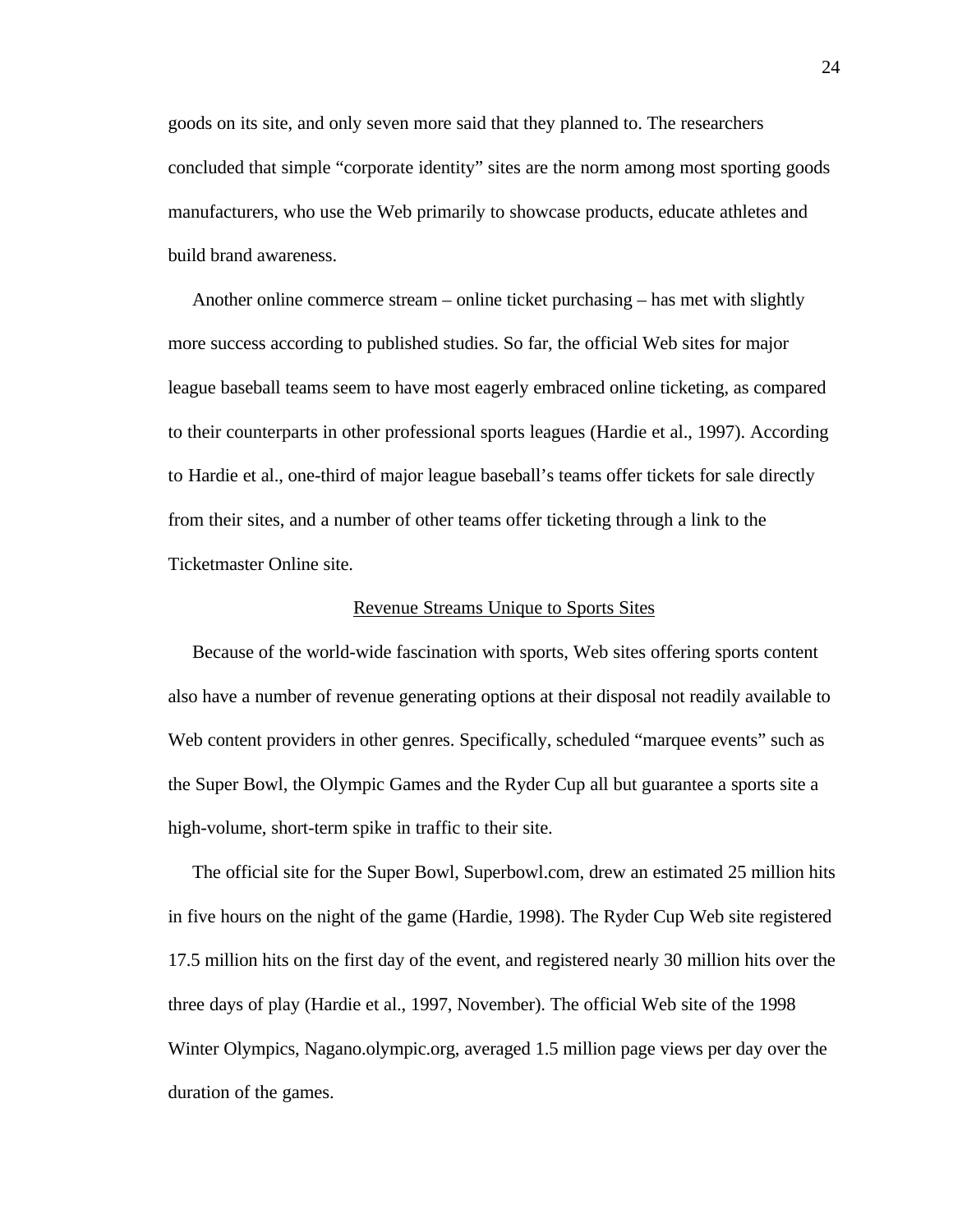goods on its site, and only seven more said that they planned to. The researchers concluded that simple "corporate identity" sites are the norm among most sporting goods manufacturers, who use the Web primarily to showcase products, educate athletes and build brand awareness.

 Another online commerce stream – online ticket purchasing – has met with slightly more success according to published studies. So far, the official Web sites for major league baseball teams seem to have most eagerly embraced online ticketing, as compared to their counterparts in other professional sports leagues (Hardie et al., 1997). According to Hardie et al., one-third of major league baseball's teams offer tickets for sale directly from their sites, and a number of other teams offer ticketing through a link to the Ticketmaster Online site.

## Revenue Streams Unique to Sports Sites

 Because of the world-wide fascination with sports, Web sites offering sports content also have a number of revenue generating options at their disposal not readily available to Web content providers in other genres. Specifically, scheduled "marquee events" such as the Super Bowl, the Olympic Games and the Ryder Cup all but guarantee a sports site a high-volume, short-term spike in traffic to their site.

 The official site for the Super Bowl, Superbowl.com, drew an estimated 25 million hits in five hours on the night of the game (Hardie, 1998). The Ryder Cup Web site registered 17.5 million hits on the first day of the event, and registered nearly 30 million hits over the three days of play (Hardie et al., 1997, November). The official Web site of the 1998 Winter Olympics, Nagano.olympic.org, averaged 1.5 million page views per day over the duration of the games.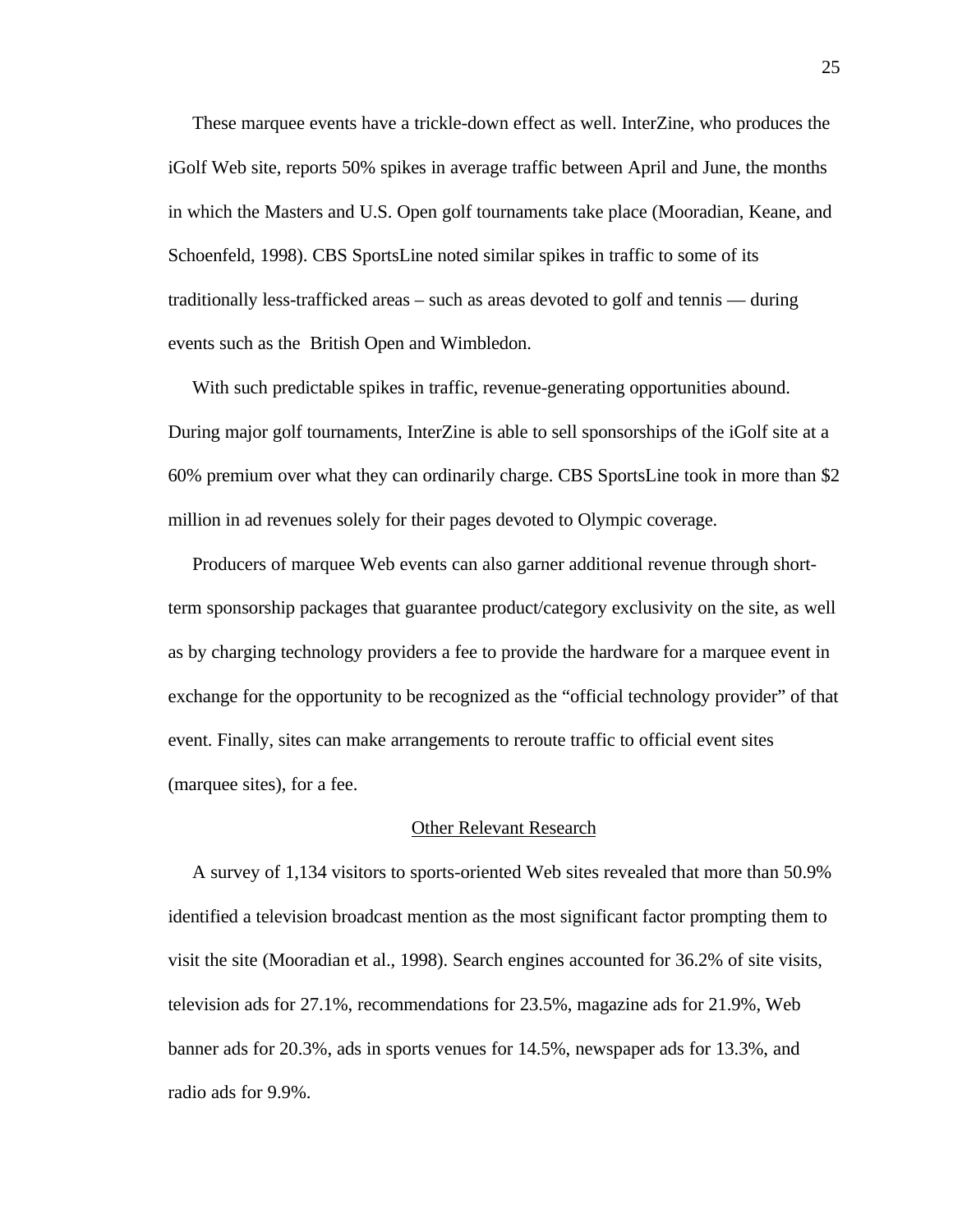These marquee events have a trickle-down effect as well. InterZine, who produces the iGolf Web site, reports 50% spikes in average traffic between April and June, the months in which the Masters and U.S. Open golf tournaments take place (Mooradian, Keane, and Schoenfeld, 1998). CBS SportsLine noted similar spikes in traffic to some of its traditionally less-trafficked areas – such as areas devoted to golf and tennis — during events such as the British Open and Wimbledon.

With such predictable spikes in traffic, revenue-generating opportunities abound. During major golf tournaments, InterZine is able to sell sponsorships of the iGolf site at a 60% premium over what they can ordinarily charge. CBS SportsLine took in more than \$2 million in ad revenues solely for their pages devoted to Olympic coverage.

 Producers of marquee Web events can also garner additional revenue through shortterm sponsorship packages that guarantee product/category exclusivity on the site, as well as by charging technology providers a fee to provide the hardware for a marquee event in exchange for the opportunity to be recognized as the "official technology provider" of that event. Finally, sites can make arrangements to reroute traffic to official event sites (marquee sites), for a fee.

#### Other Relevant Research

 A survey of 1,134 visitors to sports-oriented Web sites revealed that more than 50.9% identified a television broadcast mention as the most significant factor prompting them to visit the site (Mooradian et al., 1998). Search engines accounted for 36.2% of site visits, television ads for 27.1%, recommendations for 23.5%, magazine ads for 21.9%, Web banner ads for 20.3%, ads in sports venues for 14.5%, newspaper ads for 13.3%, and radio ads for 9.9%.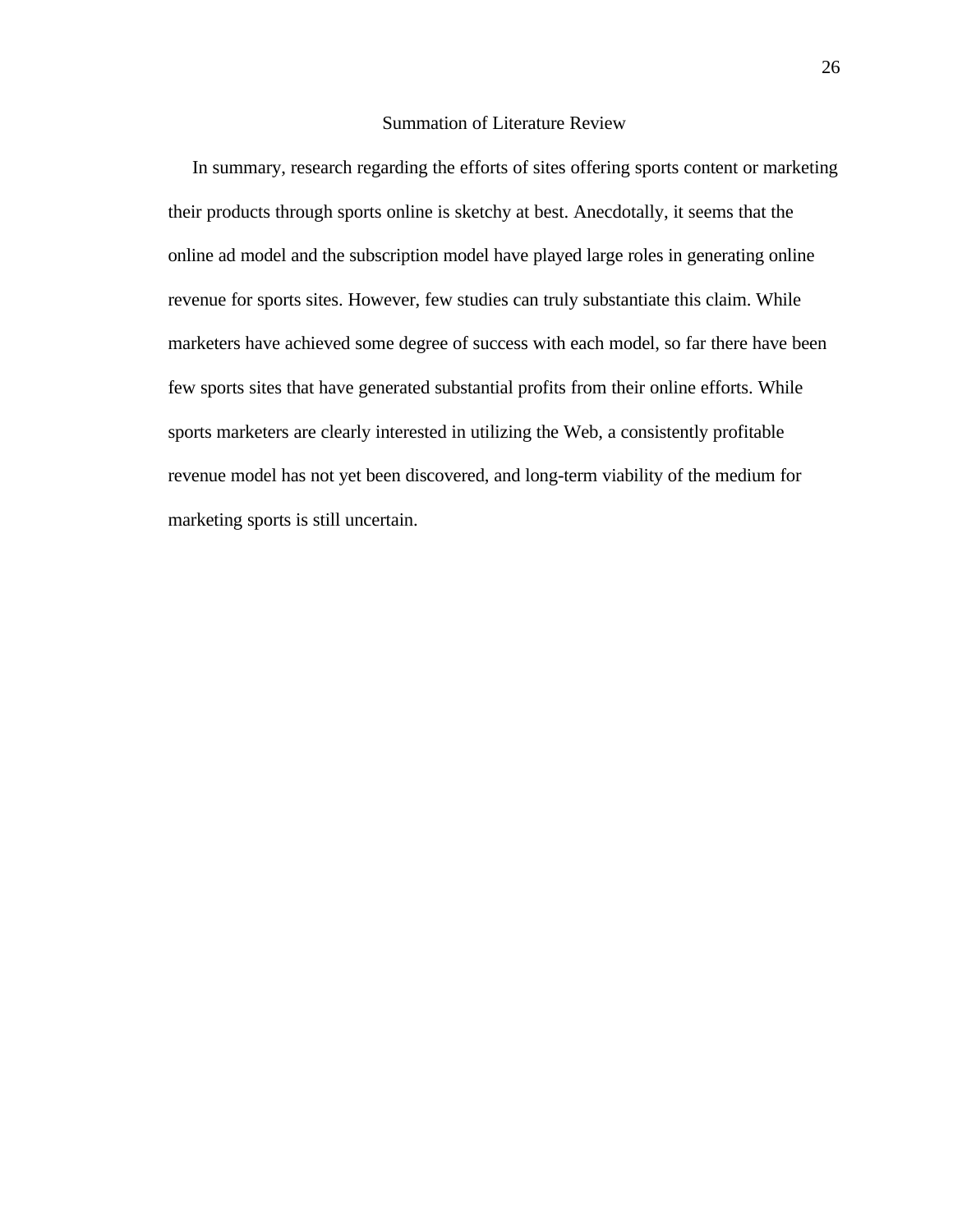# Summation of Literature Review

 In summary, research regarding the efforts of sites offering sports content or marketing their products through sports online is sketchy at best. Anecdotally, it seems that the online ad model and the subscription model have played large roles in generating online revenue for sports sites. However, few studies can truly substantiate this claim. While marketers have achieved some degree of success with each model, so far there have been few sports sites that have generated substantial profits from their online efforts. While sports marketers are clearly interested in utilizing the Web, a consistently profitable revenue model has not yet been discovered, and long-term viability of the medium for marketing sports is still uncertain.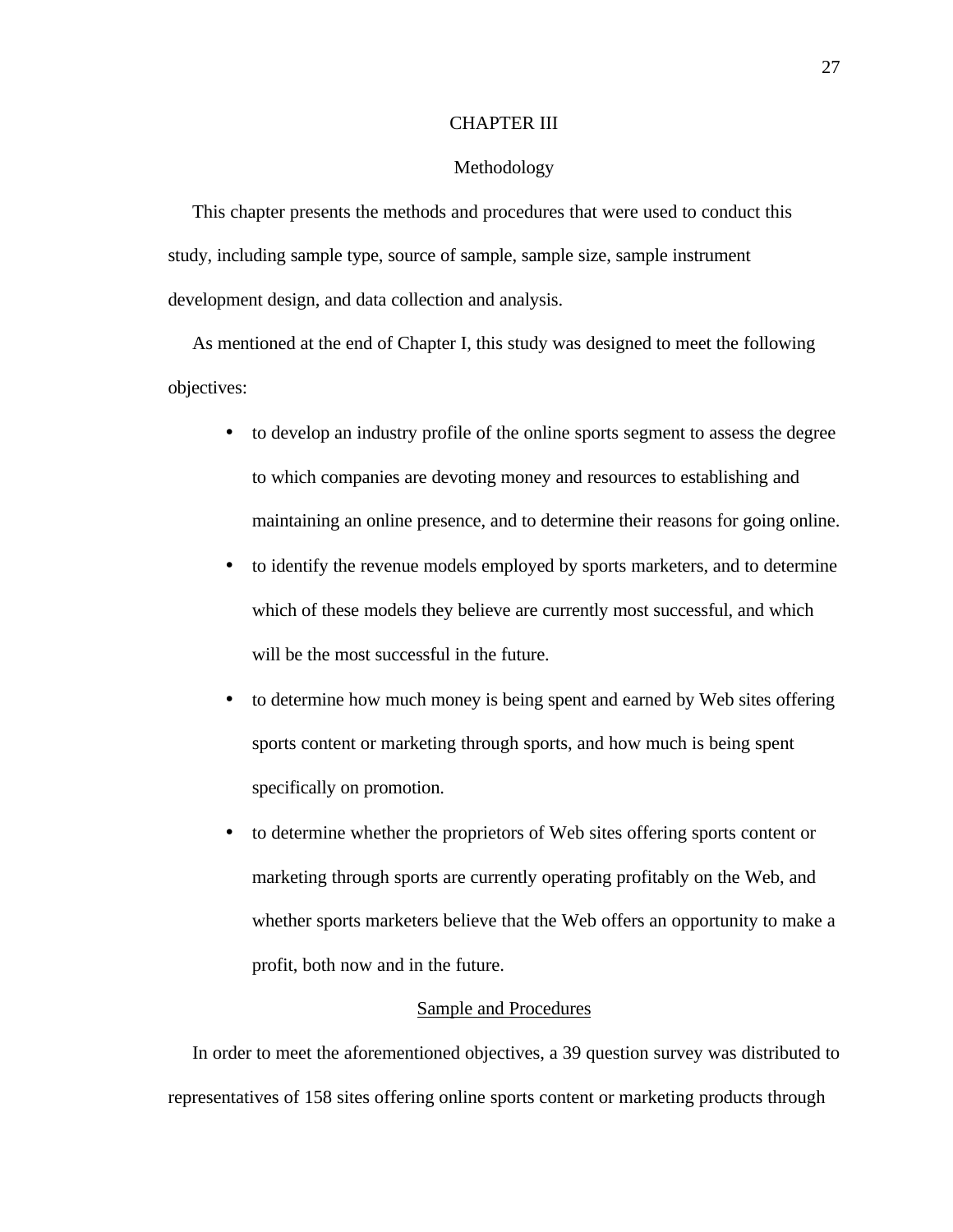## CHAPTER III

#### Methodology

 This chapter presents the methods and procedures that were used to conduct this study, including sample type, source of sample, sample size, sample instrument development design, and data collection and analysis.

 As mentioned at the end of Chapter I, this study was designed to meet the following objectives:

- to develop an industry profile of the online sports segment to assess the degree to which companies are devoting money and resources to establishing and maintaining an online presence, and to determine their reasons for going online.
- to identify the revenue models employed by sports marketers, and to determine which of these models they believe are currently most successful, and which will be the most successful in the future.
- to determine how much money is being spent and earned by Web sites offering sports content or marketing through sports, and how much is being spent specifically on promotion.
- to determine whether the proprietors of Web sites offering sports content or marketing through sports are currently operating profitably on the Web, and whether sports marketers believe that the Web offers an opportunity to make a profit, both now and in the future.

# Sample and Procedures

 In order to meet the aforementioned objectives, a 39 question survey was distributed to representatives of 158 sites offering online sports content or marketing products through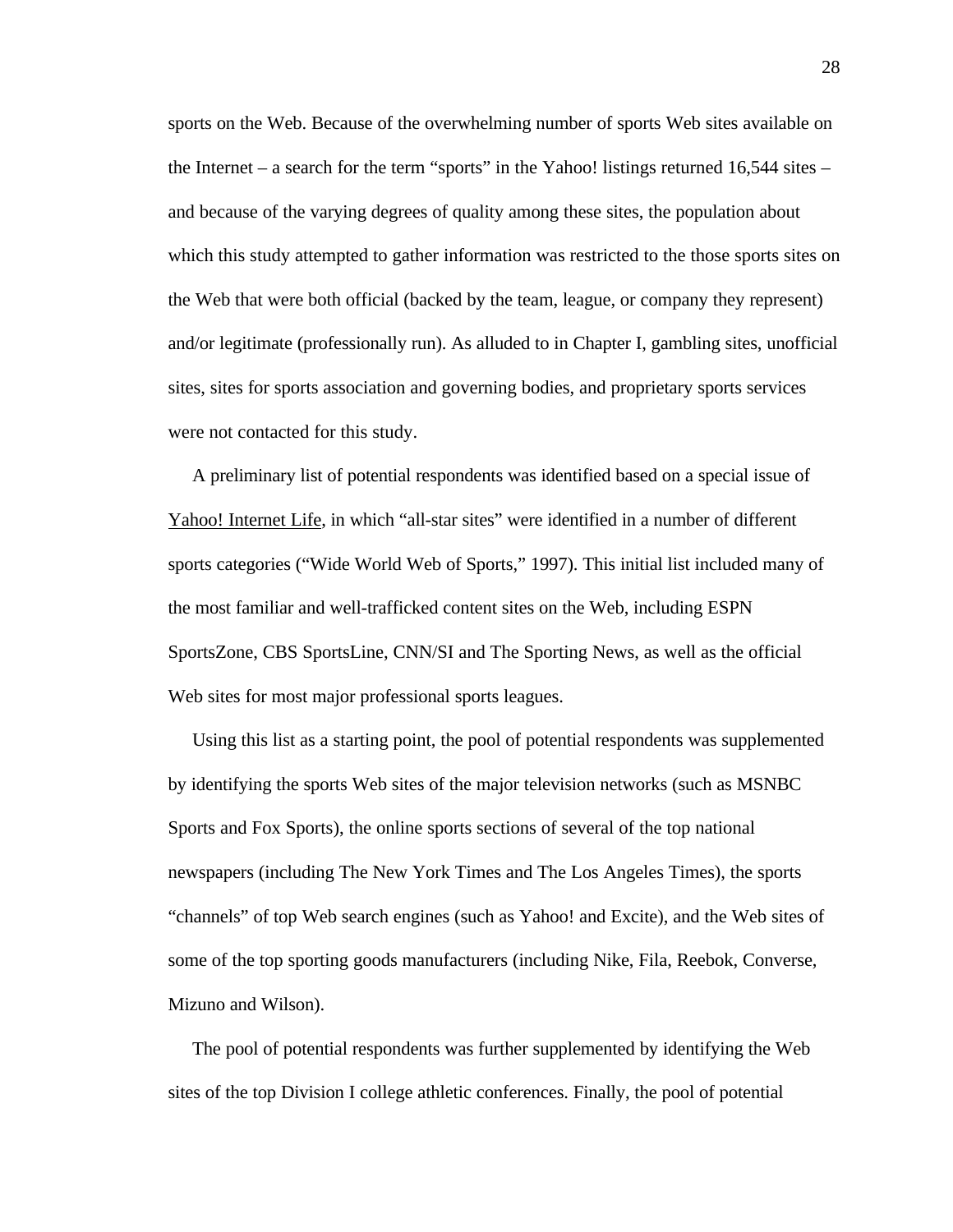sports on the Web. Because of the overwhelming number of sports Web sites available on the Internet – a search for the term "sports" in the Yahoo! listings returned  $16,544$  sites – and because of the varying degrees of quality among these sites, the population about which this study attempted to gather information was restricted to the those sports sites on the Web that were both official (backed by the team, league, or company they represent) and/or legitimate (professionally run). As alluded to in Chapter I, gambling sites, unofficial sites, sites for sports association and governing bodies, and proprietary sports services were not contacted for this study.

 A preliminary list of potential respondents was identified based on a special issue of Yahoo! Internet Life, in which "all-star sites" were identified in a number of different sports categories ("Wide World Web of Sports," 1997). This initial list included many of the most familiar and well-trafficked content sites on the Web, including ESPN SportsZone, CBS SportsLine, CNN/SI and The Sporting News, as well as the official Web sites for most major professional sports leagues.

 Using this list as a starting point, the pool of potential respondents was supplemented by identifying the sports Web sites of the major television networks (such as MSNBC Sports and Fox Sports), the online sports sections of several of the top national newspapers (including The New York Times and The Los Angeles Times), the sports "channels" of top Web search engines (such as Yahoo! and Excite), and the Web sites of some of the top sporting goods manufacturers (including Nike, Fila, Reebok, Converse, Mizuno and Wilson).

 The pool of potential respondents was further supplemented by identifying the Web sites of the top Division I college athletic conferences. Finally, the pool of potential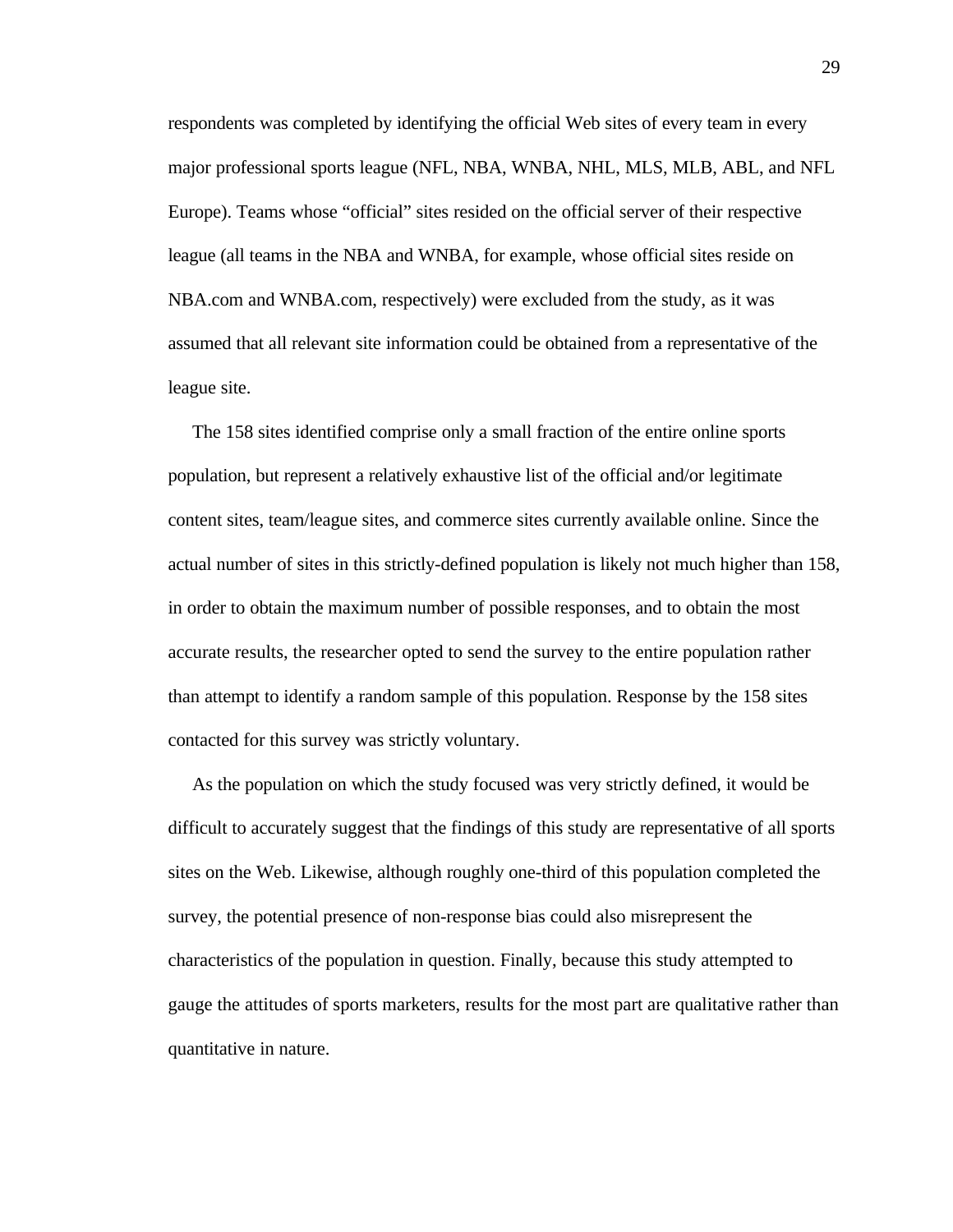respondents was completed by identifying the official Web sites of every team in every major professional sports league (NFL, NBA, WNBA, NHL, MLS, MLB, ABL, and NFL Europe). Teams whose "official" sites resided on the official server of their respective league (all teams in the NBA and WNBA, for example, whose official sites reside on NBA.com and WNBA.com, respectively) were excluded from the study, as it was assumed that all relevant site information could be obtained from a representative of the league site.

 The 158 sites identified comprise only a small fraction of the entire online sports population, but represent a relatively exhaustive list of the official and/or legitimate content sites, team/league sites, and commerce sites currently available online. Since the actual number of sites in this strictly-defined population is likely not much higher than 158, in order to obtain the maximum number of possible responses, and to obtain the most accurate results, the researcher opted to send the survey to the entire population rather than attempt to identify a random sample of this population. Response by the 158 sites contacted for this survey was strictly voluntary.

 As the population on which the study focused was very strictly defined, it would be difficult to accurately suggest that the findings of this study are representative of all sports sites on the Web. Likewise, although roughly one-third of this population completed the survey, the potential presence of non-response bias could also misrepresent the characteristics of the population in question. Finally, because this study attempted to gauge the attitudes of sports marketers, results for the most part are qualitative rather than quantitative in nature.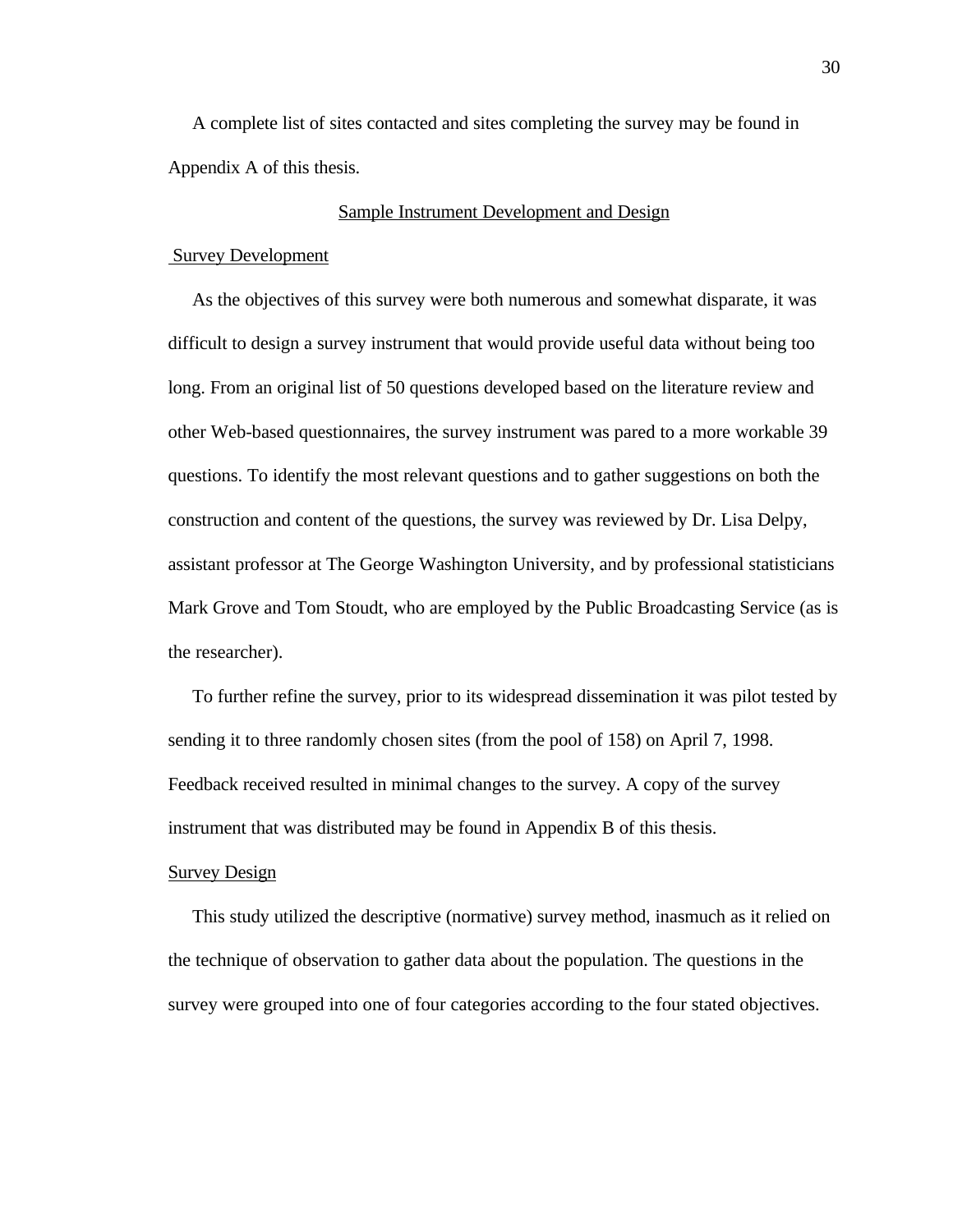A complete list of sites contacted and sites completing the survey may be found in Appendix A of this thesis.

# Sample Instrument Development and Design

# Survey Development

 As the objectives of this survey were both numerous and somewhat disparate, it was difficult to design a survey instrument that would provide useful data without being too long. From an original list of 50 questions developed based on the literature review and other Web-based questionnaires, the survey instrument was pared to a more workable 39 questions. To identify the most relevant questions and to gather suggestions on both the construction and content of the questions, the survey was reviewed by Dr. Lisa Delpy, assistant professor at The George Washington University, and by professional statisticians Mark Grove and Tom Stoudt, who are employed by the Public Broadcasting Service (as is the researcher).

 To further refine the survey, prior to its widespread dissemination it was pilot tested by sending it to three randomly chosen sites (from the pool of 158) on April 7, 1998. Feedback received resulted in minimal changes to the survey. A copy of the survey instrument that was distributed may be found in Appendix B of this thesis.

# Survey Design

 This study utilized the descriptive (normative) survey method, inasmuch as it relied on the technique of observation to gather data about the population. The questions in the survey were grouped into one of four categories according to the four stated objectives.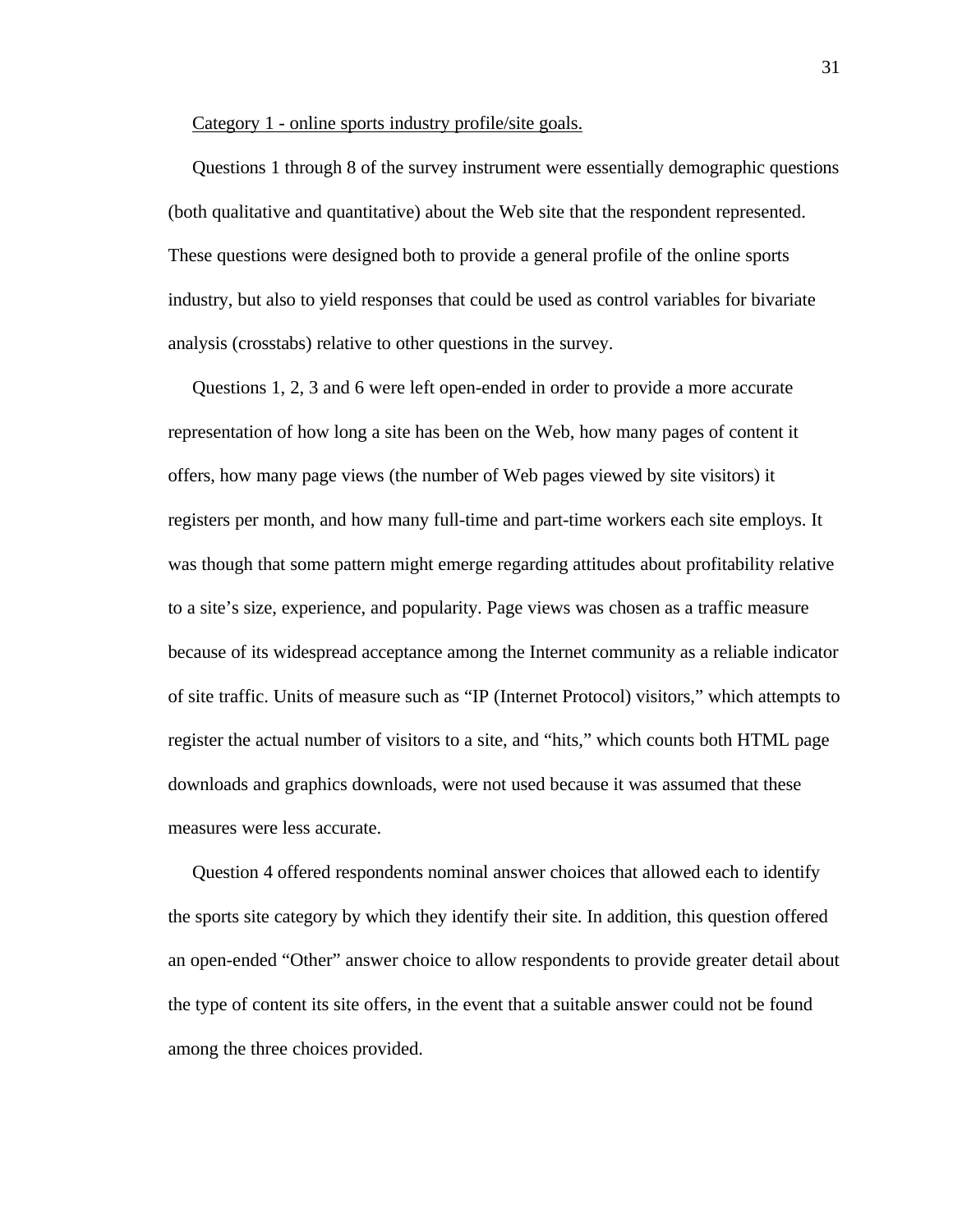Category 1 - online sports industry profile/site goals.

 Questions 1 through 8 of the survey instrument were essentially demographic questions (both qualitative and quantitative) about the Web site that the respondent represented. These questions were designed both to provide a general profile of the online sports industry, but also to yield responses that could be used as control variables for bivariate analysis (crosstabs) relative to other questions in the survey.

 Questions 1, 2, 3 and 6 were left open-ended in order to provide a more accurate representation of how long a site has been on the Web, how many pages of content it offers, how many page views (the number of Web pages viewed by site visitors) it registers per month, and how many full-time and part-time workers each site employs. It was though that some pattern might emerge regarding attitudes about profitability relative to a site's size, experience, and popularity. Page views was chosen as a traffic measure because of its widespread acceptance among the Internet community as a reliable indicator of site traffic. Units of measure such as "IP (Internet Protocol) visitors," which attempts to register the actual number of visitors to a site, and "hits," which counts both HTML page downloads and graphics downloads, were not used because it was assumed that these measures were less accurate.

 Question 4 offered respondents nominal answer choices that allowed each to identify the sports site category by which they identify their site. In addition, this question offered an open-ended "Other" answer choice to allow respondents to provide greater detail about the type of content its site offers, in the event that a suitable answer could not be found among the three choices provided.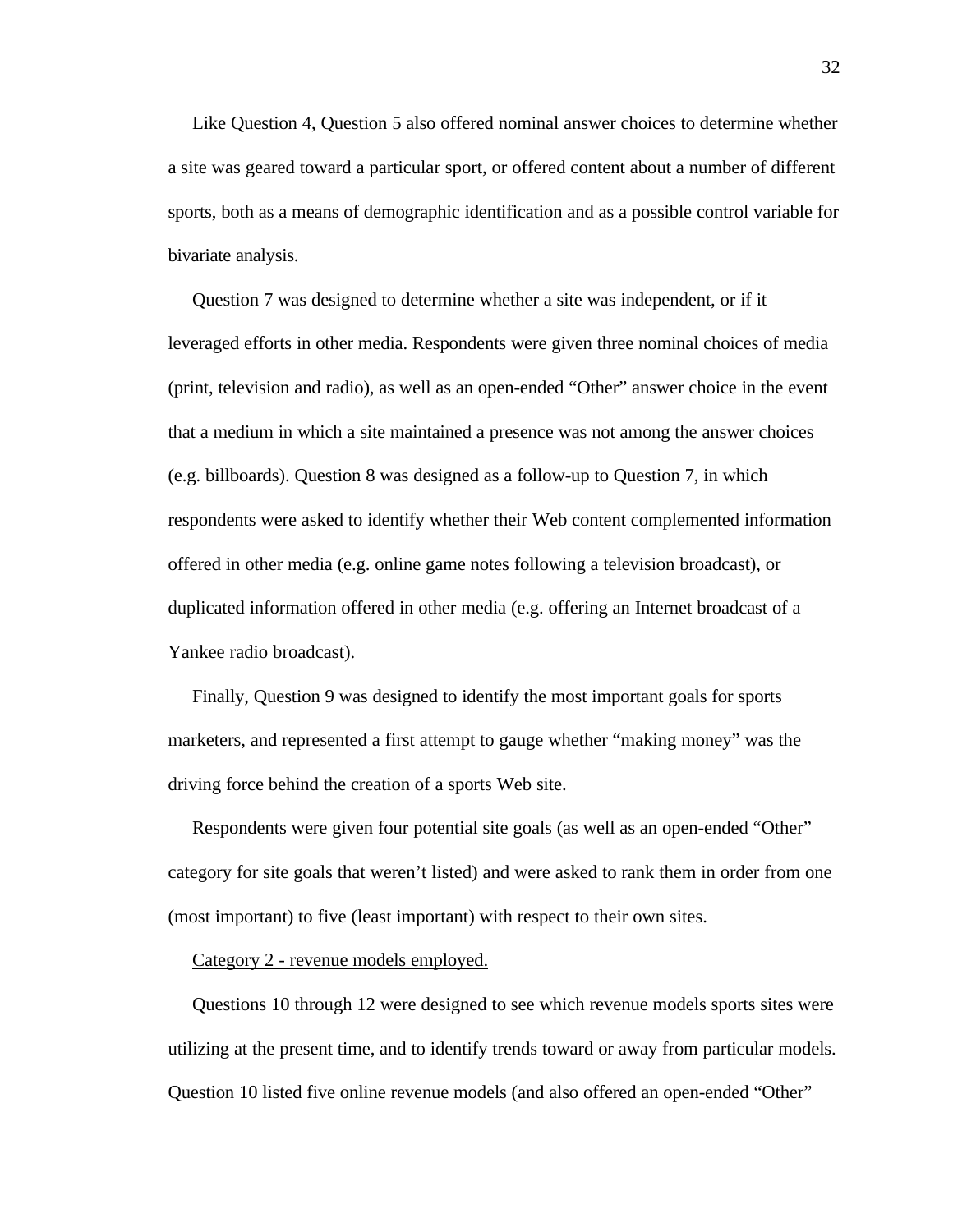Like Question 4, Question 5 also offered nominal answer choices to determine whether a site was geared toward a particular sport, or offered content about a number of different sports, both as a means of demographic identification and as a possible control variable for bivariate analysis.

 Question 7 was designed to determine whether a site was independent, or if it leveraged efforts in other media. Respondents were given three nominal choices of media (print, television and radio), as well as an open-ended "Other" answer choice in the event that a medium in which a site maintained a presence was not among the answer choices (e.g. billboards). Question 8 was designed as a follow-up to Question 7, in which respondents were asked to identify whether their Web content complemented information offered in other media (e.g. online game notes following a television broadcast), or duplicated information offered in other media (e.g. offering an Internet broadcast of a Yankee radio broadcast).

 Finally, Question 9 was designed to identify the most important goals for sports marketers, and represented a first attempt to gauge whether "making money" was the driving force behind the creation of a sports Web site.

 Respondents were given four potential site goals (as well as an open-ended "Other" category for site goals that weren't listed) and were asked to rank them in order from one (most important) to five (least important) with respect to their own sites.

#### Category 2 - revenue models employed.

 Questions 10 through 12 were designed to see which revenue models sports sites were utilizing at the present time, and to identify trends toward or away from particular models. Question 10 listed five online revenue models (and also offered an open-ended "Other"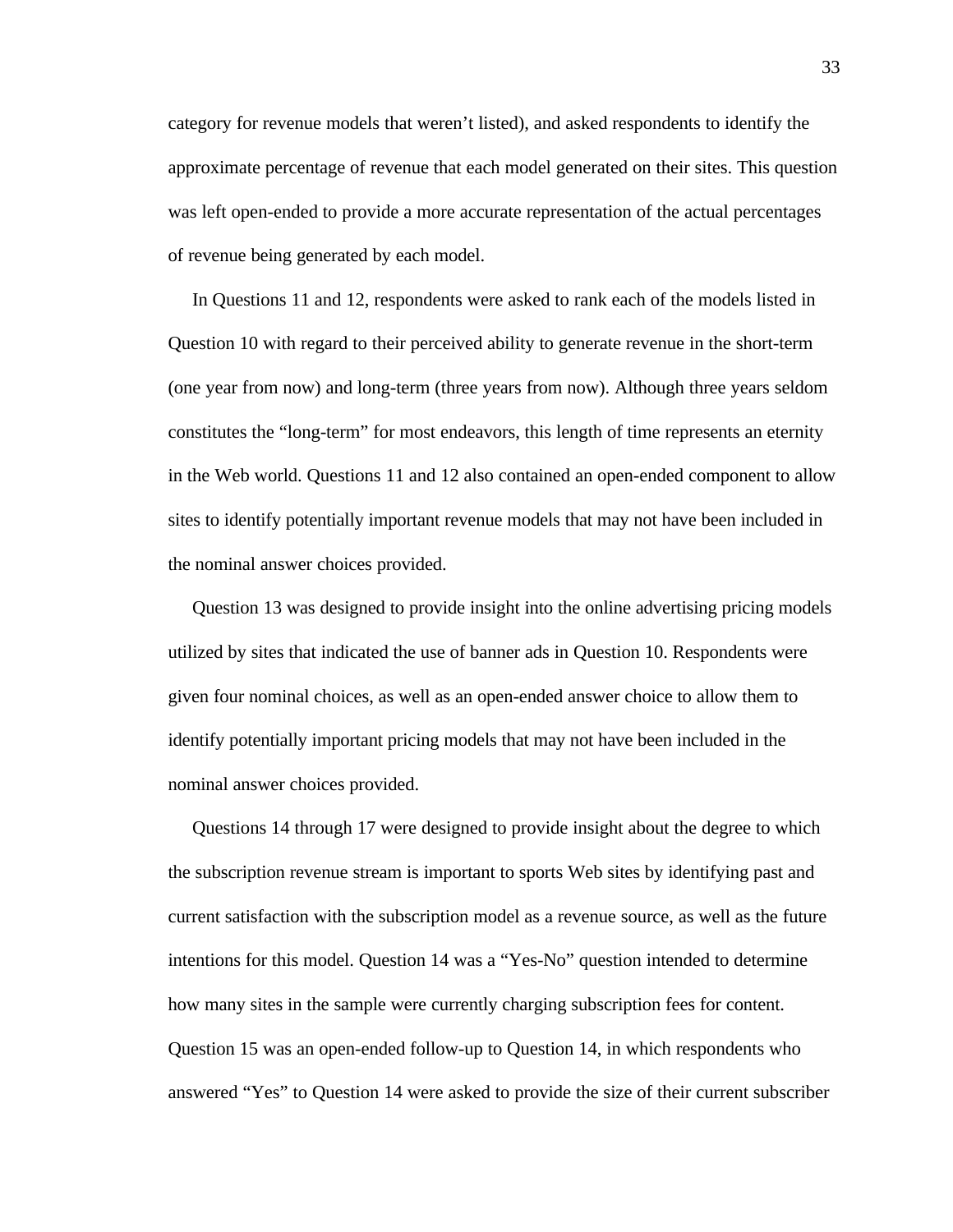category for revenue models that weren't listed), and asked respondents to identify the approximate percentage of revenue that each model generated on their sites. This question was left open-ended to provide a more accurate representation of the actual percentages of revenue being generated by each model.

 In Questions 11 and 12, respondents were asked to rank each of the models listed in Question 10 with regard to their perceived ability to generate revenue in the short-term (one year from now) and long-term (three years from now). Although three years seldom constitutes the "long-term" for most endeavors, this length of time represents an eternity in the Web world. Questions 11 and 12 also contained an open-ended component to allow sites to identify potentially important revenue models that may not have been included in the nominal answer choices provided.

 Question 13 was designed to provide insight into the online advertising pricing models utilized by sites that indicated the use of banner ads in Question 10. Respondents were given four nominal choices, as well as an open-ended answer choice to allow them to identify potentially important pricing models that may not have been included in the nominal answer choices provided.

 Questions 14 through 17 were designed to provide insight about the degree to which the subscription revenue stream is important to sports Web sites by identifying past and current satisfaction with the subscription model as a revenue source, as well as the future intentions for this model. Question 14 was a "Yes-No" question intended to determine how many sites in the sample were currently charging subscription fees for content. Question 15 was an open-ended follow-up to Question 14, in which respondents who answered "Yes" to Question 14 were asked to provide the size of their current subscriber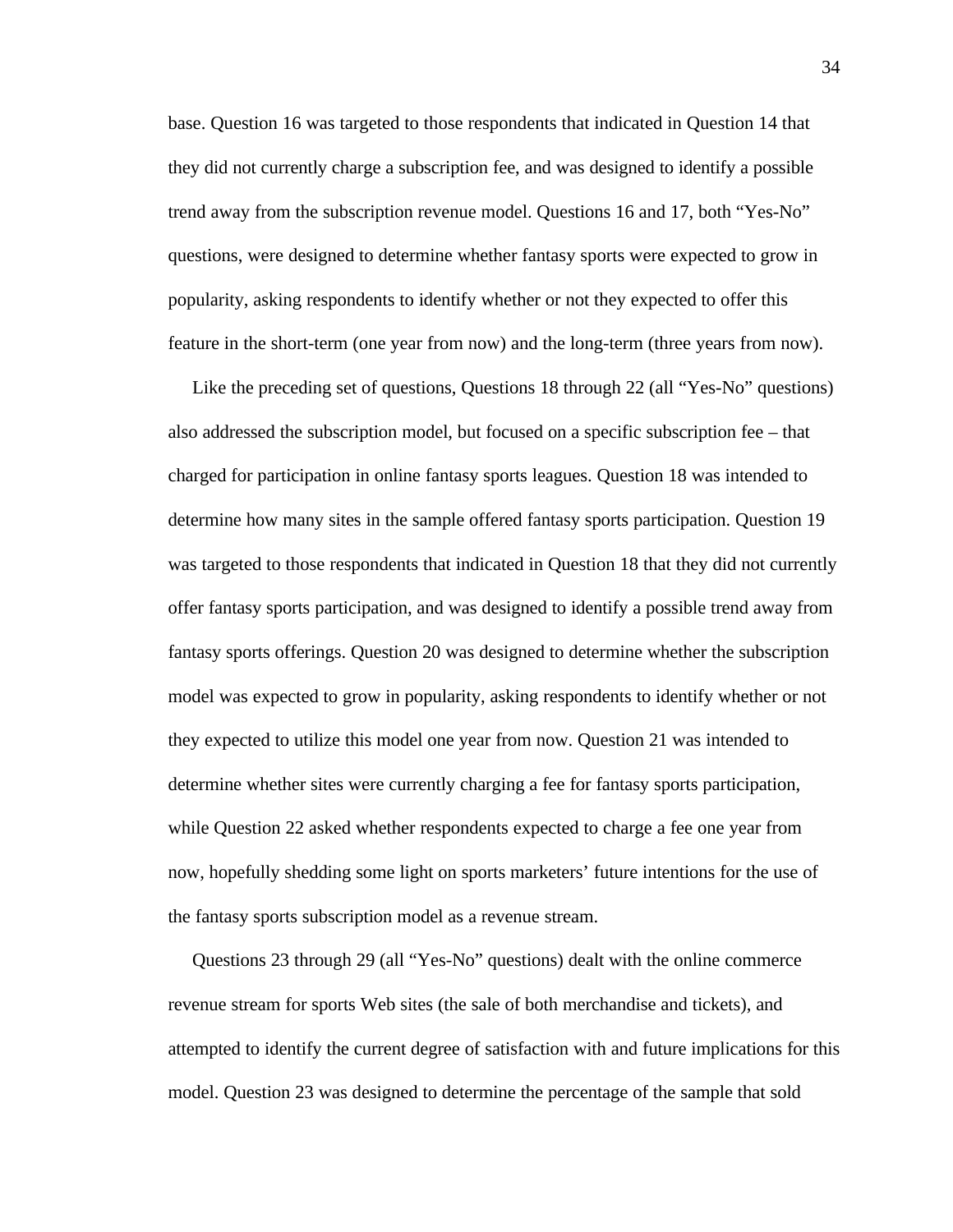base. Question 16 was targeted to those respondents that indicated in Question 14 that they did not currently charge a subscription fee, and was designed to identify a possible trend away from the subscription revenue model. Questions 16 and 17, both "Yes-No" questions, were designed to determine whether fantasy sports were expected to grow in popularity, asking respondents to identify whether or not they expected to offer this feature in the short-term (one year from now) and the long-term (three years from now).

 Like the preceding set of questions, Questions 18 through 22 (all "Yes-No" questions) also addressed the subscription model, but focused on a specific subscription fee – that charged for participation in online fantasy sports leagues. Question 18 was intended to determine how many sites in the sample offered fantasy sports participation. Question 19 was targeted to those respondents that indicated in Question 18 that they did not currently offer fantasy sports participation, and was designed to identify a possible trend away from fantasy sports offerings. Question 20 was designed to determine whether the subscription model was expected to grow in popularity, asking respondents to identify whether or not they expected to utilize this model one year from now. Question 21 was intended to determine whether sites were currently charging a fee for fantasy sports participation, while Question 22 asked whether respondents expected to charge a fee one year from now, hopefully shedding some light on sports marketers' future intentions for the use of the fantasy sports subscription model as a revenue stream.

 Questions 23 through 29 (all "Yes-No" questions) dealt with the online commerce revenue stream for sports Web sites (the sale of both merchandise and tickets), and attempted to identify the current degree of satisfaction with and future implications for this model. Question 23 was designed to determine the percentage of the sample that sold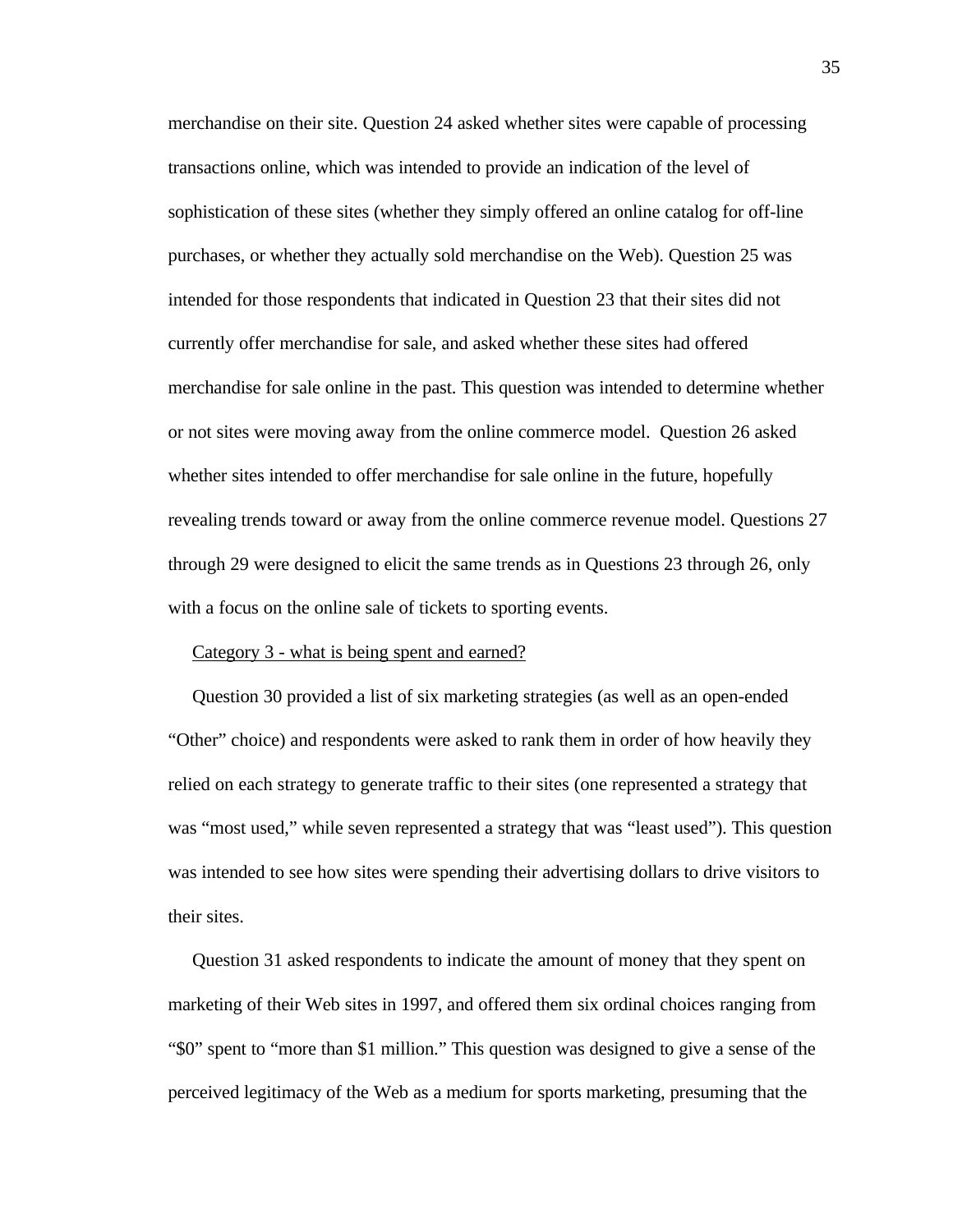merchandise on their site. Question 24 asked whether sites were capable of processing transactions online, which was intended to provide an indication of the level of sophistication of these sites (whether they simply offered an online catalog for off-line purchases, or whether they actually sold merchandise on the Web). Question 25 was intended for those respondents that indicated in Question 23 that their sites did not currently offer merchandise for sale, and asked whether these sites had offered merchandise for sale online in the past. This question was intended to determine whether or not sites were moving away from the online commerce model. Question 26 asked whether sites intended to offer merchandise for sale online in the future, hopefully revealing trends toward or away from the online commerce revenue model. Questions 27 through 29 were designed to elicit the same trends as in Questions 23 through 26, only with a focus on the online sale of tickets to sporting events.

#### Category 3 - what is being spent and earned?

 Question 30 provided a list of six marketing strategies (as well as an open-ended "Other" choice) and respondents were asked to rank them in order of how heavily they relied on each strategy to generate traffic to their sites (one represented a strategy that was "most used," while seven represented a strategy that was "least used"). This question was intended to see how sites were spending their advertising dollars to drive visitors to their sites.

 Question 31 asked respondents to indicate the amount of money that they spent on marketing of their Web sites in 1997, and offered them six ordinal choices ranging from "\$0" spent to "more than \$1 million." This question was designed to give a sense of the perceived legitimacy of the Web as a medium for sports marketing, presuming that the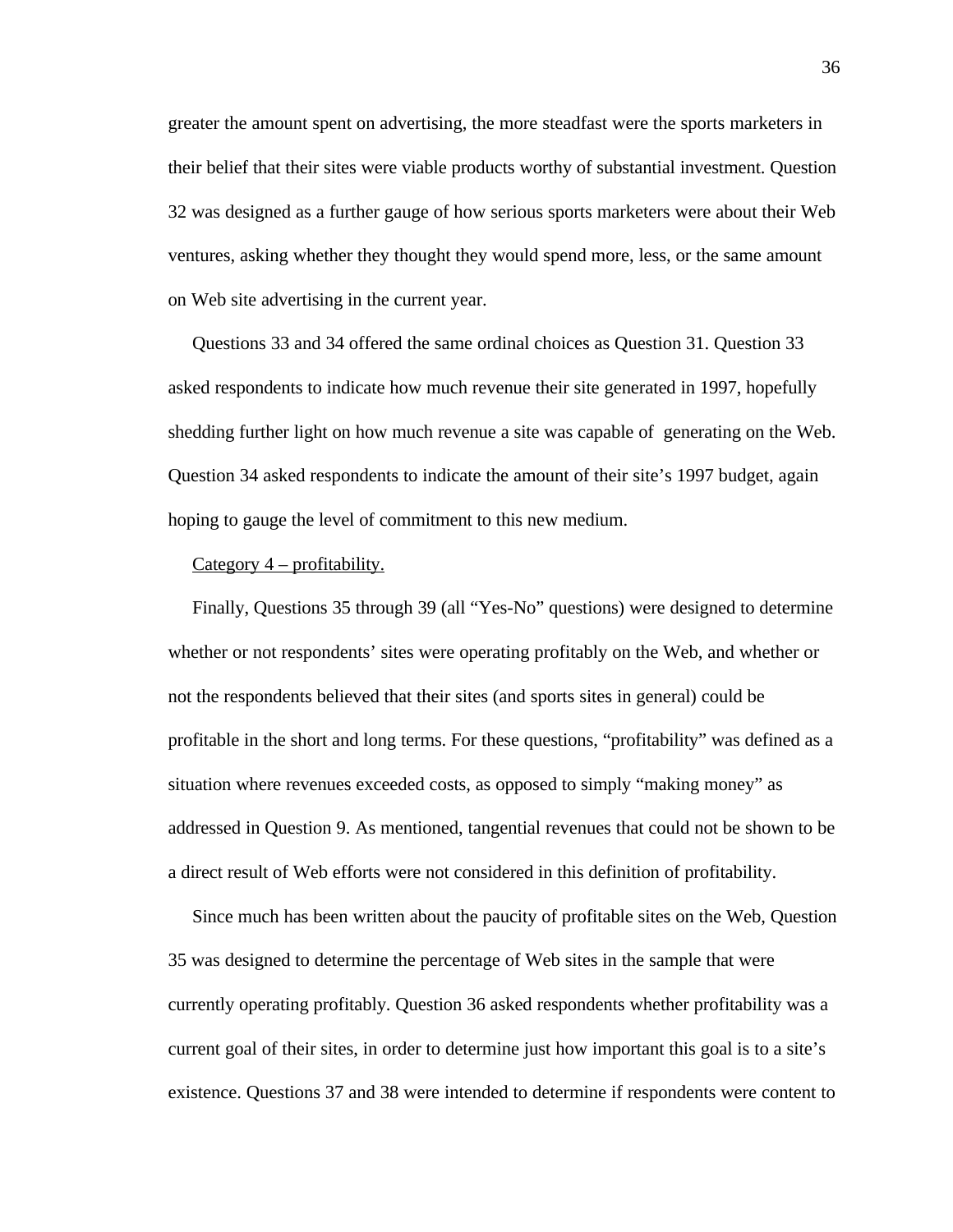greater the amount spent on advertising, the more steadfast were the sports marketers in their belief that their sites were viable products worthy of substantial investment. Question 32 was designed as a further gauge of how serious sports marketers were about their Web ventures, asking whether they thought they would spend more, less, or the same amount on Web site advertising in the current year.

 Questions 33 and 34 offered the same ordinal choices as Question 31. Question 33 asked respondents to indicate how much revenue their site generated in 1997, hopefully shedding further light on how much revenue a site was capable of generating on the Web. Question 34 asked respondents to indicate the amount of their site's 1997 budget, again hoping to gauge the level of commitment to this new medium.

# Category  $4$  – profitability.

Finally, Questions 35 through 39 (all "Yes-No" questions) were designed to determine whether or not respondents' sites were operating profitably on the Web, and whether or not the respondents believed that their sites (and sports sites in general) could be profitable in the short and long terms. For these questions, "profitability" was defined as a situation where revenues exceeded costs, as opposed to simply "making money" as addressed in Question 9. As mentioned, tangential revenues that could not be shown to be a direct result of Web efforts were not considered in this definition of profitability.

 Since much has been written about the paucity of profitable sites on the Web, Question 35 was designed to determine the percentage of Web sites in the sample that were currently operating profitably. Question 36 asked respondents whether profitability was a current goal of their sites, in order to determine just how important this goal is to a site's existence. Questions 37 and 38 were intended to determine if respondents were content to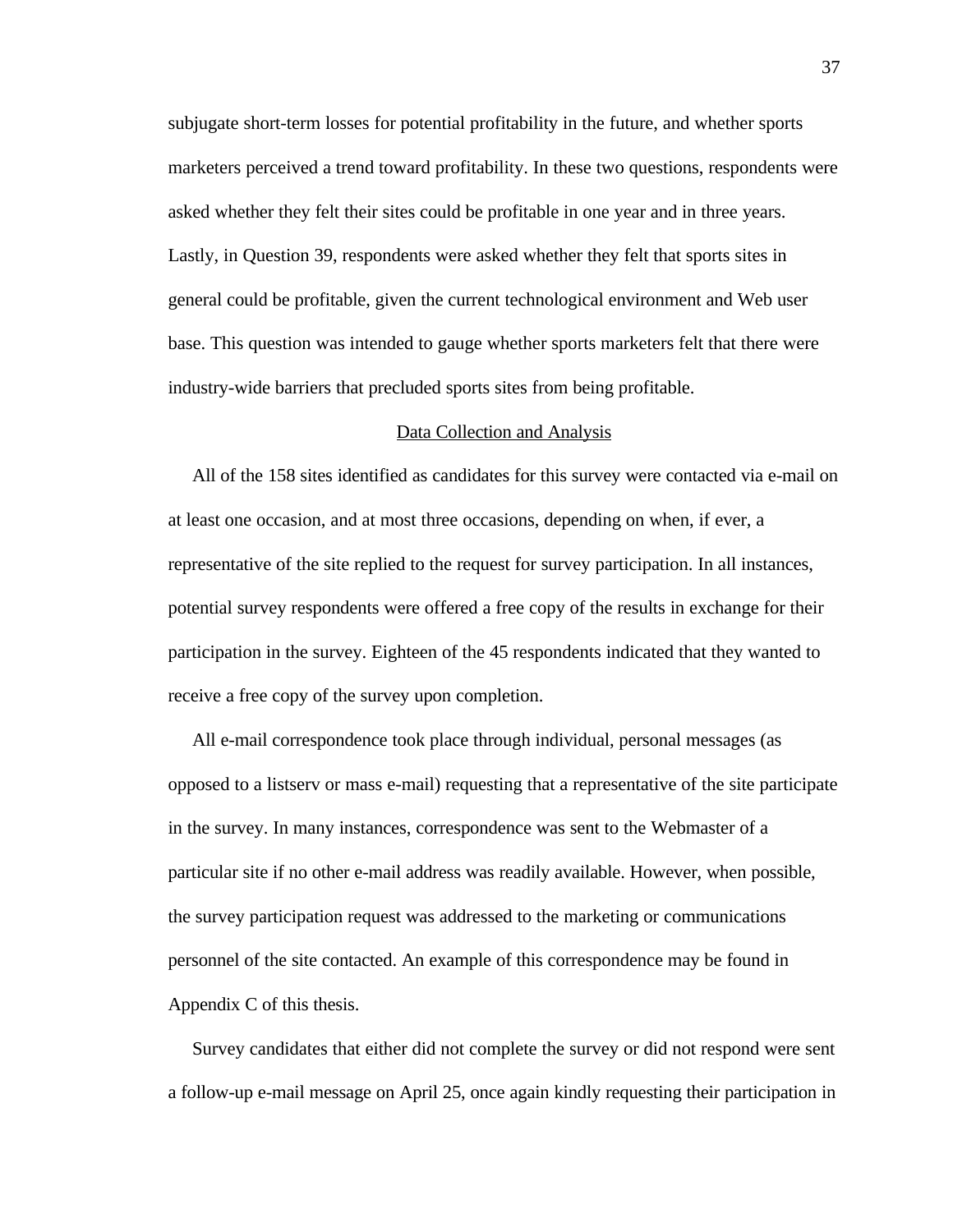subjugate short-term losses for potential profitability in the future, and whether sports marketers perceived a trend toward profitability. In these two questions, respondents were asked whether they felt their sites could be profitable in one year and in three years. Lastly, in Question 39, respondents were asked whether they felt that sports sites in general could be profitable, given the current technological environment and Web user base. This question was intended to gauge whether sports marketers felt that there were industry-wide barriers that precluded sports sites from being profitable.

#### Data Collection and Analysis

 All of the 158 sites identified as candidates for this survey were contacted via e-mail on at least one occasion, and at most three occasions, depending on when, if ever, a representative of the site replied to the request for survey participation. In all instances, potential survey respondents were offered a free copy of the results in exchange for their participation in the survey. Eighteen of the 45 respondents indicated that they wanted to receive a free copy of the survey upon completion.

 All e-mail correspondence took place through individual, personal messages (as opposed to a listserv or mass e-mail) requesting that a representative of the site participate in the survey. In many instances, correspondence was sent to the Webmaster of a particular site if no other e-mail address was readily available. However, when possible, the survey participation request was addressed to the marketing or communications personnel of the site contacted. An example of this correspondence may be found in Appendix C of this thesis.

 Survey candidates that either did not complete the survey or did not respond were sent a follow-up e-mail message on April 25, once again kindly requesting their participation in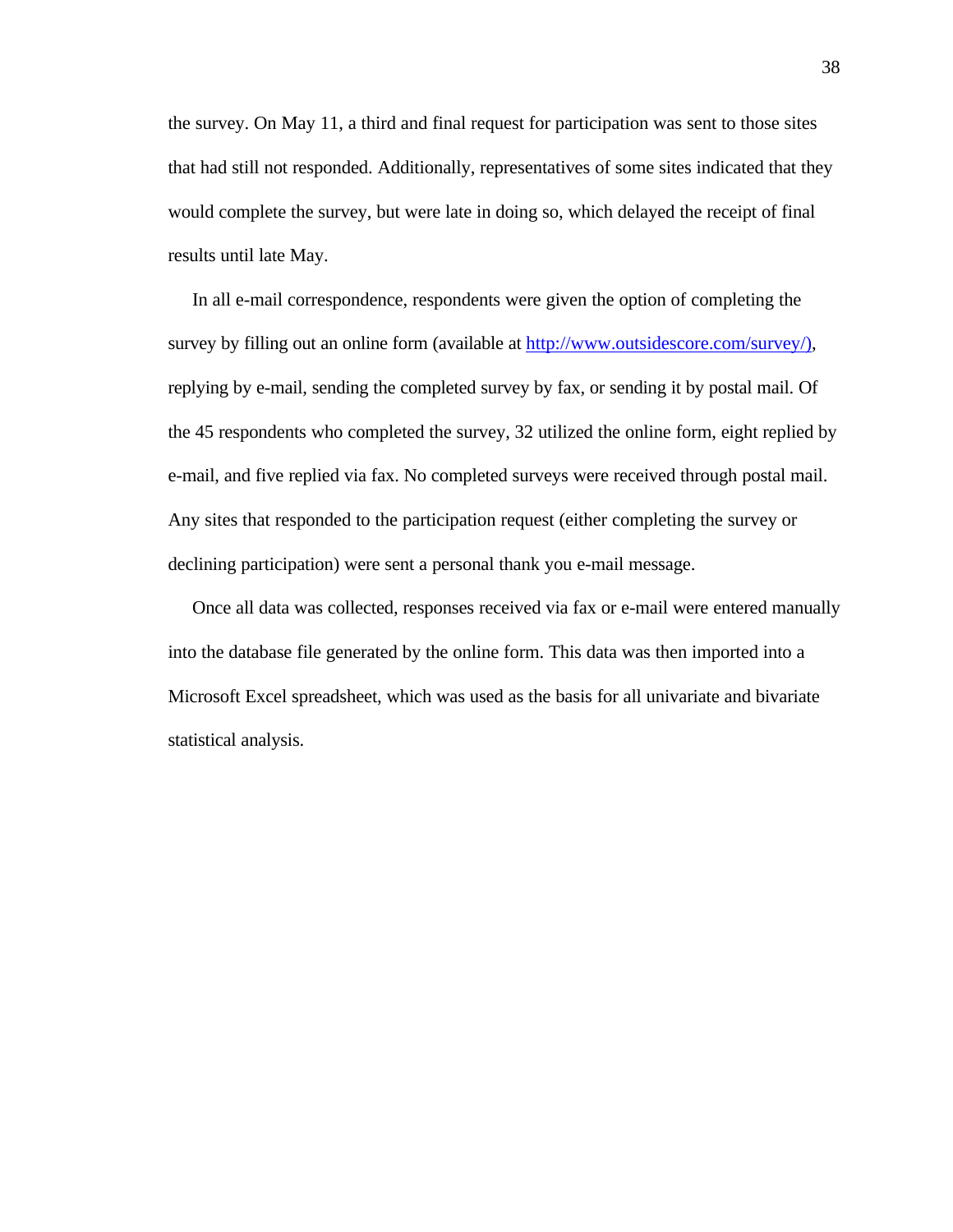the survey. On May 11, a third and final request for participation was sent to those sites that had still not responded. Additionally, representatives of some sites indicated that they would complete the survey, but were late in doing so, which delayed the receipt of final results until late May.

 In all e-mail correspondence, respondents were given the option of completing the survey by filling out an online form (available at http://www.outsidescore.com/survey/), replying by e-mail, sending the completed survey by fax, or sending it by postal mail. Of the 45 respondents who completed the survey, 32 utilized the online form, eight replied by e-mail, and five replied via fax. No completed surveys were received through postal mail. Any sites that responded to the participation request (either completing the survey or declining participation) were sent a personal thank you e-mail message.

 Once all data was collected, responses received via fax or e-mail were entered manually into the database file generated by the online form. This data was then imported into a Microsoft Excel spreadsheet, which was used as the basis for all univariate and bivariate statistical analysis.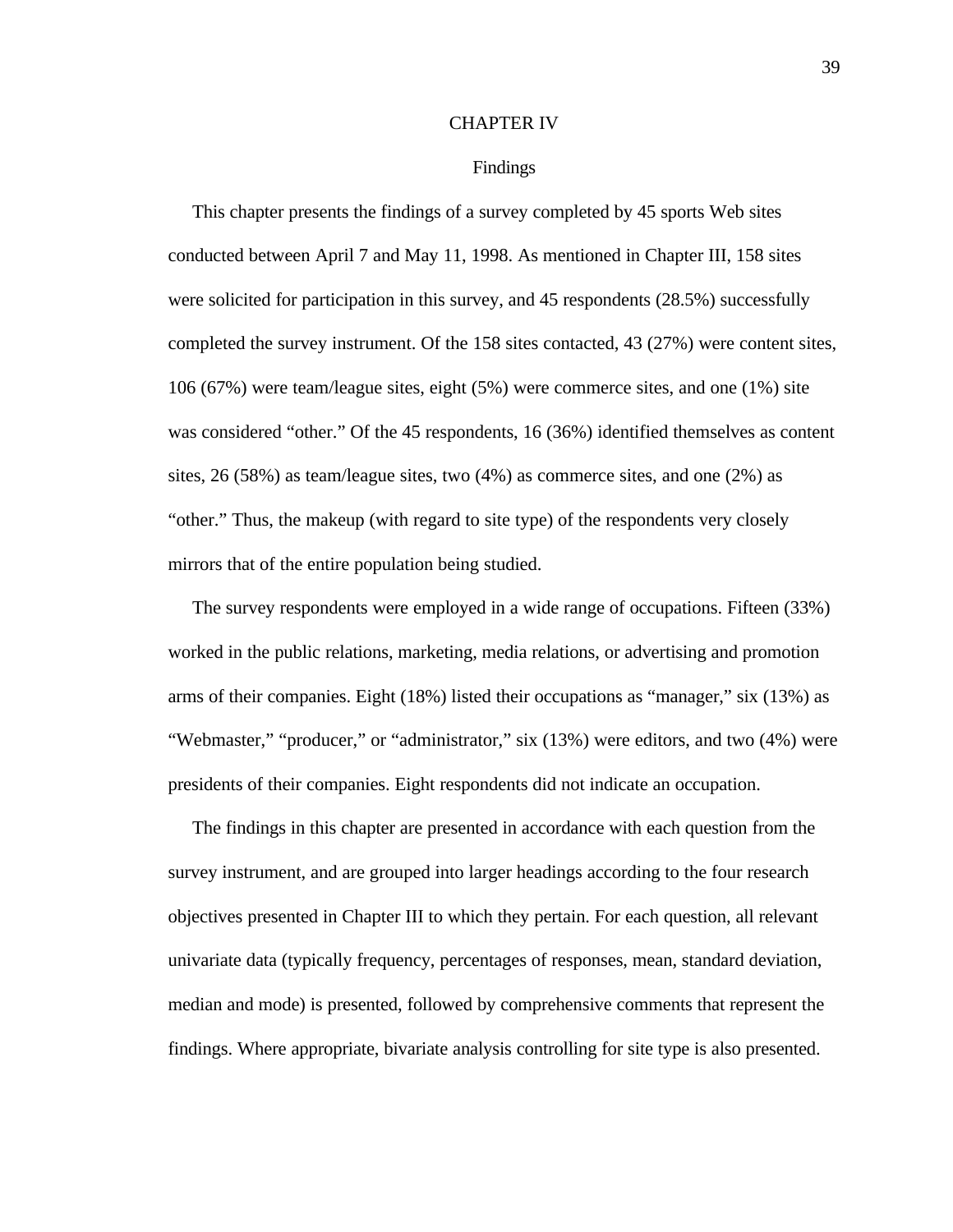#### CHAPTER IV

#### Findings

 This chapter presents the findings of a survey completed by 45 sports Web sites conducted between April 7 and May 11, 1998. As mentioned in Chapter III, 158 sites were solicited for participation in this survey, and 45 respondents (28.5%) successfully completed the survey instrument. Of the 158 sites contacted, 43 (27%) were content sites, 106 (67%) were team/league sites, eight (5%) were commerce sites, and one (1%) site was considered "other." Of the 45 respondents, 16 (36%) identified themselves as content sites, 26 (58%) as team/league sites, two (4%) as commerce sites, and one (2%) as "other." Thus, the makeup (with regard to site type) of the respondents very closely mirrors that of the entire population being studied.

 The survey respondents were employed in a wide range of occupations. Fifteen (33%) worked in the public relations, marketing, media relations, or advertising and promotion arms of their companies. Eight (18%) listed their occupations as "manager," six (13%) as "Webmaster," "producer," or "administrator," six (13%) were editors, and two (4%) were presidents of their companies. Eight respondents did not indicate an occupation.

 The findings in this chapter are presented in accordance with each question from the survey instrument, and are grouped into larger headings according to the four research objectives presented in Chapter III to which they pertain. For each question, all relevant univariate data (typically frequency, percentages of responses, mean, standard deviation, median and mode) is presented, followed by comprehensive comments that represent the findings. Where appropriate, bivariate analysis controlling for site type is also presented.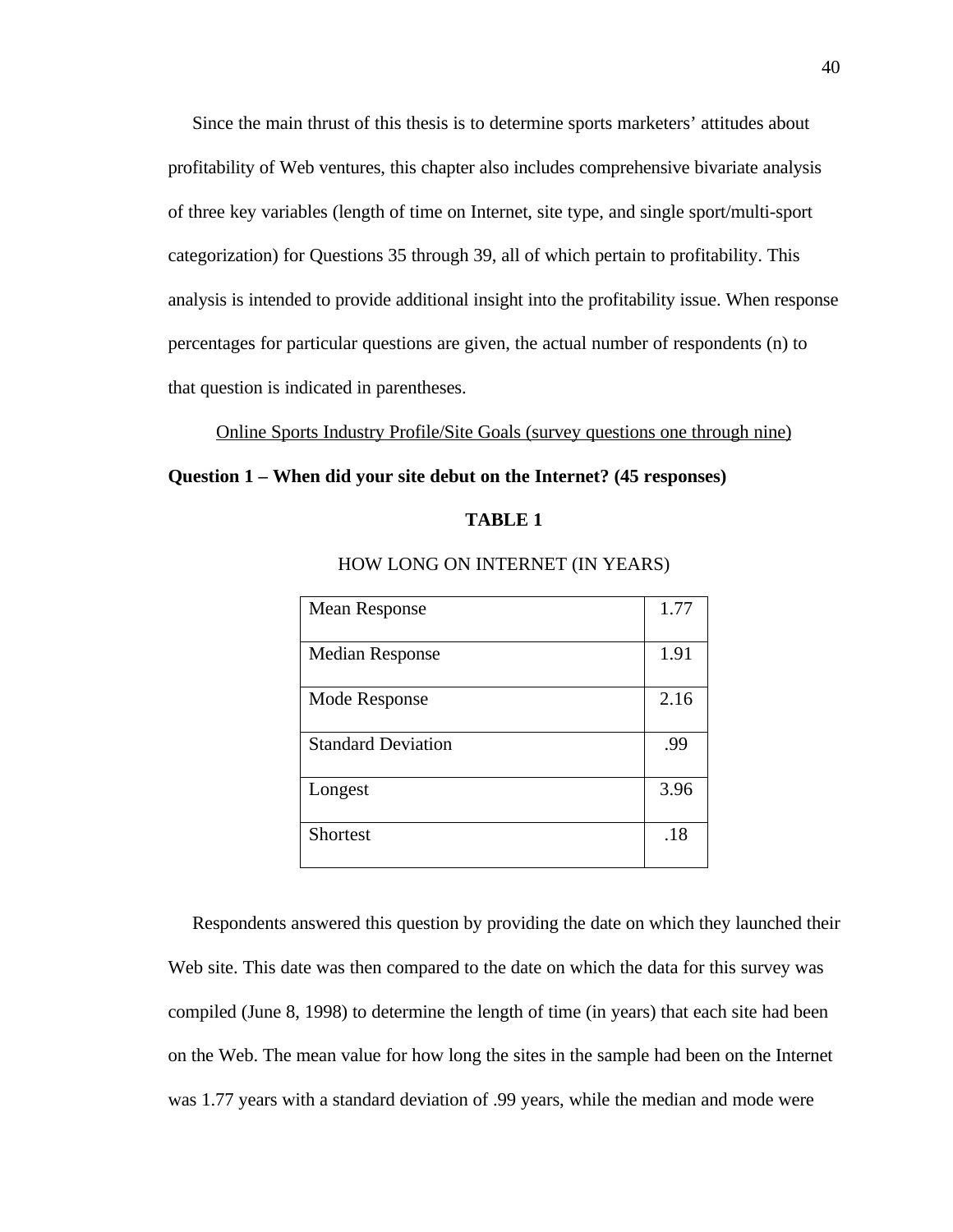Since the main thrust of this thesis is to determine sports marketers' attitudes about profitability of Web ventures, this chapter also includes comprehensive bivariate analysis of three key variables (length of time on Internet, site type, and single sport/multi-sport categorization) for Questions 35 through 39, all of which pertain to profitability. This analysis is intended to provide additional insight into the profitability issue. When response percentages for particular questions are given, the actual number of respondents (n) to that question is indicated in parentheses.

Online Sports Industry Profile/Site Goals (survey questions one through nine)

#### **Question 1 – When did your site debut on the Internet? (45 responses)**

#### **TABLE 1**

| <b>Mean Response</b>      | 1.77 |
|---------------------------|------|
| <b>Median Response</b>    | 1.91 |
| Mode Response             | 2.16 |
| <b>Standard Deviation</b> | .99  |
| Longest                   | 3.96 |
| <b>Shortest</b>           | .18  |

### HOW LONG ON INTERNET (IN YEARS)

 Respondents answered this question by providing the date on which they launched their Web site. This date was then compared to the date on which the data for this survey was compiled (June 8, 1998) to determine the length of time (in years) that each site had been on the Web. The mean value for how long the sites in the sample had been on the Internet was 1.77 years with a standard deviation of .99 years, while the median and mode were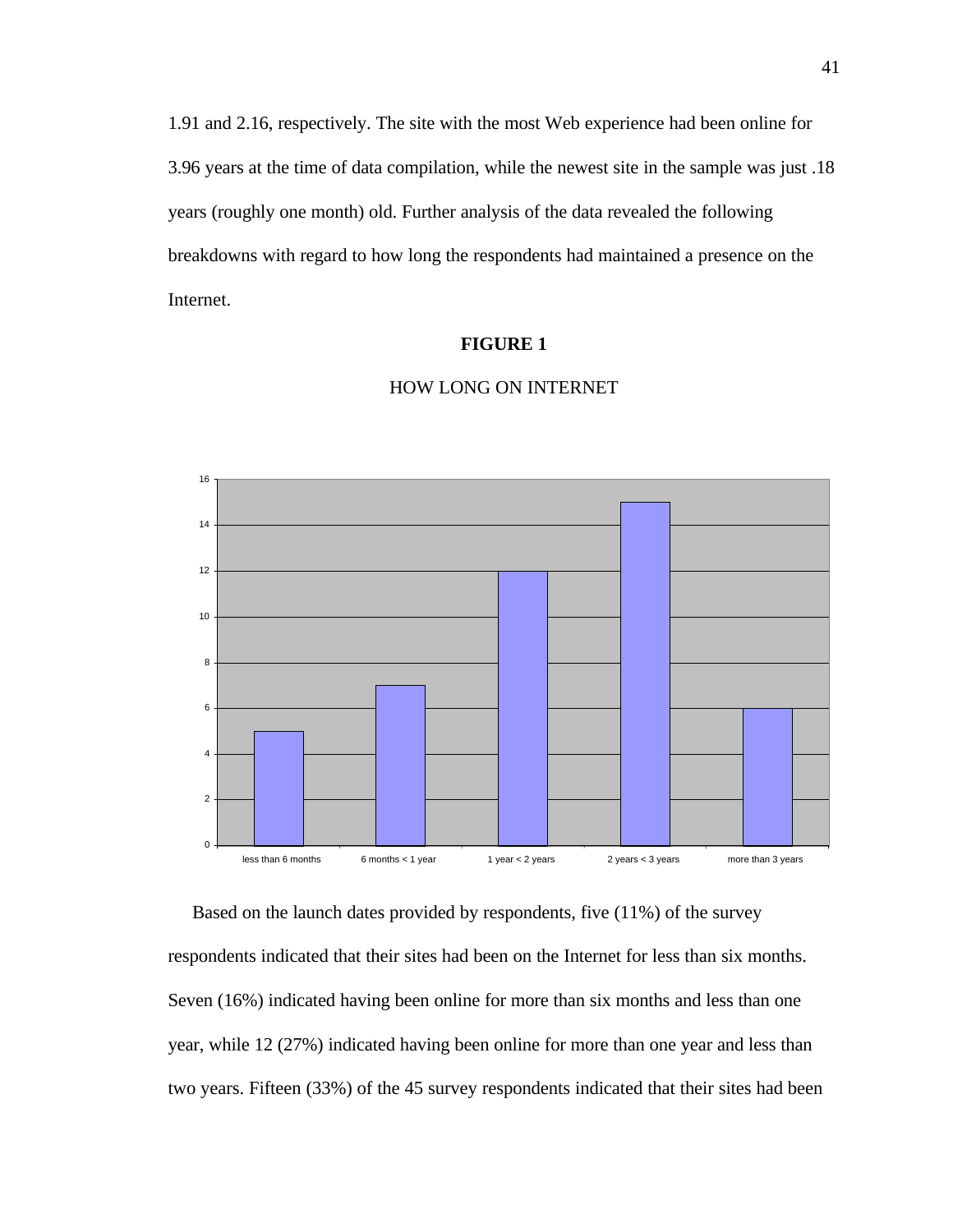1.91 and 2.16, respectively. The site with the most Web experience had been online for 3.96 years at the time of data compilation, while the newest site in the sample was just .18 years (roughly one month) old. Further analysis of the data revealed the following breakdowns with regard to how long the respondents had maintained a presence on the Internet.

## **FIGURE 1**



# HOW LONG ON INTERNET

 Based on the launch dates provided by respondents, five (11%) of the survey respondents indicated that their sites had been on the Internet for less than six months. Seven (16%) indicated having been online for more than six months and less than one year, while 12 (27%) indicated having been online for more than one year and less than two years. Fifteen (33%) of the 45 survey respondents indicated that their sites had been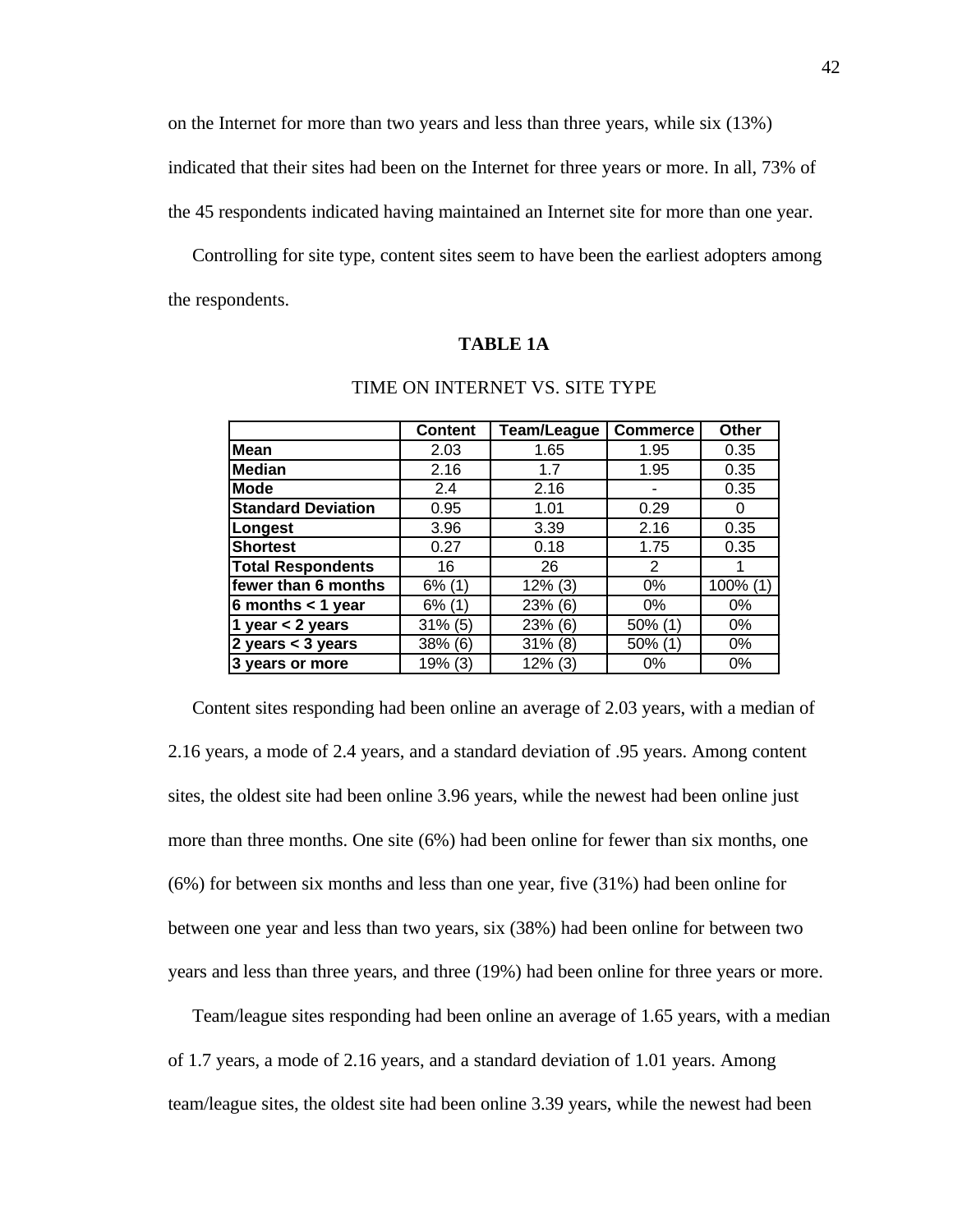on the Internet for more than two years and less than three years, while six (13%) indicated that their sites had been on the Internet for three years or more. In all, 73% of the 45 respondents indicated having maintained an Internet site for more than one year.

 Controlling for site type, content sites seem to have been the earliest adopters among the respondents.

# **TABLE 1A**

|                           | <b>Content</b> | <b>Team/League</b> | <b>Commerce</b> | <b>Other</b> |
|---------------------------|----------------|--------------------|-----------------|--------------|
| <b>Mean</b>               | 2.03           | 1.65               | 1.95            | 0.35         |
| <b>Median</b>             | 2.16           | 1.7                | 1.95            | 0.35         |
| <b>Mode</b>               | 2.4            | 2.16               |                 | 0.35         |
| <b>Standard Deviation</b> | 0.95           | 1.01               | 0.29            | O            |
| Longest                   | 3.96           | 3.39               | 2.16            | 0.35         |
| <b>Shortest</b>           | 0.27           | 0.18               | 1.75            | 0.35         |
| <b>Total Respondents</b>  | 16             | 26                 | 2               |              |
| fewer than 6 months       | $6\%$ (1)      | $12\%$ (3)         | $0\%$           | 100% (1)     |
| 6 months $<$ 1 year       | $6\%$ (1)      | 23% (6)            | $0\%$           | $0\%$        |
| 1 year $<$ 2 years        | $31\%$ (5)     | 23% (6)            | $50\%$ (1)      | $0\%$        |
| 2 years $<$ 3 years       | 38% (6)        | $31\%$ (8)         | $50\%$ (1)      | $0\%$        |
| 3 years or more           | 19% (3)        | $12\%$ (3)         | 0%              | 0%           |

# TIME ON INTERNET VS. SITE TYPE

 Content sites responding had been online an average of 2.03 years, with a median of 2.16 years, a mode of 2.4 years, and a standard deviation of .95 years. Among content sites, the oldest site had been online 3.96 years, while the newest had been online just more than three months. One site (6%) had been online for fewer than six months, one (6%) for between six months and less than one year, five (31%) had been online for between one year and less than two years, six (38%) had been online for between two years and less than three years, and three (19%) had been online for three years or more.

 Team/league sites responding had been online an average of 1.65 years, with a median of 1.7 years, a mode of 2.16 years, and a standard deviation of 1.01 years. Among team/league sites, the oldest site had been online 3.39 years, while the newest had been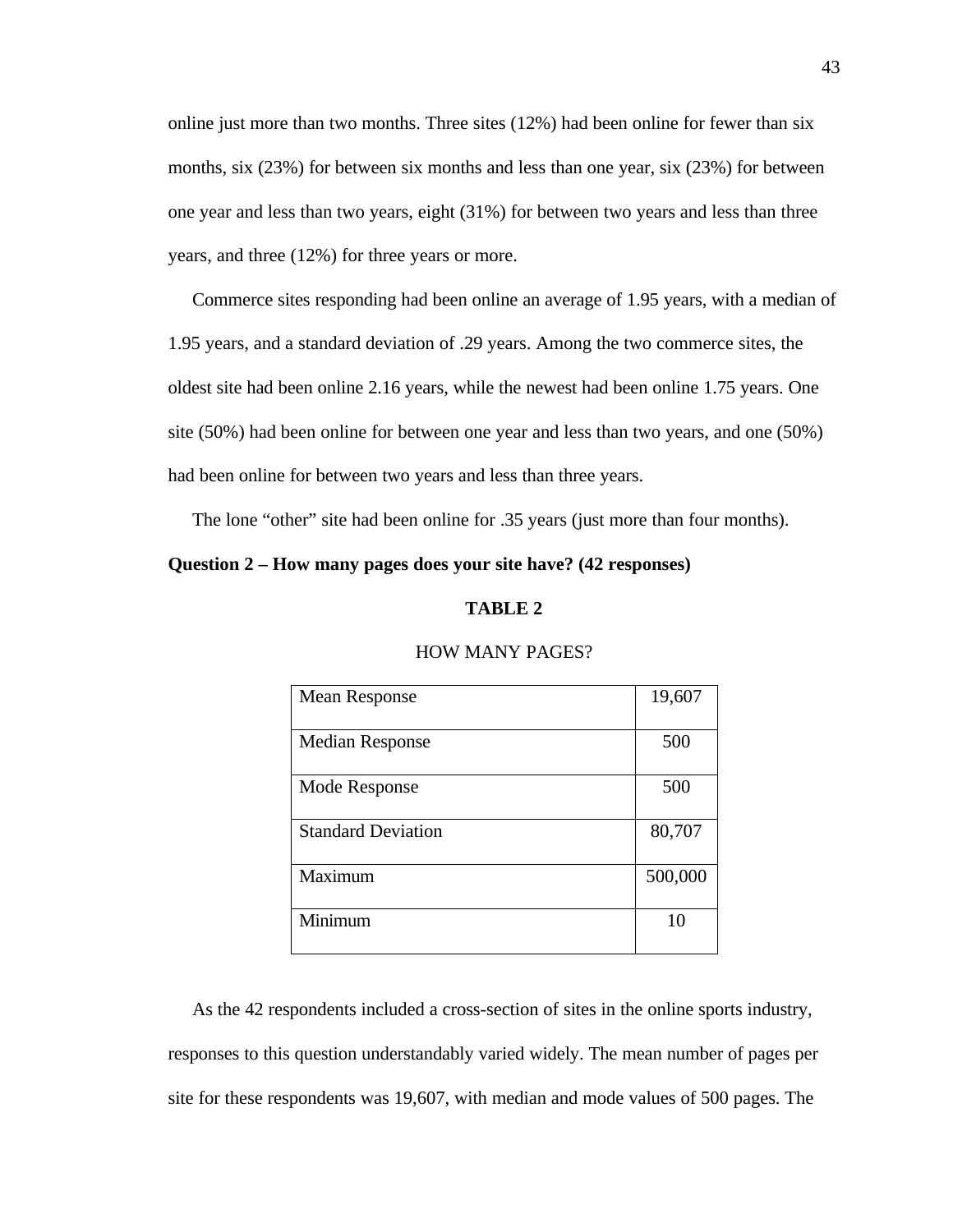online just more than two months. Three sites (12%) had been online for fewer than six months, six (23%) for between six months and less than one year, six (23%) for between one year and less than two years, eight (31%) for between two years and less than three years, and three (12%) for three years or more.

 Commerce sites responding had been online an average of 1.95 years, with a median of 1.95 years, and a standard deviation of .29 years. Among the two commerce sites, the oldest site had been online 2.16 years, while the newest had been online 1.75 years. One site (50%) had been online for between one year and less than two years, and one (50%) had been online for between two years and less than three years.

The lone "other" site had been online for .35 years (just more than four months).

# **Question 2 – How many pages does your site have? (42 responses)**

#### **TABLE 2**

| Mean Response             | 19,607  |
|---------------------------|---------|
|                           |         |
| <b>Median Response</b>    | 500     |
| Mode Response             | 500     |
| <b>Standard Deviation</b> | 80,707  |
| Maximum                   | 500,000 |
| Minimum                   | 10      |

#### HOW MANY PAGES?

 As the 42 respondents included a cross-section of sites in the online sports industry, responses to this question understandably varied widely. The mean number of pages per site for these respondents was 19,607, with median and mode values of 500 pages. The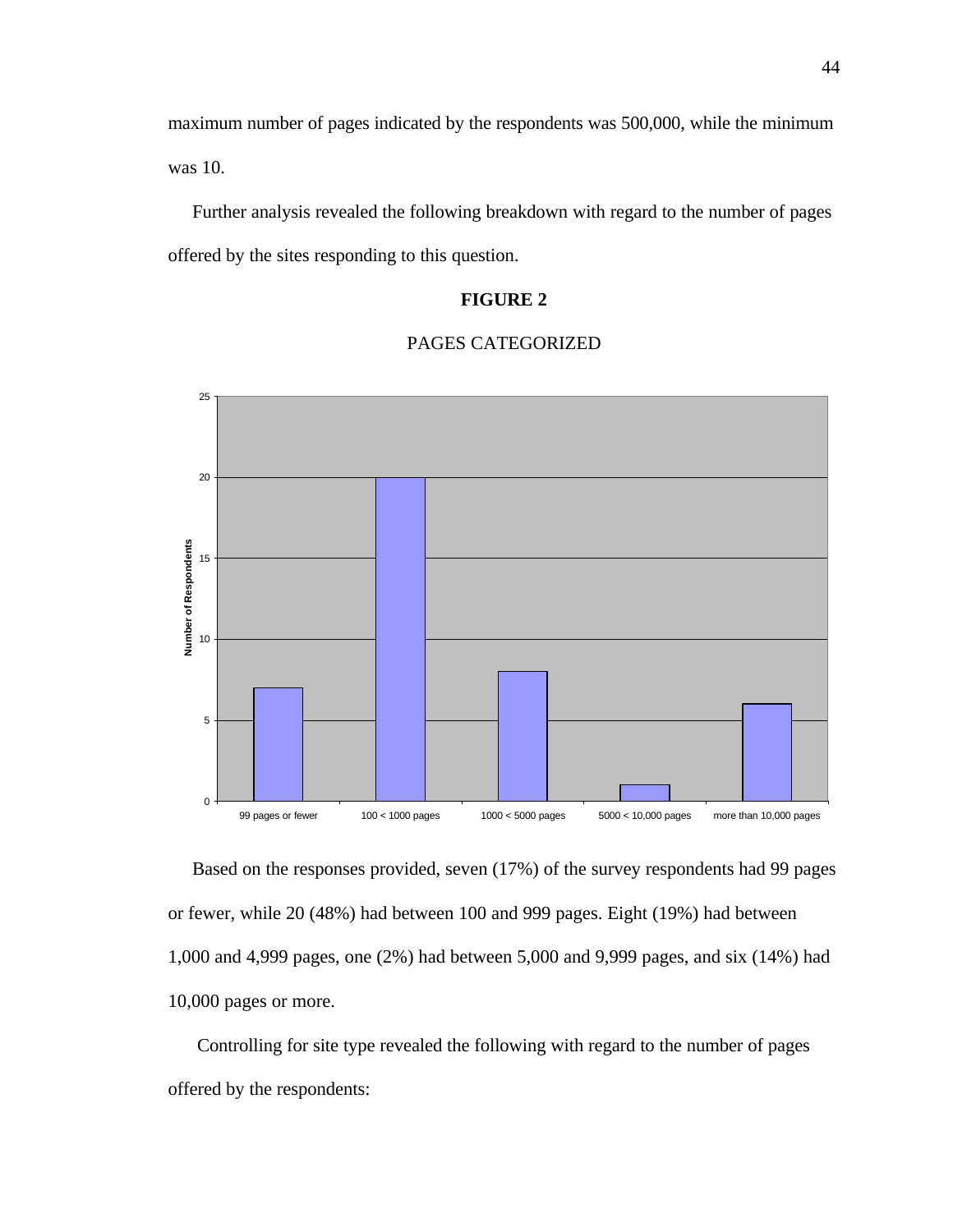maximum number of pages indicated by the respondents was 500,000, while the minimum was 10.

 Further analysis revealed the following breakdown with regard to the number of pages offered by the sites responding to this question.

# **FIGURE 2**





 Based on the responses provided, seven (17%) of the survey respondents had 99 pages or fewer, while 20 (48%) had between 100 and 999 pages. Eight (19%) had between 1,000 and 4,999 pages, one (2%) had between 5,000 and 9,999 pages, and six (14%) had 10,000 pages or more.

 Controlling for site type revealed the following with regard to the number of pages offered by the respondents: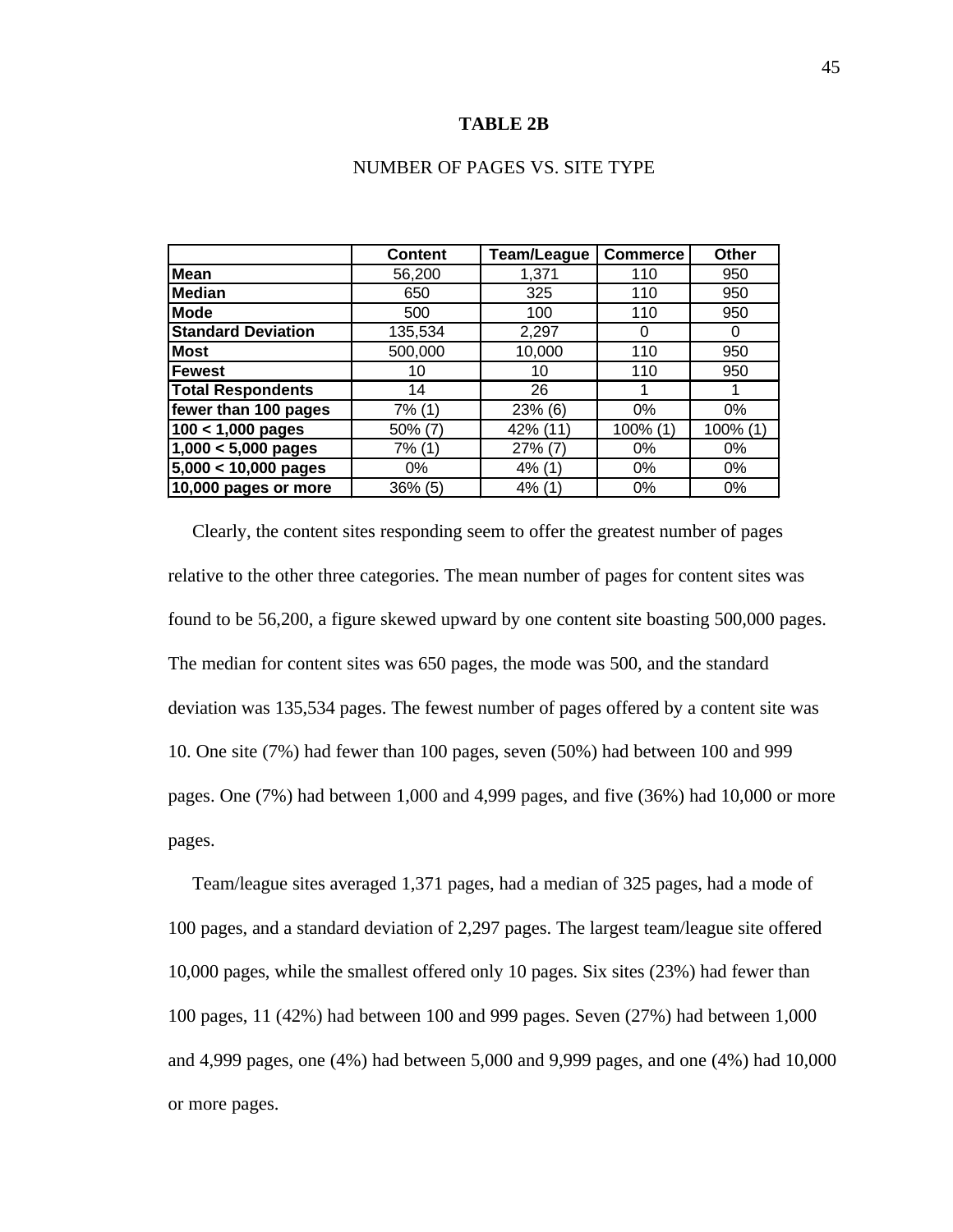#### **TABLE 2B**

## NUMBER OF PAGES VS. SITE TYPE

|                           | <b>Content</b> | Team/League | <b>Commerce</b> | Other    |
|---------------------------|----------------|-------------|-----------------|----------|
| <b>Mean</b>               | 56,200         | 1,371       | 110             | 950      |
| <b>Median</b>             | 650            | 325         | 110             | 950      |
| <b>Mode</b>               | 500            | 100         | 110             | 950      |
| <b>Standard Deviation</b> | 135,534        | 2,297       | 0               | 0        |
| <b>Most</b>               | 500,000        | 10,000      | 110             | 950      |
| <b>Fewest</b>             | 10             | 10          | 110             | 950      |
| <b>Total Respondents</b>  | 14             | 26          |                 |          |
| fewer than 100 pages      | 7% (1)         | 23% (6)     | 0%              | 0%       |
| $100 < 1,000$ pages       | $50\%$ (7)     | 42% (11)    | 100% (1)        | 100% (1) |
| $1,000 < 5,000$ pages     | 7% (1)         | 27% (7)     | 0%              | 0%       |
| $5,000 < 10,000$ pages    | 0%             | $4\%$ (1)   | $0\%$           | 0%       |
| 10,000 pages or more      | 36% (5)        | 4% (1)      | $0\%$           | 0%       |

 Clearly, the content sites responding seem to offer the greatest number of pages relative to the other three categories. The mean number of pages for content sites was found to be 56,200, a figure skewed upward by one content site boasting 500,000 pages. The median for content sites was 650 pages, the mode was 500, and the standard deviation was 135,534 pages. The fewest number of pages offered by a content site was 10. One site (7%) had fewer than 100 pages, seven (50%) had between 100 and 999 pages. One (7%) had between 1,000 and 4,999 pages, and five (36%) had 10,000 or more pages.

 Team/league sites averaged 1,371 pages, had a median of 325 pages, had a mode of 100 pages, and a standard deviation of 2,297 pages. The largest team/league site offered 10,000 pages, while the smallest offered only 10 pages. Six sites (23%) had fewer than 100 pages, 11 (42%) had between 100 and 999 pages. Seven (27%) had between 1,000 and 4,999 pages, one (4%) had between 5,000 and 9,999 pages, and one (4%) had 10,000 or more pages.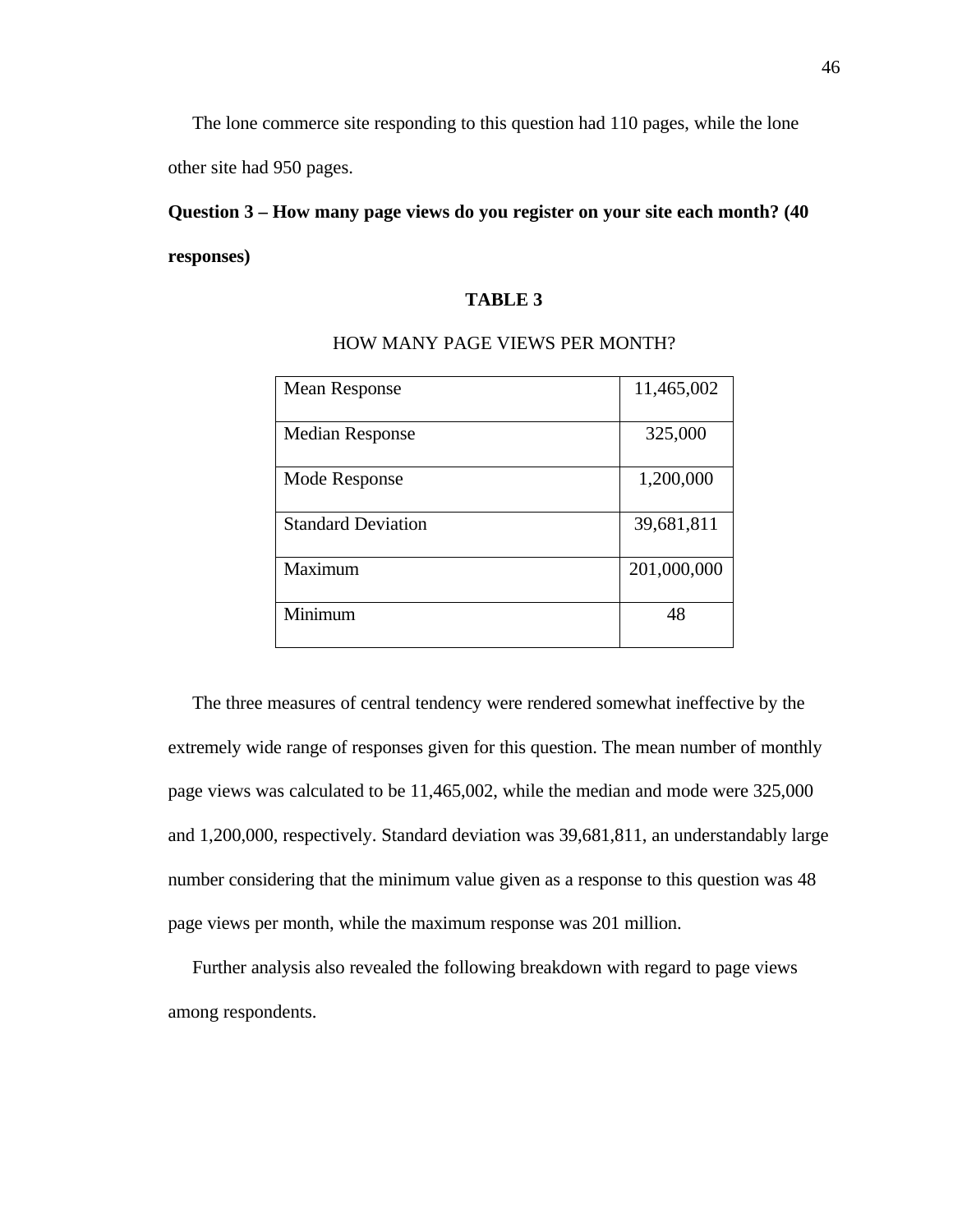The lone commerce site responding to this question had 110 pages, while the lone other site had 950 pages.

# **Question 3 – How many page views do you register on your site each month? (40 responses)**

# **TABLE 3**

| <b>Mean Response</b>      | 11,465,002  |
|---------------------------|-------------|
| <b>Median Response</b>    | 325,000     |
| Mode Response             | 1,200,000   |
| <b>Standard Deviation</b> | 39,681,811  |
| Maximum                   | 201,000,000 |
| Minimum                   | 48          |

#### HOW MANY PAGE VIEWS PER MONTH?

 The three measures of central tendency were rendered somewhat ineffective by the extremely wide range of responses given for this question. The mean number of monthly page views was calculated to be 11,465,002, while the median and mode were 325,000 and 1,200,000, respectively. Standard deviation was 39,681,811, an understandably large number considering that the minimum value given as a response to this question was 48 page views per month, while the maximum response was 201 million.

 Further analysis also revealed the following breakdown with regard to page views among respondents.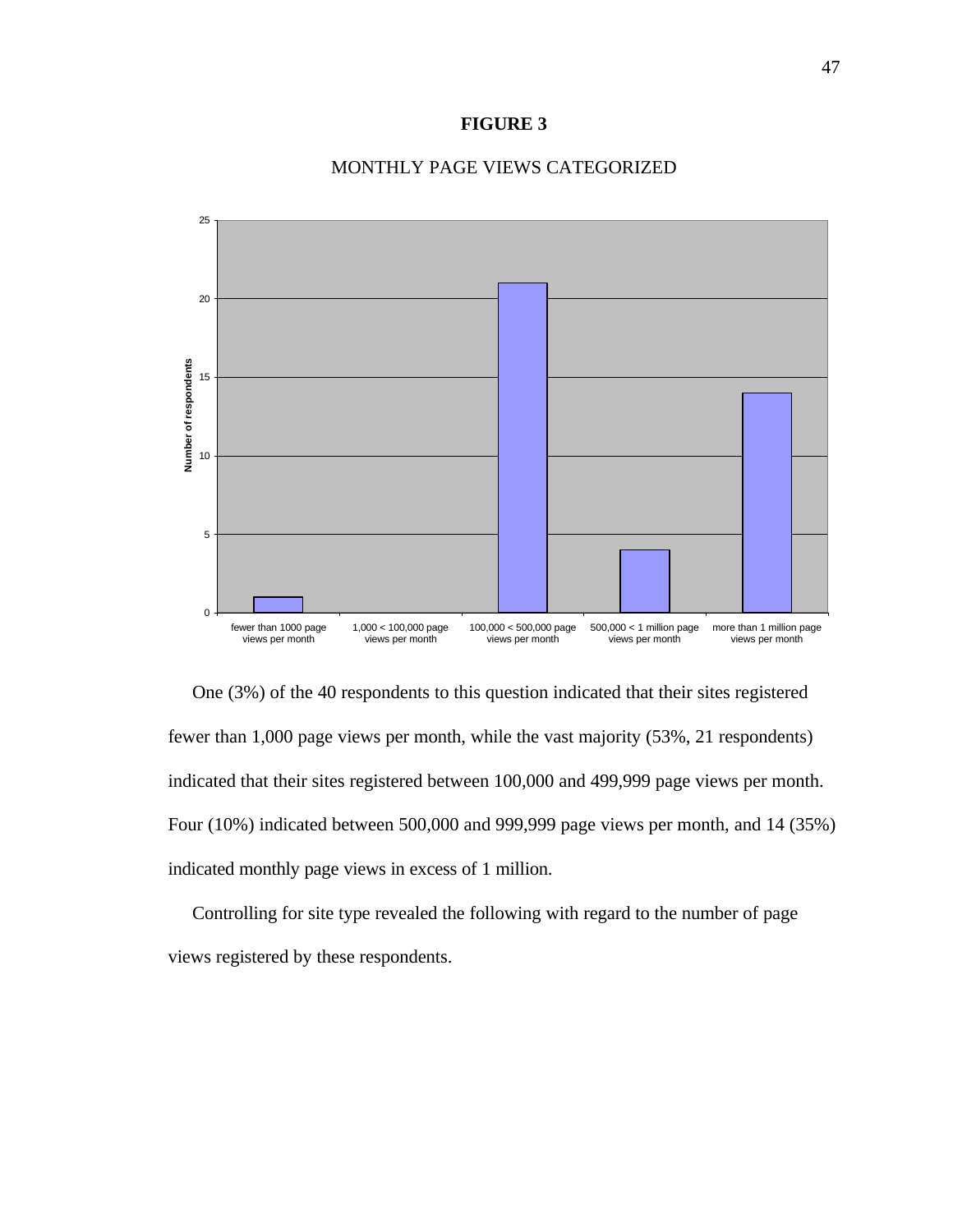#### **FIGURE 3**



#### MONTHLY PAGE VIEWS CATEGORIZED

 One (3%) of the 40 respondents to this question indicated that their sites registered fewer than 1,000 page views per month, while the vast majority (53%, 21 respondents) indicated that their sites registered between 100,000 and 499,999 page views per month. Four (10%) indicated between 500,000 and 999,999 page views per month, and 14 (35%) indicated monthly page views in excess of 1 million.

 Controlling for site type revealed the following with regard to the number of page views registered by these respondents.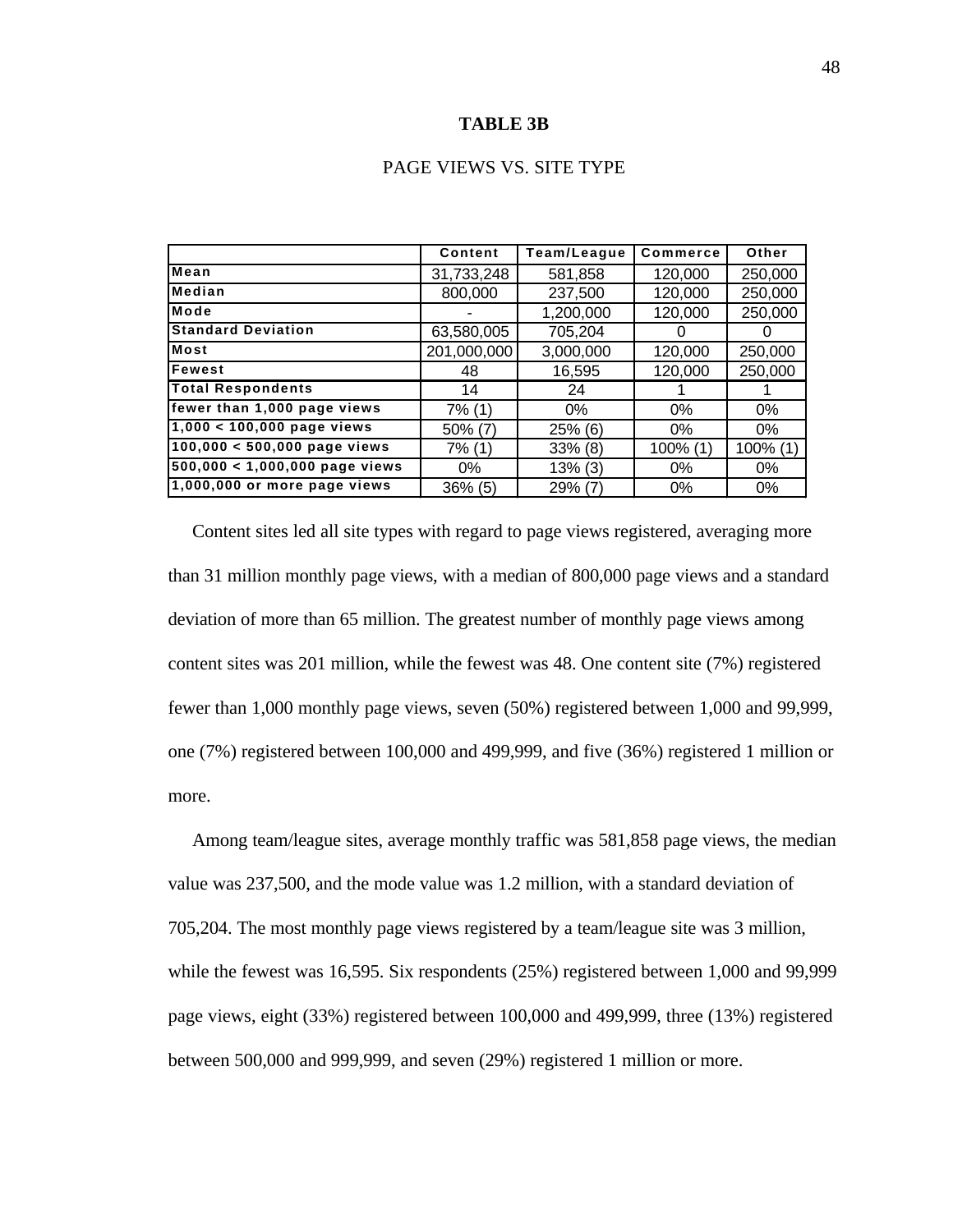#### **TABLE 3B**

|                                  | Content     | Team/League | Commerce    | Other    |
|----------------------------------|-------------|-------------|-------------|----------|
| Mean                             | 31,733,248  | 581,858     | 120,000     | 250,000  |
| Median                           | 800,000     | 237,500     | 120,000     | 250,000  |
| Mode                             |             | 1,200,000   | 120,000     | 250,000  |
| <b>Standard Deviation</b>        | 63,580,005  | 705,204     | $\Omega$    | O        |
| <b>Most</b>                      | 201,000,000 | 3,000,000   | 120,000     | 250,000  |
| Fewest                           | 48          | 16,595      | 120,000     | 250,000  |
| <b>Total Respondents</b>         | 14          | 24          |             |          |
| fewer than 1,000 page views      | 7% (1)      | 0%          | $0\%$       | 0%       |
| $1,000 < 100,000$ page views     | $50\%$ (7)  | 25% (6)     | $0\%$       | $0\%$    |
| $100,000 < 500,000$ page views   | 7% (1)      | 33% (8)     | $100\%$ (1) | 100% (1) |
| $500,000 < 1,000,000$ page views | 0%          | $13\%$ (3)  | $0\%$       | 0%       |
| 1,000,000 or more page views     | $36\%$ (5)  | $29\%$ (7)  | $0\%$       | 0%       |

 Content sites led all site types with regard to page views registered, averaging more than 31 million monthly page views, with a median of 800,000 page views and a standard deviation of more than 65 million. The greatest number of monthly page views among content sites was 201 million, while the fewest was 48. One content site (7%) registered fewer than 1,000 monthly page views, seven (50%) registered between 1,000 and 99,999, one (7%) registered between 100,000 and 499,999, and five (36%) registered 1 million or more.

 Among team/league sites, average monthly traffic was 581,858 page views, the median value was 237,500, and the mode value was 1.2 million, with a standard deviation of 705,204. The most monthly page views registered by a team/league site was 3 million, while the fewest was 16,595. Six respondents (25%) registered between 1,000 and 99,999 page views, eight (33%) registered between 100,000 and 499,999, three (13%) registered between 500,000 and 999,999, and seven (29%) registered 1 million or more.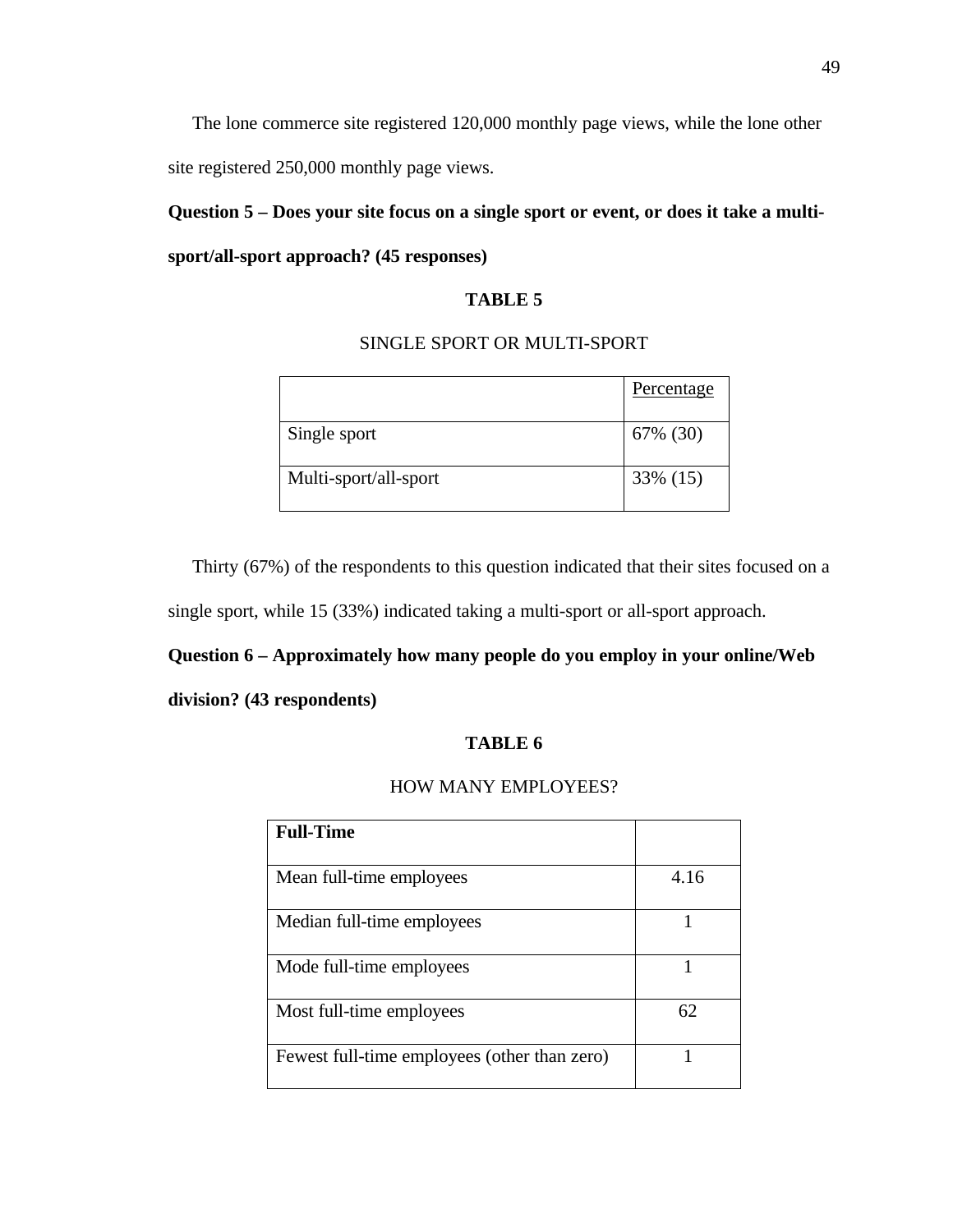The lone commerce site registered 120,000 monthly page views, while the lone other site registered 250,000 monthly page views.

**Question 5 – Does your site focus on a single sport or event, or does it take a multisport/all-sport approach? (45 responses)**

# **TABLE 5**

# SINGLE SPORT OR MULTI-SPORT

|                       | Percentage |
|-----------------------|------------|
| Single sport          | 67% (30)   |
| Multi-sport/all-sport | 33% (15)   |

Thirty (67%) of the respondents to this question indicated that their sites focused on a

single sport, while 15 (33%) indicated taking a multi-sport or all-sport approach.

#### **Question 6 – Approximately how many people do you employ in your online/Web**

#### **division? (43 respondents)**

## **TABLE 6**

## HOW MANY EMPLOYEES?

| <b>Full-Time</b>                             |      |
|----------------------------------------------|------|
| Mean full-time employees                     | 4.16 |
| Median full-time employees                   |      |
| Mode full-time employees                     |      |
| Most full-time employees                     | 62   |
| Fewest full-time employees (other than zero) |      |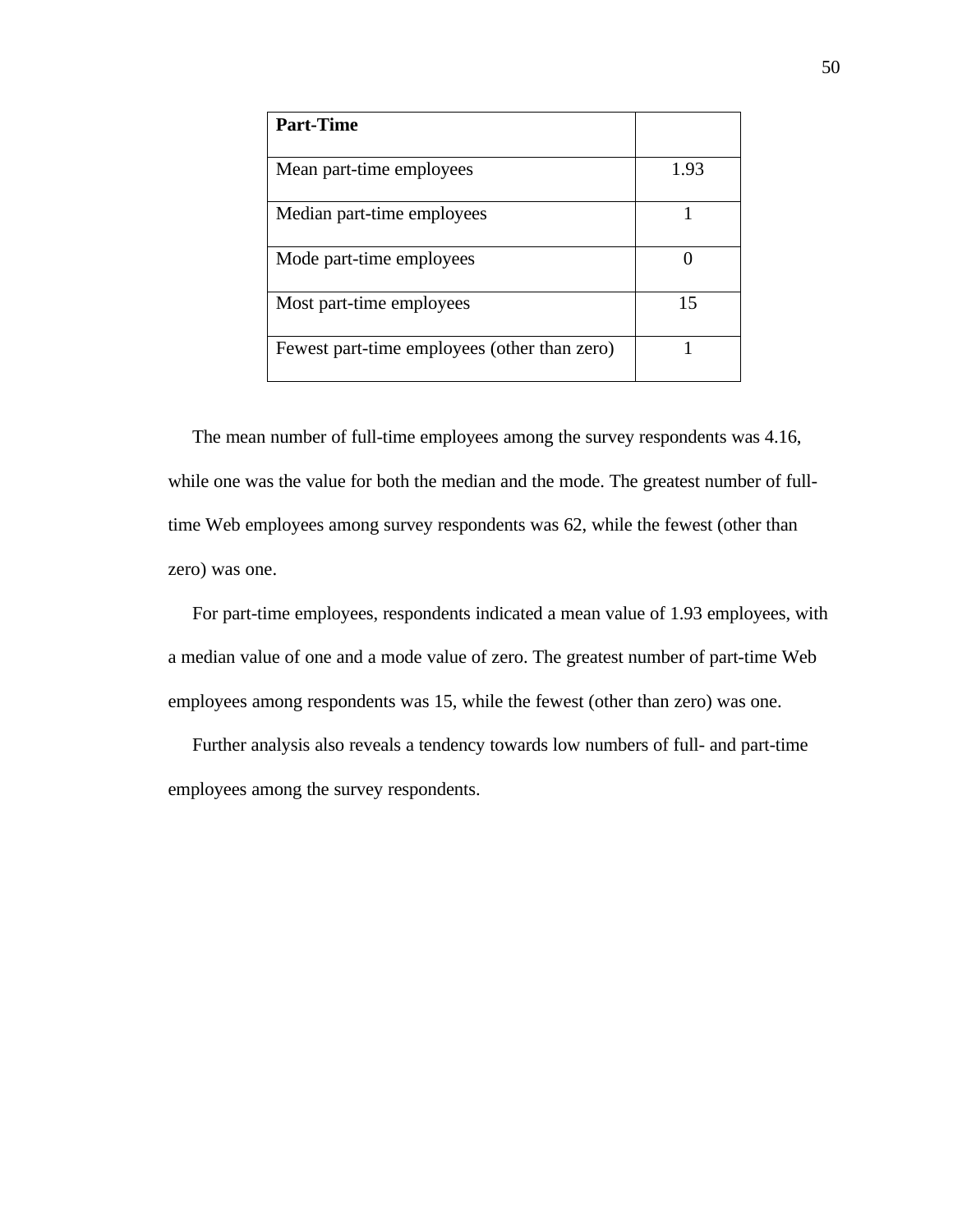| <b>Part-Time</b>                             |      |
|----------------------------------------------|------|
| Mean part-time employees                     | 1.93 |
| Median part-time employees                   |      |
| Mode part-time employees                     |      |
| Most part-time employees                     | 15   |
| Fewest part-time employees (other than zero) |      |

 The mean number of full-time employees among the survey respondents was 4.16, while one was the value for both the median and the mode. The greatest number of fulltime Web employees among survey respondents was 62, while the fewest (other than zero) was one.

 For part-time employees, respondents indicated a mean value of 1.93 employees, with a median value of one and a mode value of zero. The greatest number of part-time Web employees among respondents was 15, while the fewest (other than zero) was one.

 Further analysis also reveals a tendency towards low numbers of full- and part-time employees among the survey respondents.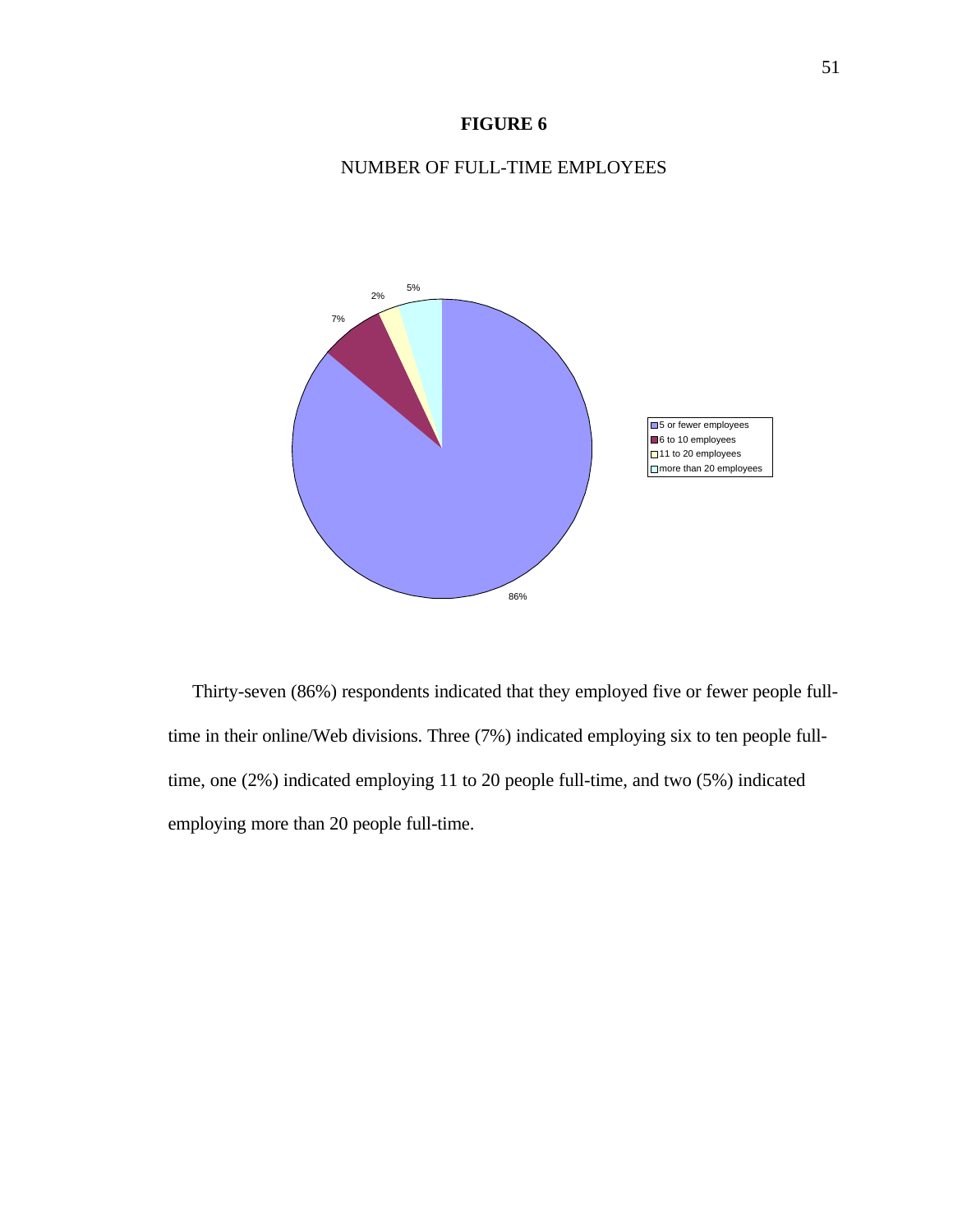# **FIGURE 6**

# NUMBER OF FULL-TIME EMPLOYEES



 Thirty-seven (86%) respondents indicated that they employed five or fewer people fulltime in their online/Web divisions. Three (7%) indicated employing six to ten people fulltime, one (2%) indicated employing 11 to 20 people full-time, and two (5%) indicated employing more than 20 people full-time.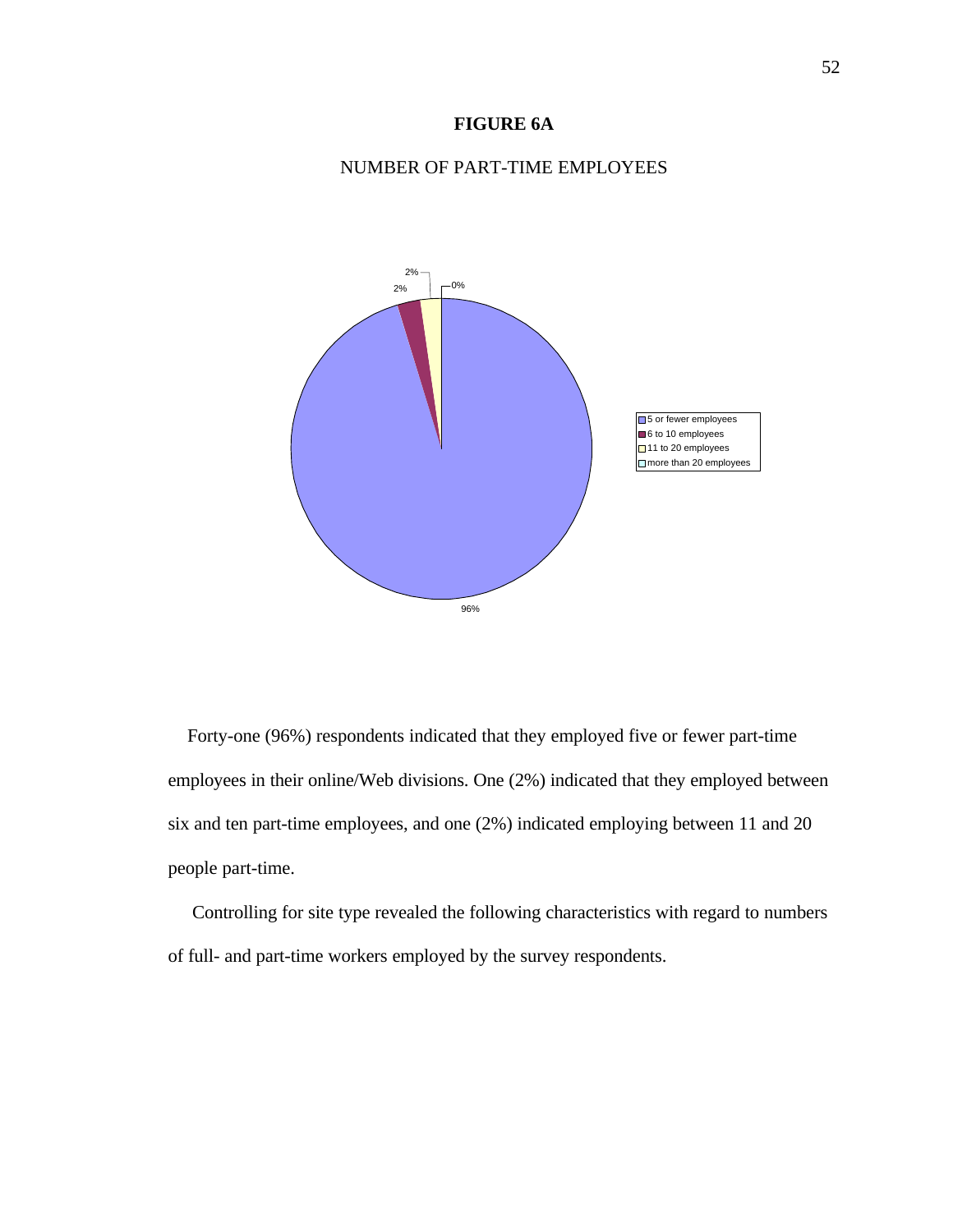# **FIGURE 6A**

# NUMBER OF PART-TIME EMPLOYEES



 Forty-one (96%) respondents indicated that they employed five or fewer part-time employees in their online/Web divisions. One (2%) indicated that they employed between six and ten part-time employees, and one (2%) indicated employing between 11 and 20 people part-time.

 Controlling for site type revealed the following characteristics with regard to numbers of full- and part-time workers employed by the survey respondents.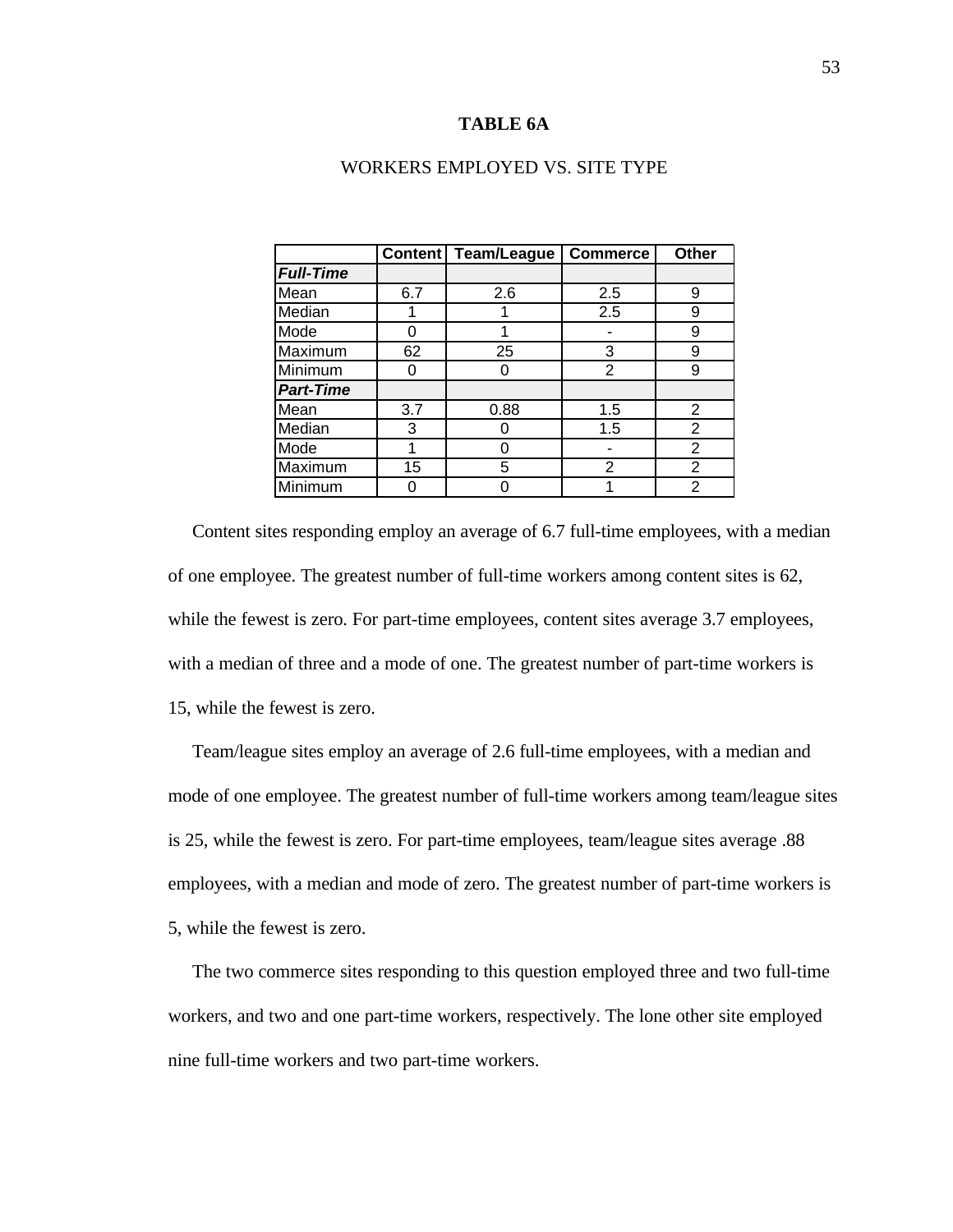#### **TABLE 6A**

|                  | <b>Content</b> | Team/League | <b>Commerce</b> | Other          |
|------------------|----------------|-------------|-----------------|----------------|
| <b>Full-Time</b> |                |             |                 |                |
| Mean             | 6.7            | 2.6         | 2.5             | 9              |
| Median           |                |             | 2.5             | 9              |
| Mode             | O              |             |                 | 9              |
| Maximum          | 62             | 25          | 3               | 9              |
| Minimum          |                | 0           | 2               | 9              |
| <b>Part-Time</b> |                |             |                 |                |
| Mean             | 3.7            | 0.88        | 1.5             | 2              |
| Median           | 3              |             | 1.5             | $\overline{2}$ |
| Mode             |                |             |                 | 2              |
| Maximum          | 15             | 5           | $\overline{2}$  | 2              |
| Minimum          |                | Π           |                 | 2              |

#### WORKERS EMPLOYED VS. SITE TYPE

 Content sites responding employ an average of 6.7 full-time employees, with a median of one employee. The greatest number of full-time workers among content sites is 62, while the fewest is zero. For part-time employees, content sites average 3.7 employees, with a median of three and a mode of one. The greatest number of part-time workers is 15, while the fewest is zero.

 Team/league sites employ an average of 2.6 full-time employees, with a median and mode of one employee. The greatest number of full-time workers among team/league sites is 25, while the fewest is zero. For part-time employees, team/league sites average .88 employees, with a median and mode of zero. The greatest number of part-time workers is 5, while the fewest is zero.

 The two commerce sites responding to this question employed three and two full-time workers, and two and one part-time workers, respectively. The lone other site employed nine full-time workers and two part-time workers.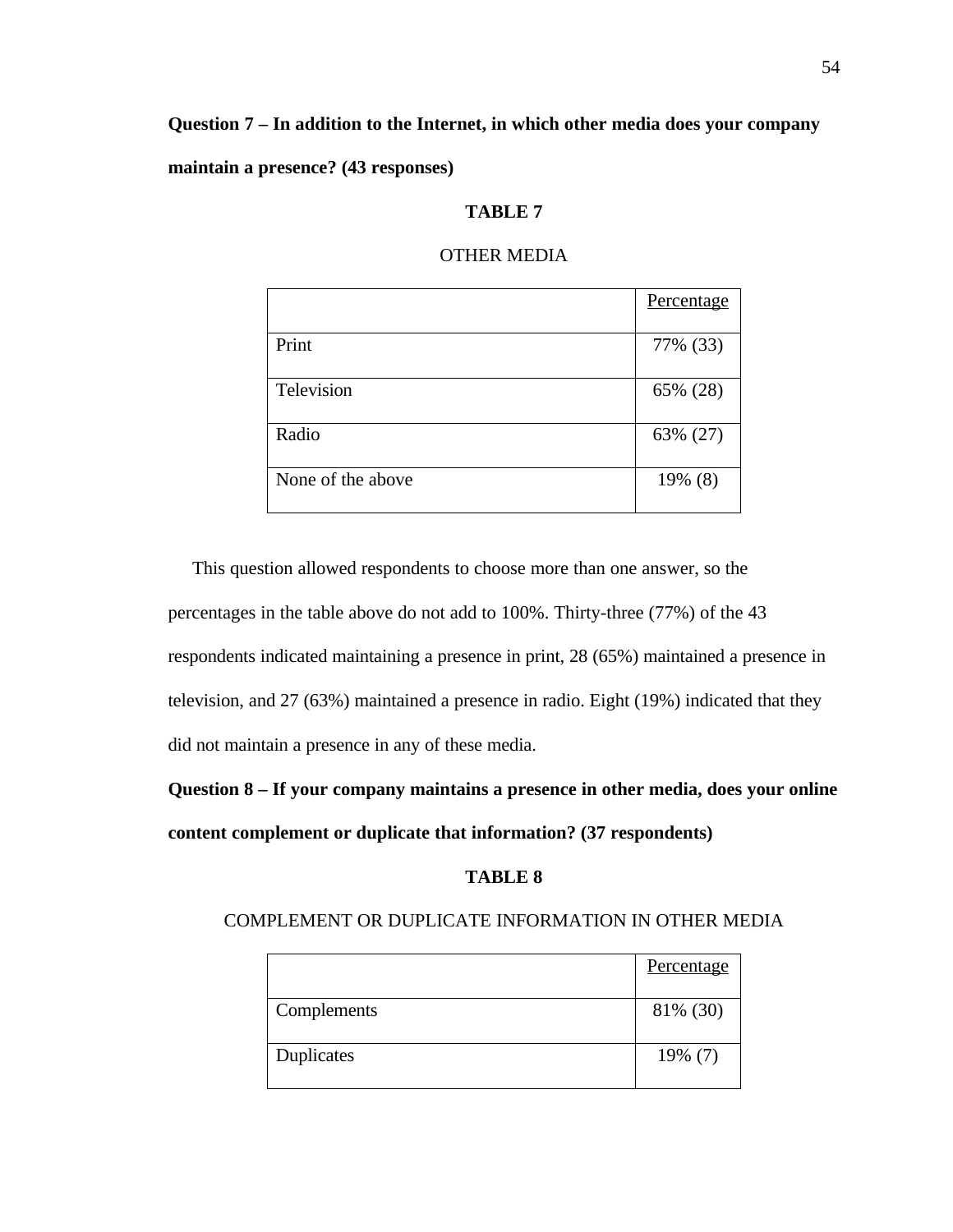# **Question 7 – In addition to the Internet, in which other media does your company**

**maintain a presence? (43 responses)**

#### **TABLE 7**

|                   | Percentage |
|-------------------|------------|
| Print             | 77% (33)   |
| Television        | 65% (28)   |
| Radio             | 63% (27)   |
| None of the above | 19% (8)    |

#### OTHER MEDIA

 This question allowed respondents to choose more than one answer, so the percentages in the table above do not add to 100%. Thirty-three (77%) of the 43 respondents indicated maintaining a presence in print, 28 (65%) maintained a presence in television, and 27 (63%) maintained a presence in radio. Eight (19%) indicated that they did not maintain a presence in any of these media.

**Question 8 – If your company maintains a presence in other media, does your online content complement or duplicate that information? (37 respondents)**

# **TABLE 8**

# COMPLEMENT OR DUPLICATE INFORMATION IN OTHER MEDIA

|                    | Percentage |
|--------------------|------------|
| <b>Complements</b> | 81% (30)   |
| Duplicates         | $19\%$ (7) |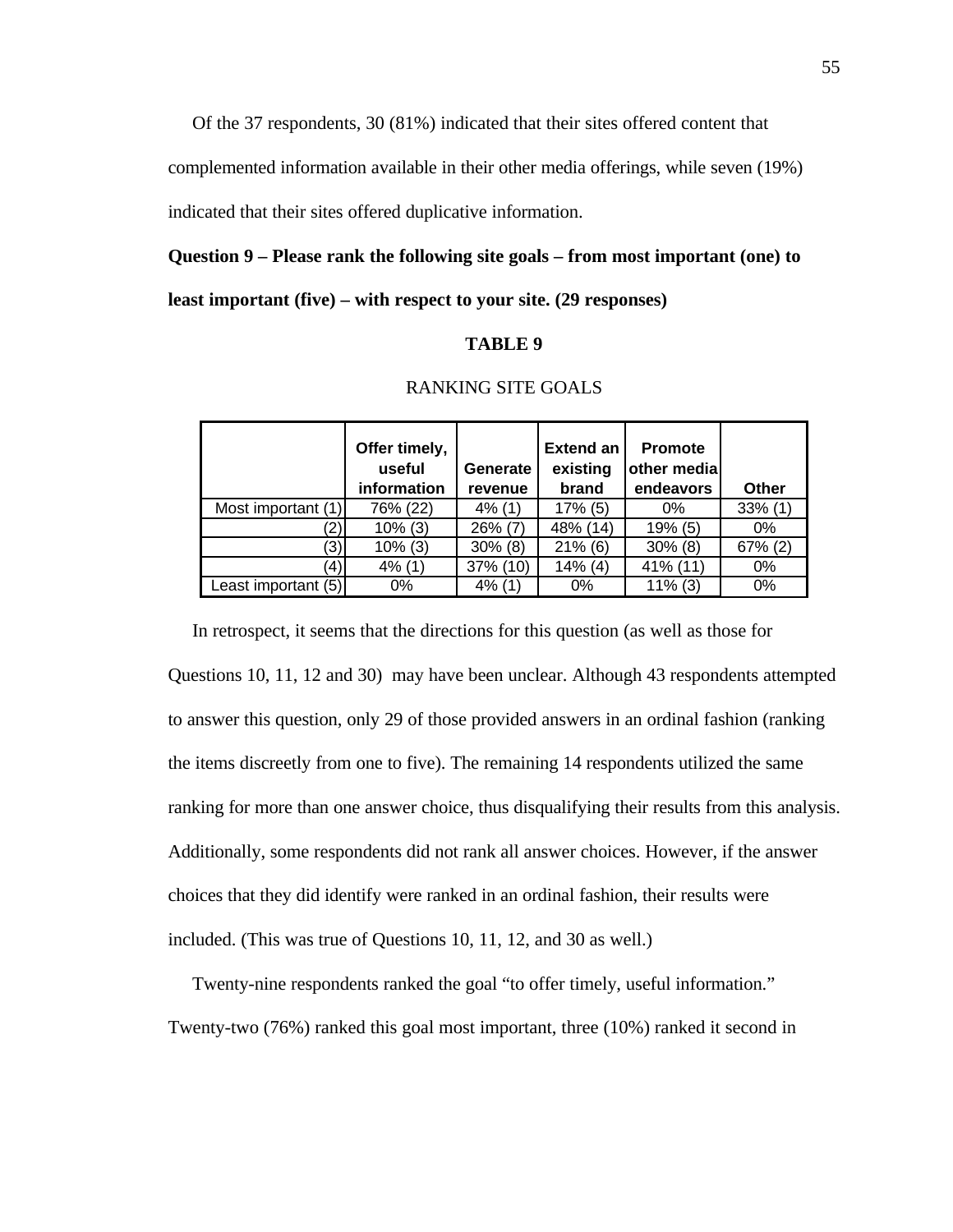Of the 37 respondents, 30 (81%) indicated that their sites offered content that

complemented information available in their other media offerings, while seven (19%)

indicated that their sites offered duplicative information.

# **Question 9 – Please rank the following site goals – from most important (one) to**

#### **least important (five) – with respect to your site. (29 responses)**

### **TABLE 9**

|                     | Offer timely,<br>useful<br>information | <b>Generate</b><br><b>revenue</b> | <b>Extend an</b><br>existing<br>brand | <b>Promote</b><br>other medial<br>endeavors | Other      |
|---------------------|----------------------------------------|-----------------------------------|---------------------------------------|---------------------------------------------|------------|
| Most important (1)  | 76% (22)                               | $4\%$ (1)                         | $17\%$ (5)                            | $0\%$                                       | $33\%$ (1) |
|                     | $10\%$ (3)                             | $26\%$ (7)                        | 48% (14)                              | 19% (5)                                     | 0%         |
| '3)                 | $10\%$ (3)                             | $30\%$ (8)                        | $21\%$ (6)                            | $30\%$ (8)                                  | $67\%$ (2) |
| (4)                 | $4\%$ (1)                              | 37% (10)                          | $14\%$ (4)                            | 41% (11)                                    | $0\%$      |
| Least important (5) | 0%                                     | $4\%$ (1)                         | $0\%$                                 | $11\%$ (3)                                  | 0%         |

# RANKING SITE GOALS

In retrospect, it seems that the directions for this question (as well as those for

Questions 10, 11, 12 and 30) may have been unclear. Although 43 respondents attempted to answer this question, only 29 of those provided answers in an ordinal fashion (ranking the items discreetly from one to five). The remaining 14 respondents utilized the same ranking for more than one answer choice, thus disqualifying their results from this analysis. Additionally, some respondents did not rank all answer choices. However, if the answer choices that they did identify were ranked in an ordinal fashion, their results were included. (This was true of Questions 10, 11, 12, and 30 as well.)

 Twenty-nine respondents ranked the goal "to offer timely, useful information." Twenty-two (76%) ranked this goal most important, three (10%) ranked it second in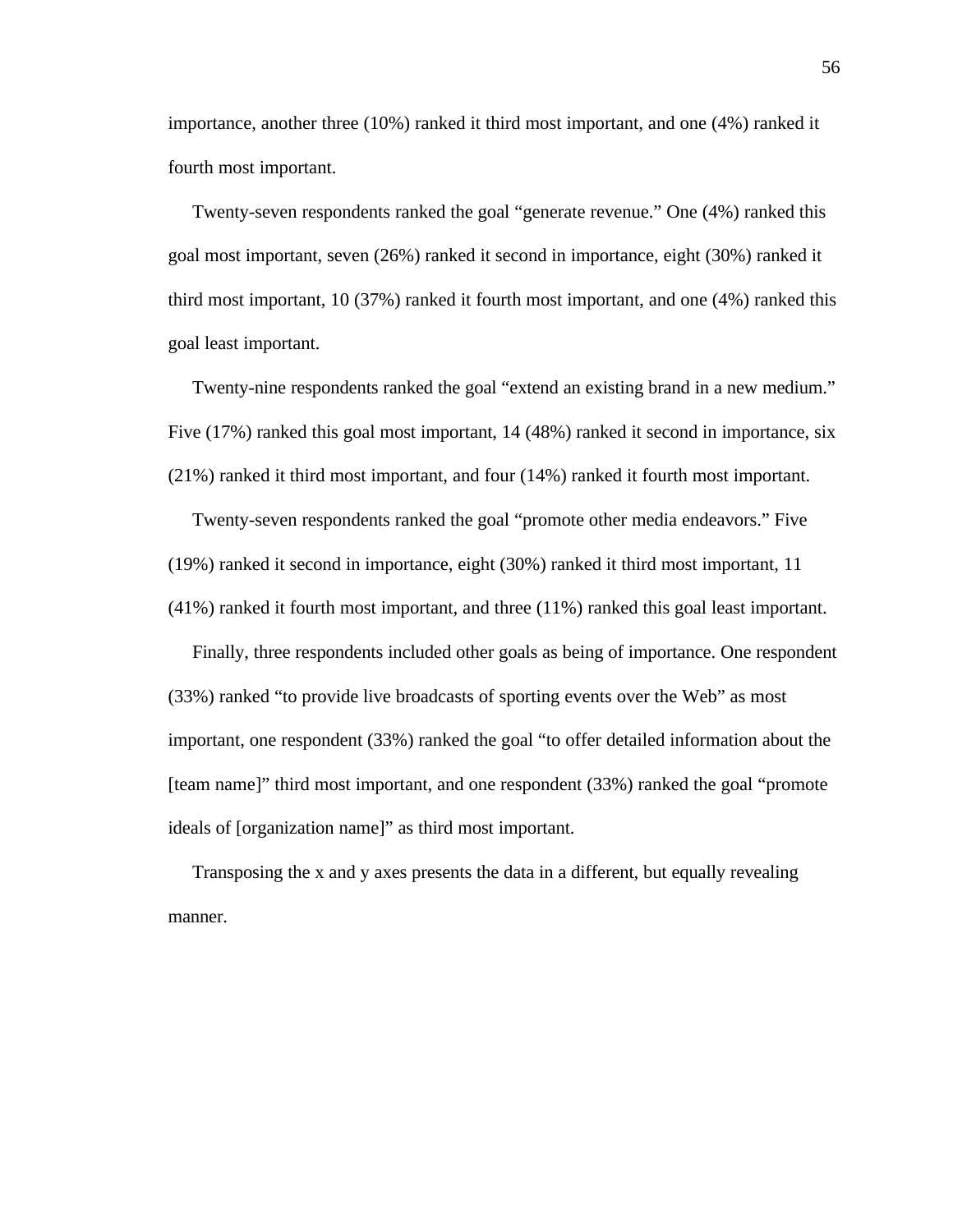importance, another three (10%) ranked it third most important, and one (4%) ranked it fourth most important.

 Twenty-seven respondents ranked the goal "generate revenue." One (4%) ranked this goal most important, seven (26%) ranked it second in importance, eight (30%) ranked it third most important, 10 (37%) ranked it fourth most important, and one (4%) ranked this goal least important.

 Twenty-nine respondents ranked the goal "extend an existing brand in a new medium." Five (17%) ranked this goal most important, 14 (48%) ranked it second in importance, six (21%) ranked it third most important, and four (14%) ranked it fourth most important.

 Twenty-seven respondents ranked the goal "promote other media endeavors." Five (19%) ranked it second in importance, eight (30%) ranked it third most important, 11 (41%) ranked it fourth most important, and three (11%) ranked this goal least important.

 Finally, three respondents included other goals as being of importance. One respondent (33%) ranked "to provide live broadcasts of sporting events over the Web" as most important, one respondent (33%) ranked the goal "to offer detailed information about the [team name]" third most important, and one respondent (33%) ranked the goal "promote ideals of [organization name]" as third most important.

 Transposing the x and y axes presents the data in a different, but equally revealing manner.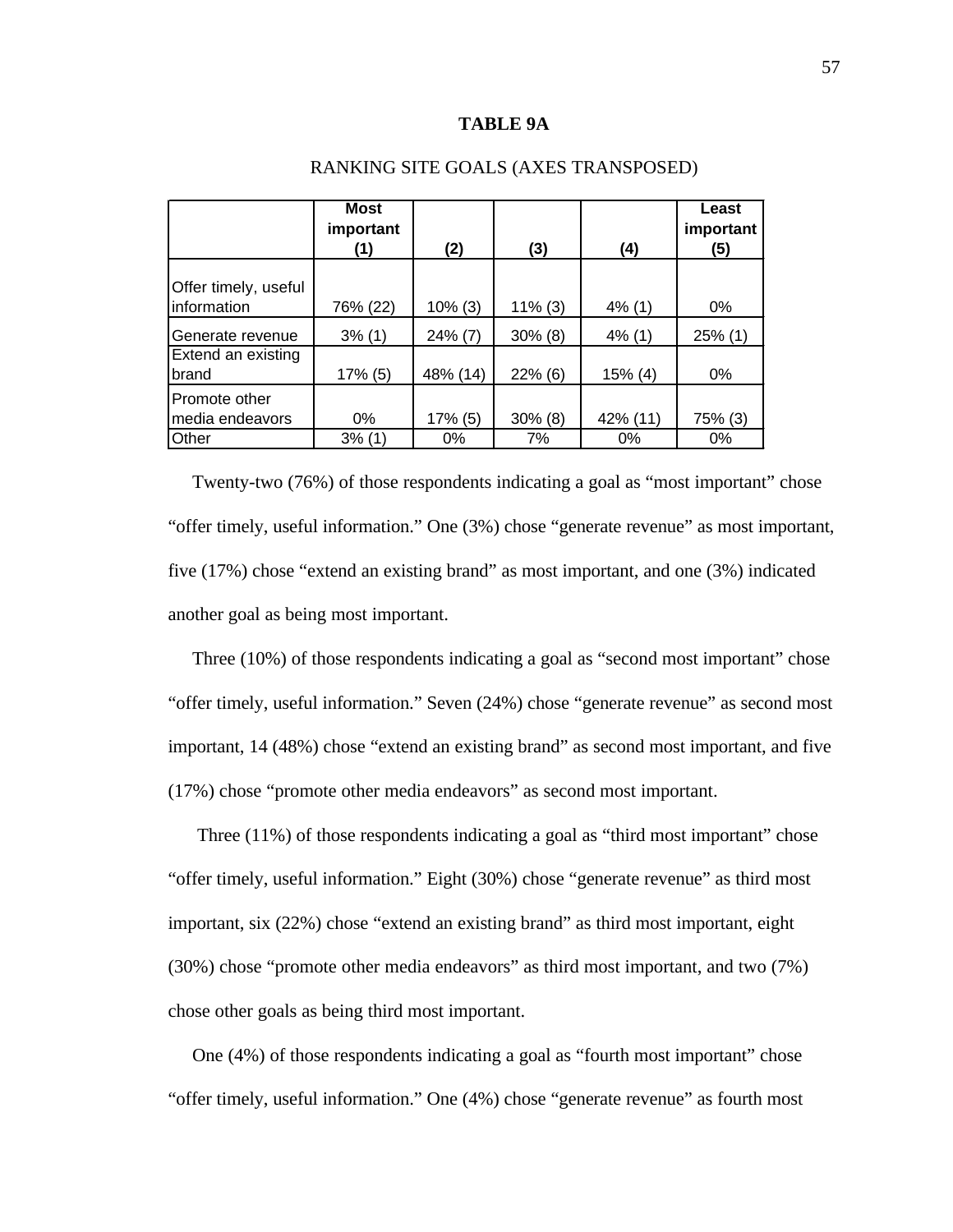#### **TABLE 9A**

|                                                 | Most<br>important<br>(1) | (2)                 | (3)                   | (4)                     | Least<br>important<br>(5) |
|-------------------------------------------------|--------------------------|---------------------|-----------------------|-------------------------|---------------------------|
| Offer timely, useful<br>information             | 76% (22)                 | $10\%$ (3)          | $11\%$ (3)            | $4\%$ (1)               | $0\%$                     |
| Generate revenue<br>Extend an existing<br>brand | $3\%$ (1)<br>17% (5)     | 24% (7)<br>48% (14) | $30\%$ (8)<br>22% (6) | $4\%$ (1)<br>$15\%$ (4) | 25% (1)<br>0%             |
| Promote other<br>media endeavors<br>Other       | $0\%$<br>3% (1)          | 17% (5)<br>0%       | $30\%$ (8)<br>7%      | 42% (11)<br>$0\%$       | 75% (3)<br>$0\%$          |

#### RANKING SITE GOALS (AXES TRANSPOSED)

 Twenty-two (76%) of those respondents indicating a goal as "most important" chose "offer timely, useful information." One (3%) chose "generate revenue" as most important, five (17%) chose "extend an existing brand" as most important, and one (3%) indicated another goal as being most important.

 Three (10%) of those respondents indicating a goal as "second most important" chose "offer timely, useful information." Seven (24%) chose "generate revenue" as second most important, 14 (48%) chose "extend an existing brand" as second most important, and five (17%) chose "promote other media endeavors" as second most important.

Three (11%) of those respondents indicating a goal as "third most important" chose "offer timely, useful information." Eight (30%) chose "generate revenue" as third most important, six (22%) chose "extend an existing brand" as third most important, eight (30%) chose "promote other media endeavors" as third most important, and two (7%) chose other goals as being third most important.

 One (4%) of those respondents indicating a goal as "fourth most important" chose "offer timely, useful information." One (4%) chose "generate revenue" as fourth most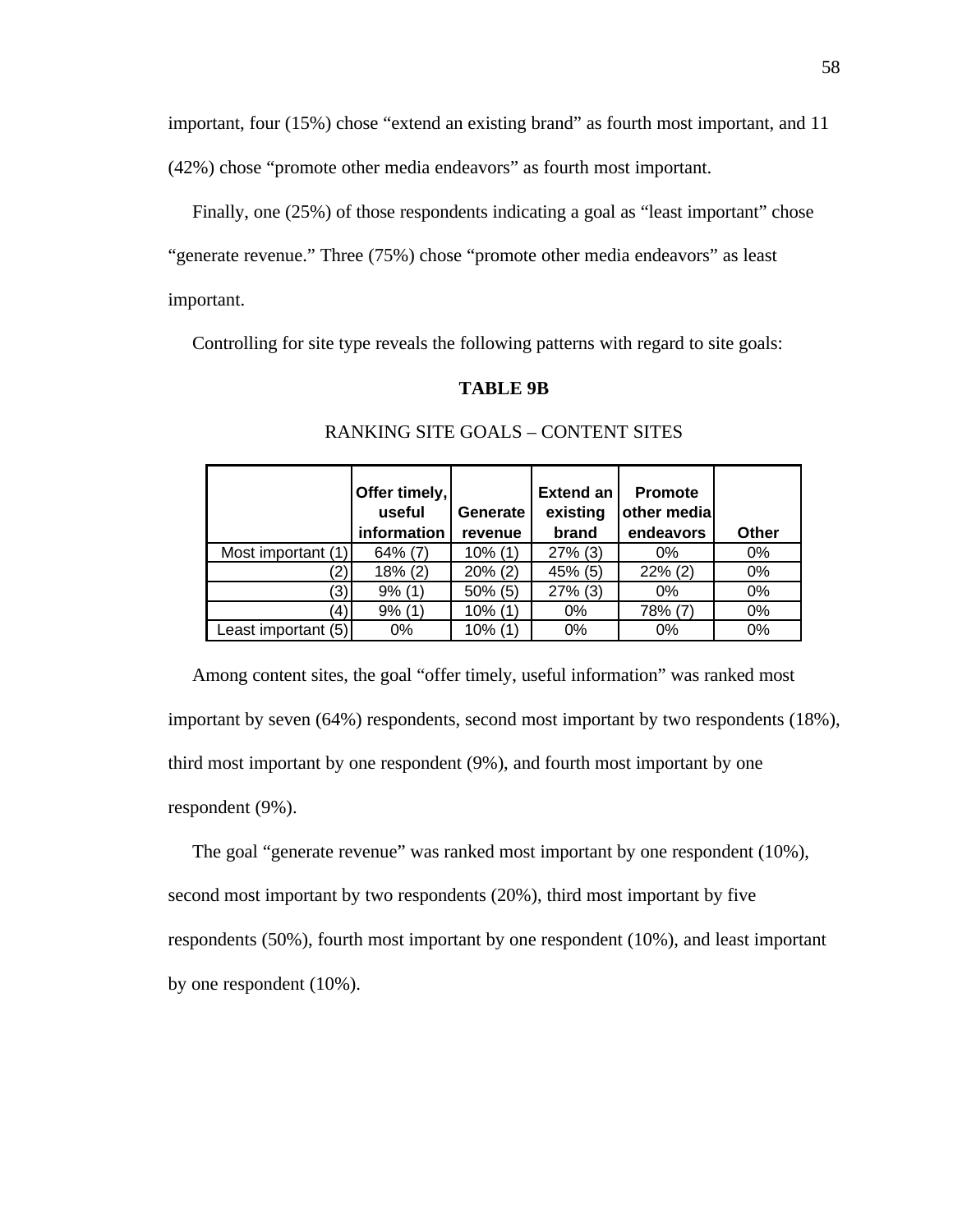important, four (15%) chose "extend an existing brand" as fourth most important, and 11

(42%) chose "promote other media endeavors" as fourth most important.

 Finally, one (25%) of those respondents indicating a goal as "least important" chose "generate revenue." Three (75%) chose "promote other media endeavors" as least important.

Controlling for site type reveals the following patterns with regard to site goals:

# **TABLE 9B**

|                     | Offer timely,<br>useful<br>information | Generate<br>revenue | Extend an<br>existing<br>brand | <b>Promote</b><br>other media<br>endeavors | Other |
|---------------------|----------------------------------------|---------------------|--------------------------------|--------------------------------------------|-------|
| Most important (1)  | $64\%$ (7)                             | $10\%$ (1)          | $27\%$ (3)                     | $0\%$                                      | $0\%$ |
| (2)                 | 18% (2)                                | $20\%$ (2)          | $45%$ (5)                      | $22\%$ (2)                                 | $0\%$ |
| '3)                 | 9% (1)                                 | $50\%$ (5)          | $27\%$ (3)                     | $0\%$                                      | 0%    |
| (4)                 | 9% (1)                                 | $10\%$ (1)          | 0%                             | 78% (7)                                    | 0%    |
| Least important (5) | 0%                                     | $10\%$ (1)          | 0%                             | 0%                                         | 0%    |

## RANKING SITE GOALS – CONTENT SITES

 Among content sites, the goal "offer timely, useful information" was ranked most important by seven (64%) respondents, second most important by two respondents (18%), third most important by one respondent (9%), and fourth most important by one respondent (9%).

 The goal "generate revenue" was ranked most important by one respondent (10%), second most important by two respondents (20%), third most important by five respondents (50%), fourth most important by one respondent (10%), and least important by one respondent (10%).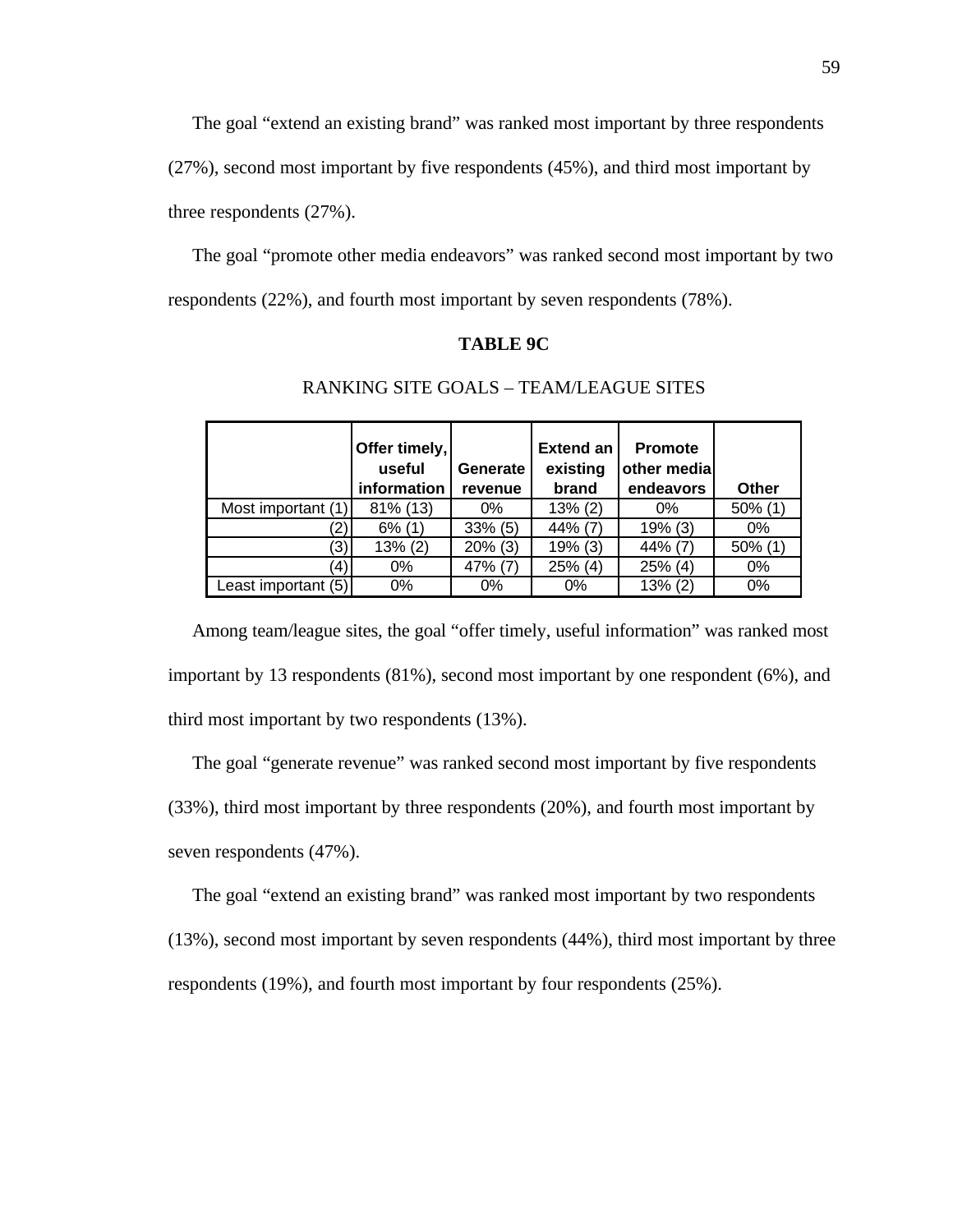The goal "extend an existing brand" was ranked most important by three respondents

(27%), second most important by five respondents (45%), and third most important by

three respondents (27%).

 The goal "promote other media endeavors" was ranked second most important by two respondents (22%), and fourth most important by seven respondents (78%).

# **TABLE 9C**

|                     | Offer timely,<br>useful<br>information | Generate<br>revenue | <b>Extend an</b><br>existing<br>brand | <b>Promote</b><br>other media<br>endeavors | <b>Other</b> |
|---------------------|----------------------------------------|---------------------|---------------------------------------|--------------------------------------------|--------------|
| Most important (1)  | 81% (13)                               | $0\%$               | 13% (2)                               | $0\%$                                      | 50% (1)      |
| '2,                 | $6\%$ (1)                              | $33\%$ (5)          | 44% (7)                               | 19% (3)                                    | $0\%$        |
| ′3)                 | $13\% (2)$                             | $20\%$ (3)          | $19%$ (3)                             | 44% (7                                     | 50% (1       |
| $\left( 4\right)$   | $0\%$                                  | 47% (7)             | $25\%$ (4)                            | 25% (4)                                    | $0\%$        |
| Least important (5) | $0\%$                                  | $0\%$               | 0%                                    | 13% (2)                                    | 0%           |

# RANKING SITE GOALS – TEAM/LEAGUE SITES

 Among team/league sites, the goal "offer timely, useful information" was ranked most important by 13 respondents (81%), second most important by one respondent (6%), and third most important by two respondents (13%).

 The goal "generate revenue" was ranked second most important by five respondents (33%), third most important by three respondents (20%), and fourth most important by seven respondents (47%).

The goal "extend an existing brand" was ranked most important by two respondents

(13%), second most important by seven respondents (44%), third most important by three respondents (19%), and fourth most important by four respondents (25%).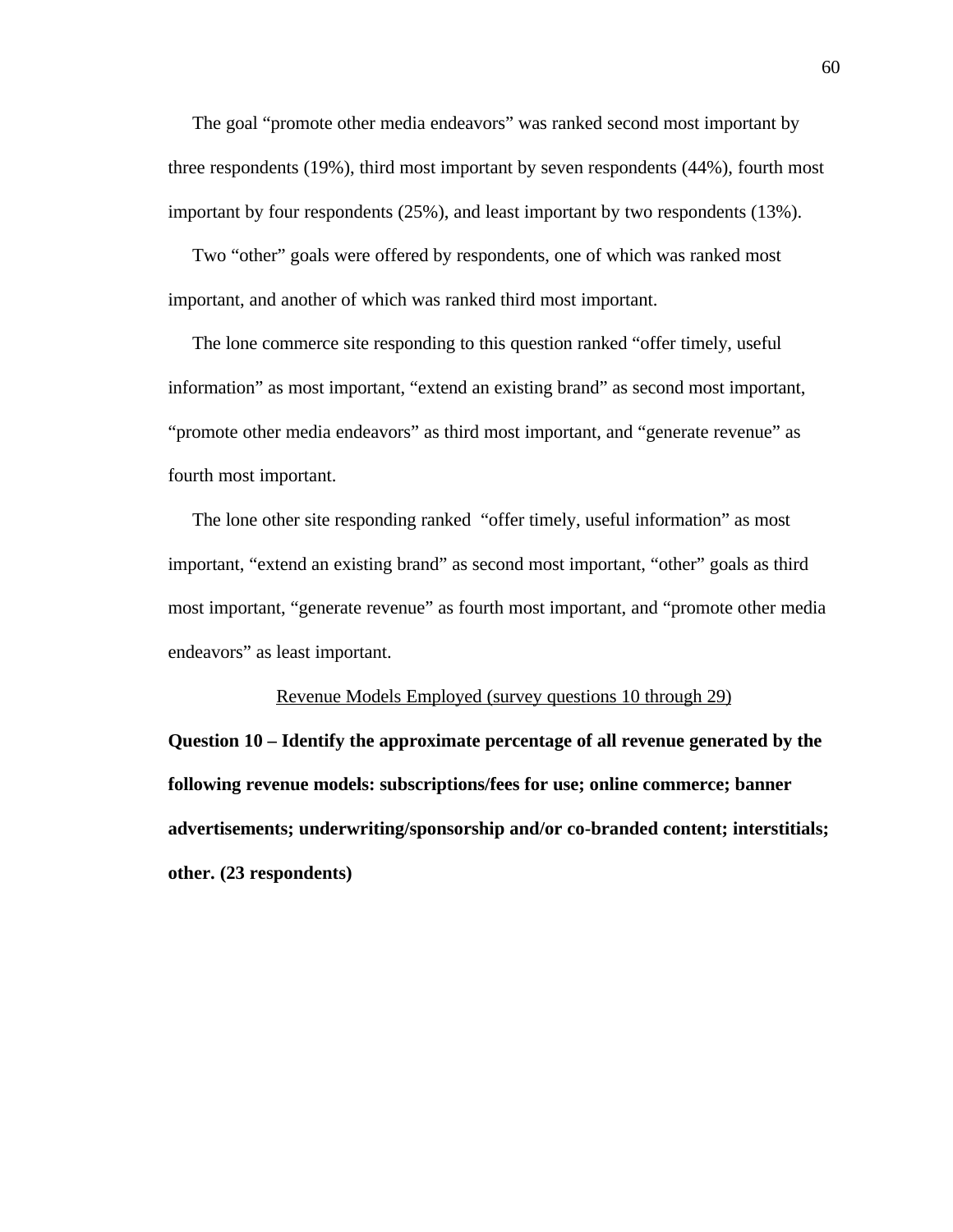The goal "promote other media endeavors" was ranked second most important by three respondents (19%), third most important by seven respondents (44%), fourth most important by four respondents (25%), and least important by two respondents (13%).

 Two "other" goals were offered by respondents, one of which was ranked most important, and another of which was ranked third most important.

 The lone commerce site responding to this question ranked "offer timely, useful information" as most important, "extend an existing brand" as second most important, "promote other media endeavors" as third most important, and "generate revenue" as fourth most important.

 The lone other site responding ranked "offer timely, useful information" as most important, "extend an existing brand" as second most important, "other" goals as third most important, "generate revenue" as fourth most important, and "promote other media endeavors" as least important.

#### Revenue Models Employed (survey questions 10 through 29)

**Question 10 – Identify the approximate percentage of all revenue generated by the following revenue models: subscriptions/fees for use; online commerce; banner advertisements; underwriting/sponsorship and/or co-branded content; interstitials; other. (23 respondents)**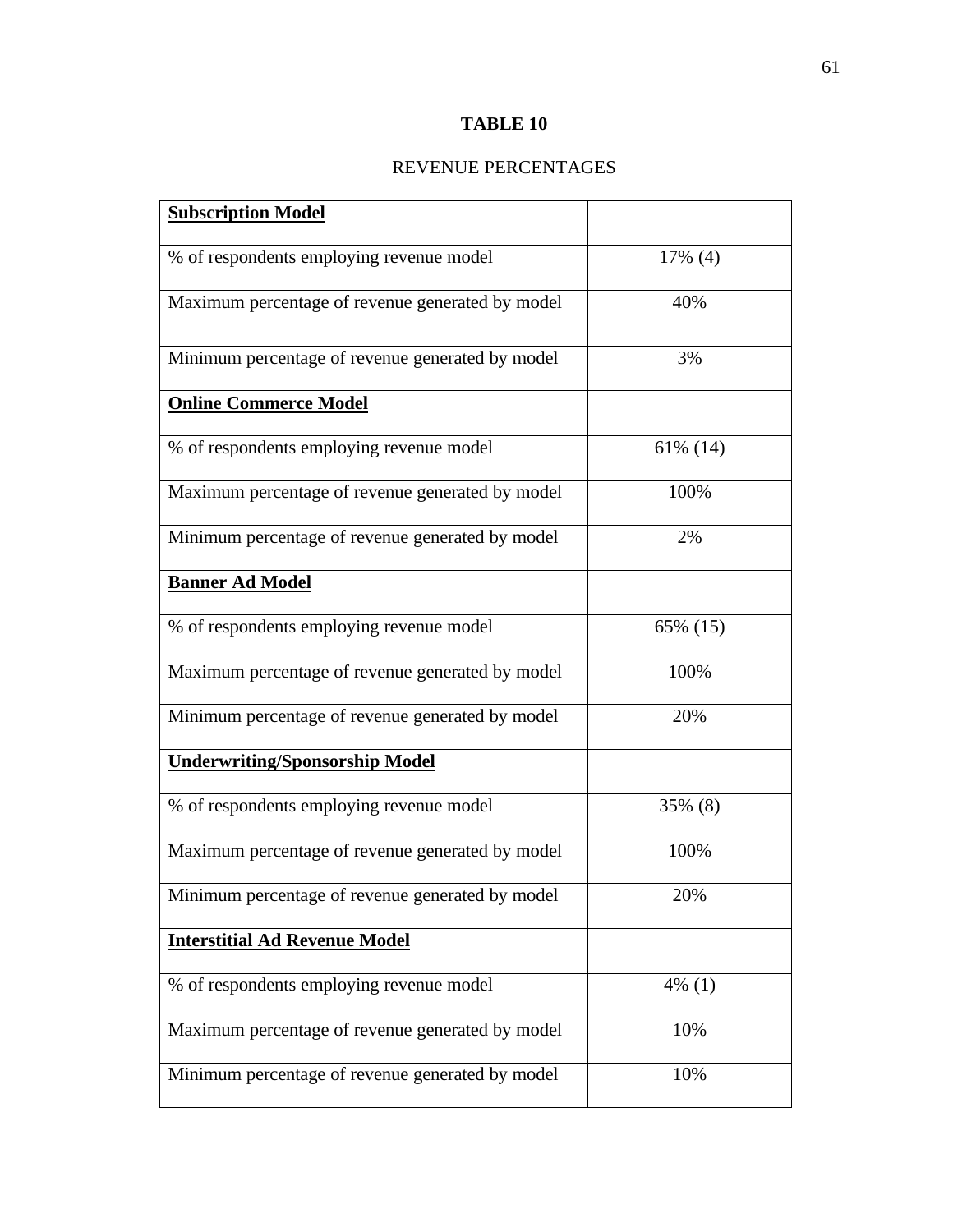# **TABLE 10**

# REVENUE PERCENTAGES

| <b>Subscription Model</b>                        |           |
|--------------------------------------------------|-----------|
| % of respondents employing revenue model         | 17% (4)   |
| Maximum percentage of revenue generated by model | 40%       |
| Minimum percentage of revenue generated by model | 3%        |
| <b>Online Commerce Model</b>                     |           |
| % of respondents employing revenue model         | 61% (14)  |
| Maximum percentage of revenue generated by model | 100%      |
| Minimum percentage of revenue generated by model | 2%        |
| <b>Banner Ad Model</b>                           |           |
| % of respondents employing revenue model         | 65% (15)  |
| Maximum percentage of revenue generated by model | 100%      |
| Minimum percentage of revenue generated by model | 20%       |
| <b>Underwriting/Sponsorship Model</b>            |           |
| % of respondents employing revenue model         | 35% (8)   |
| Maximum percentage of revenue generated by model | 100%      |
| Minimum percentage of revenue generated by model | 20%       |
| <b>Interstitial Ad Revenue Model</b>             |           |
| % of respondents employing revenue model         | $4\%$ (1) |
| Maximum percentage of revenue generated by model | 10%       |
| Minimum percentage of revenue generated by model | 10%       |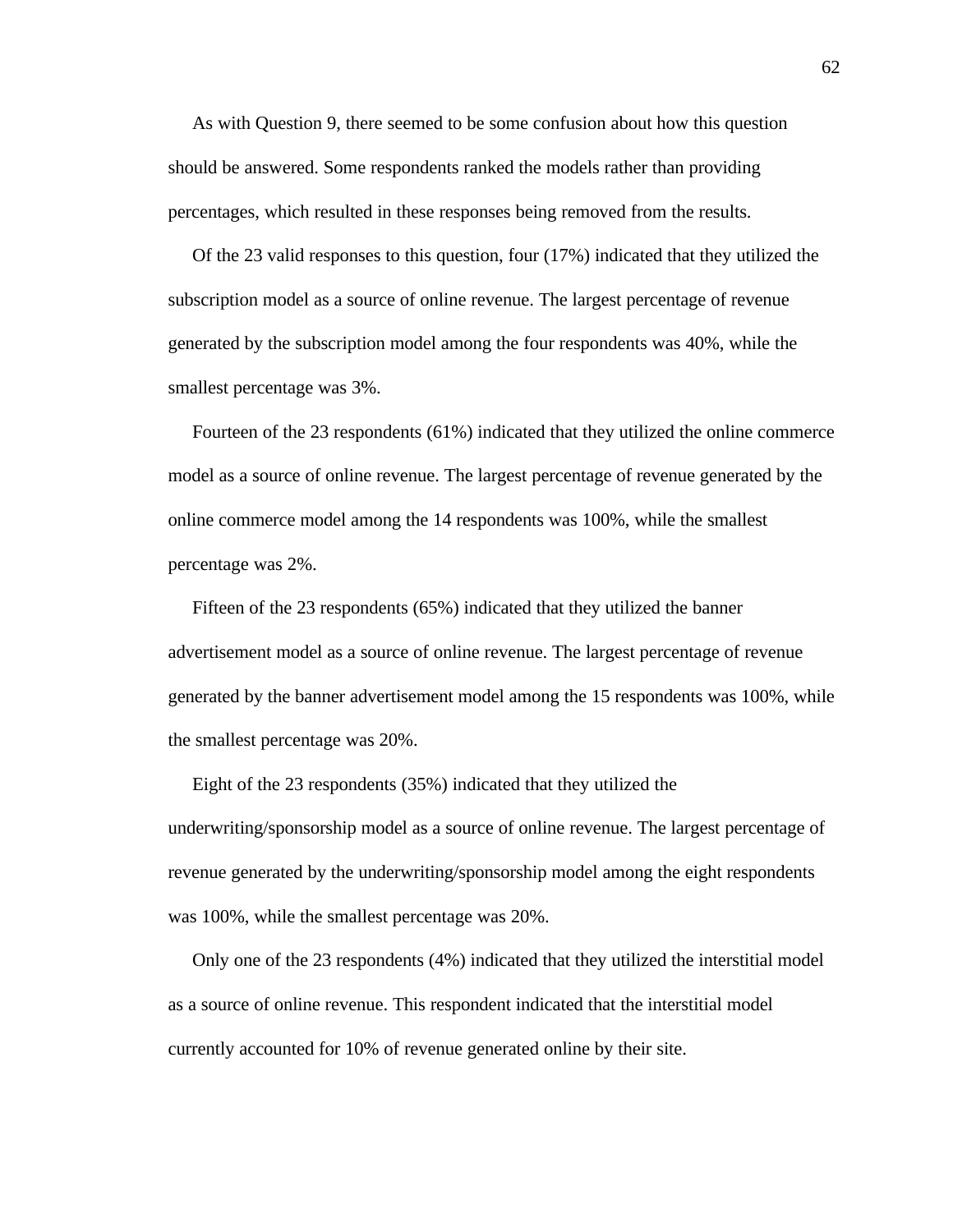As with Question 9, there seemed to be some confusion about how this question should be answered. Some respondents ranked the models rather than providing percentages, which resulted in these responses being removed from the results.

 Of the 23 valid responses to this question, four (17%) indicated that they utilized the subscription model as a source of online revenue. The largest percentage of revenue generated by the subscription model among the four respondents was 40%, while the smallest percentage was 3%.

 Fourteen of the 23 respondents (61%) indicated that they utilized the online commerce model as a source of online revenue. The largest percentage of revenue generated by the online commerce model among the 14 respondents was 100%, while the smallest percentage was 2%.

 Fifteen of the 23 respondents (65%) indicated that they utilized the banner advertisement model as a source of online revenue. The largest percentage of revenue generated by the banner advertisement model among the 15 respondents was 100%, while the smallest percentage was 20%.

 Eight of the 23 respondents (35%) indicated that they utilized the underwriting/sponsorship model as a source of online revenue. The largest percentage of revenue generated by the underwriting/sponsorship model among the eight respondents was 100%, while the smallest percentage was 20%.

 Only one of the 23 respondents (4%) indicated that they utilized the interstitial model as a source of online revenue. This respondent indicated that the interstitial model currently accounted for 10% of revenue generated online by their site.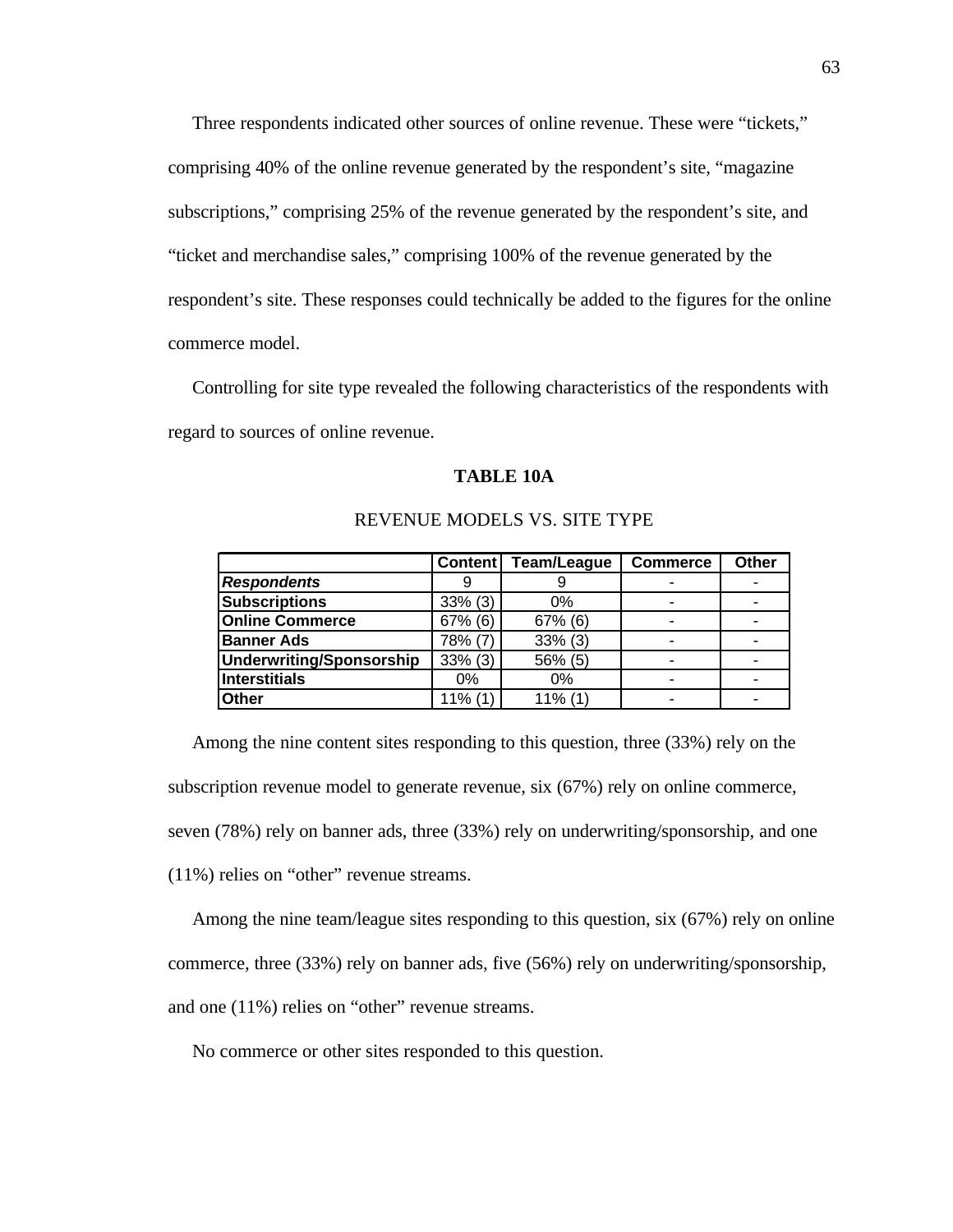Three respondents indicated other sources of online revenue. These were "tickets," comprising 40% of the online revenue generated by the respondent's site, "magazine subscriptions," comprising 25% of the revenue generated by the respondent's site, and "ticket and merchandise sales," comprising 100% of the revenue generated by the respondent's site. These responses could technically be added to the figures for the online commerce model.

 Controlling for site type revealed the following characteristics of the respondents with regard to sources of online revenue.

#### **TABLE 10A**

|                          |            | Content   Team/League | <b>Commerce</b> | <b>Other</b> |
|--------------------------|------------|-----------------------|-----------------|--------------|
| <b>Respondents</b>       |            |                       |                 |              |
| <b>Subscriptions</b>     | $33\%$ (3) | 0%                    | -               |              |
| <b>Online Commerce</b>   | 67% (6)    | $67\%$ (6)            | -               |              |
| <b>Banner Ads</b>        | 78% (7)    | $33\%$ (3)            | ۰               |              |
| Underwriting/Sponsorship | $33\%$ (3) | 56% (5)               | ۰               |              |
| Interstitials            | 0%         | $0\%$                 | -               |              |
| <b>Other</b>             | $11\%$ (1) | $11\%$ (1)            | -               |              |

#### REVENUE MODELS VS. SITE TYPE

Among the nine content sites responding to this question, three (33%) rely on the subscription revenue model to generate revenue, six (67%) rely on online commerce, seven (78%) rely on banner ads, three (33%) rely on underwriting/sponsorship, and one (11%) relies on "other" revenue streams.

 Among the nine team/league sites responding to this question, six (67%) rely on online commerce, three (33%) rely on banner ads, five (56%) rely on underwriting/sponsorship, and one (11%) relies on "other" revenue streams.

No commerce or other sites responded to this question.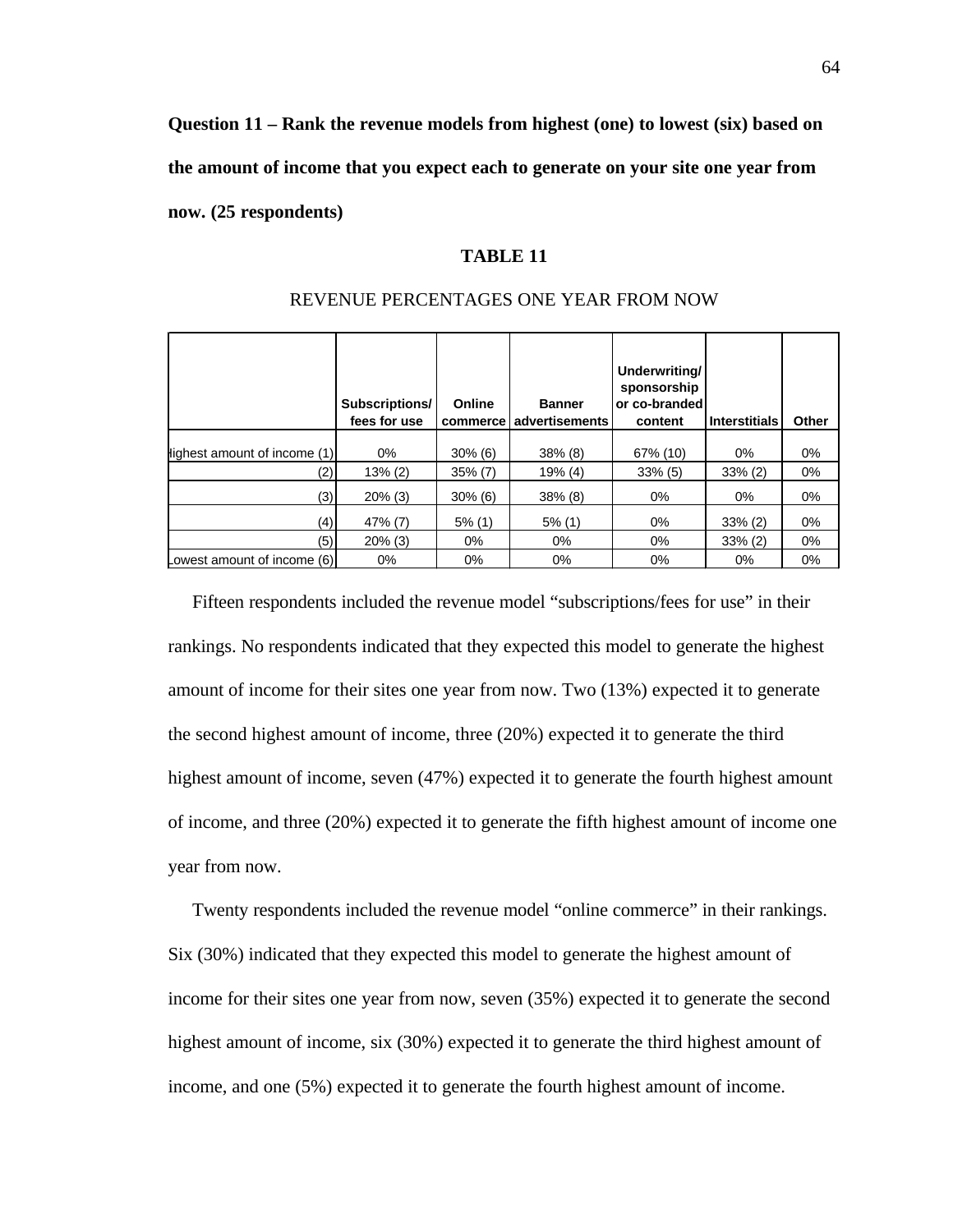**Question 11 – Rank the revenue models from highest (one) to lowest (six) based on the amount of income that you expect each to generate on your site one year from now. (25 respondents)**

# **TABLE 11**

|                              | Subscriptions/<br>fees for use | Online<br>commerce | <b>Banner</b><br>advertisements | Underwriting/<br>sponsorship<br>or co-branded<br>content | <b>Interstitials</b> | Other |
|------------------------------|--------------------------------|--------------------|---------------------------------|----------------------------------------------------------|----------------------|-------|
| lighest amount of income (1) | $0\%$                          | $30\%$ (6)         | $38\%$ (8)                      | 67% (10)                                                 | 0%                   | $0\%$ |
| (2)                          | $13\% (2)$                     | $35\%$ (7)         | 19% (4)                         | $33\%$ (5)                                               | $33\% (2)$           | $0\%$ |
| (3)                          | $20\%$ (3)                     | $30\%$ (6)         | $38\%$ (8)                      | 0%                                                       | 0%                   | $0\%$ |
| (4)                          | 47% (7)                        | $5\%$ (1)          | $5\%$ (1)                       | 0%                                                       | $33\%$ (2)           | $0\%$ |
| (5)                          | $20\%$ (3)                     | $0\%$              | $0\%$                           | 0%                                                       | $33\%$ (2)           | $0\%$ |
| Lowest amount of income (6)  | 0%                             | $0\%$              | $0\%$                           | $0\%$                                                    | 0%                   | $0\%$ |

#### REVENUE PERCENTAGES ONE YEAR FROM NOW

 Fifteen respondents included the revenue model "subscriptions/fees for use" in their rankings. No respondents indicated that they expected this model to generate the highest amount of income for their sites one year from now. Two (13%) expected it to generate the second highest amount of income, three (20%) expected it to generate the third highest amount of income, seven (47%) expected it to generate the fourth highest amount of income, and three (20%) expected it to generate the fifth highest amount of income one year from now.

 Twenty respondents included the revenue model "online commerce" in their rankings. Six (30%) indicated that they expected this model to generate the highest amount of income for their sites one year from now, seven (35%) expected it to generate the second highest amount of income, six (30%) expected it to generate the third highest amount of income, and one (5%) expected it to generate the fourth highest amount of income.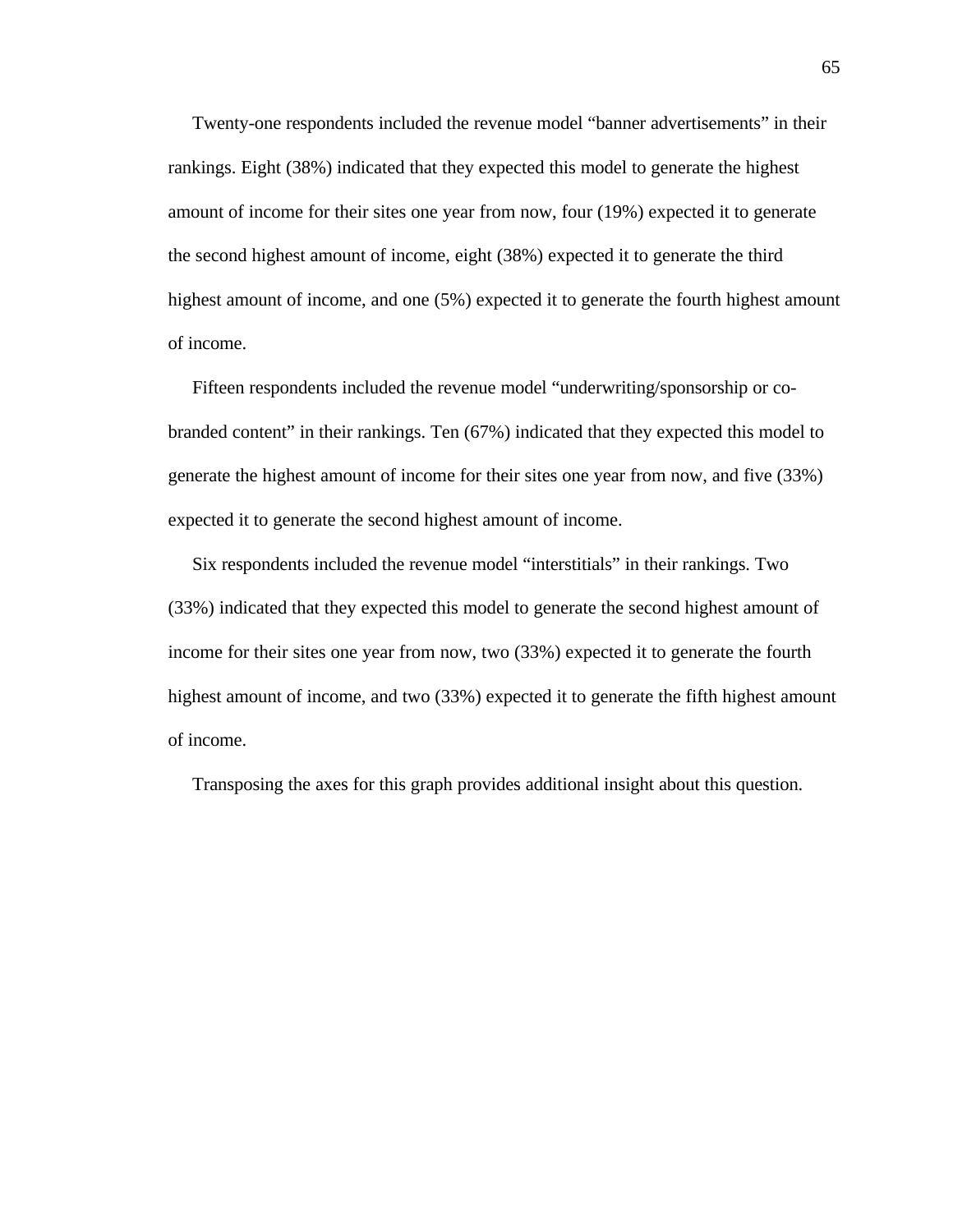Twenty-one respondents included the revenue model "banner advertisements" in their rankings. Eight (38%) indicated that they expected this model to generate the highest amount of income for their sites one year from now, four (19%) expected it to generate the second highest amount of income, eight (38%) expected it to generate the third highest amount of income, and one (5%) expected it to generate the fourth highest amount of income.

 Fifteen respondents included the revenue model "underwriting/sponsorship or cobranded content" in their rankings. Ten (67%) indicated that they expected this model to generate the highest amount of income for their sites one year from now, and five (33%) expected it to generate the second highest amount of income.

 Six respondents included the revenue model "interstitials" in their rankings. Two (33%) indicated that they expected this model to generate the second highest amount of income for their sites one year from now, two (33%) expected it to generate the fourth highest amount of income, and two (33%) expected it to generate the fifth highest amount of income.

Transposing the axes for this graph provides additional insight about this question.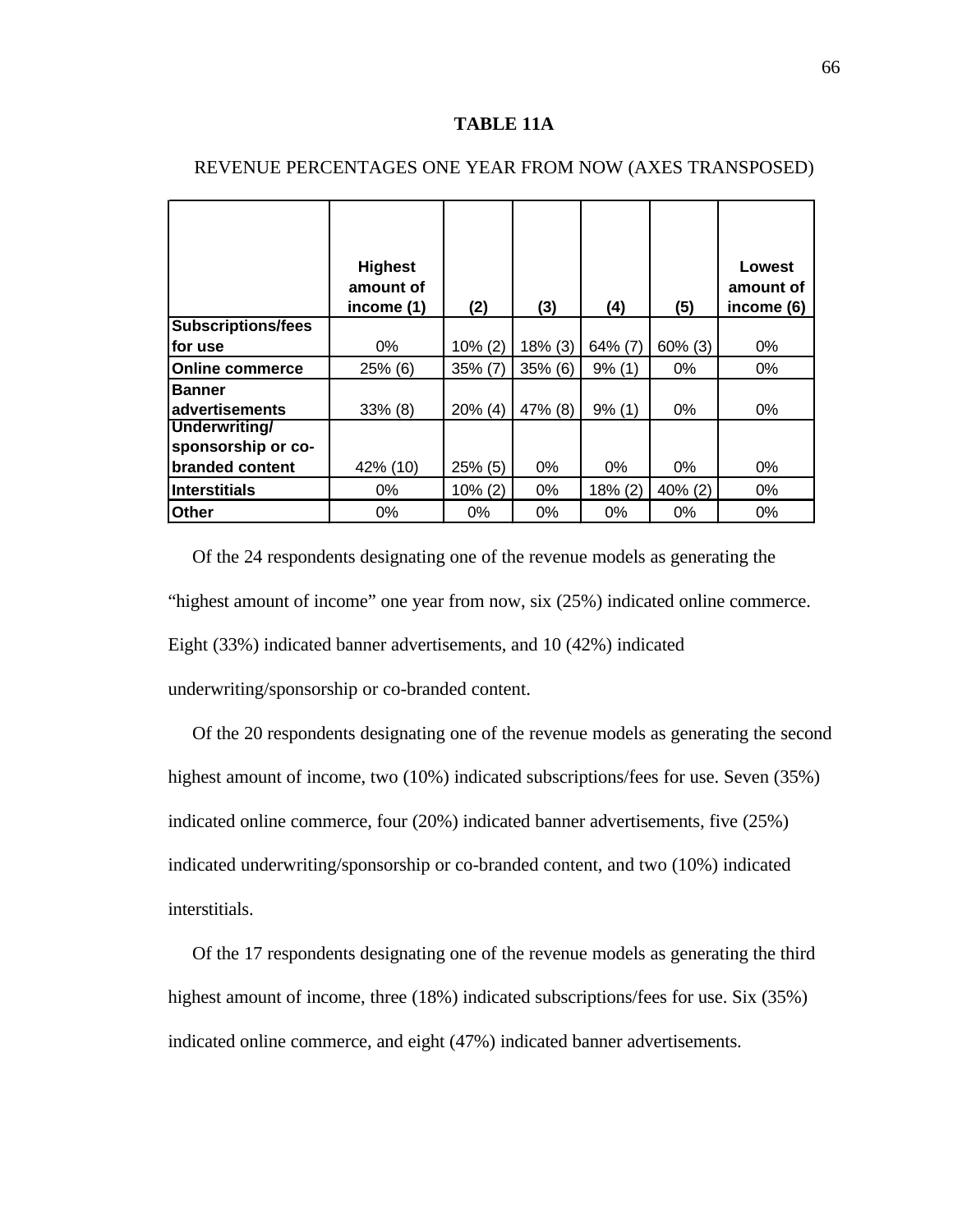#### **TABLE 11A**

|                           | <b>Highest</b><br>amount of<br>income (1) | (2)        | (3)        | (4)       | (5)        | Lowest<br>amount of<br>income (6) |
|---------------------------|-------------------------------------------|------------|------------|-----------|------------|-----------------------------------|
| <b>Subscriptions/fees</b> |                                           |            |            |           |            |                                   |
| lfor use                  | $0\%$                                     | $10\% (2)$ | $18\%$ (3) | 64% (7)   | $60\%$ (3) | 0%                                |
| <b>Online commerce</b>    | $25%$ (6)                                 | $35\%$ (7) | 35% (6)    | 9% (1)    | $0\%$      | $0\%$                             |
| <b>Banner</b>             |                                           |            |            |           |            |                                   |
| advertisements            | $33\%$ (8)                                | $20\%$ (4) | 47% (8)    | $9\%$ (1) | 0%         | 0%                                |
| Underwriting/             |                                           |            |            |           |            |                                   |
| sponsorship or co-        |                                           |            |            |           |            |                                   |
| branded content           | 42% (10)                                  | $25\%$ (5) | $0\%$      | $0\%$     | $0\%$      | 0%                                |
| <b>Interstitials</b>      | 0%                                        | $10\% (2)$ | $0\%$      | 18% (2)   | 40% (2)    | $0\%$                             |
| <b>Other</b>              | $0\%$                                     | $0\%$      | $0\%$      | 0%        | 0%         | 0%                                |

# REVENUE PERCENTAGES ONE YEAR FROM NOW (AXES TRANSPOSED)

 Of the 24 respondents designating one of the revenue models as generating the "highest amount of income" one year from now, six (25%) indicated online commerce. Eight (33%) indicated banner advertisements, and 10 (42%) indicated

underwriting/sponsorship or co-branded content.

 Of the 20 respondents designating one of the revenue models as generating the second highest amount of income, two (10%) indicated subscriptions/fees for use. Seven (35%) indicated online commerce, four (20%) indicated banner advertisements, five (25%) indicated underwriting/sponsorship or co-branded content, and two (10%) indicated interstitials.

 Of the 17 respondents designating one of the revenue models as generating the third highest amount of income, three (18%) indicated subscriptions/fees for use. Six (35%) indicated online commerce, and eight (47%) indicated banner advertisements.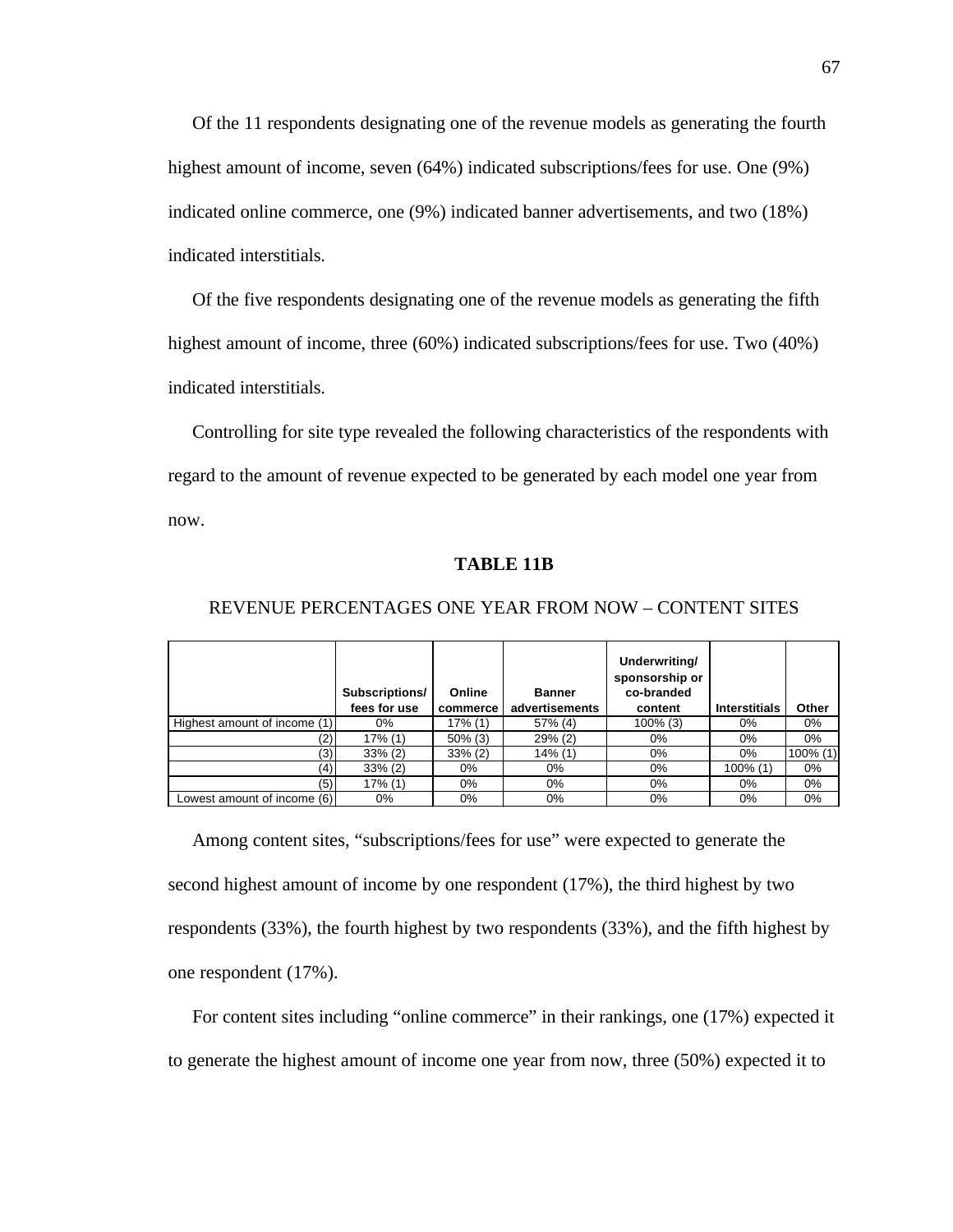Of the 11 respondents designating one of the revenue models as generating the fourth highest amount of income, seven (64%) indicated subscriptions/fees for use. One (9%) indicated online commerce, one (9%) indicated banner advertisements, and two (18%) indicated interstitials.

Of the five respondents designating one of the revenue models as generating the fifth highest amount of income, three (60%) indicated subscriptions/fees for use. Two (40%) indicated interstitials.

 Controlling for site type revealed the following characteristics of the respondents with regard to the amount of revenue expected to be generated by each model one year from now.

# **TABLE 11B**

|                              | Subscriptions/<br>fees for use | Online<br>commerce | <b>Banner</b><br>advertisements | Underwriting/<br>sponsorship or<br>co-branded<br>content | <b>Interstitials</b> | Other       |
|------------------------------|--------------------------------|--------------------|---------------------------------|----------------------------------------------------------|----------------------|-------------|
| Highest amount of income (1) | 0%                             | 17% (1)            | 57% (4)                         | $100\%$ (3)                                              | 0%                   | $0\%$       |
| (2)                          | 17% (1)                        | $50\%$ (3)         | $29\%$ (2)                      | $0\%$                                                    | $0\%$                | 0%          |
| (3)                          | $33\%$ (2)                     | $33\%$ (2)         | $14\%$ (1)                      | $0\%$                                                    | 0%                   | $100\%$ (1) |
| (4)                          | $33\%$ (2)                     | 0%                 | 0%                              | $0\%$                                                    | $100\%$ (1)          | $0\%$       |
| (5)                          | 17% (1)                        | $0\%$              | $0\%$                           | $0\%$                                                    | $0\%$                | $0\%$       |
| Lowest amount of income (6)  | 0%                             | 0%                 | $0\%$                           | $0\%$                                                    | 0%                   | 0%          |

#### REVENUE PERCENTAGES ONE YEAR FROM NOW – CONTENT SITES

 Among content sites, "subscriptions/fees for use" were expected to generate the second highest amount of income by one respondent (17%), the third highest by two respondents (33%), the fourth highest by two respondents (33%), and the fifth highest by one respondent (17%).

 For content sites including "online commerce" in their rankings, one (17%) expected it to generate the highest amount of income one year from now, three (50%) expected it to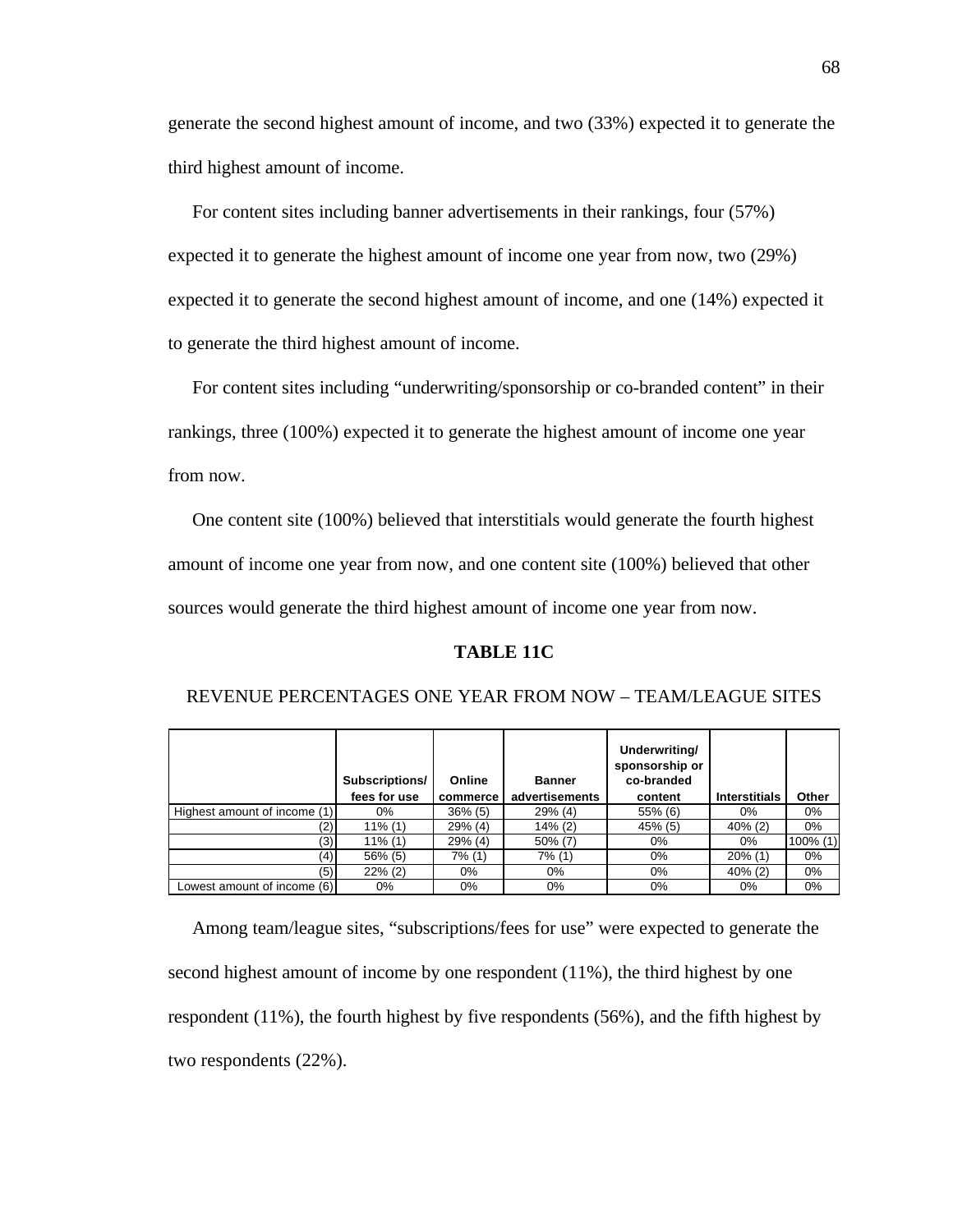generate the second highest amount of income, and two (33%) expected it to generate the third highest amount of income.

 For content sites including banner advertisements in their rankings, four (57%) expected it to generate the highest amount of income one year from now, two (29%) expected it to generate the second highest amount of income, and one (14%) expected it to generate the third highest amount of income.

 For content sites including "underwriting/sponsorship or co-branded content" in their rankings, three (100%) expected it to generate the highest amount of income one year from now.

 One content site (100%) believed that interstitials would generate the fourth highest amount of income one year from now, and one content site (100%) believed that other sources would generate the third highest amount of income one year from now.

#### **TABLE 11C**

|                              | Subscriptions/<br>fees for use | Online<br>commerce | <b>Banner</b><br>advertisements | Underwriting/<br>sponsorship or<br>co-branded<br>content | <b>Interstitials</b> | Other       |
|------------------------------|--------------------------------|--------------------|---------------------------------|----------------------------------------------------------|----------------------|-------------|
| Highest amount of income (1) | 0%                             | $36\%$ (5)         | $29\%$ (4)                      | 55% (6)                                                  | $0\%$                | 0%          |
| $^{\prime}2)$                | $11\%$ (1)                     | 29% (4)            | $14\%$ (2)                      | 45% (5)                                                  | $40\%$ (2)           | 0%          |
| (3)                          | $11\%$ (1)                     | 29% (4)            | $50\%$ (7)                      | 0%                                                       | 0%                   | $100\%$ (1) |
| (4)                          | 56% (5)                        | 7% (1)             | 7% (1)                          | 0%                                                       | $20\%$ (1)           | 0%          |
| (5)                          | $22\%$ (2)                     | $0\%$              | $0\%$                           | $0\%$                                                    | $40\%$ (2)           | 0%          |
| Lowest amount of income (6)  | 0%                             | 0%                 | 0%                              | 0%                                                       | 0%                   | 0%          |

REVENUE PERCENTAGES ONE YEAR FROM NOW – TEAM/LEAGUE SITES

 Among team/league sites, "subscriptions/fees for use" were expected to generate the second highest amount of income by one respondent (11%), the third highest by one respondent (11%), the fourth highest by five respondents (56%), and the fifth highest by two respondents (22%).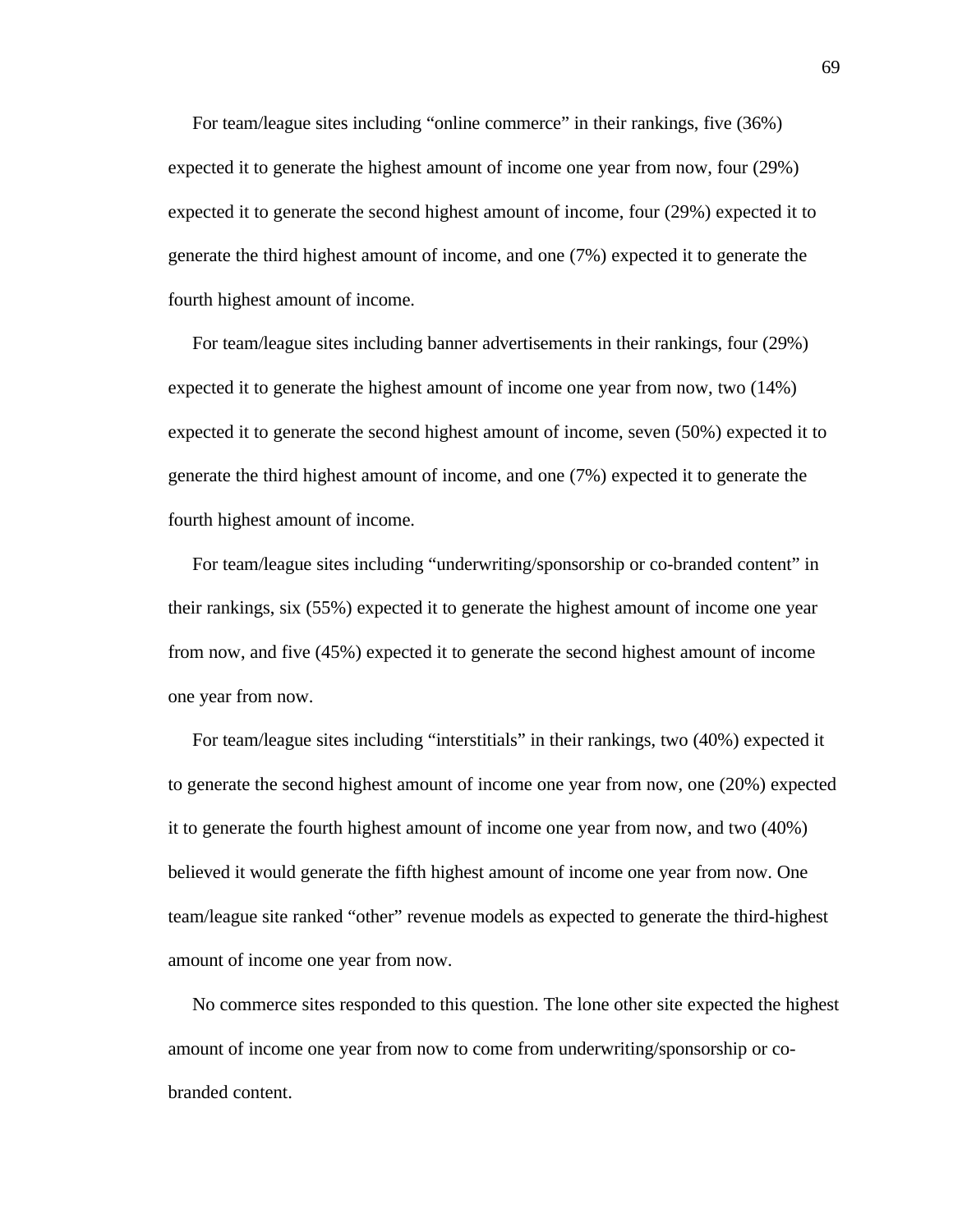For team/league sites including "online commerce" in their rankings, five (36%) expected it to generate the highest amount of income one year from now, four (29%) expected it to generate the second highest amount of income, four (29%) expected it to generate the third highest amount of income, and one (7%) expected it to generate the fourth highest amount of income.

 For team/league sites including banner advertisements in their rankings, four (29%) expected it to generate the highest amount of income one year from now, two (14%) expected it to generate the second highest amount of income, seven (50%) expected it to generate the third highest amount of income, and one (7%) expected it to generate the fourth highest amount of income.

 For team/league sites including "underwriting/sponsorship or co-branded content" in their rankings, six (55%) expected it to generate the highest amount of income one year from now, and five (45%) expected it to generate the second highest amount of income one year from now.

 For team/league sites including "interstitials" in their rankings, two (40%) expected it to generate the second highest amount of income one year from now, one (20%) expected it to generate the fourth highest amount of income one year from now, and two (40%) believed it would generate the fifth highest amount of income one year from now. One team/league site ranked "other" revenue models as expected to generate the third-highest amount of income one year from now.

 No commerce sites responded to this question. The lone other site expected the highest amount of income one year from now to come from underwriting/sponsorship or cobranded content.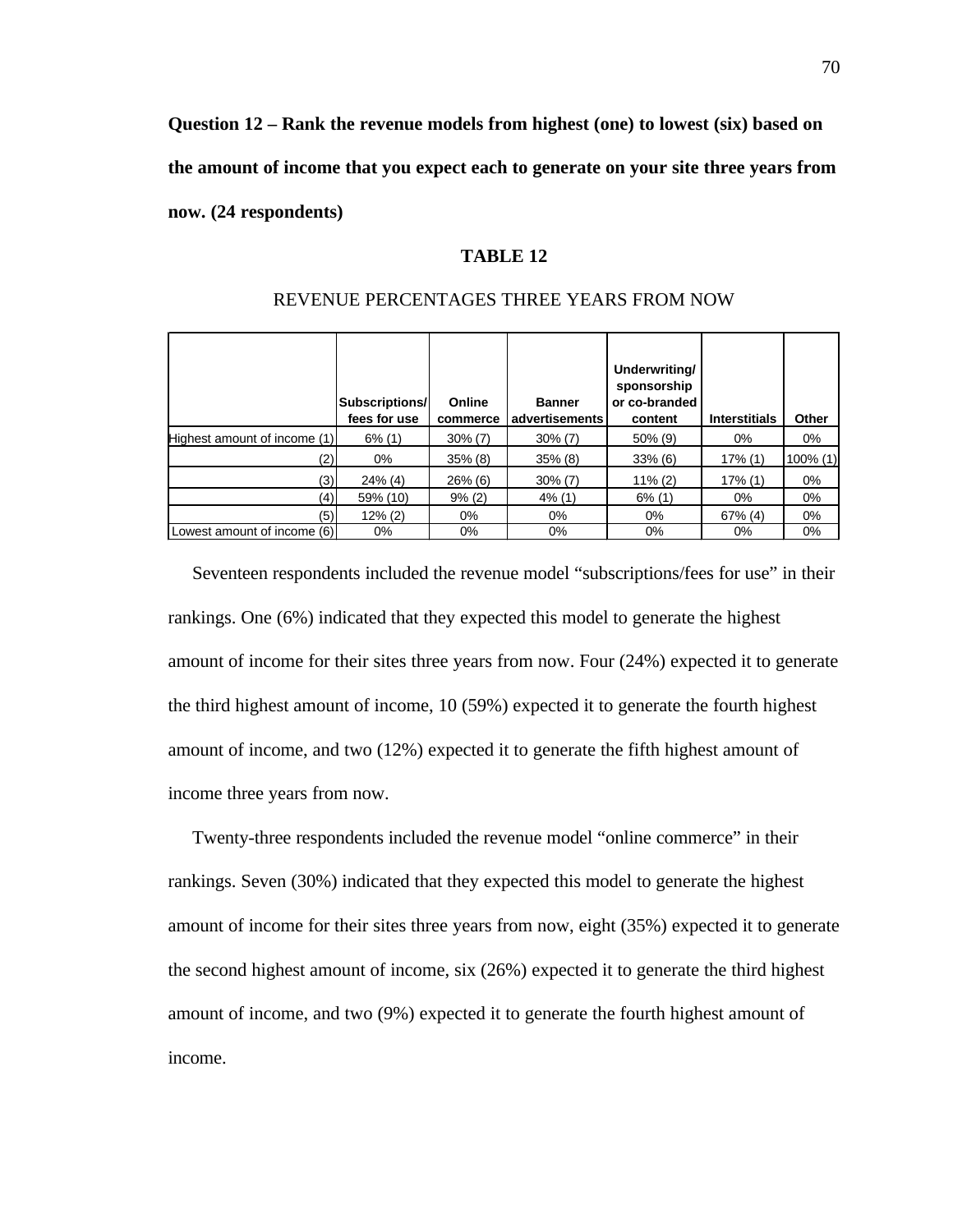**Question 12 – Rank the revenue models from highest (one) to lowest (six) based on the amount of income that you expect each to generate on your site three years from now. (24 respondents)**

# **TABLE 12**

|                              | Subscriptions/<br>fees for use | Online<br>commerce | <b>Banner</b><br>advertisements | Underwriting/<br>sponsorship<br>or co-branded<br>content | <b>Interstitials</b> | Other       |
|------------------------------|--------------------------------|--------------------|---------------------------------|----------------------------------------------------------|----------------------|-------------|
| Highest amount of income (1) | $6\%$ (1)                      | $30\%$ (7)         | $30\%$ (7)                      | $50\%$ (9)                                               | 0%                   | 0%          |
| (2)                          | $0\%$                          | $35\%$ (8)         | $35\%$ (8)                      | $33\%$ (6)                                               | 17% (1)              | $100\%$ (1) |
| (3)                          | $24\%$ (4)                     | $26\%$ (6)         | $30\%$ (7)                      | $11\% (2)$                                               | 17% (1)              | $0\%$       |
| (4)                          | 59% (10)                       | 9% (2)             | $4\%$ (1)                       | $6\%$ (1)                                                | 0%                   | 0%          |
| (5)                          | $12\%$ (2)                     | $0\%$              | 0%                              | $0\%$                                                    | $67\%$ (4)           | 0%          |
| Lowest amount of income (6)  | 0%                             | $0\%$              | 0%                              | $0\%$                                                    | 0%                   | 0%          |

#### REVENUE PERCENTAGES THREE YEARS FROM NOW

 Seventeen respondents included the revenue model "subscriptions/fees for use" in their rankings. One (6%) indicated that they expected this model to generate the highest amount of income for their sites three years from now. Four (24%) expected it to generate the third highest amount of income, 10 (59%) expected it to generate the fourth highest amount of income, and two (12%) expected it to generate the fifth highest amount of income three years from now.

 Twenty-three respondents included the revenue model "online commerce" in their rankings. Seven (30%) indicated that they expected this model to generate the highest amount of income for their sites three years from now, eight (35%) expected it to generate the second highest amount of income, six (26%) expected it to generate the third highest amount of income, and two (9%) expected it to generate the fourth highest amount of income.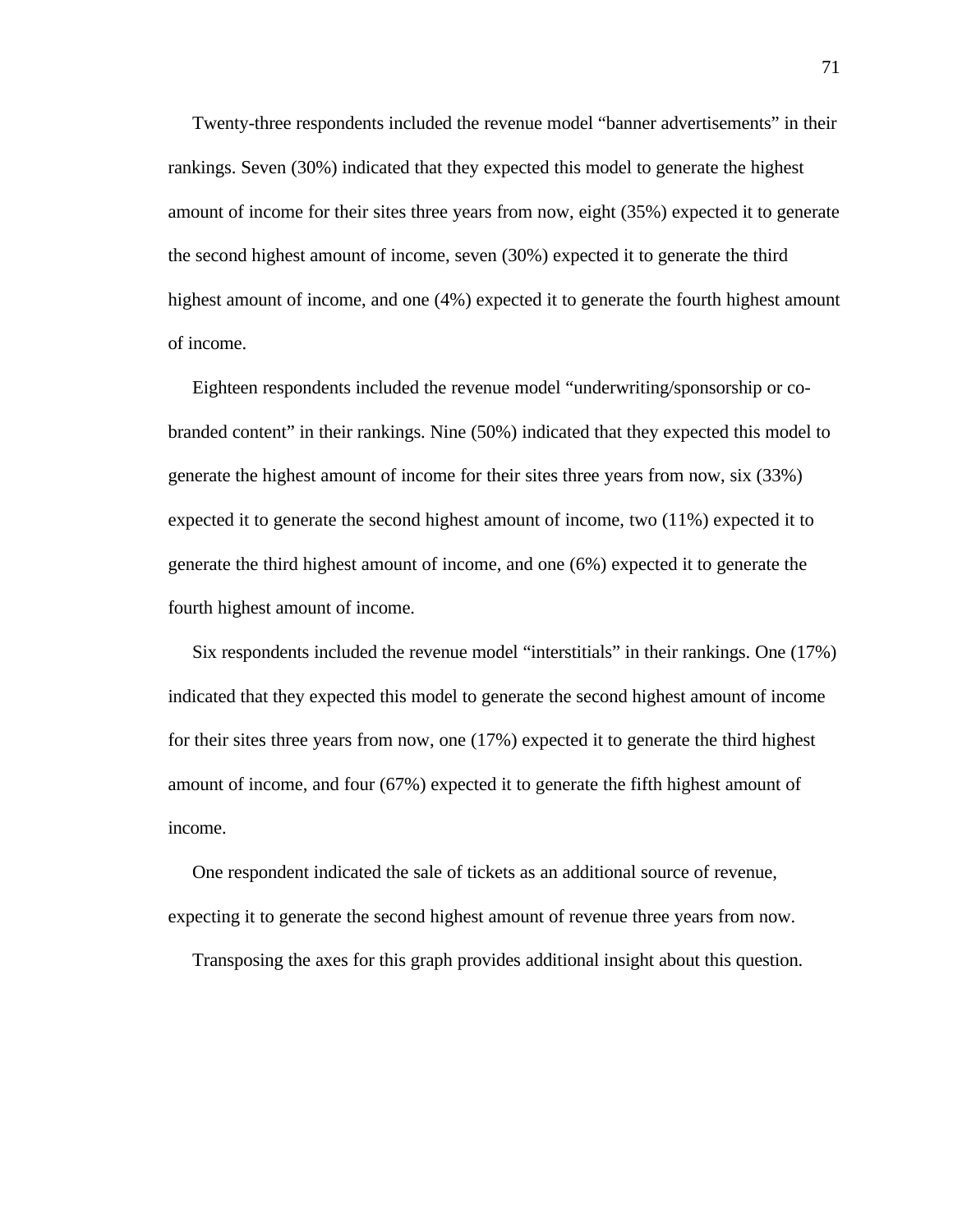Twenty-three respondents included the revenue model "banner advertisements" in their rankings. Seven (30%) indicated that they expected this model to generate the highest amount of income for their sites three years from now, eight (35%) expected it to generate the second highest amount of income, seven (30%) expected it to generate the third highest amount of income, and one (4%) expected it to generate the fourth highest amount of income.

 Eighteen respondents included the revenue model "underwriting/sponsorship or cobranded content" in their rankings. Nine (50%) indicated that they expected this model to generate the highest amount of income for their sites three years from now, six (33%) expected it to generate the second highest amount of income, two (11%) expected it to generate the third highest amount of income, and one (6%) expected it to generate the fourth highest amount of income.

 Six respondents included the revenue model "interstitials" in their rankings. One (17%) indicated that they expected this model to generate the second highest amount of income for their sites three years from now, one (17%) expected it to generate the third highest amount of income, and four (67%) expected it to generate the fifth highest amount of income.

 One respondent indicated the sale of tickets as an additional source of revenue, expecting it to generate the second highest amount of revenue three years from now.

Transposing the axes for this graph provides additional insight about this question.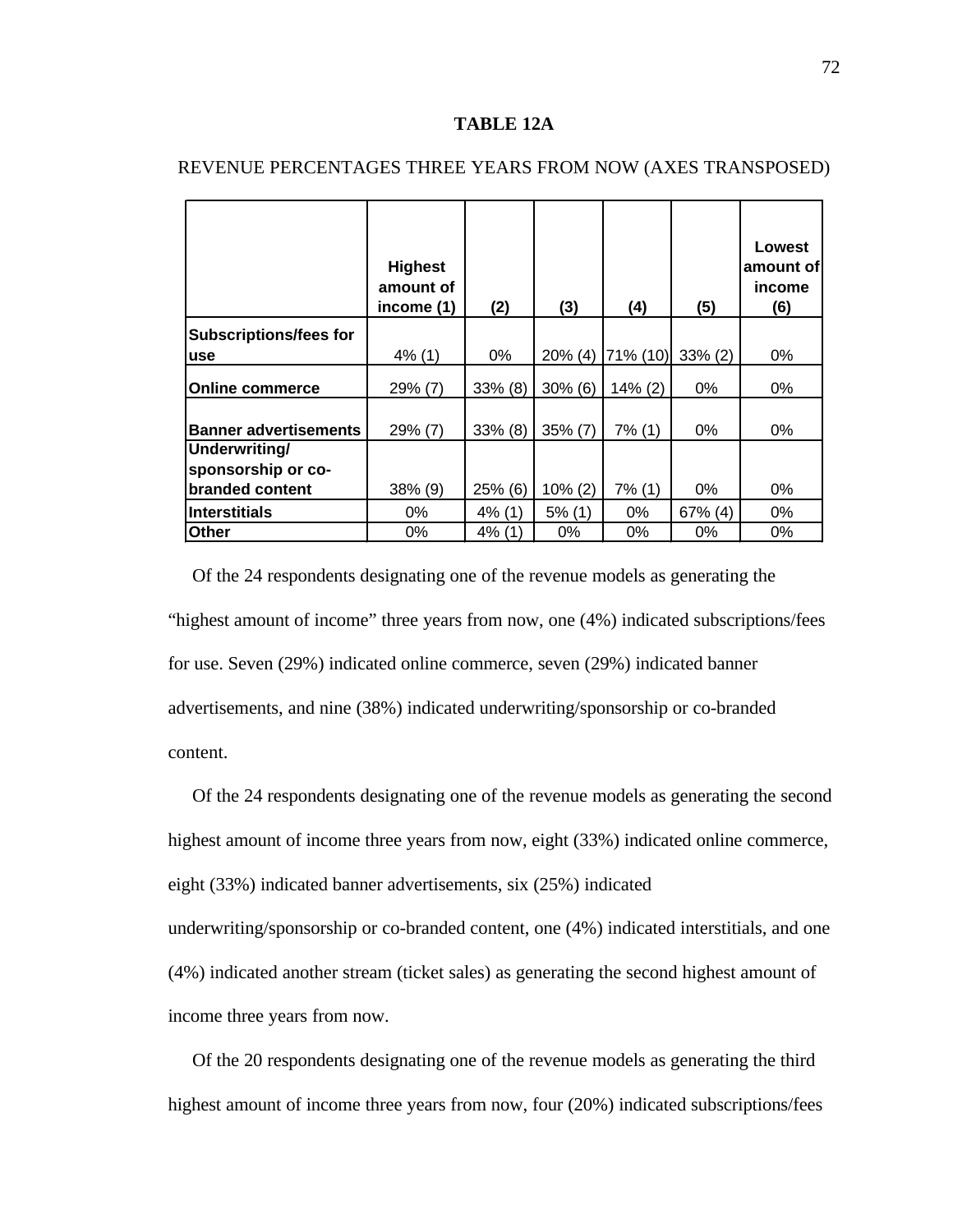#### **TABLE 12A**

|                               | <b>Highest</b><br>amount of<br>income (1) | (2)        | (3)        | (4)        | (5)        | Lowest<br>amount of<br>income<br>(6) |
|-------------------------------|-------------------------------------------|------------|------------|------------|------------|--------------------------------------|
| <b>Subscriptions/fees for</b> |                                           |            |            |            |            |                                      |
| <b>use</b>                    | $4\%$ (1)                                 | 0%         | $20\%$ (4) | 71% (10)   | $33\% (2)$ | $0\%$                                |
| <b>Online commerce</b>        | $29\%$ (7)                                | $33\%$ (8) | $30\%$ (6) | $14\%$ (2) | $0\%$      | 0%                                   |
| <b>Banner advertisements</b>  | $29\%$ (7)                                | $33\%$ (8) | $35\%$ (7) | 7% (1)     | $0\%$      | 0%                                   |
| Underwriting/                 |                                           |            |            |            |            |                                      |
| sponsorship or co-            |                                           |            |            |            |            |                                      |
| branded content               | 38% (9)                                   | 25% (6)    | $10\% (2)$ | $7\%$ (1)  | $0\%$      | 0%                                   |
| <b>Interstitials</b>          | 0%                                        | $4\%$ (1)  | $5%$ (1)   | 0%         | 67% (4)    | 0%                                   |
| Other                         | $0\%$                                     | 4% (1      | $0\%$      | $0\%$      | 0%         | 0%                                   |

# REVENUE PERCENTAGES THREE YEARS FROM NOW (AXES TRANSPOSED)

 Of the 24 respondents designating one of the revenue models as generating the "highest amount of income" three years from now, one (4%) indicated subscriptions/fees for use. Seven (29%) indicated online commerce, seven (29%) indicated banner advertisements, and nine (38%) indicated underwriting/sponsorship or co-branded content.

 Of the 24 respondents designating one of the revenue models as generating the second highest amount of income three years from now, eight (33%) indicated online commerce, eight (33%) indicated banner advertisements, six (25%) indicated underwriting/sponsorship or co-branded content, one (4%) indicated interstitials, and one

(4%) indicated another stream (ticket sales) as generating the second highest amount of

income three years from now.

 Of the 20 respondents designating one of the revenue models as generating the third highest amount of income three years from now, four (20%) indicated subscriptions/fees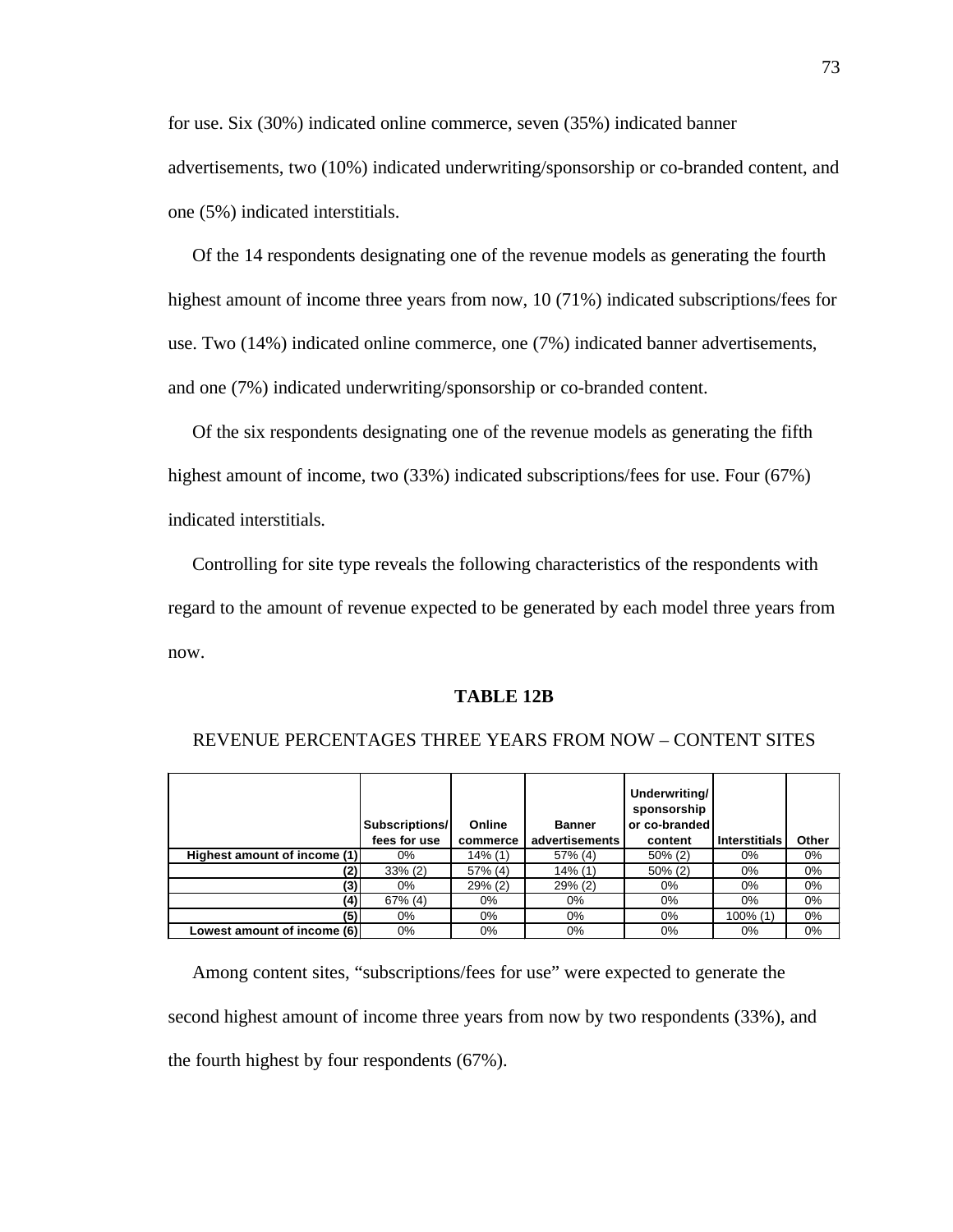for use. Six (30%) indicated online commerce, seven (35%) indicated banner

advertisements, two (10%) indicated underwriting/sponsorship or co-branded content, and one (5%) indicated interstitials.

 Of the 14 respondents designating one of the revenue models as generating the fourth highest amount of income three years from now, 10 (71%) indicated subscriptions/fees for use. Two (14%) indicated online commerce, one (7%) indicated banner advertisements, and one (7%) indicated underwriting/sponsorship or co-branded content.

Of the six respondents designating one of the revenue models as generating the fifth highest amount of income, two (33%) indicated subscriptions/fees for use. Four (67%) indicated interstitials.

 Controlling for site type reveals the following characteristics of the respondents with regard to the amount of revenue expected to be generated by each model three years from now.

# **TABLE 12B**

|                              | Subscriptions/<br>fees for use | Online<br>commerce | <b>Banner</b><br>advertisements | Underwriting/<br>sponsorship<br>or co-branded<br>content | <b>Interstitials</b> | Other |
|------------------------------|--------------------------------|--------------------|---------------------------------|----------------------------------------------------------|----------------------|-------|
| Highest amount of income (1) | 0%                             | $14\%$ (1)         | 57% (4)                         | $50\%$ (2)                                               | 0%                   | $0\%$ |
| (2)                          | $33\%$ (2)                     | 57% (4)            | 14% (1)                         | $50\%$ (2)                                               | $0\%$                | $0\%$ |
| (3)                          | $0\%$                          | $29\%$ (2)         | $29\%$ (2)                      | $0\%$                                                    | $0\%$                | $0\%$ |
| (4)                          | $67\%$ (4)                     | 0%                 | $0\%$                           | $0\%$                                                    | $0\%$                | $0\%$ |
| (5)                          | $0\%$                          | 0%                 | $0\%$                           | $0\%$                                                    | 100% (1)             | $0\%$ |
| Lowest amount of income (6)  | $0\%$                          | 0%                 | $0\%$                           | $0\%$                                                    | $0\%$                | $0\%$ |

#### REVENUE PERCENTAGES THREE YEARS FROM NOW – CONTENT SITES

 Among content sites, "subscriptions/fees for use" were expected to generate the second highest amount of income three years from now by two respondents (33%), and the fourth highest by four respondents (67%).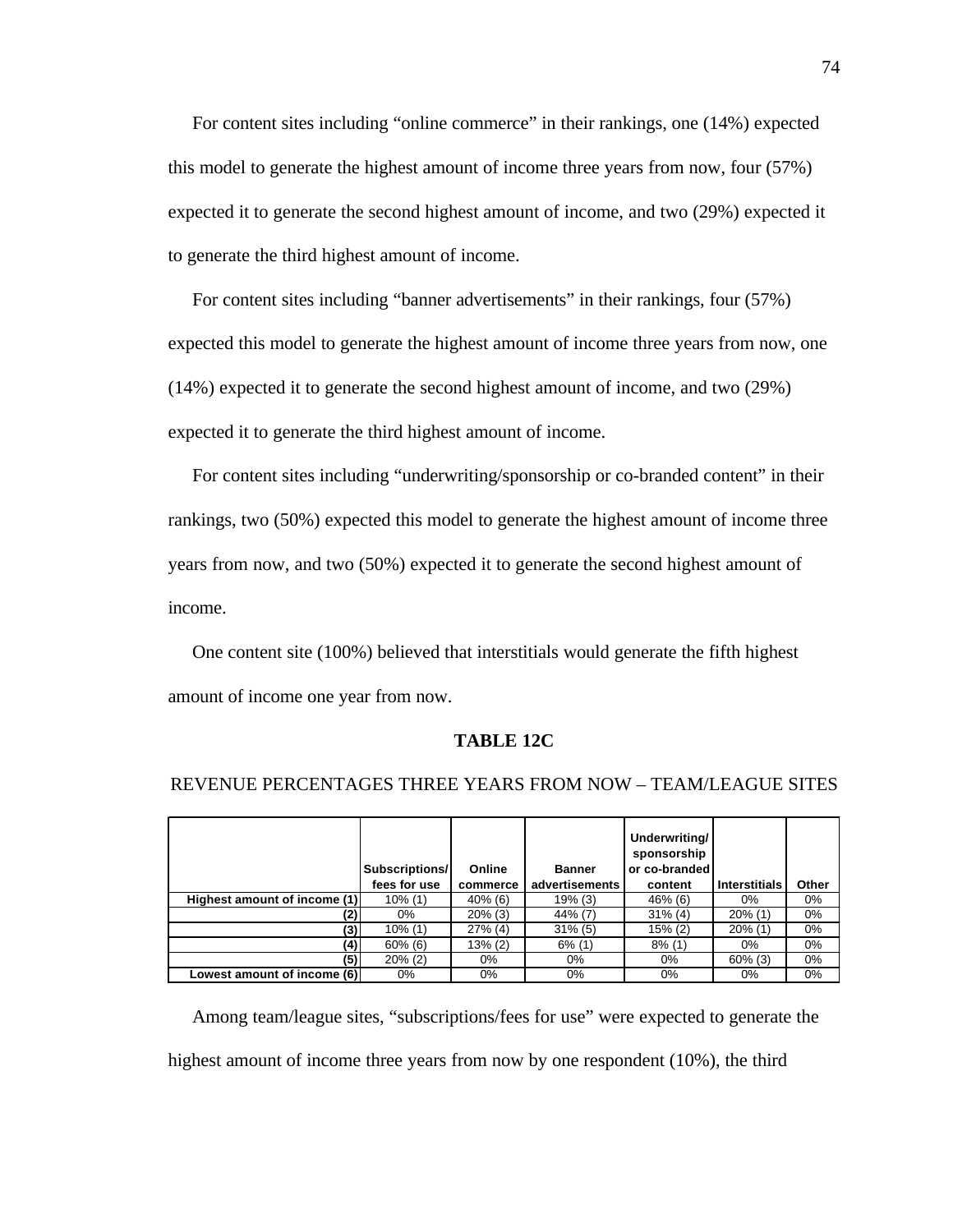For content sites including "online commerce" in their rankings, one (14%) expected this model to generate the highest amount of income three years from now, four (57%) expected it to generate the second highest amount of income, and two (29%) expected it to generate the third highest amount of income.

 For content sites including "banner advertisements" in their rankings, four (57%) expected this model to generate the highest amount of income three years from now, one (14%) expected it to generate the second highest amount of income, and two (29%) expected it to generate the third highest amount of income.

 For content sites including "underwriting/sponsorship or co-branded content" in their rankings, two (50%) expected this model to generate the highest amount of income three years from now, and two (50%) expected it to generate the second highest amount of income.

 One content site (100%) believed that interstitials would generate the fifth highest amount of income one year from now.

#### **TABLE 12C**

|                              | Subscriptions/<br>fees for use | Online<br>commerce | <b>Banner</b><br>advertisements | Underwriting/<br>sponsorship<br>or co-branded<br>content | <b>Interstitials</b> | Other |
|------------------------------|--------------------------------|--------------------|---------------------------------|----------------------------------------------------------|----------------------|-------|
| Highest amount of income (1) | $10\%$ (1)                     | $40\%$ (6)         | $19\%$ (3)                      | 46% (6)                                                  | 0%                   | $0\%$ |
| (2)                          | $0\%$                          | $20\%$ (3)         | 44% (7)                         | $31\%$ (4)                                               | $20\%$ (1)           | 0%    |
| (3)                          | $10\%$ (1)                     | 27% (4)            | $31\%$ (5)                      | $15\%$ (2)                                               | $20\%$ (1)           | $0\%$ |
| (4)                          | $60\%$ (6)                     | $13\%(2)$          | $6\%$ (1)                       | $8\%$ (1)                                                | 0%                   | $0\%$ |
| (5)                          | $20\%$ (2)                     | 0%                 | $0\%$                           | $0\%$                                                    | $60\%$ (3)           | 0%    |
| Lowest amount of income (6)  | $0\%$                          | 0%                 | $0\%$                           | 0%                                                       | 0%                   | $0\%$ |

#### REVENUE PERCENTAGES THREE YEARS FROM NOW – TEAM/LEAGUE SITES

 Among team/league sites, "subscriptions/fees for use" were expected to generate the highest amount of income three years from now by one respondent (10%), the third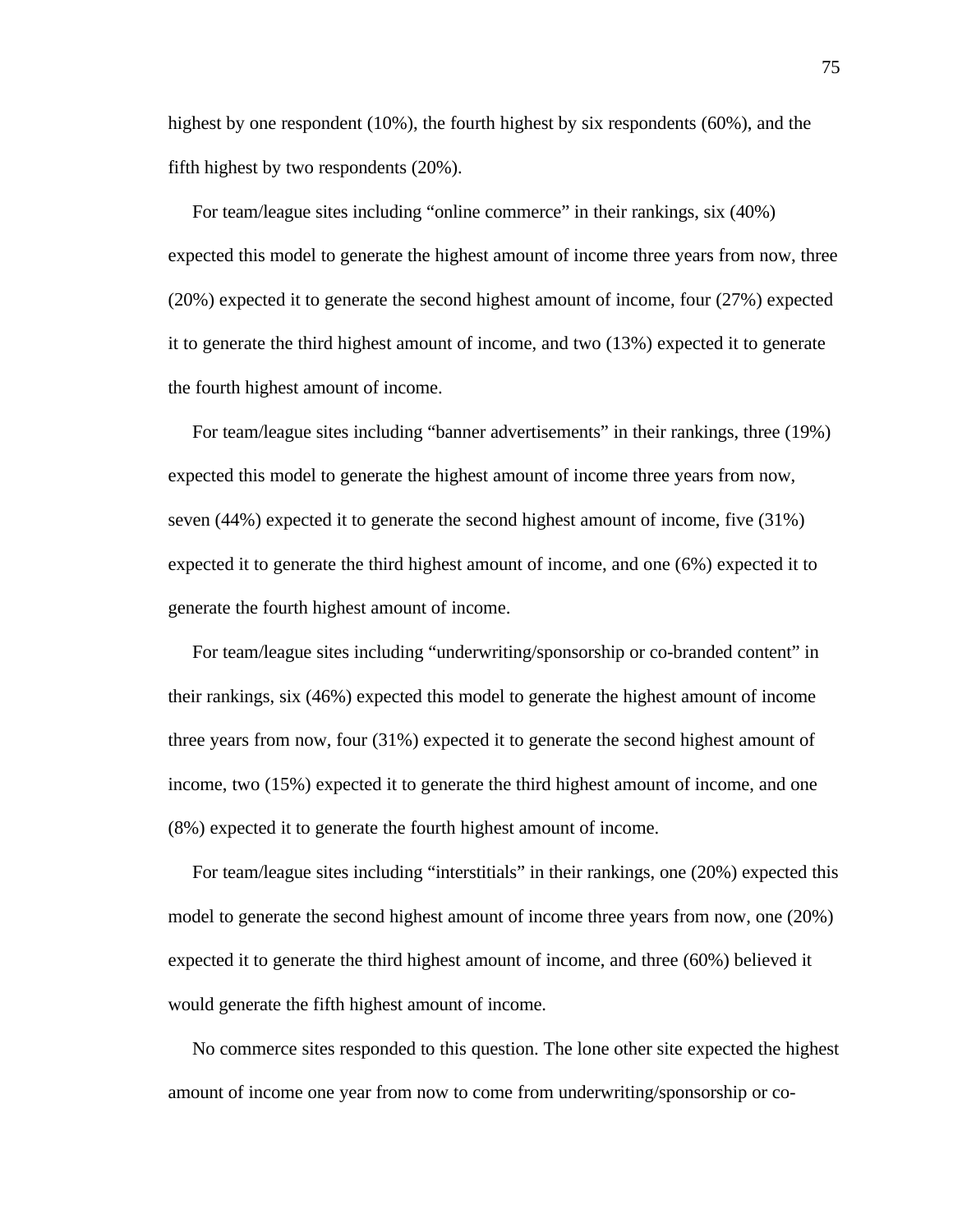highest by one respondent (10%), the fourth highest by six respondents (60%), and the fifth highest by two respondents (20%).

 For team/league sites including "online commerce" in their rankings, six (40%) expected this model to generate the highest amount of income three years from now, three (20%) expected it to generate the second highest amount of income, four (27%) expected it to generate the third highest amount of income, and two (13%) expected it to generate the fourth highest amount of income.

 For team/league sites including "banner advertisements" in their rankings, three (19%) expected this model to generate the highest amount of income three years from now, seven (44%) expected it to generate the second highest amount of income, five (31%) expected it to generate the third highest amount of income, and one (6%) expected it to generate the fourth highest amount of income.

 For team/league sites including "underwriting/sponsorship or co-branded content" in their rankings, six (46%) expected this model to generate the highest amount of income three years from now, four (31%) expected it to generate the second highest amount of income, two (15%) expected it to generate the third highest amount of income, and one (8%) expected it to generate the fourth highest amount of income.

 For team/league sites including "interstitials" in their rankings, one (20%) expected this model to generate the second highest amount of income three years from now, one (20%) expected it to generate the third highest amount of income, and three (60%) believed it would generate the fifth highest amount of income.

 No commerce sites responded to this question. The lone other site expected the highest amount of income one year from now to come from underwriting/sponsorship or co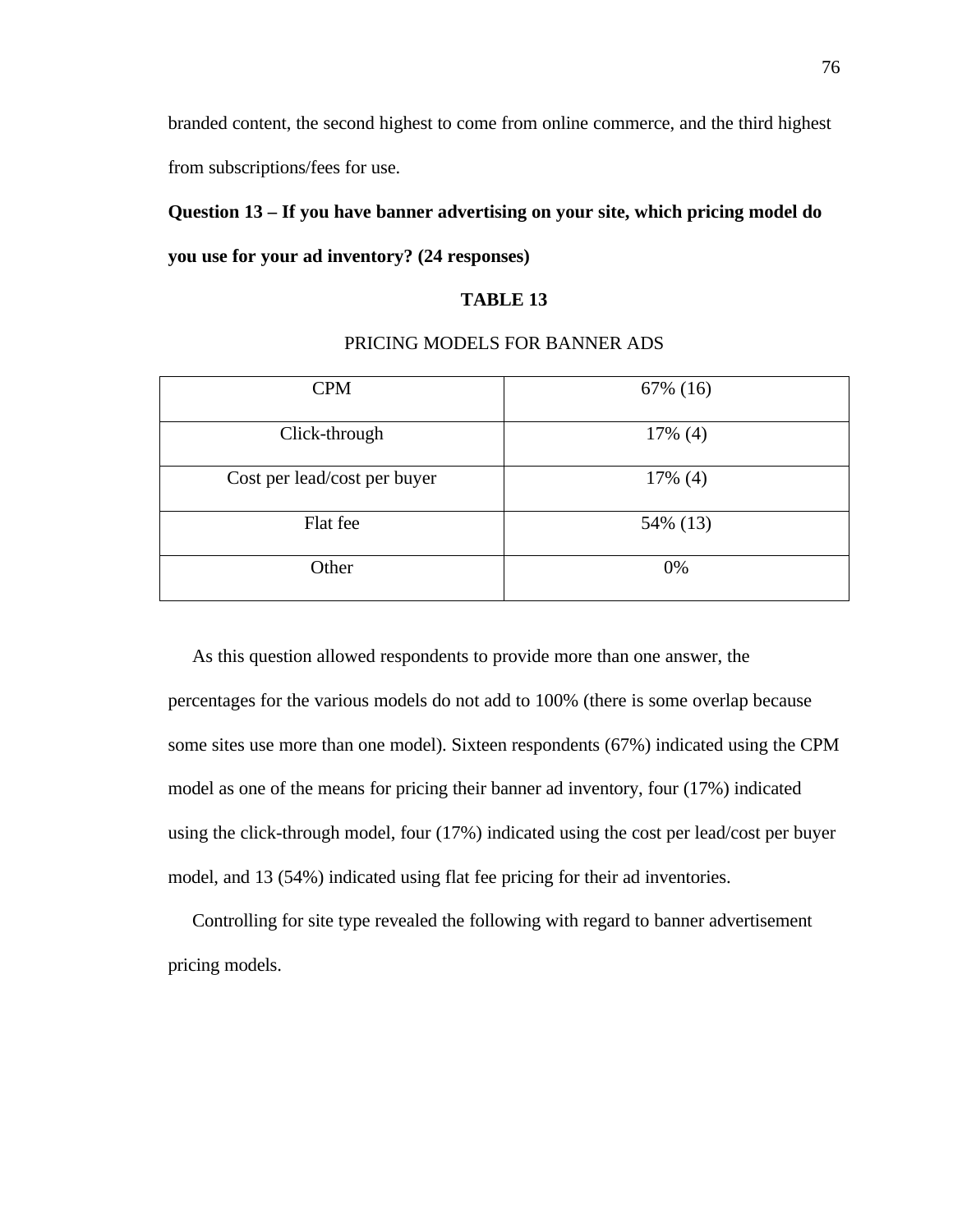branded content, the second highest to come from online commerce, and the third highest from subscriptions/fees for use.

# **Question 13 – If you have banner advertising on your site, which pricing model do you use for your ad inventory? (24 responses)**

# **TABLE 13**

| <b>CPM</b>                   | 67% (16)   |
|------------------------------|------------|
| Click-through                | $17\%$ (4) |
| Cost per lead/cost per buyer | 17% (4)    |
| Flat fee                     | 54% (13)   |
| Other                        | 0%         |

# PRICING MODELS FOR BANNER ADS

 As this question allowed respondents to provide more than one answer, the percentages for the various models do not add to 100% (there is some overlap because some sites use more than one model). Sixteen respondents (67%) indicated using the CPM model as one of the means for pricing their banner ad inventory, four (17%) indicated using the click-through model, four (17%) indicated using the cost per lead/cost per buyer model, and 13 (54%) indicated using flat fee pricing for their ad inventories.

 Controlling for site type revealed the following with regard to banner advertisement pricing models.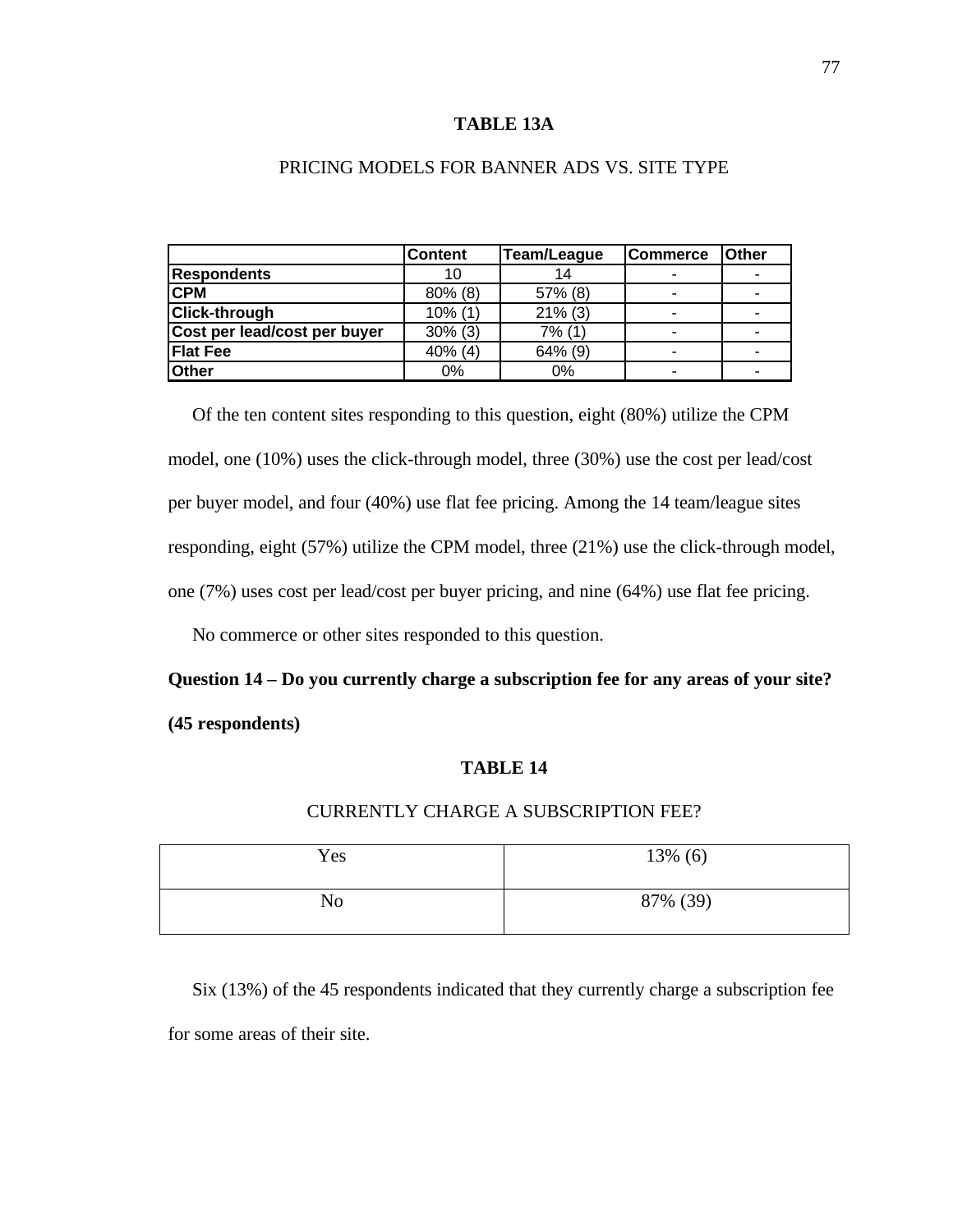#### **TABLE 13A**

|                              | <b>Content</b> | Team/League | <b>Commerce</b>          | <b>Other</b> |
|------------------------------|----------------|-------------|--------------------------|--------------|
| <b>Respondents</b>           | 10             | 14          |                          |              |
| <b>CPM</b>                   | $80\%$ (8)     | 57% (8)     |                          |              |
| <b>Click-through</b>         | $10\%$ (1)     | $21\%$ (3)  | $\overline{\phantom{0}}$ |              |
| Cost per lead/cost per buyer | $30\%$ (3)     | $7%$ (1)    |                          |              |
| <b>Flat Fee</b>              | 40% (4)        | 64% (9)     |                          |              |
| <b>Other</b>                 | 0%             | 0%          |                          |              |

# PRICING MODELS FOR BANNER ADS VS. SITE TYPE

Of the ten content sites responding to this question, eight (80%) utilize the CPM model, one (10%) uses the click-through model, three (30%) use the cost per lead/cost per buyer model, and four (40%) use flat fee pricing. Among the 14 team/league sites responding, eight (57%) utilize the CPM model, three (21%) use the click-through model, one (7%) uses cost per lead/cost per buyer pricing, and nine (64%) use flat fee pricing.

No commerce or other sites responded to this question.

# **Question 14 – Do you currently charge a subscription fee for any areas of your site? (45 respondents)**

#### **TABLE 14**

# CURRENTLY CHARGE A SUBSCRIPTION FEE?

| Yes | 13% (6)  |
|-----|----------|
| No  | 87% (39) |

 Six (13%) of the 45 respondents indicated that they currently charge a subscription fee for some areas of their site.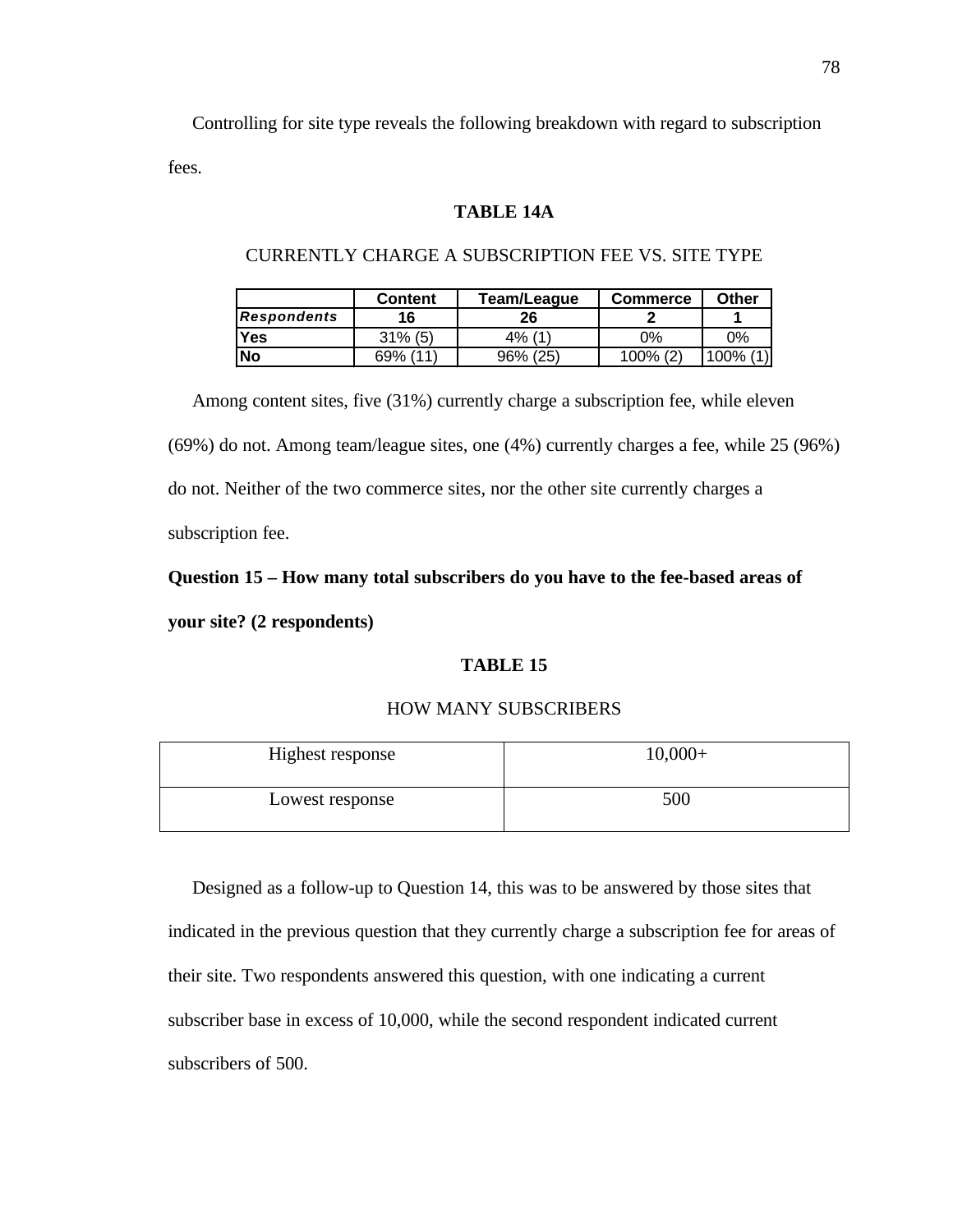Controlling for site type reveals the following breakdown with regard to subscription fees.

#### **TABLE 14A**

|                    | <b>Content</b> | Team/League | <b>Commerce</b> | Other |
|--------------------|----------------|-------------|-----------------|-------|
| <b>Respondents</b> | 16             | 26          |                 |       |
| <b>Yes</b>         | $31\%$ (5)     | $4\%$ (1)   | ገ%              | 0%    |
| <b>No</b>          | 69% (11)       | 96% (25)    | 100% (2)        | 100%  |

# CURRENTLY CHARGE A SUBSCRIPTION FEE VS. SITE TYPE

 Among content sites, five (31%) currently charge a subscription fee, while eleven (69%) do not. Among team/league sites, one (4%) currently charges a fee, while 25 (96%) do not. Neither of the two commerce sites, nor the other site currently charges a subscription fee.

#### **Question 15 – How many total subscribers do you have to the fee-based areas of**

**your site? (2 respondents)**

#### **TABLE 15**

#### HOW MANY SUBSCRIBERS

| Highest response | $10,000+$ |
|------------------|-----------|
| Lowest response  | 500       |

 Designed as a follow-up to Question 14, this was to be answered by those sites that indicated in the previous question that they currently charge a subscription fee for areas of their site. Two respondents answered this question, with one indicating a current subscriber base in excess of 10,000, while the second respondent indicated current subscribers of 500.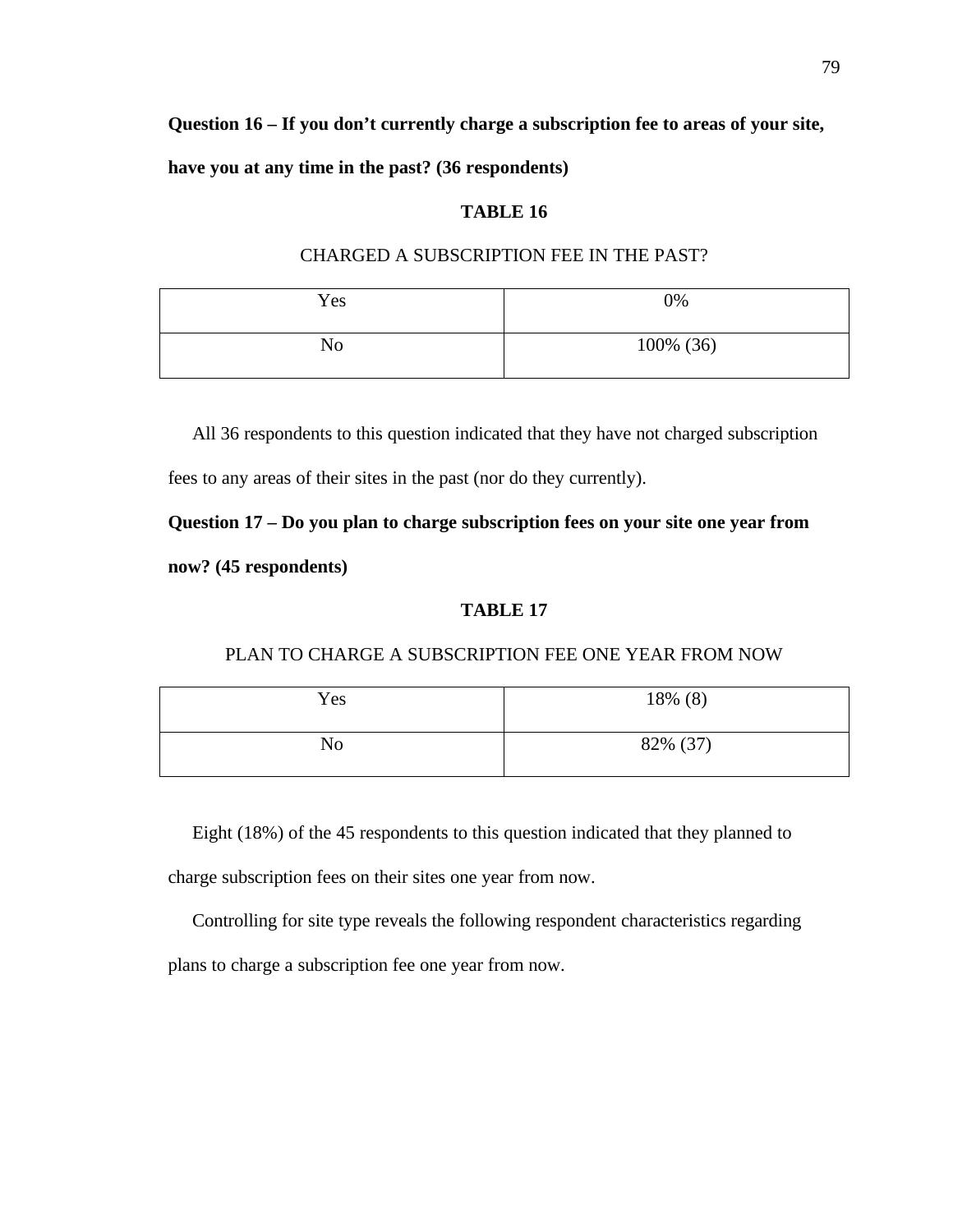**Question 16 – If you don't currently charge a subscription fee to areas of your site,**

**have you at any time in the past? (36 respondents)**

#### **TABLE 16**

#### CHARGED A SUBSCRIPTION FEE IN THE PAST?

| Yes | 0%        |
|-----|-----------|
| No  | 100% (36) |

All 36 respondents to this question indicated that they have not charged subscription

fees to any areas of their sites in the past (nor do they currently).

**Question 17 – Do you plan to charge subscription fees on your site one year from now? (45 respondents)**

#### **TABLE 17**

#### PLAN TO CHARGE A SUBSCRIPTION FEE ONE YEAR FROM NOW

| Yes | 18% (8)  |
|-----|----------|
| No  | 82% (37) |

Eight (18%) of the 45 respondents to this question indicated that they planned to

charge subscription fees on their sites one year from now.

Controlling for site type reveals the following respondent characteristics regarding

plans to charge a subscription fee one year from now.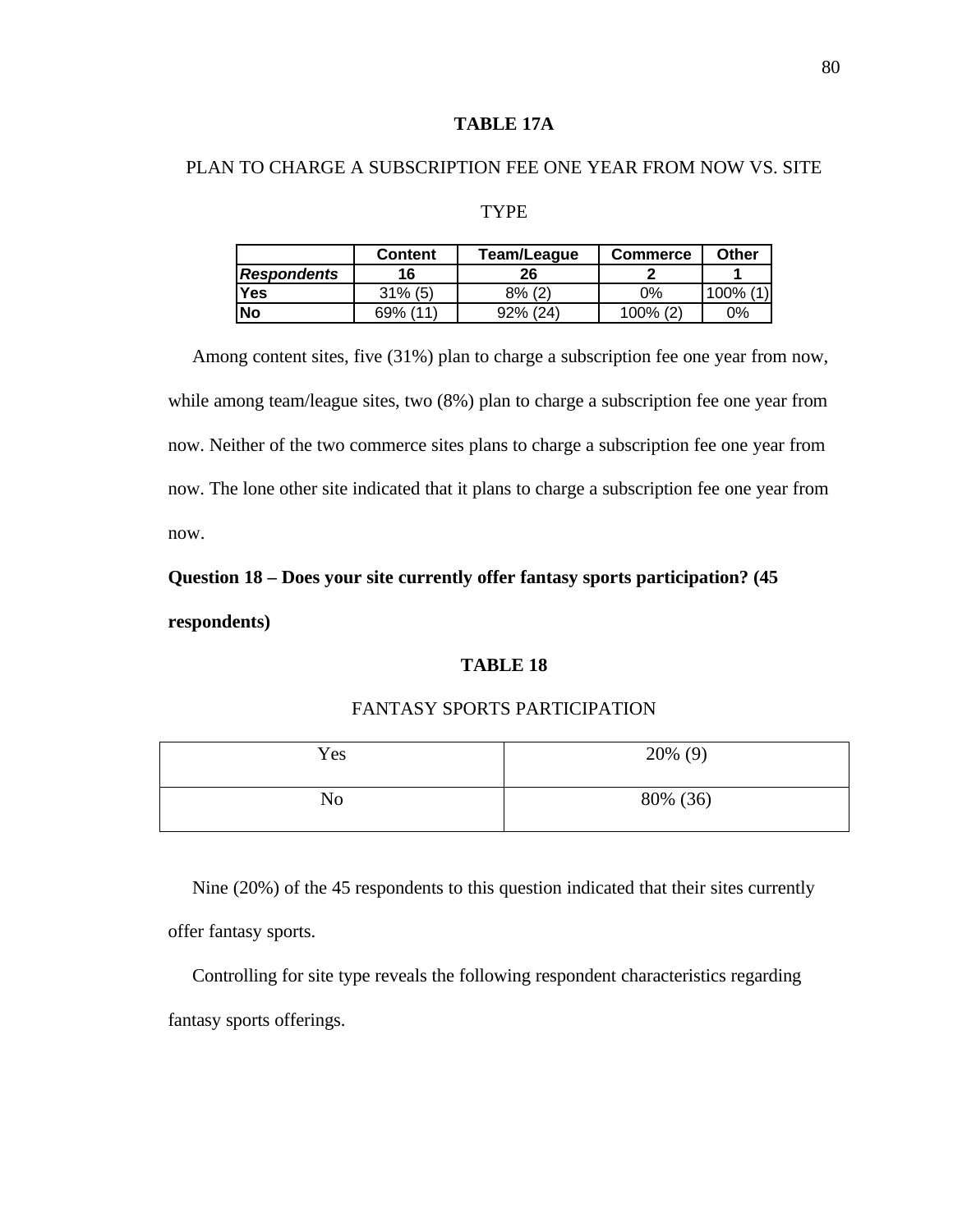# **TABLE 17A**

# PLAN TO CHARGE A SUBSCRIPTION FEE ONE YEAR FROM NOW VS. SITE

#### TYPE

|                    | Content    | Team/League | <b>Commerce</b> | Other |
|--------------------|------------|-------------|-----------------|-------|
| <b>Respondents</b> | 16         | 26          |                 |       |
| Yes                | $31\%$ (5) | $8\%$ (2)   | 0%              | 100%  |
| <b>No</b>          | 69% (11)   | 92% (24)    | $100\%$ (2)     | $0\%$ |

 Among content sites, five (31%) plan to charge a subscription fee one year from now, while among team/league sites, two (8%) plan to charge a subscription fee one year from now. Neither of the two commerce sites plans to charge a subscription fee one year from now. The lone other site indicated that it plans to charge a subscription fee one year from now.

# **Question 18 – Does your site currently offer fantasy sports participation? (45**

**respondents)**

# **TABLE 18**

#### FANTASY SPORTS PARTICIPATION

| Yes | $20\%$ (9) |
|-----|------------|
| No  | 80% (36)   |

 Nine (20%) of the 45 respondents to this question indicated that their sites currently offer fantasy sports.

 Controlling for site type reveals the following respondent characteristics regarding fantasy sports offerings.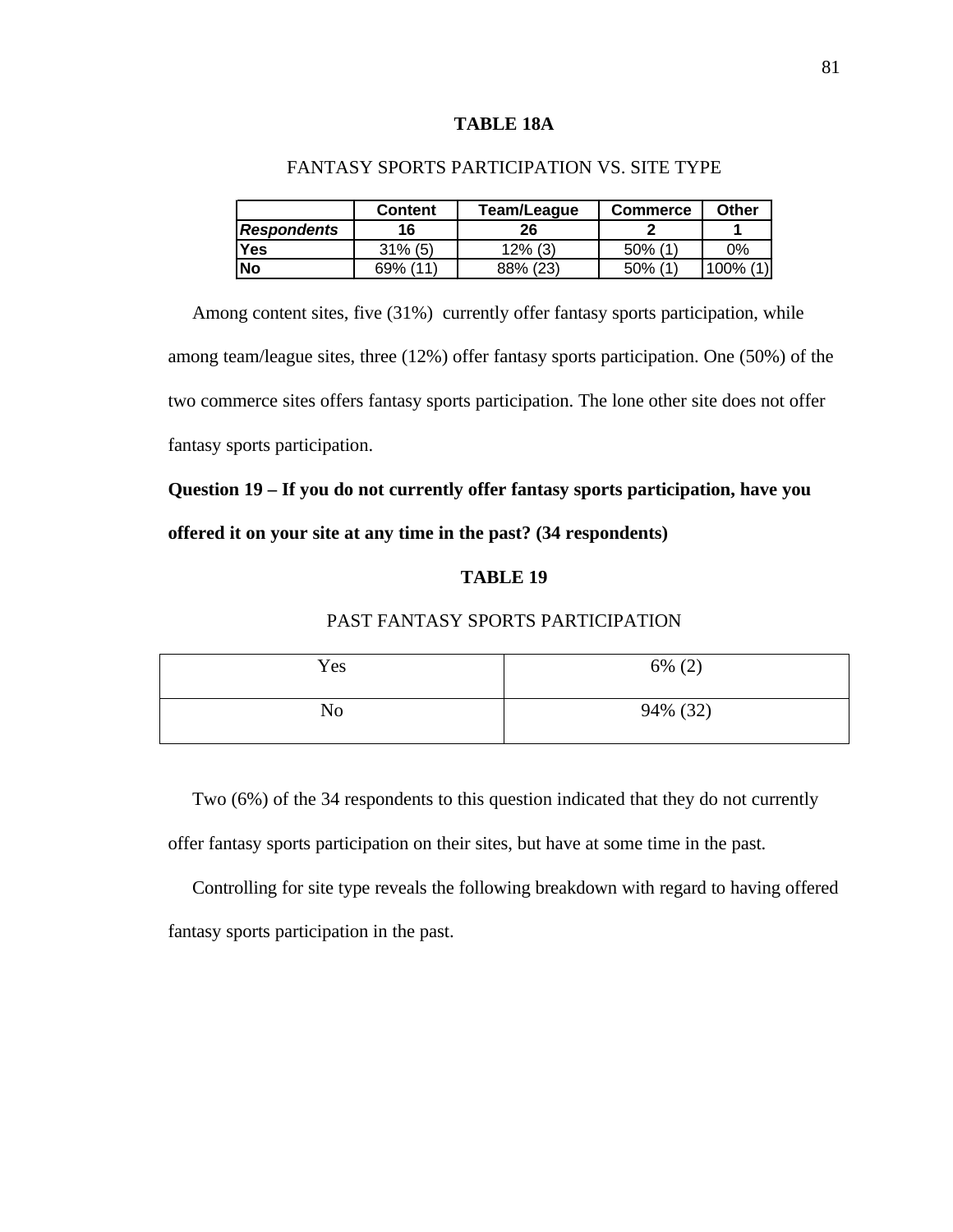#### **TABLE 18A**

|                    | <b>Content</b> | Team/League | Commerce   | Other       |
|--------------------|----------------|-------------|------------|-------------|
| <b>Respondents</b> | 16             | 26          |            |             |
| <b>Yes</b>         | $31\%$ (5)     | $12\%$ (3)  | $50\%$ (1) | 0%          |
| lNo                | 69% (11)       | 88% (23)    | $50\%$ (1) | $100\%$ (1) |

# FANTASY SPORTS PARTICIPATION VS. SITE TYPE

 Among content sites, five (31%) currently offer fantasy sports participation, while among team/league sites, three (12%) offer fantasy sports participation. One (50%) of the two commerce sites offers fantasy sports participation. The lone other site does not offer fantasy sports participation.

**Question 19 – If you do not currently offer fantasy sports participation, have you offered it on your site at any time in the past? (34 respondents)**

# **TABLE 19**

# PAST FANTASY SPORTS PARTICIPATION

| Yes | $6\%$ (2) |
|-----|-----------|
| No  | 94% (32)  |

Two (6%) of the 34 respondents to this question indicated that they do not currently offer fantasy sports participation on their sites, but have at some time in the past.

 Controlling for site type reveals the following breakdown with regard to having offered fantasy sports participation in the past.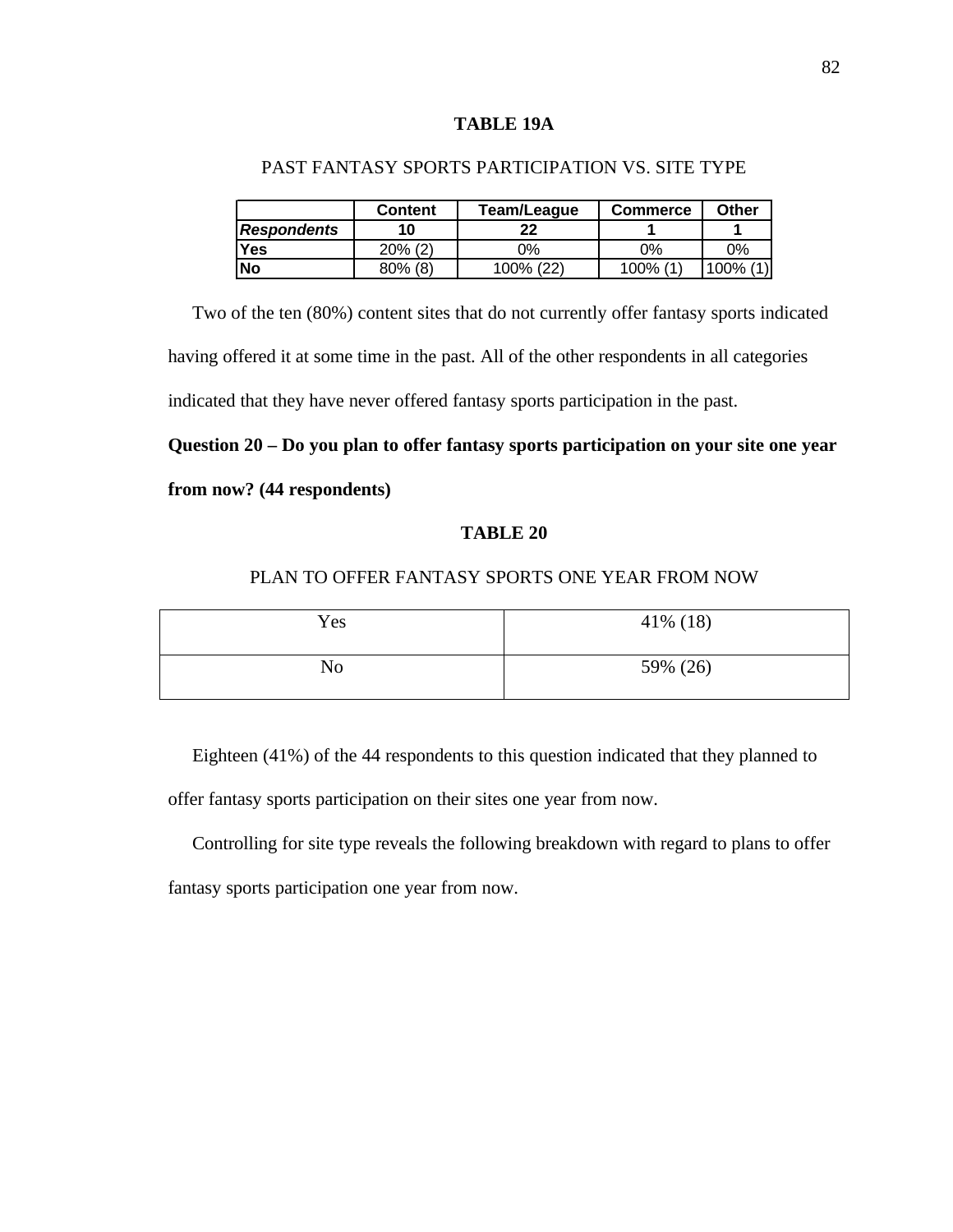#### **TABLE 19A**

|                    | <b>Content</b> | Team/League | <b>Commerce</b> | Other       |
|--------------------|----------------|-------------|-----------------|-------------|
| <b>Respondents</b> | 10             | າາ          |                 |             |
| <b>Yes</b>         | $20\%$ (2)     | ገ%          | ገ%              | 0%          |
| <b>No</b>          | $80\%$ (8)     | 100% (22)   | 100% (1         | $100\%$ (1) |

# PAST FANTASY SPORTS PARTICIPATION VS. SITE TYPE

Two of the ten (80%) content sites that do not currently offer fantasy sports indicated having offered it at some time in the past. All of the other respondents in all categories indicated that they have never offered fantasy sports participation in the past.

**Question 20 – Do you plan to offer fantasy sports participation on your site one year**

# **from now? (44 respondents)**

#### **TABLE 20**

# PLAN TO OFFER FANTASY SPORTS ONE YEAR FROM NOW

| Yes | $41\%$ (18) |
|-----|-------------|
| No  | 59% (26)    |

 Eighteen (41%) of the 44 respondents to this question indicated that they planned to offer fantasy sports participation on their sites one year from now.

 Controlling for site type reveals the following breakdown with regard to plans to offer fantasy sports participation one year from now.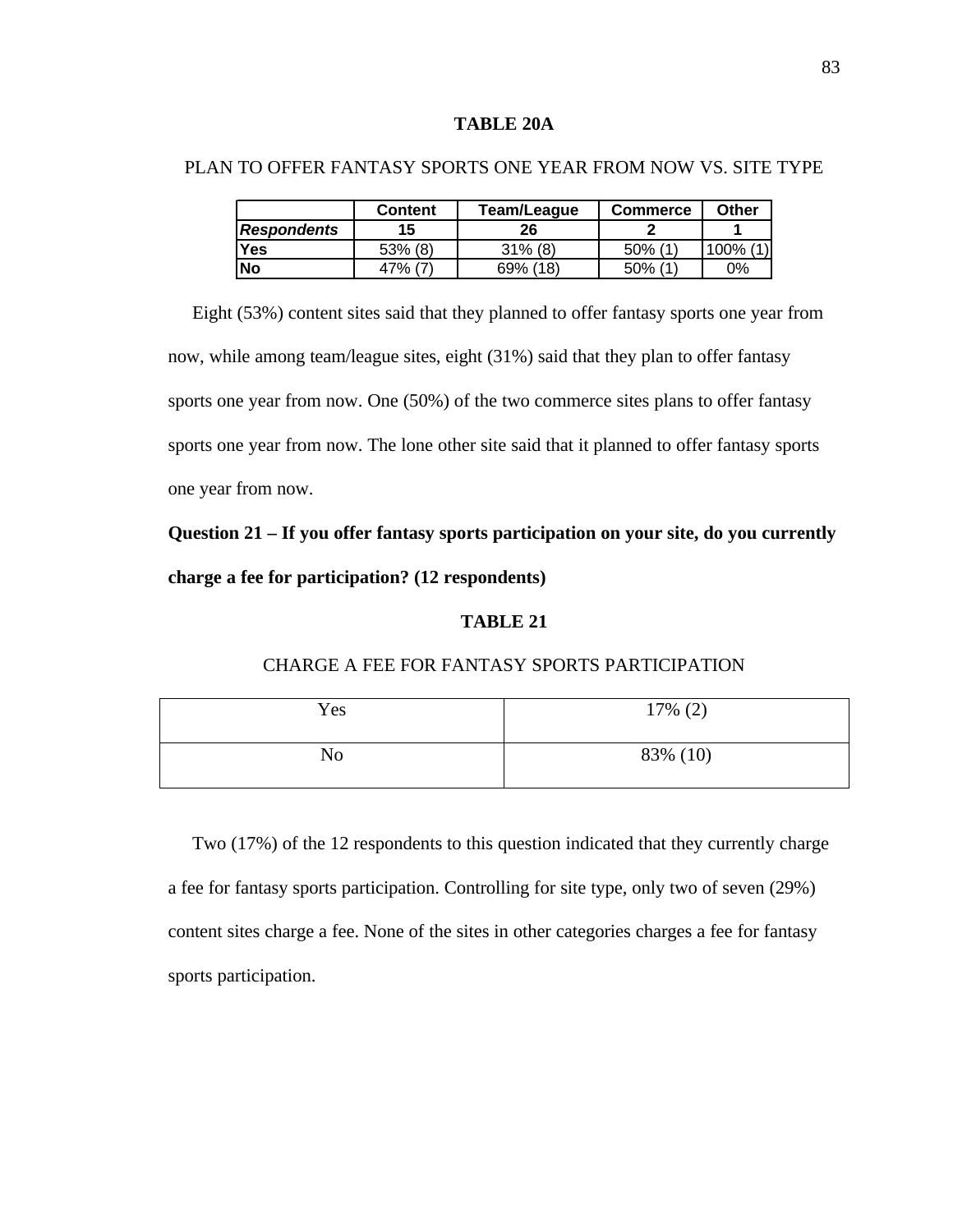#### **TABLE 20A**

PLAN TO OFFER FANTASY SPORTS ONE YEAR FROM NOW VS. SITE TYPE

# **Content Team/League Commerce Other** *Respondents* **15 26 2 1 Yes**  $\begin{array}{|c|c|c|c|c|c|} \hline \end{array}$  53% (8) 31% (8) 50% (1) 30% (1) **No** 47% (7) 69% (18) 50% (1) 0%

 Eight (53%) content sites said that they planned to offer fantasy sports one year from now, while among team/league sites, eight (31%) said that they plan to offer fantasy sports one year from now. One (50%) of the two commerce sites plans to offer fantasy sports one year from now. The lone other site said that it planned to offer fantasy sports one year from now.

# **Question 21 – If you offer fantasy sports participation on your site, do you currently charge a fee for participation? (12 respondents)**

#### **TABLE 21**

CHARGE A FEE FOR FANTASY SPORTS PARTICIPATION

# $Yes$  17% (2) No 83% (10)

 Two (17%) of the 12 respondents to this question indicated that they currently charge a fee for fantasy sports participation. Controlling for site type, only two of seven (29%) content sites charge a fee. None of the sites in other categories charges a fee for fantasy sports participation.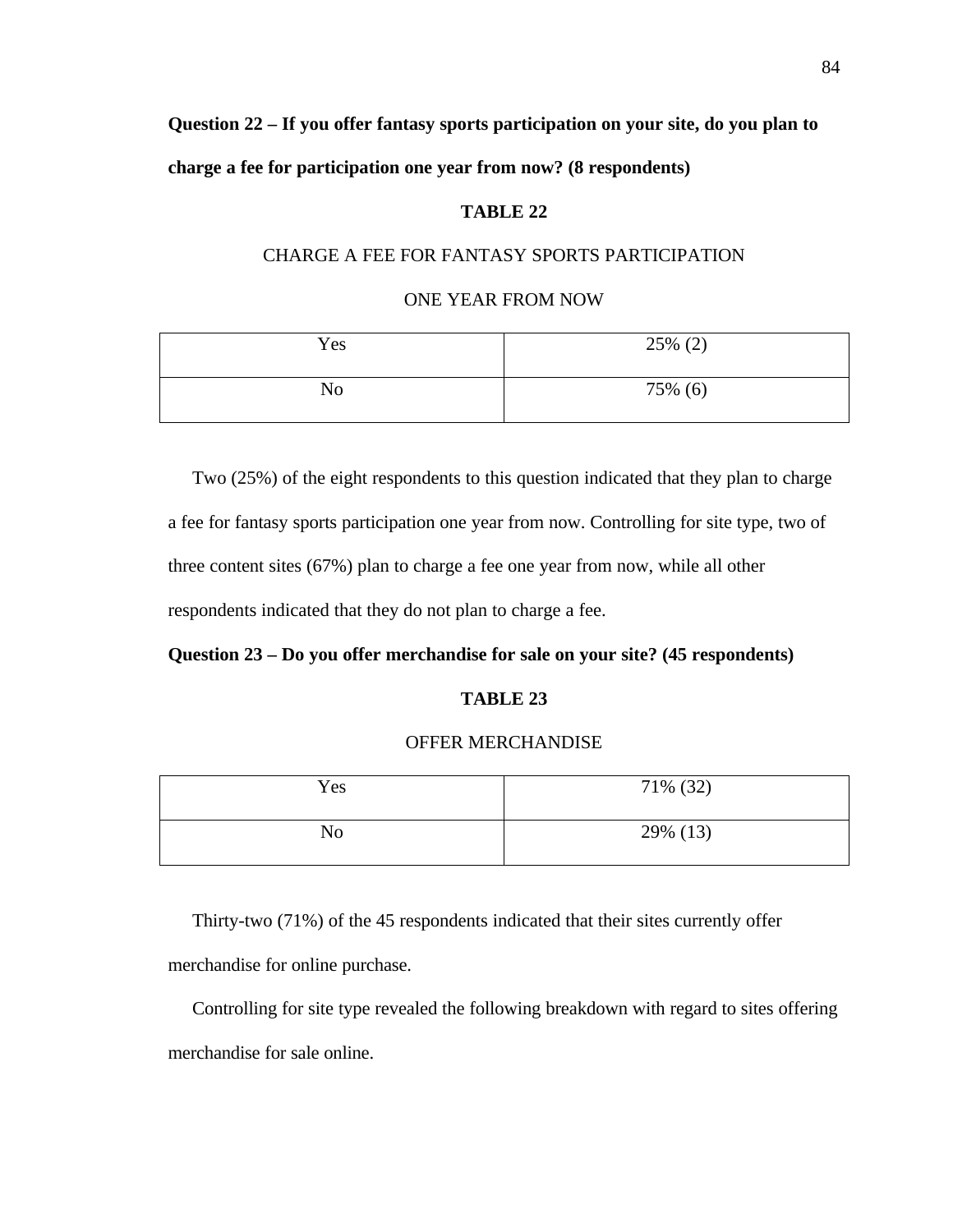**Question 22 – If you offer fantasy sports participation on your site, do you plan to charge a fee for participation one year from now? (8 respondents)**

#### **TABLE 22**

# CHARGE A FEE FOR FANTASY SPORTS PARTICIPATION

#### ONE YEAR FROM NOW

| Yes            | $25\%$ (2) |
|----------------|------------|
| N <sub>0</sub> | 75% (6)    |

Two (25%) of the eight respondents to this question indicated that they plan to charge a fee for fantasy sports participation one year from now. Controlling for site type, two of three content sites (67%) plan to charge a fee one year from now, while all other respondents indicated that they do not plan to charge a fee.

#### **Question 23 – Do you offer merchandise for sale on your site? (45 respondents)**

#### **TABLE 23**

#### OFFER MERCHANDISE

| Yes            | 71% (32) |
|----------------|----------|
| N <sub>o</sub> | 29% (13) |

 Thirty-two (71%) of the 45 respondents indicated that their sites currently offer merchandise for online purchase.

 Controlling for site type revealed the following breakdown with regard to sites offering merchandise for sale online.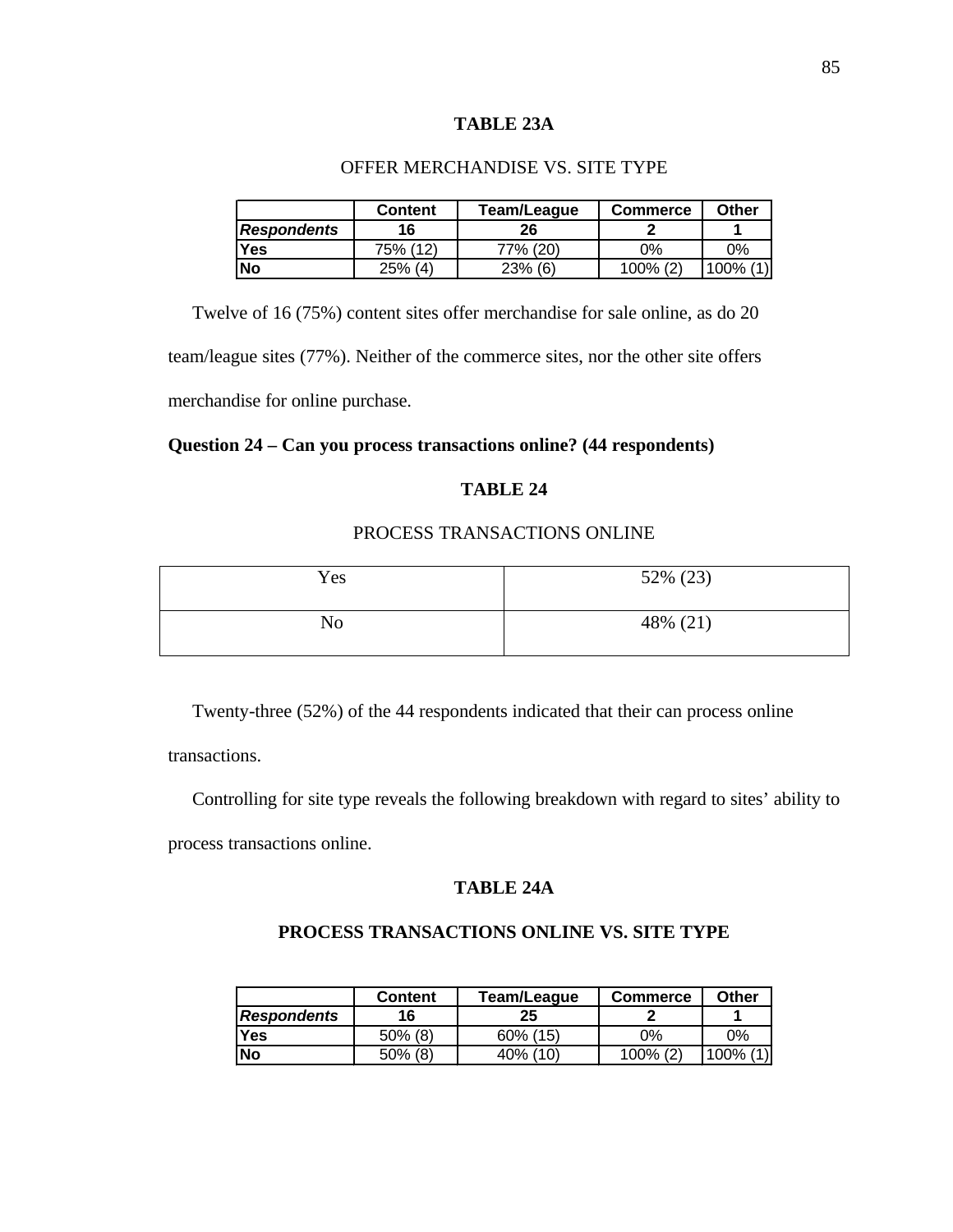# **TABLE 23A**

# OFFER MERCHANDISE VS. SITE TYPE

|                    | <b>Content</b> | Team/League | Commerce | Other        |
|--------------------|----------------|-------------|----------|--------------|
| <b>Respondents</b> | 16             | 26          |          |              |
| <b>Yes</b>         | 75% (12)       | 77% (20)    | ገ%       | 0%           |
| <b>No</b>          | $25\%$ (4)     | $23%$ (6)   | 100% (2) | (1)<br>,100% |

 Twelve of 16 (75%) content sites offer merchandise for sale online, as do 20 team/league sites (77%). Neither of the commerce sites, nor the other site offers merchandise for online purchase.

# **Question 24 – Can you process transactions online? (44 respondents)**

# **TABLE 24**

# PROCESS TRANSACTIONS ONLINE

| Yes | 52% (23) |
|-----|----------|
| No  | 48% (21) |

Twenty-three (52%) of the 44 respondents indicated that their can process online

transactions.

Controlling for site type reveals the following breakdown with regard to sites' ability to

process transactions online.

#### **TABLE 24A**

#### **PROCESS TRANSACTIONS ONLINE VS. SITE TYPE**

|                    | Content    | Team/League | <b>Commerce</b> | <b>Other</b> |
|--------------------|------------|-------------|-----------------|--------------|
| <b>Respondents</b> | 16         | 25          |                 |              |
| Yes                | $50\%$ (8) | 60% (15)    | 0%              | $0\%$        |
| <b>No</b>          | $50\%$ (8) | 40% (10)    | 100% (2)        | (1)<br>100%  |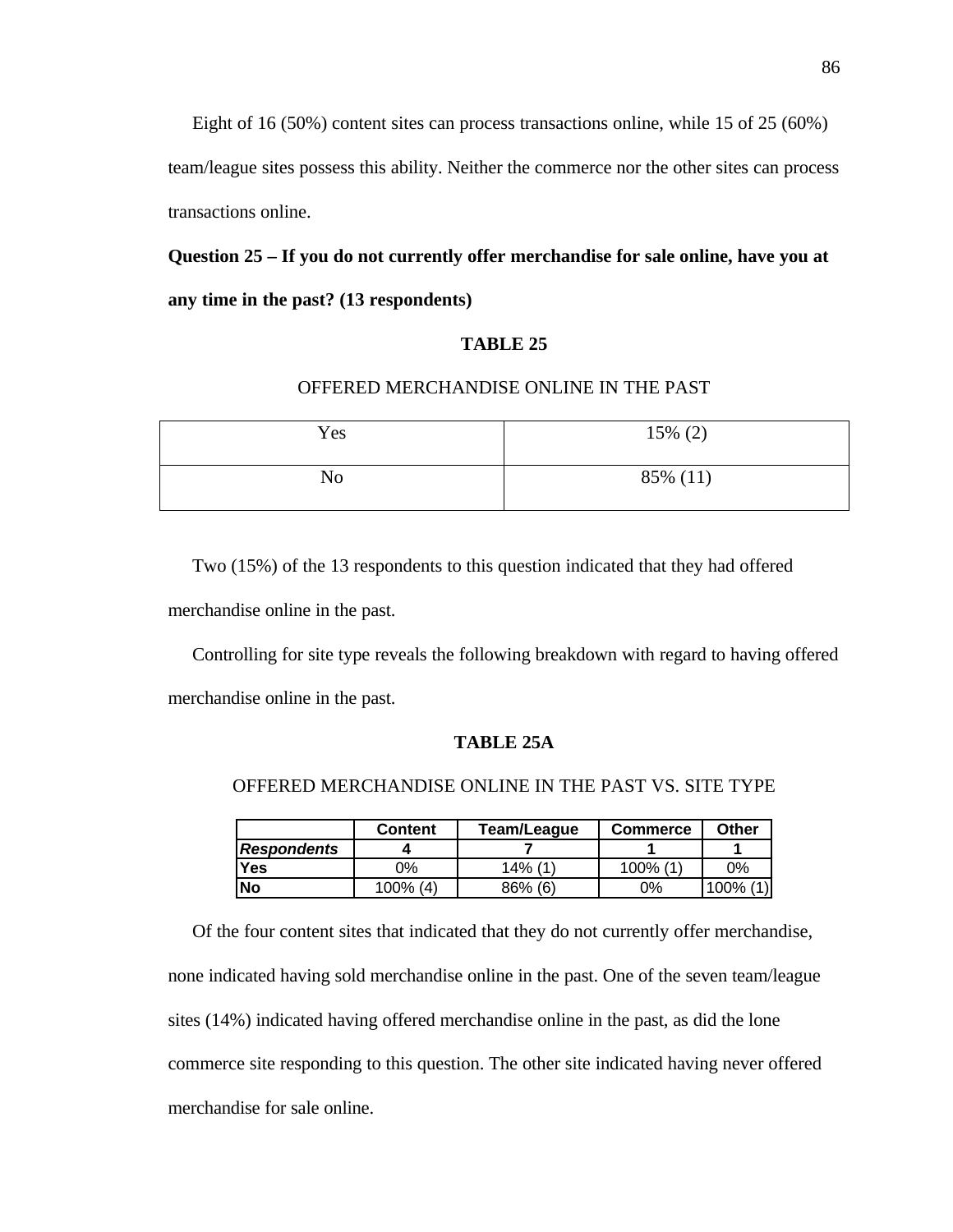Eight of 16 (50%) content sites can process transactions online, while 15 of 25 (60%)

team/league sites possess this ability. Neither the commerce nor the other sites can process transactions online.

**Question 25 – If you do not currently offer merchandise for sale online, have you at any time in the past? (13 respondents)**

# **TABLE 25**

# OFFERED MERCHANDISE ONLINE IN THE PAST

| Yes | $15\%$ (2) |
|-----|------------|
| No  | 85% (11)   |

Two (15%) of the 13 respondents to this question indicated that they had offered merchandise online in the past.

 Controlling for site type reveals the following breakdown with regard to having offered merchandise online in the past.

#### **TABLE 25A**

#### OFFERED MERCHANDISE ONLINE IN THE PAST VS. SITE TYPE

|                    | Team/League<br><b>Content</b> |            | Commerce    | Other       |
|--------------------|-------------------------------|------------|-------------|-------------|
| <b>Respondents</b> |                               |            |             |             |
| Yes                | ገ%                            | $14\%$ (1) | $100\%$ (1) | ገ%          |
| <b>No</b>          | $100\%$ (4)                   | 86% (6)    | 0%          | (1)<br>100% |

 Of the four content sites that indicated that they do not currently offer merchandise, none indicated having sold merchandise online in the past. One of the seven team/league sites (14%) indicated having offered merchandise online in the past, as did the lone commerce site responding to this question. The other site indicated having never offered merchandise for sale online.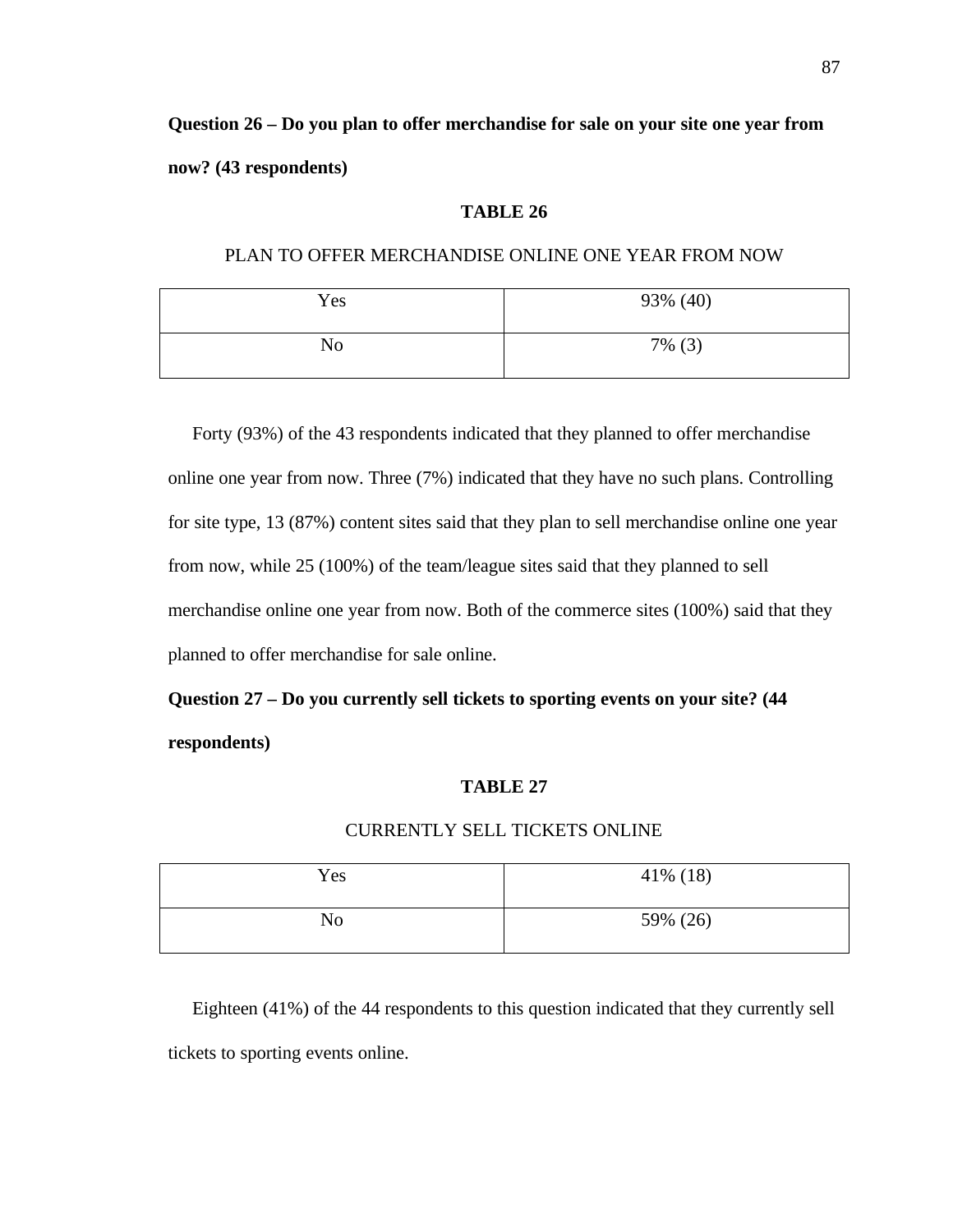**Question 26 – Do you plan to offer merchandise for sale on your site one year from now? (43 respondents)**

#### **TABLE 26**

PLAN TO OFFER MERCHANDISE ONLINE ONE YEAR FROM NOW

| Yes            | 93% (40)  |
|----------------|-----------|
| N <sub>o</sub> | $7\%$ (3) |

Forty (93%) of the 43 respondents indicated that they planned to offer merchandise online one year from now. Three (7%) indicated that they have no such plans. Controlling for site type, 13 (87%) content sites said that they plan to sell merchandise online one year from now, while 25 (100%) of the team/league sites said that they planned to sell merchandise online one year from now. Both of the commerce sites (100%) said that they planned to offer merchandise for sale online.

# **Question 27 – Do you currently sell tickets to sporting events on your site? (44 respondents)**

# **TABLE 27**

# CURRENTLY SELL TICKETS ONLINE

| Yes            | 41\% (18) |
|----------------|-----------|
| N <sub>0</sub> | 59% (26)  |

 Eighteen (41%) of the 44 respondents to this question indicated that they currently sell tickets to sporting events online.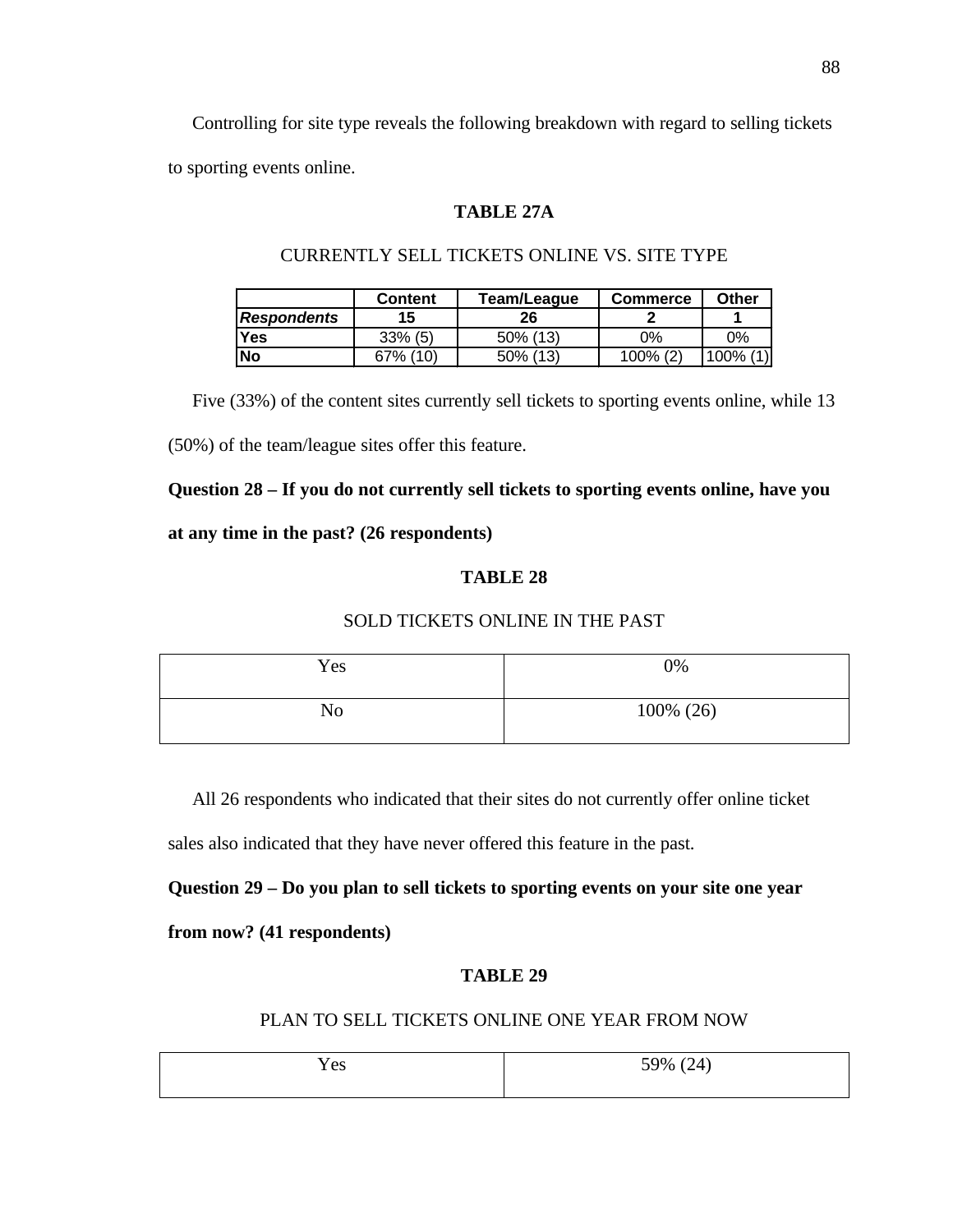Controlling for site type reveals the following breakdown with regard to selling tickets to sporting events online.

#### **TABLE 27A**

|                    | <b>Content</b> | Team/League | <b>Commerce</b> | Other |
|--------------------|----------------|-------------|-----------------|-------|
| <b>Respondents</b> | 15             | 26          |                 |       |
| Yes                | $33\%$ (5)     | 50% (13)    | 0%              | 0%    |
| <b>No</b>          | (10)<br>67%    | 50% (13)    | 100% (2)        | 100%  |

# CURRENTLY SELL TICKETS ONLINE VS. SITE TYPE

Five (33%) of the content sites currently sell tickets to sporting events online, while 13

(50%) of the team/league sites offer this feature.

# **Question 28 – If you do not currently sell tickets to sporting events online, have you**

#### **at any time in the past? (26 respondents)**

# **TABLE 28**

#### SOLD TICKETS ONLINE IN THE PAST

| Yes | 0%        |
|-----|-----------|
| No  | 100% (26) |

All 26 respondents who indicated that their sites do not currently offer online ticket

sales also indicated that they have never offered this feature in the past.

# **Question 29 – Do you plan to sell tickets to sporting events on your site one year**

**from now? (41 respondents)**

# **TABLE 29**

# PLAN TO SELL TICKETS ONLINE ONE YEAR FROM NOW

| . .<br>Yes | 59% (24) |
|------------|----------|
|            |          |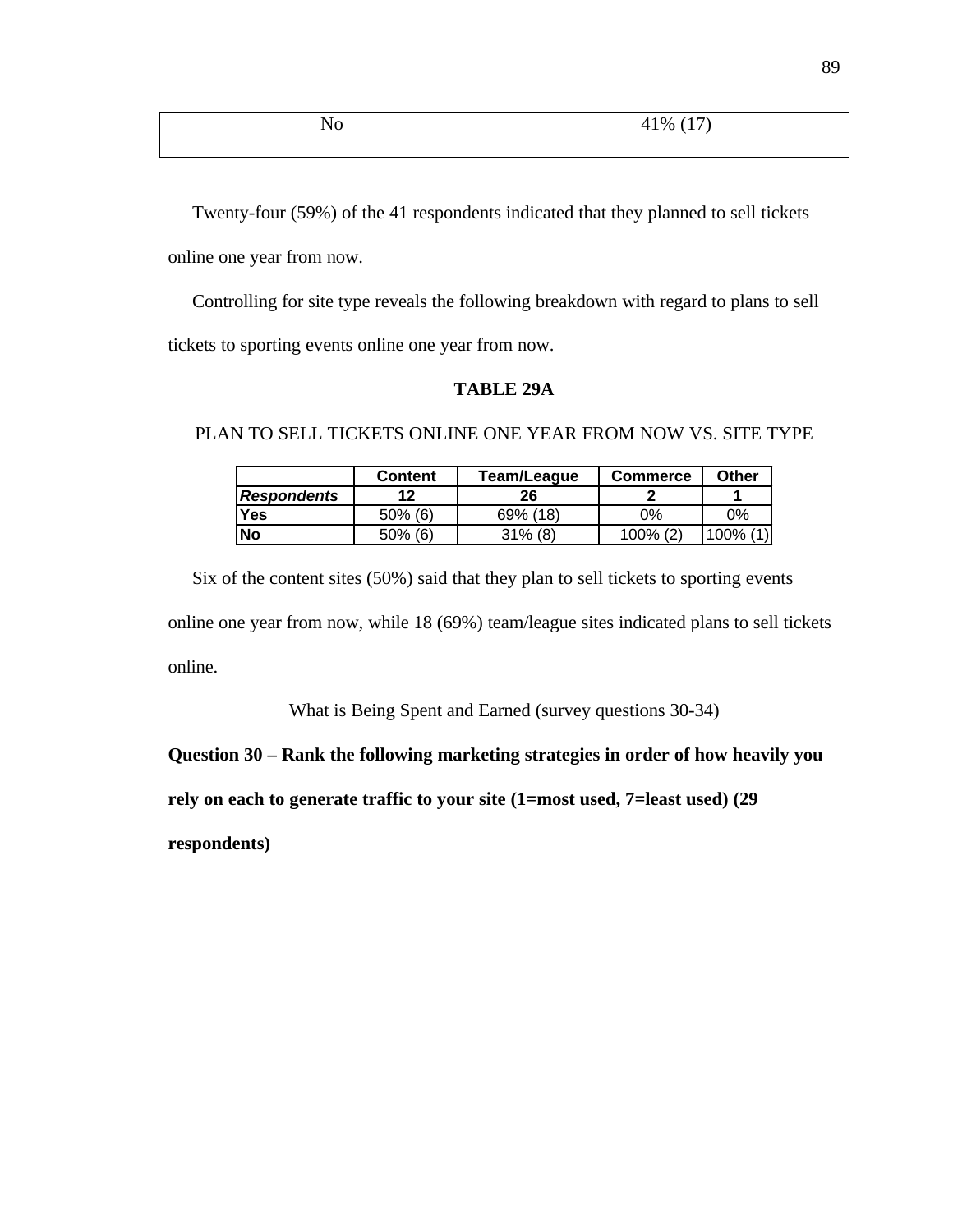| N <sub>0</sub> | 41\% $(17)$ |
|----------------|-------------|
|                |             |

Twenty-four (59%) of the 41 respondents indicated that they planned to sell tickets online one year from now.

 Controlling for site type reveals the following breakdown with regard to plans to sell tickets to sporting events online one year from now.

# **TABLE 29A**

PLAN TO SELL TICKETS ONLINE ONE YEAR FROM NOW VS. SITE TYPE

|                    | <b>Content</b> | Team/League | Commerce | Other |
|--------------------|----------------|-------------|----------|-------|
| <b>Respondents</b> | 19             | 26          |          |       |
| <b>Yes</b>         | $50\%$ (6)     | 69% (18)    | ገ%       | 9%    |
| <b>INo</b>         | $50\%$ (6)     | $31\%$ (8)  | 100% (2) | 100%  |

 Six of the content sites (50%) said that they plan to sell tickets to sporting events online one year from now, while 18 (69%) team/league sites indicated plans to sell tickets online.

What is Being Spent and Earned (survey questions 30-34)

**Question 30 – Rank the following marketing strategies in order of how heavily you**

**rely on each to generate traffic to your site (1=most used, 7=least used) (29**

**respondents)**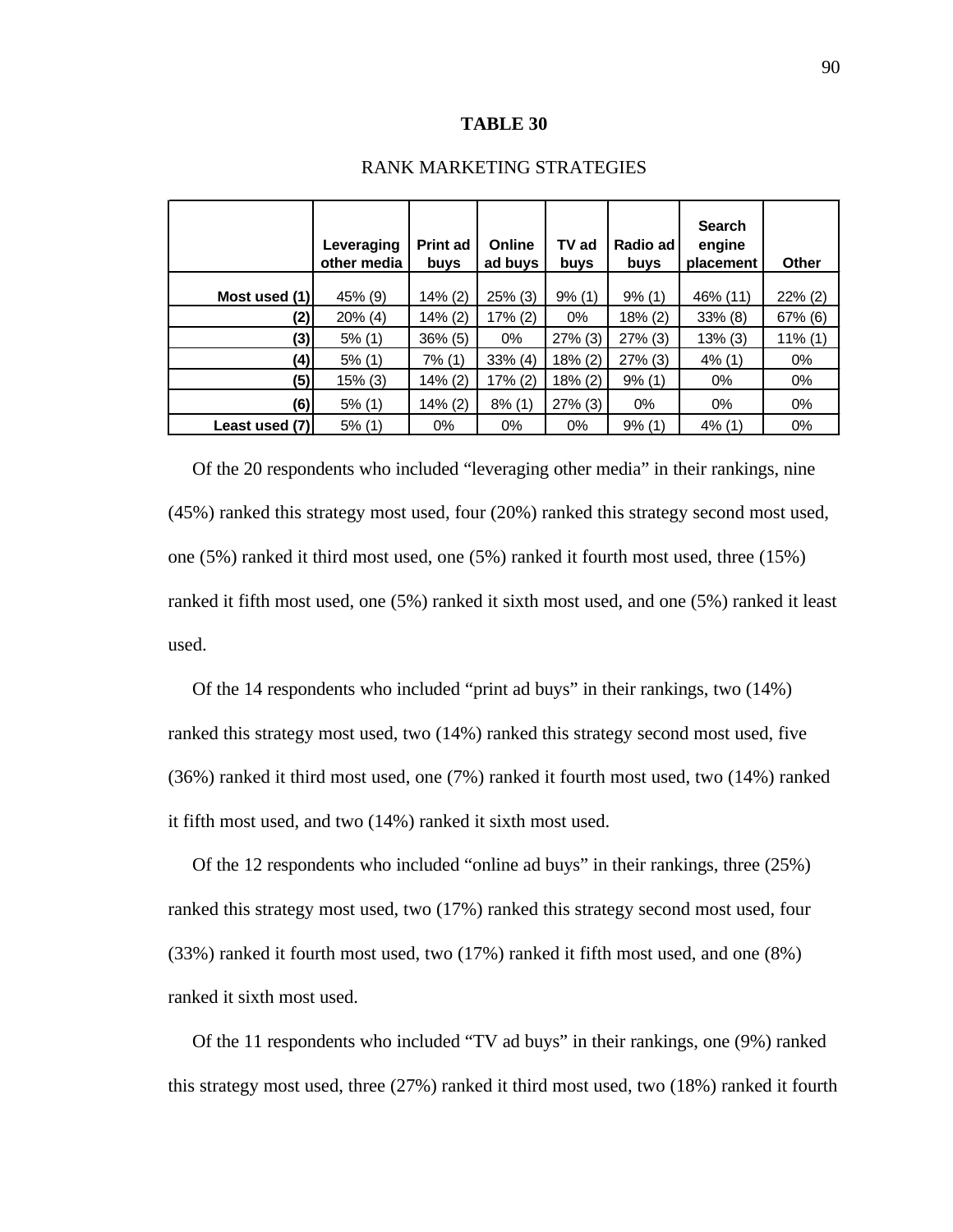#### **TABLE 30**

|                | Leveraging<br>other media | <b>Print ad</b><br>buys | Online<br>ad buys | TV ad<br><b>buys</b> | Radio ad<br>buys | <b>Search</b><br>engine<br>placement | Other      |
|----------------|---------------------------|-------------------------|-------------------|----------------------|------------------|--------------------------------------|------------|
| Most used (1)  | 45% (9)                   | 14% (2)                 | $25\%$ (3)        | 9% (1)               | 9% (1)           | 46% (11)                             | $22\%$ (2) |
| (2)            | $20\%$ (4)                | 14% (2)                 | 17% (2)           | $0\%$                | 18% (2)          | $33\%$ (8)                           | 67% (6)    |
| (3)            | $5%$ (1)                  | $36\%$ (5)              | $0\%$             | $27\%$ (3)           | $27\%$ (3)       | $13\%$ (3)                           | 11% (1)    |
| (4)            | $5%$ (1)                  | 7% (1)                  | $33\%$ (4)        | 18% (2)              | $27\%$ (3)       | $4\%$ (1)                            | 0%         |
| (5)            | 15% (3)                   | 14% (2)                 | 17% (2)           | 18% (2)              | 9% (1)           | $0\%$                                | $0\%$      |
| (6)            | $5\%$ (1)                 | 14% (2)                 | $8\%$ (1)         | $27\%$ (3)           | 0%               | $0\%$                                | $0\%$      |
| Least used (7) | 5% (1)                    | 0%                      | $0\%$             | 0%                   | 9% (1)           | $4\%$ (1)                            | 0%         |

#### RANK MARKETING STRATEGIES

 Of the 20 respondents who included "leveraging other media" in their rankings, nine (45%) ranked this strategy most used, four (20%) ranked this strategy second most used, one (5%) ranked it third most used, one (5%) ranked it fourth most used, three (15%) ranked it fifth most used, one (5%) ranked it sixth most used, and one (5%) ranked it least used.

 Of the 14 respondents who included "print ad buys" in their rankings, two (14%) ranked this strategy most used, two (14%) ranked this strategy second most used, five (36%) ranked it third most used, one (7%) ranked it fourth most used, two (14%) ranked it fifth most used, and two (14%) ranked it sixth most used.

 Of the 12 respondents who included "online ad buys" in their rankings, three (25%) ranked this strategy most used, two (17%) ranked this strategy second most used, four (33%) ranked it fourth most used, two (17%) ranked it fifth most used, and one (8%) ranked it sixth most used.

 Of the 11 respondents who included "TV ad buys" in their rankings, one (9%) ranked this strategy most used, three (27%) ranked it third most used, two (18%) ranked it fourth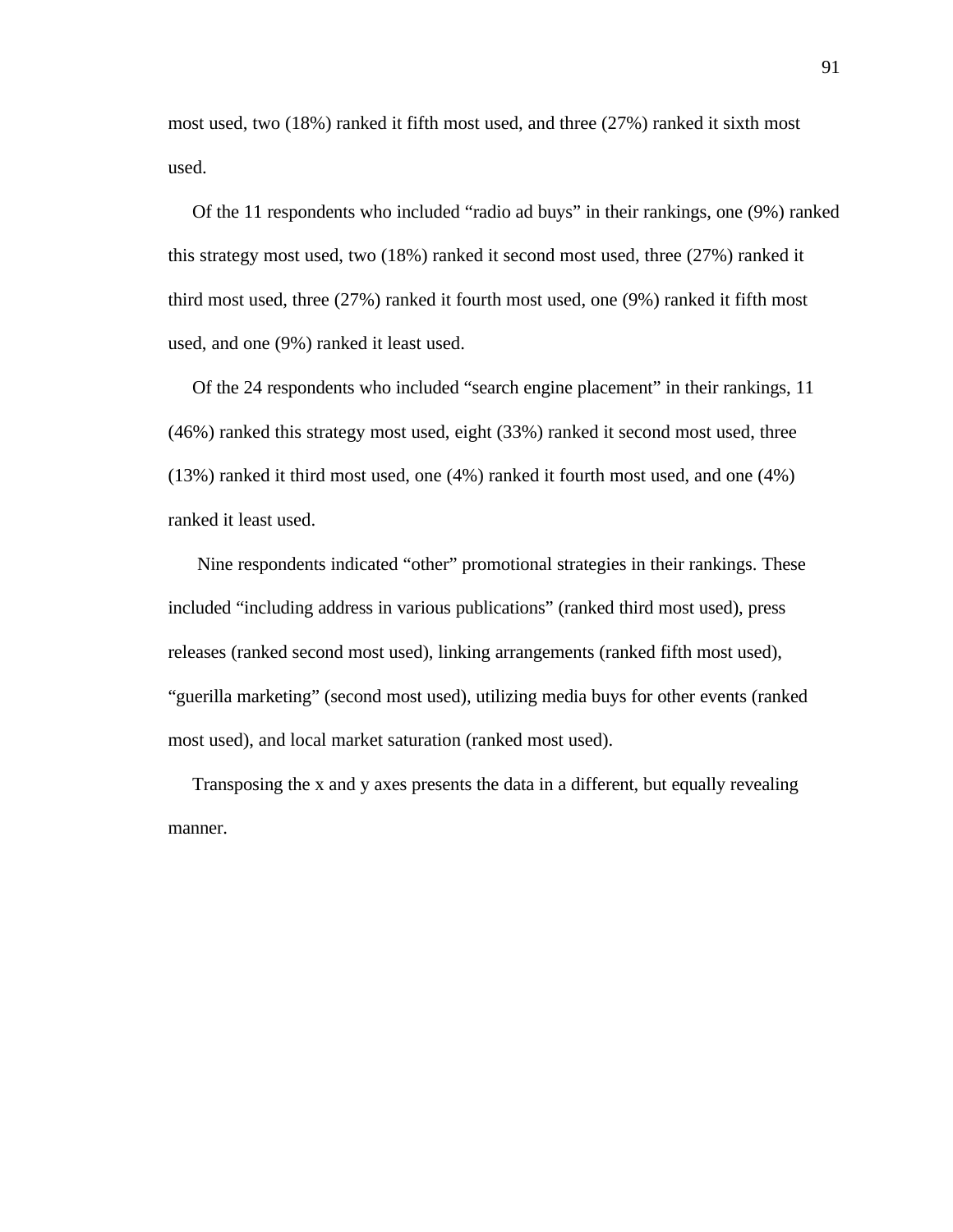most used, two (18%) ranked it fifth most used, and three (27%) ranked it sixth most used.

 Of the 11 respondents who included "radio ad buys" in their rankings, one (9%) ranked this strategy most used, two (18%) ranked it second most used, three (27%) ranked it third most used, three (27%) ranked it fourth most used, one (9%) ranked it fifth most used, and one (9%) ranked it least used.

 Of the 24 respondents who included "search engine placement" in their rankings, 11 (46%) ranked this strategy most used, eight (33%) ranked it second most used, three (13%) ranked it third most used, one (4%) ranked it fourth most used, and one (4%) ranked it least used.

 Nine respondents indicated "other" promotional strategies in their rankings. These included "including address in various publications" (ranked third most used), press releases (ranked second most used), linking arrangements (ranked fifth most used), "guerilla marketing" (second most used), utilizing media buys for other events (ranked most used), and local market saturation (ranked most used).

 Transposing the x and y axes presents the data in a different, but equally revealing manner.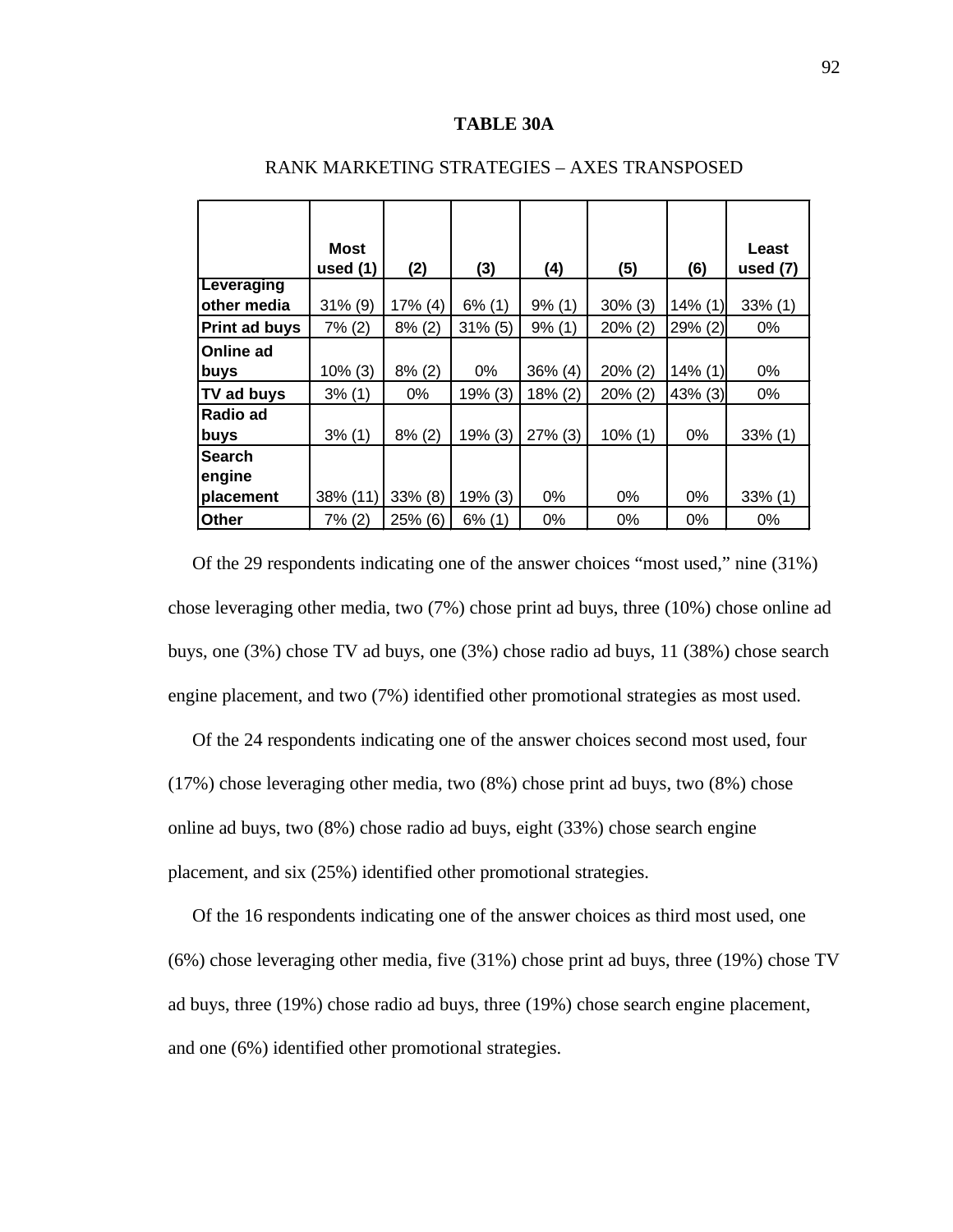#### **TABLE 30A**

|                           | Most<br>used $(1)$ | (2)        | (3)        | (4)        | (5)        | (6)        | Least<br>used $(7)$ |
|---------------------------|--------------------|------------|------------|------------|------------|------------|---------------------|
| Leveraging<br>other media | 31% (9)            | $17\%$ (4) | $6\%$ (1)  | $9\%$ (1)  | $30\%$ (3) | $14\%$ (1) | $33\%$ (1)          |
| <b>Print ad buys</b>      | 7% (2)             | $8\%$ (2)  | $31\%$ (5) | 9% (1)     | $20\%$ (2) | 29% (2)    | $0\%$               |
| Online ad                 |                    |            |            |            |            |            |                     |
| buys                      | $10\%$ (3)         | $8\%$ (2)  | $0\%$      | $36\%$ (4) | $20\%$ (2) | $14\%$ (1) | $0\%$               |
| TV ad buys                | 3% (1)             | $0\%$      | 19% (3)    | 18% (2)    | $20\%$ (2) | 43% (3)    | $0\%$               |
| Radio ad                  |                    |            |            |            |            |            |                     |
| buys                      | 3% (1)             | $8\%$ (2)  | 19% (3)    | 27% (3)    | $10\%$ (1) | $0\%$      | $33\%$ (1)          |
| <b>Search</b>             |                    |            |            |            |            |            |                     |
| engine                    |                    |            |            |            |            |            |                     |
| placement                 | 38% (11)           | 33% (8)    | 19% (3)    | 0%         | $0\%$      | $0\%$      | $33\%$ (1)          |
| Other                     | 7% (2)             | 25% (6)    | $6\%$ (1)  | $0\%$      | $0\%$      | $0\%$      | 0%                  |

#### RANK MARKETING STRATEGIES – AXES TRANSPOSED

Of the 29 respondents indicating one of the answer choices "most used," nine (31%) chose leveraging other media, two (7%) chose print ad buys, three (10%) chose online ad buys, one (3%) chose TV ad buys, one (3%) chose radio ad buys, 11 (38%) chose search engine placement, and two (7%) identified other promotional strategies as most used.

 Of the 24 respondents indicating one of the answer choices second most used, four (17%) chose leveraging other media, two (8%) chose print ad buys, two (8%) chose online ad buys, two (8%) chose radio ad buys, eight (33%) chose search engine placement, and six (25%) identified other promotional strategies.

 Of the 16 respondents indicating one of the answer choices as third most used, one (6%) chose leveraging other media, five (31%) chose print ad buys, three (19%) chose TV ad buys, three (19%) chose radio ad buys, three (19%) chose search engine placement, and one (6%) identified other promotional strategies.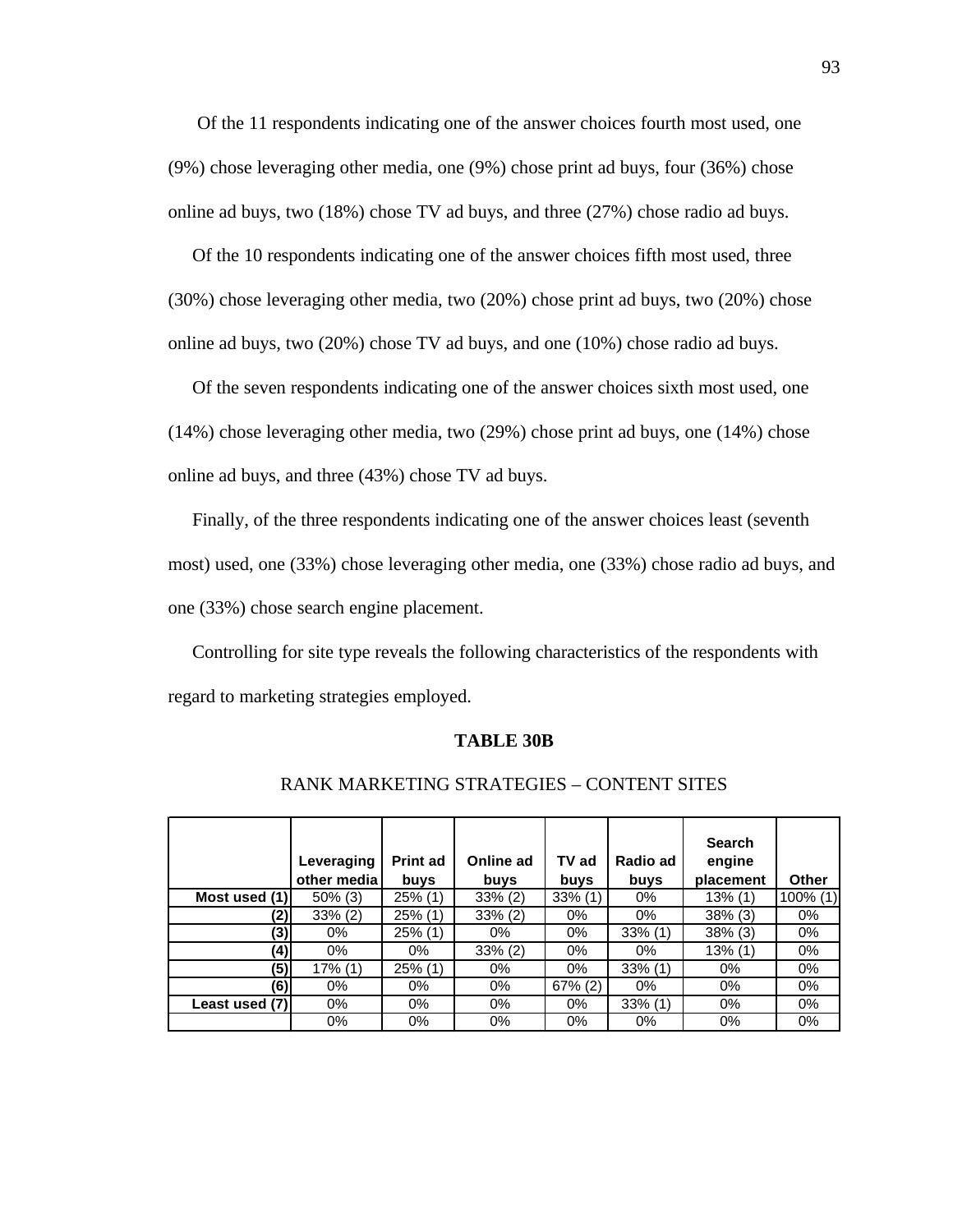Of the 11 respondents indicating one of the answer choices fourth most used, one (9%) chose leveraging other media, one (9%) chose print ad buys, four (36%) chose online ad buys, two (18%) chose TV ad buys, and three (27%) chose radio ad buys.

 Of the 10 respondents indicating one of the answer choices fifth most used, three (30%) chose leveraging other media, two (20%) chose print ad buys, two (20%) chose online ad buys, two (20%) chose TV ad buys, and one (10%) chose radio ad buys.

 Of the seven respondents indicating one of the answer choices sixth most used, one (14%) chose leveraging other media, two (29%) chose print ad buys, one (14%) chose online ad buys, and three (43%) chose TV ad buys.

 Finally, of the three respondents indicating one of the answer choices least (seventh most) used, one (33%) chose leveraging other media, one (33%) chose radio ad buys, and one (33%) chose search engine placement.

 Controlling for site type reveals the following characteristics of the respondents with regard to marketing strategies employed.

#### **TABLE 30B**

|                | Leveraging<br>other media | <b>Print ad</b><br>buys | Online ad<br>buys | TV ad<br>buys | Radio ad<br>buys | <b>Search</b><br>engine<br>placement | Other       |
|----------------|---------------------------|-------------------------|-------------------|---------------|------------------|--------------------------------------|-------------|
| Most used (1)  | $50\%$ (3)                | $25\%$ (1)              | $33\%$ (2)        | $33\%$ (1)    | 0%               | $13\%$ (1)                           | $100\%$ (1) |
| (2)            | $33\%$ (2)                | $25\%$ (1)              | $33\%$ (2)        | 0%            | 0%               | $38\%$ (3)                           | 0%          |
| (3)            | 0%                        | $25\%$ (1)              | 0%                | 0%            | $33\%$ (1)       | $38\%$ (3)                           | 0%          |
| (4)            | 0%                        | 0%                      | $33\%$ (2)        | 0%            | 0%               | $13\%$ (1)                           | 0%          |
| (5)            | $17\%$ (1)                | $25\%$ (1)              | 0%                | $0\%$         | $33\%$ (1)       | $0\%$                                | 0%          |
| (6)            | $0\%$                     | 0%                      | 0%                | $67\%$ (2)    | 0%               | 0%                                   | 0%          |
| Least used (7) | $0\%$                     | $0\%$                   | $0\%$             | 0%            | $33\%$ (1)       | 0%                                   | 0%          |
|                | 0%                        | $0\%$                   | 0%                | 0%            | 0%               | 0%                                   | $0\%$       |

#### RANK MARKETING STRATEGIES – CONTENT SITES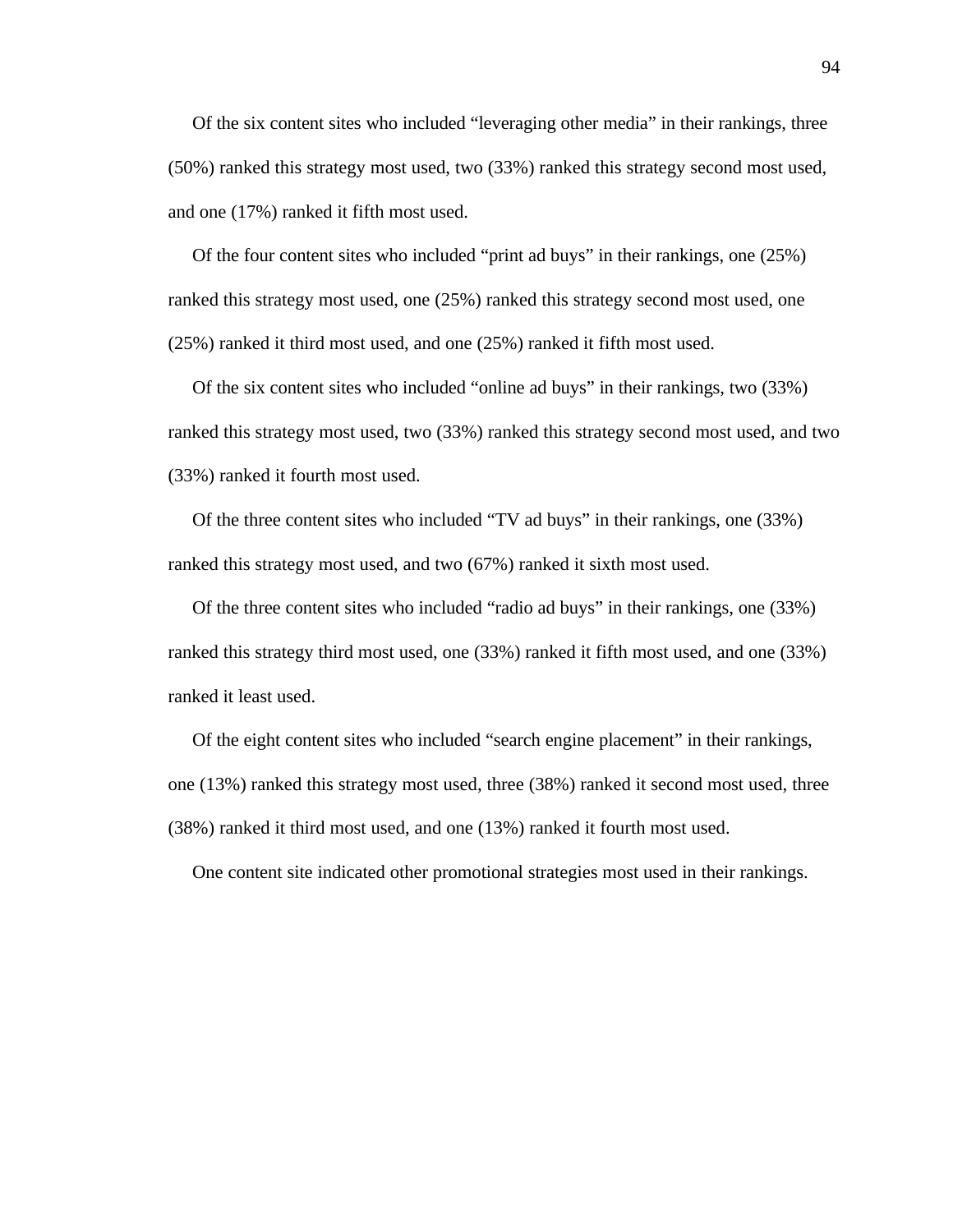Of the six content sites who included "leveraging other media" in their rankings, three (50%) ranked this strategy most used, two (33%) ranked this strategy second most used, and one (17%) ranked it fifth most used.

 Of the four content sites who included "print ad buys" in their rankings, one (25%) ranked this strategy most used, one (25%) ranked this strategy second most used, one (25%) ranked it third most used, and one (25%) ranked it fifth most used.

 Of the six content sites who included "online ad buys" in their rankings, two (33%) ranked this strategy most used, two (33%) ranked this strategy second most used, and two (33%) ranked it fourth most used.

 Of the three content sites who included "TV ad buys" in their rankings, one (33%) ranked this strategy most used, and two (67%) ranked it sixth most used.

 Of the three content sites who included "radio ad buys" in their rankings, one (33%) ranked this strategy third most used, one (33%) ranked it fifth most used, and one (33%) ranked it least used.

 Of the eight content sites who included "search engine placement" in their rankings, one (13%) ranked this strategy most used, three (38%) ranked it second most used, three (38%) ranked it third most used, and one (13%) ranked it fourth most used.

One content site indicated other promotional strategies most used in their rankings.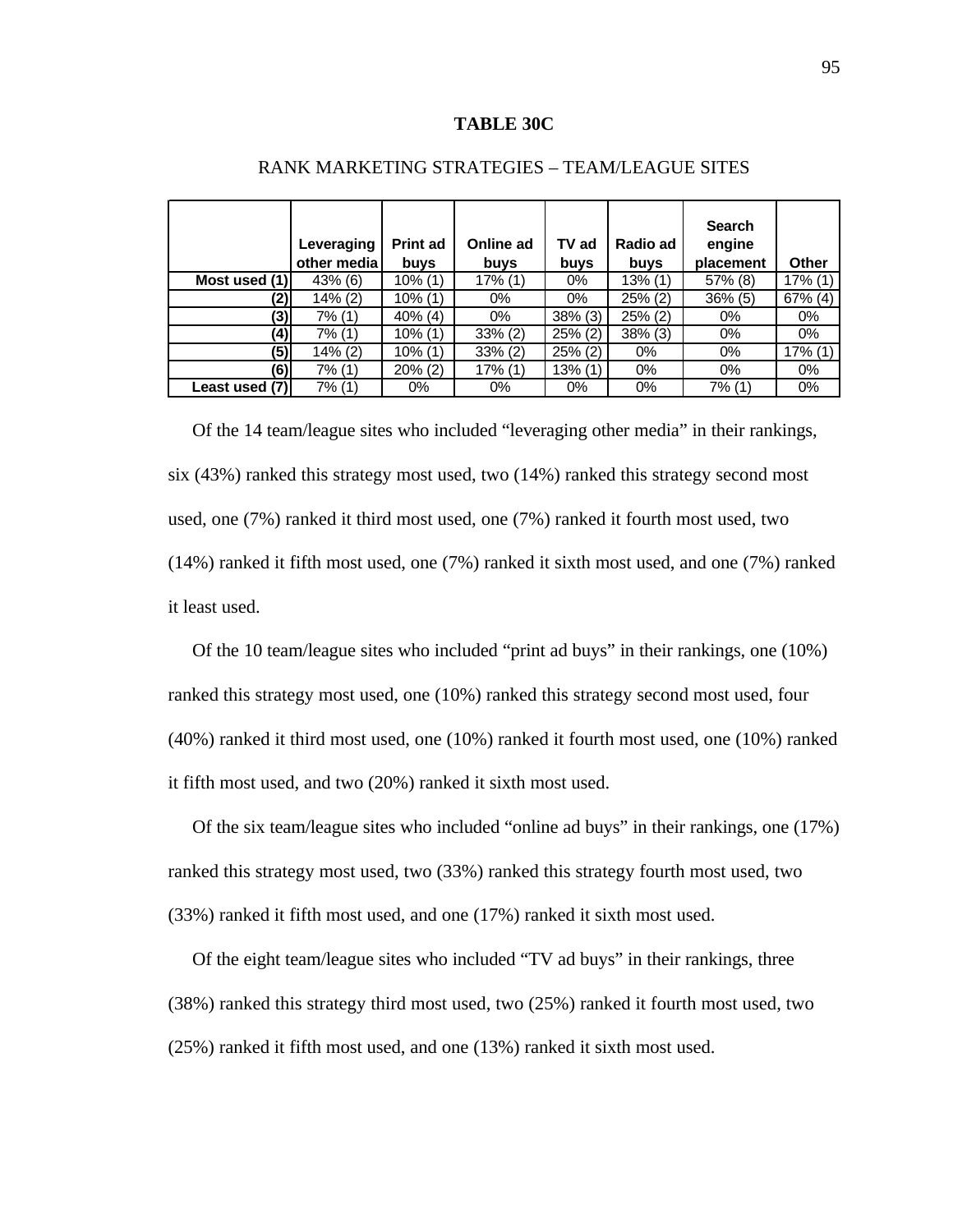#### **TABLE 30C**

|                | Leveraging<br>other media | <b>Print ad</b><br>buys | Online ad<br><b>buys</b> | TV ad<br>buys | Radio ad<br>buys | <b>Search</b><br>engine<br>placement | Other      |
|----------------|---------------------------|-------------------------|--------------------------|---------------|------------------|--------------------------------------|------------|
| Most used (1)  | 43% (6)                   | 10% (1)                 | $17\%$ (1)               | 0%            | 13% (1)          | 57% (8)                              | 17% (1)    |
| (2)            | 14% (2)                   | 10% (1)                 | $0\%$                    | $0\%$         | 25% (2)          | $36\%$ (5)                           | $67\%$ (4) |
| (3)            | 7% (1)                    | $40\%$ (4)              | 0%                       | $38\%$ (3)    | 25% (2)          | $0\%$                                | 0%         |
| (4)            | 7% (1)                    | $10\%$ (1)              | $33\% (2)$               | $25\%$ (2)    | 38% (3)          | $0\%$                                | $0\%$      |
| (5)            | 14% (2)                   | 10% (1)                 | $33\%$ (2)               | 25% (2)       | 0%               | $0\%$                                | 17% (1)    |
| (6)            | 7% (1)                    | $20\%$ (2)              | $17\%$ (1)               | $13\%$ (1)    | 0%               | 0%                                   | 0%         |
| Least used (7) | 7% (1)                    | 0%                      | $0\%$                    | $0\%$         | 0%               | 7% (1)                               | 0%         |

#### RANK MARKETING STRATEGIES – TEAM/LEAGUE SITES

Of the 14 team/league sites who included "leveraging other media" in their rankings, six (43%) ranked this strategy most used, two (14%) ranked this strategy second most used, one (7%) ranked it third most used, one (7%) ranked it fourth most used, two (14%) ranked it fifth most used, one (7%) ranked it sixth most used, and one (7%) ranked it least used.

 Of the 10 team/league sites who included "print ad buys" in their rankings, one (10%) ranked this strategy most used, one (10%) ranked this strategy second most used, four (40%) ranked it third most used, one (10%) ranked it fourth most used, one (10%) ranked it fifth most used, and two (20%) ranked it sixth most used.

 Of the six team/league sites who included "online ad buys" in their rankings, one (17%) ranked this strategy most used, two (33%) ranked this strategy fourth most used, two (33%) ranked it fifth most used, and one (17%) ranked it sixth most used.

 Of the eight team/league sites who included "TV ad buys" in their rankings, three (38%) ranked this strategy third most used, two (25%) ranked it fourth most used, two (25%) ranked it fifth most used, and one (13%) ranked it sixth most used.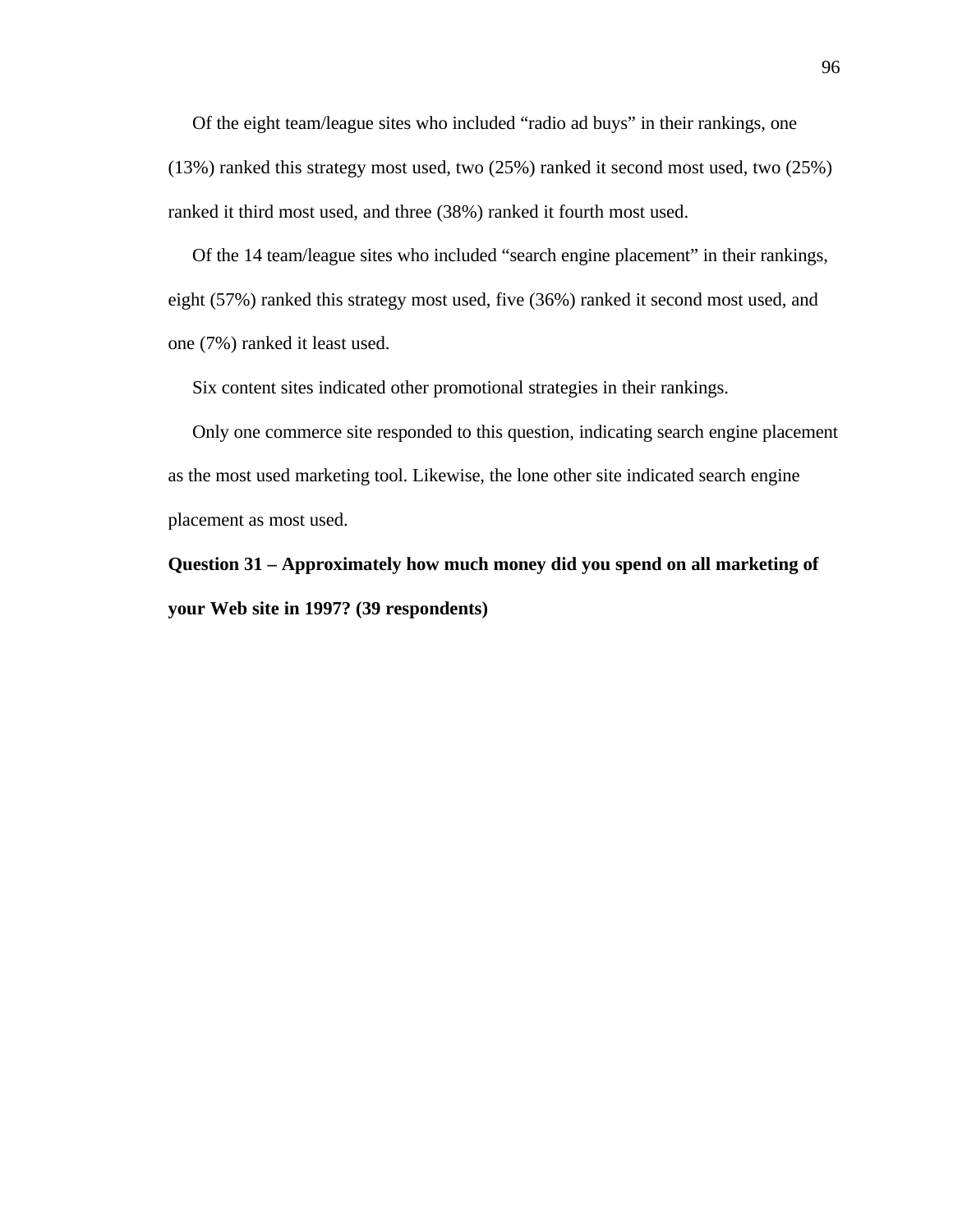Of the eight team/league sites who included "radio ad buys" in their rankings, one (13%) ranked this strategy most used, two (25%) ranked it second most used, two (25%) ranked it third most used, and three (38%) ranked it fourth most used.

 Of the 14 team/league sites who included "search engine placement" in their rankings, eight (57%) ranked this strategy most used, five (36%) ranked it second most used, and one (7%) ranked it least used.

Six content sites indicated other promotional strategies in their rankings.

 Only one commerce site responded to this question, indicating search engine placement as the most used marketing tool. Likewise, the lone other site indicated search engine placement as most used.

**Question 31 – Approximately how much money did you spend on all marketing of your Web site in 1997? (39 respondents)**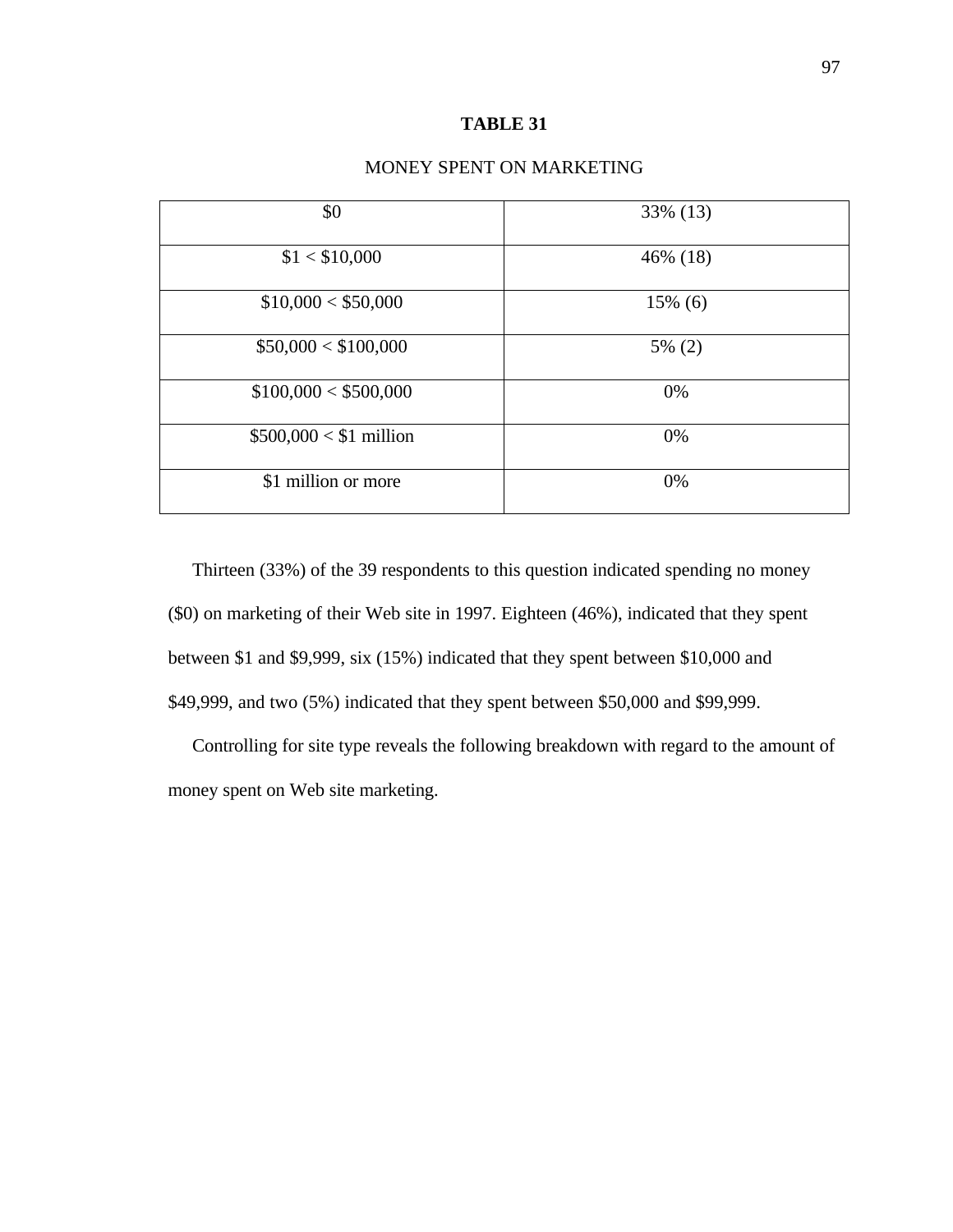# **TABLE 31**

| \$0                     | 33% (13)   |
|-------------------------|------------|
| \$1 < \$10,000          | 46% (18)   |
| \$10,000 < \$50,000     | $15\%$ (6) |
| \$50,000 < \$100,000    | 5% (2)     |
| \$100,000 < \$500,000   | 0%         |
| $$500,000 < $1$ million | 0%         |
| \$1 million or more     | 0%         |
|                         |            |

# MONEY SPENT ON MARKETING

Thirteen (33%) of the 39 respondents to this question indicated spending no money (\$0) on marketing of their Web site in 1997. Eighteen (46%), indicated that they spent between \$1 and \$9,999, six (15%) indicated that they spent between \$10,000 and \$49,999, and two (5%) indicated that they spent between \$50,000 and \$99,999.

 Controlling for site type reveals the following breakdown with regard to the amount of money spent on Web site marketing.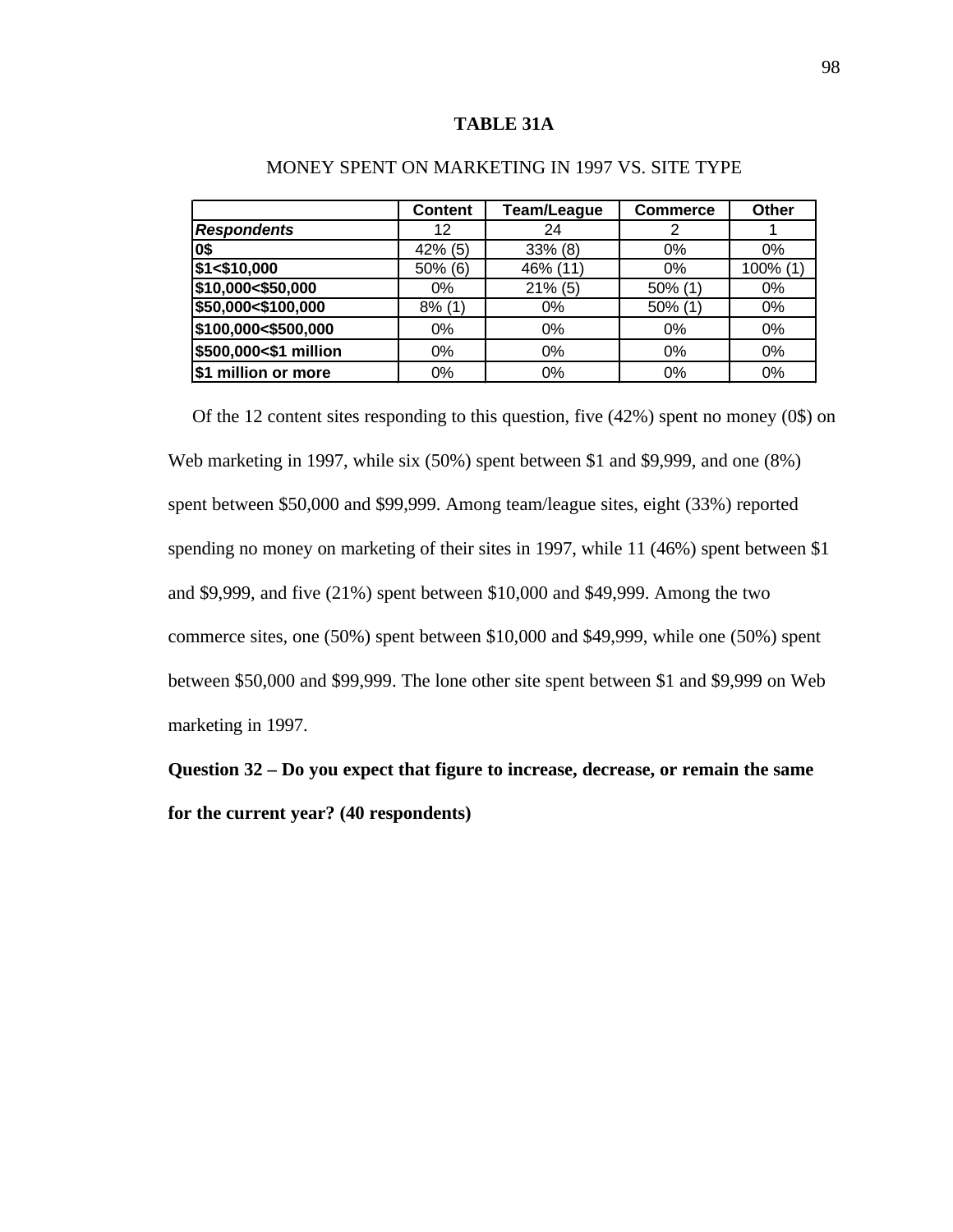#### **TABLE 31A**

|                       | <b>Content</b> | Team/League | <b>Commerce</b> | Other       |
|-----------------------|----------------|-------------|-----------------|-------------|
| <b>Respondents</b>    | 12             | 24          | 2               |             |
| 0\$                   | $42\%$ (5)     | $33\%$ (8)  | 0%              | $0\%$       |
| \$1 < \$10,000        | $50\%$ (6)     | 46% (11)    | 0%              | $100\%$ (1) |
| \$10,000<\$50,000     | $0\%$          | $21\%$ (5)  | 50% (1)         | 0%          |
| \$50,000<\$100,000    | $8\%$ (1)      | $0\%$       | 50% (1)         | 0%          |
| \$100,000<\$500,000   | $0\%$          | 0%          | 0%              | 0%          |
| \$500,000<\$1 million | $0\%$          | $0\%$       | 0%              | 0%          |
| million or more       | 0%             | 0%          | 0%              | 0%          |

# MONEY SPENT ON MARKETING IN 1997 VS. SITE TYPE

 Of the 12 content sites responding to this question, five (42%) spent no money (0\$) on Web marketing in 1997, while six (50%) spent between \$1 and \$9,999, and one (8%) spent between \$50,000 and \$99,999. Among team/league sites, eight (33%) reported spending no money on marketing of their sites in 1997, while 11 (46%) spent between \$1 and \$9,999, and five (21%) spent between \$10,000 and \$49,999. Among the two commerce sites, one (50%) spent between \$10,000 and \$49,999, while one (50%) spent between \$50,000 and \$99,999. The lone other site spent between \$1 and \$9,999 on Web marketing in 1997.

**Question 32 – Do you expect that figure to increase, decrease, or remain the same for the current year? (40 respondents)**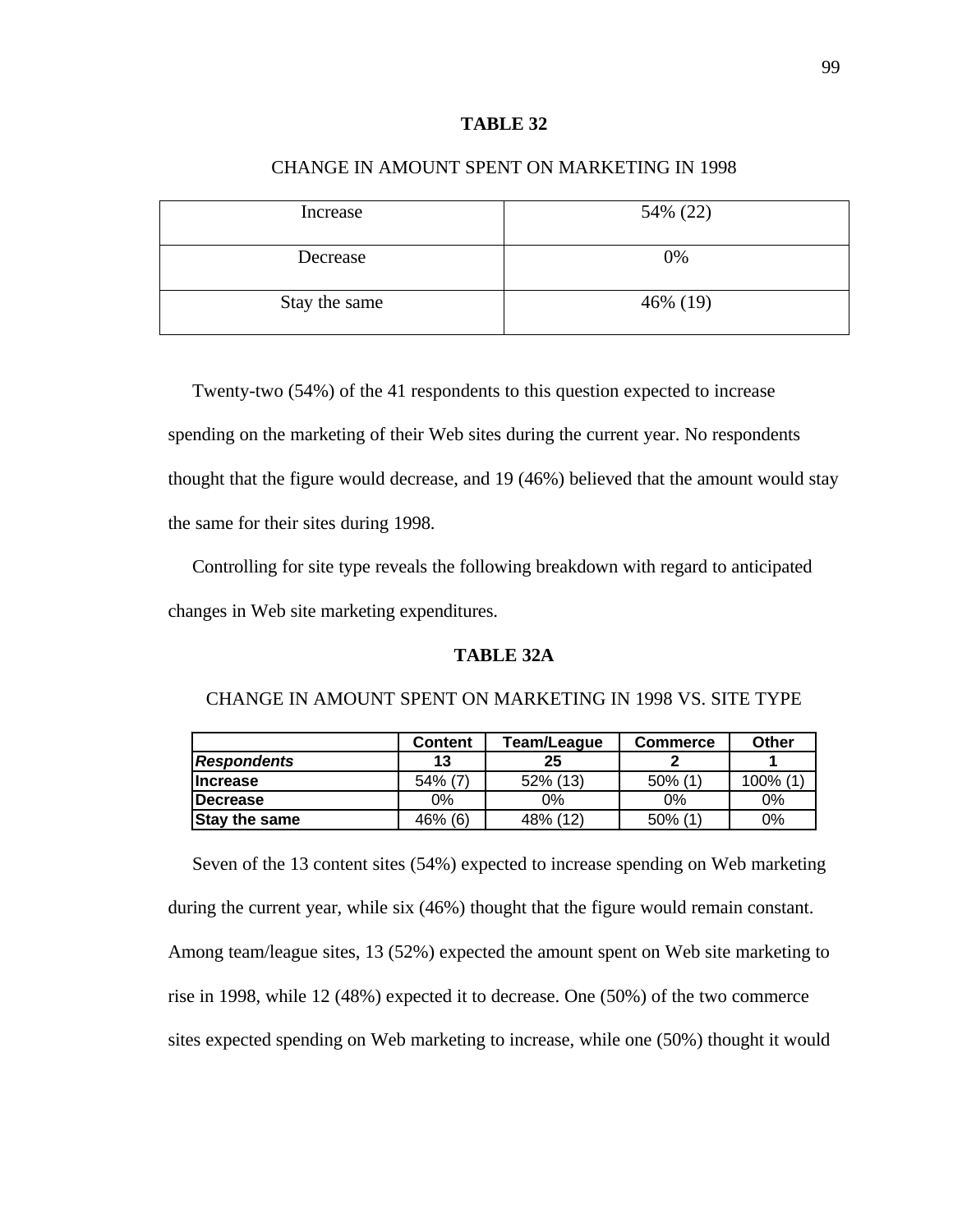# **TABLE 32**

| Increase      | 54% (22) |
|---------------|----------|
| Decrease      | 0%       |
| Stay the same | 46% (19) |

# CHANGE IN AMOUNT SPENT ON MARKETING IN 1998

Twenty-two (54%) of the 41 respondents to this question expected to increase spending on the marketing of their Web sites during the current year. No respondents thought that the figure would decrease, and 19 (46%) believed that the amount would stay the same for their sites during 1998.

 Controlling for site type reveals the following breakdown with regard to anticipated changes in Web site marketing expenditures.

# **TABLE 32A**

|                      | <b>Content</b> | Team/League | <b>Commerce</b> | Other   |
|----------------------|----------------|-------------|-----------------|---------|
| <b>Respondents</b>   | 13             | 25          |                 |         |
| <b>Increase</b>      | $54\%$ (7)     | 52% (13)    | $50\%$ (1)      | 100% (1 |
| <b>IDecrease</b>     | 0%             | 0%          | 0%              | 0%      |
| <b>Stay the same</b> | 46% (6)        | 48% (12)    | 50% (1          | 0%      |

# CHANGE IN AMOUNT SPENT ON MARKETING IN 1998 VS. SITE TYPE

 Seven of the 13 content sites (54%) expected to increase spending on Web marketing during the current year, while six (46%) thought that the figure would remain constant. Among team/league sites, 13 (52%) expected the amount spent on Web site marketing to rise in 1998, while 12 (48%) expected it to decrease. One (50%) of the two commerce sites expected spending on Web marketing to increase, while one (50%) thought it would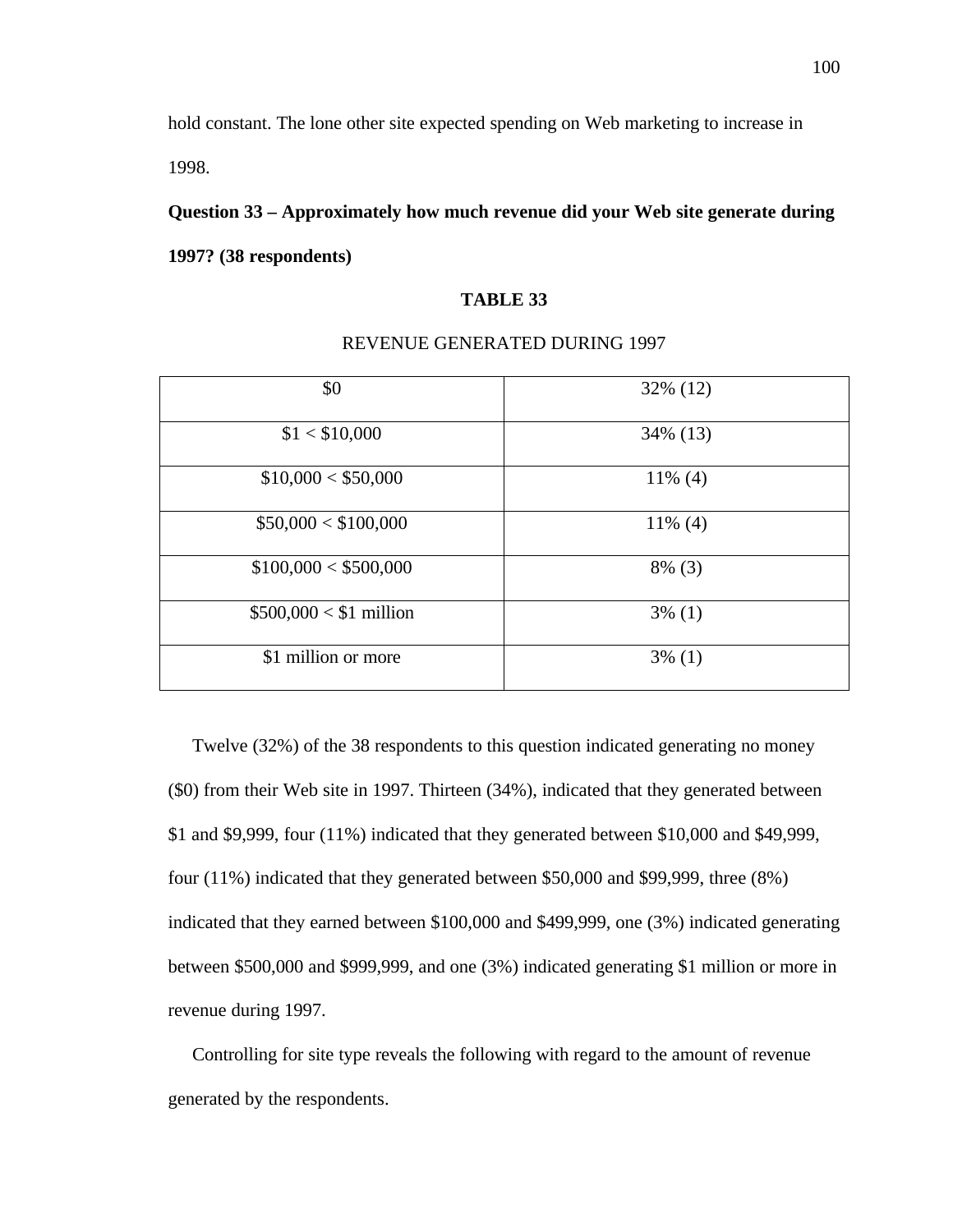hold constant. The lone other site expected spending on Web marketing to increase in 1998.

# **Question 33 – Approximately how much revenue did your Web site generate during**

**1997? (38 respondents)**

# **TABLE 33**

| \$0                     | 32% (12)   |
|-------------------------|------------|
| \$1 < \$10,000          | 34% (13)   |
| \$10,000 < \$50,000     | $11\%$ (4) |
| \$50,000 < \$100,000    | $11\%$ (4) |
| \$100,000 < \$500,000   | $8\%$ (3)  |
| $$500,000 < $1$ million | $3\%$ (1)  |
| \$1 million or more     | $3\%$ (1)  |

### REVENUE GENERATED DURING 1997

Twelve (32%) of the 38 respondents to this question indicated generating no money (\$0) from their Web site in 1997. Thirteen (34%), indicated that they generated between \$1 and \$9,999, four (11%) indicated that they generated between \$10,000 and \$49,999, four (11%) indicated that they generated between \$50,000 and \$99,999, three (8%) indicated that they earned between \$100,000 and \$499,999, one (3%) indicated generating between \$500,000 and \$999,999, and one (3%) indicated generating \$1 million or more in revenue during 1997.

 Controlling for site type reveals the following with regard to the amount of revenue generated by the respondents.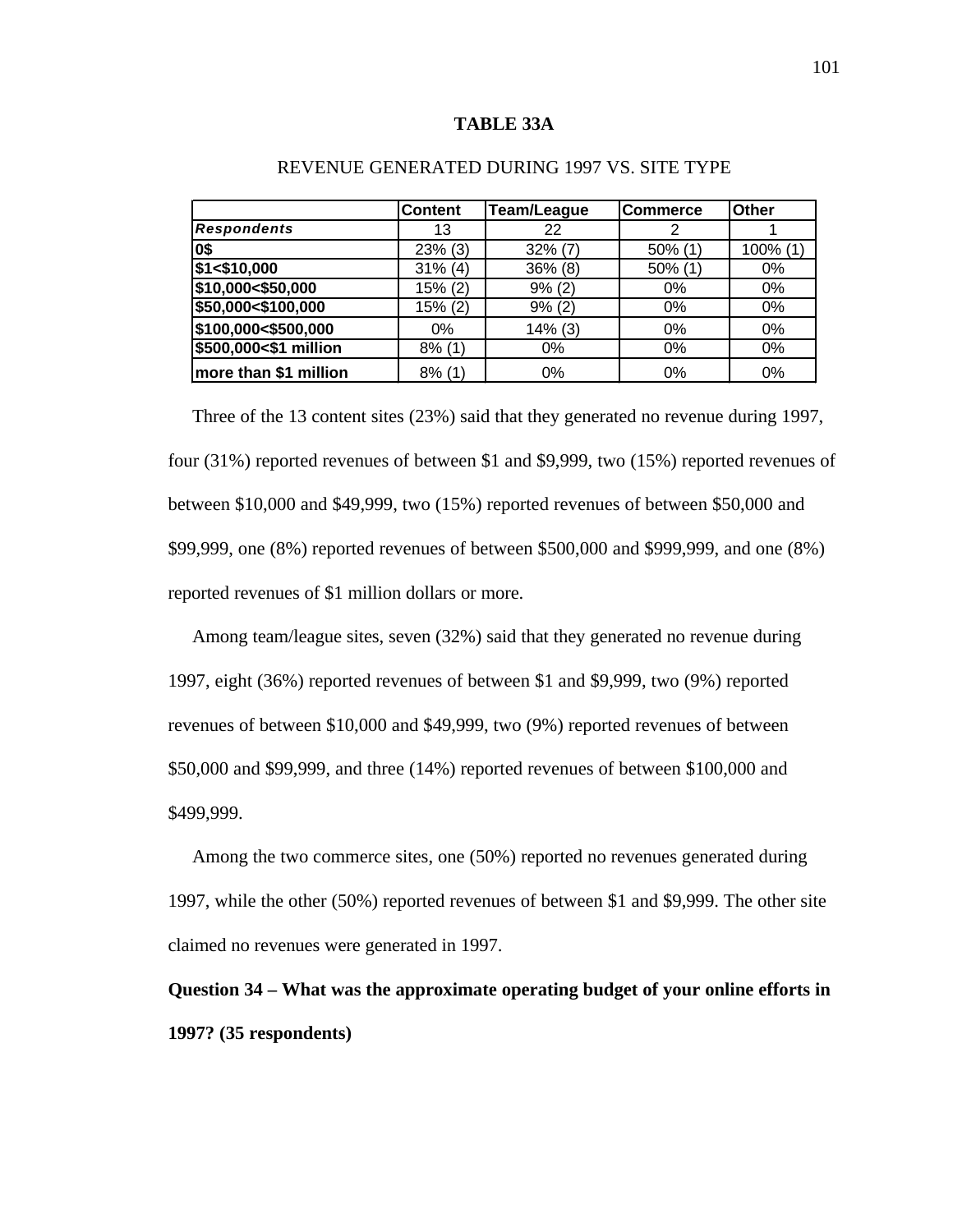#### **TABLE 33A**

|                       | <b>Content</b> | <b>Team/League</b> | Commerce | <b>Other</b> |
|-----------------------|----------------|--------------------|----------|--------------|
| <b>Respondents</b>    | 13             | 22                 | 2        |              |
| 0\$                   | $23\%$ (3)     | $32\%$ (7)         | 50% (1)  | 100% (1)     |
| \$1 < \$10,000        | $31\%$ (4)     | $36\%$ (8)         | 50% (1)  | $0\%$        |
| \$10,000<\$50,000     | 15% (2)        | 9% (2)             | $0\%$    | 0%           |
| \$50,000<\$100,000    | 15% (2)        | 9% (2)             | $0\%$    | 0%           |
| \$100,000<\$500,000   | $0\%$          | $14\%$ (3)         | 0%       | 0%           |
| \$500,000<\$1 million | $8\%$ (1)      | 0%                 | 0%       | 0%           |
| more than \$1 million | $8\%$ (1)      | $0\%$              | 0%       | 0%           |

# REVENUE GENERATED DURING 1997 VS. SITE TYPE

 Three of the 13 content sites (23%) said that they generated no revenue during 1997, four (31%) reported revenues of between \$1 and \$9,999, two (15%) reported revenues of between \$10,000 and \$49,999, two (15%) reported revenues of between \$50,000 and \$99,999, one (8%) reported revenues of between \$500,000 and \$999,999, and one (8%) reported revenues of \$1 million dollars or more.

 Among team/league sites, seven (32%) said that they generated no revenue during 1997, eight (36%) reported revenues of between \$1 and \$9,999, two (9%) reported revenues of between \$10,000 and \$49,999, two (9%) reported revenues of between \$50,000 and \$99,999, and three (14%) reported revenues of between \$100,000 and \$499,999.

 Among the two commerce sites, one (50%) reported no revenues generated during 1997, while the other (50%) reported revenues of between \$1 and \$9,999. The other site claimed no revenues were generated in 1997.

**Question 34 – What was the approximate operating budget of your online efforts in 1997? (35 respondents)**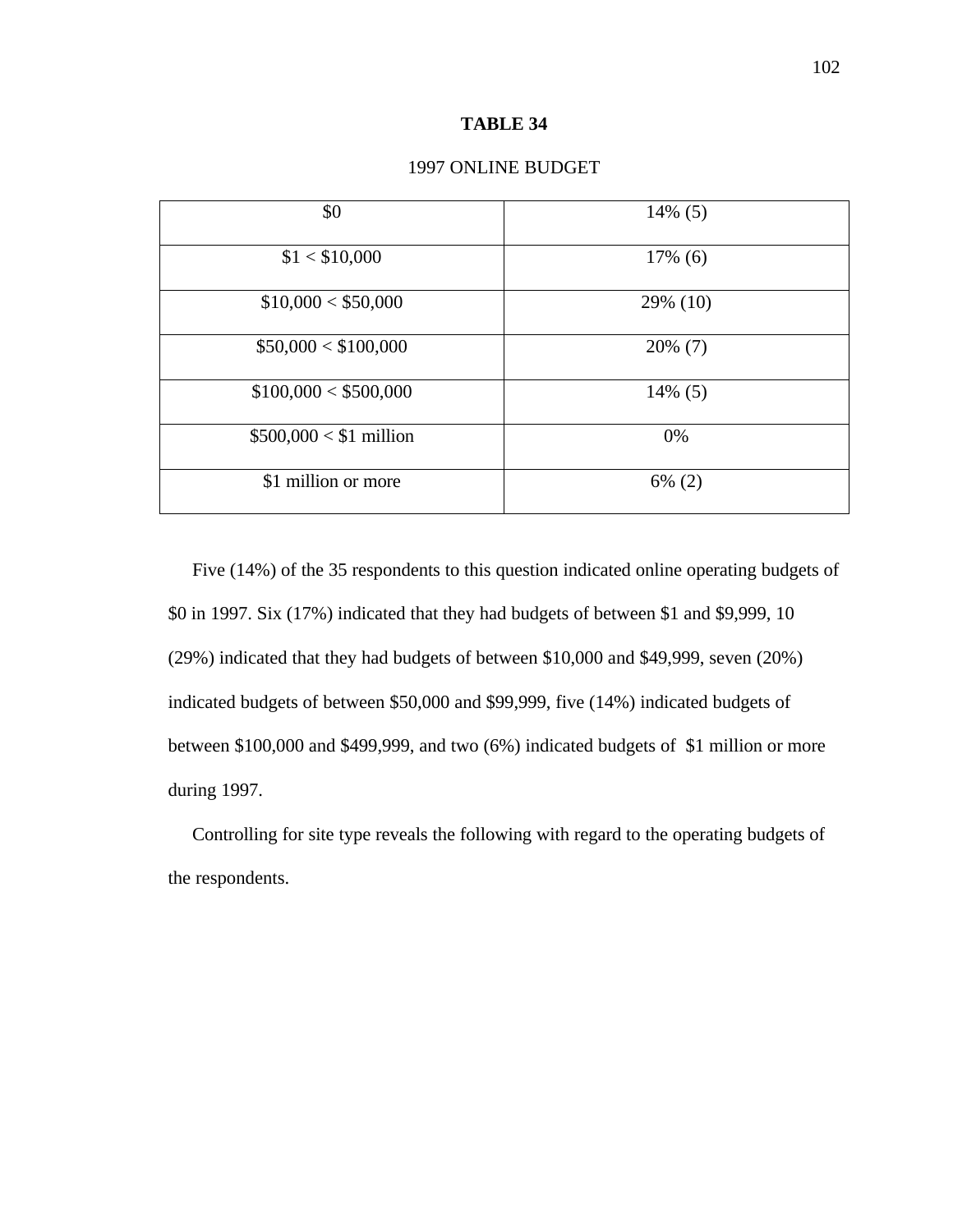#### **TABLE 34**

| \$0                     | $14\%$ (5) |
|-------------------------|------------|
| \$1 < \$10,000          | $17\%$ (6) |
| \$10,000 < \$50,000     | 29% (10)   |
| \$50,000 < \$100,000    | $20\%$ (7) |
| \$100,000 < \$500,000   | $14\%$ (5) |
| $$500,000 < $1$ million | 0%         |
| \$1 million or more     | $6\%$ (2)  |

#### 1997 ONLINE BUDGET

Five (14%) of the 35 respondents to this question indicated online operating budgets of \$0 in 1997. Six (17%) indicated that they had budgets of between \$1 and \$9,999, 10 (29%) indicated that they had budgets of between \$10,000 and \$49,999, seven (20%) indicated budgets of between \$50,000 and \$99,999, five (14%) indicated budgets of between \$100,000 and \$499,999, and two (6%) indicated budgets of \$1 million or more during 1997.

 Controlling for site type reveals the following with regard to the operating budgets of the respondents.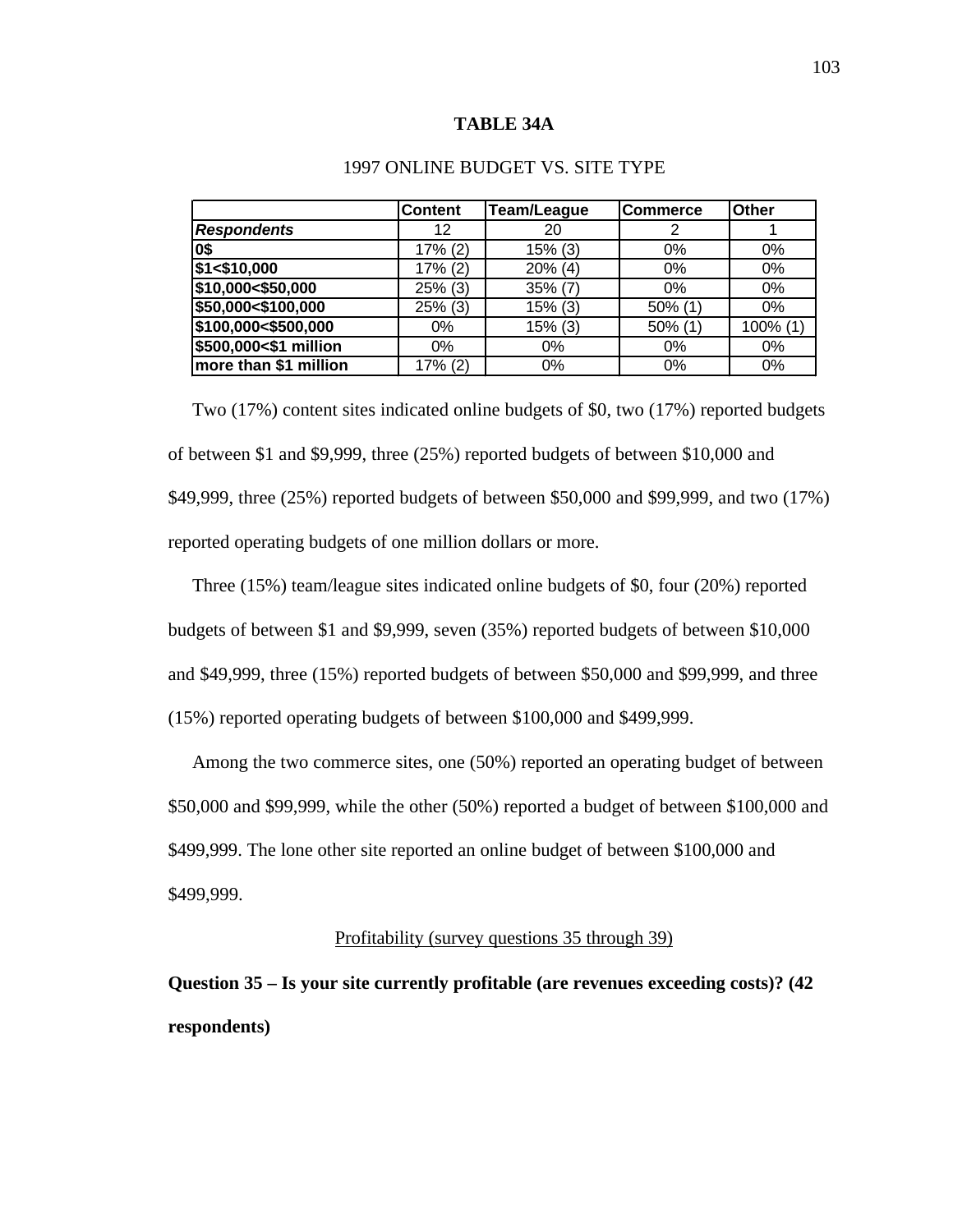#### **TABLE 34A**

|                       | <b>Content</b> | Team/League | <b>Commerce</b> | <b>Other</b> |
|-----------------------|----------------|-------------|-----------------|--------------|
| <b>Respondents</b>    | 12             | 20          | 2               |              |
| 0\$                   | 17% (2)        | 15% (3)     | $0\%$           | $0\%$        |
| \$1 < \$10,000        | 17% (2)        | $20\%$ (4)  | 0%              | $0\%$        |
| \$10,000<\$50,000     | $25\%$ (3)     | $35\%$ (7)  | $0\%$           | $0\%$        |
| \$50,000<\$100,000    | 25% (3)        | $15\%$ (3)  | $50\%$ (1)      | $0\%$        |
| \$100,000<\$500,000   | $0\%$          | $15\%$ (3)  | $50\%$ (1)      | 100% (1)     |
| \$500,000<\$1 million | $0\%$          | 0%          | $0\%$           | $0\%$        |
| more than \$1 million | $17\% (2)$     | 0%          | $0\%$           | $0\%$        |

# 1997 ONLINE BUDGET VS. SITE TYPE

 Two (17%) content sites indicated online budgets of \$0, two (17%) reported budgets of between \$1 and \$9,999, three (25%) reported budgets of between \$10,000 and \$49,999, three (25%) reported budgets of between \$50,000 and \$99,999, and two (17%) reported operating budgets of one million dollars or more.

 Three (15%) team/league sites indicated online budgets of \$0, four (20%) reported budgets of between \$1 and \$9,999, seven (35%) reported budgets of between \$10,000 and \$49,999, three (15%) reported budgets of between \$50,000 and \$99,999, and three (15%) reported operating budgets of between \$100,000 and \$499,999.

 Among the two commerce sites, one (50%) reported an operating budget of between \$50,000 and \$99,999, while the other (50%) reported a budget of between \$100,000 and \$499,999. The lone other site reported an online budget of between \$100,000 and \$499,999.

#### Profitability (survey questions 35 through 39)

**Question 35 – Is your site currently profitable (are revenues exceeding costs)? (42 respondents)**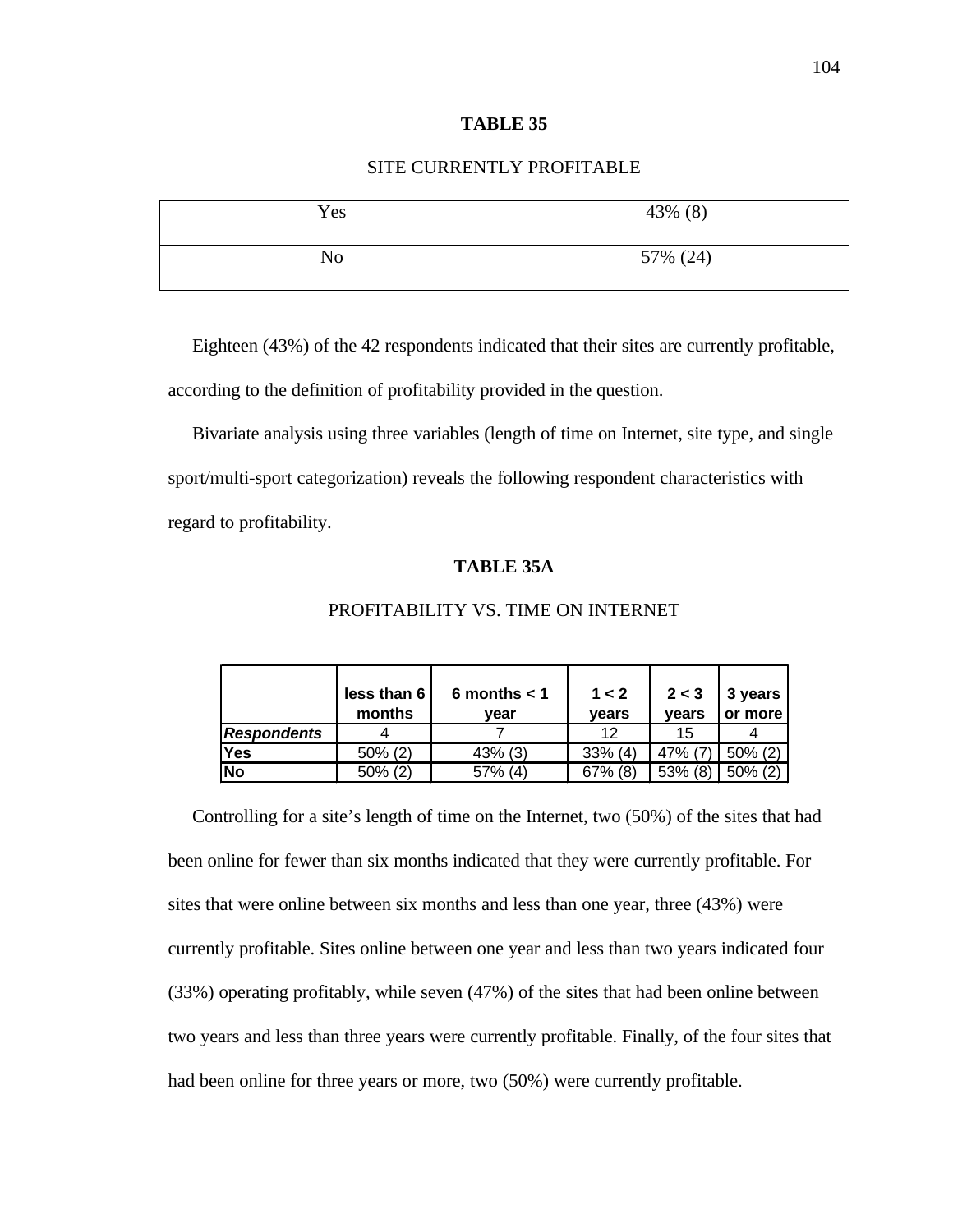# SITE CURRENTLY PROFITABLE

| Yes | 43% (8)  |
|-----|----------|
| No  | 57% (24) |

Eighteen (43%) of the 42 respondents indicated that their sites are currently profitable,

according to the definition of profitability provided in the question.

 Bivariate analysis using three variables (length of time on Internet, site type, and single sport/multi-sport categorization) reveals the following respondent characteristics with regard to profitability.

# **TABLE 35A**

|                    | less than 6<br>months | 6 months $<$ 1<br>vear | 1 < 2<br>vears | 2 < 3<br>vears | 3 years<br>or more |
|--------------------|-----------------------|------------------------|----------------|----------------|--------------------|
| <b>Respondents</b> |                       |                        | 12             | 15             |                    |
| <b>Yes</b>         | $50\%$ (2)            | $43\%$ (3)             | $33\%$ (4)     | 47% (7         | $50\%$ (2)         |
| <b>No</b>          | $50\%$ (2)            | $57\%$ (4)             | $67\%$ (8)     | $53\%$ (8)     | $50\%$ (2)         |

#### PROFITABILITY VS. TIME ON INTERNET

Controlling for a site's length of time on the Internet, two (50%) of the sites that had been online for fewer than six months indicated that they were currently profitable. For sites that were online between six months and less than one year, three (43%) were currently profitable. Sites online between one year and less than two years indicated four (33%) operating profitably, while seven (47%) of the sites that had been online between two years and less than three years were currently profitable. Finally, of the four sites that had been online for three years or more, two (50%) were currently profitable.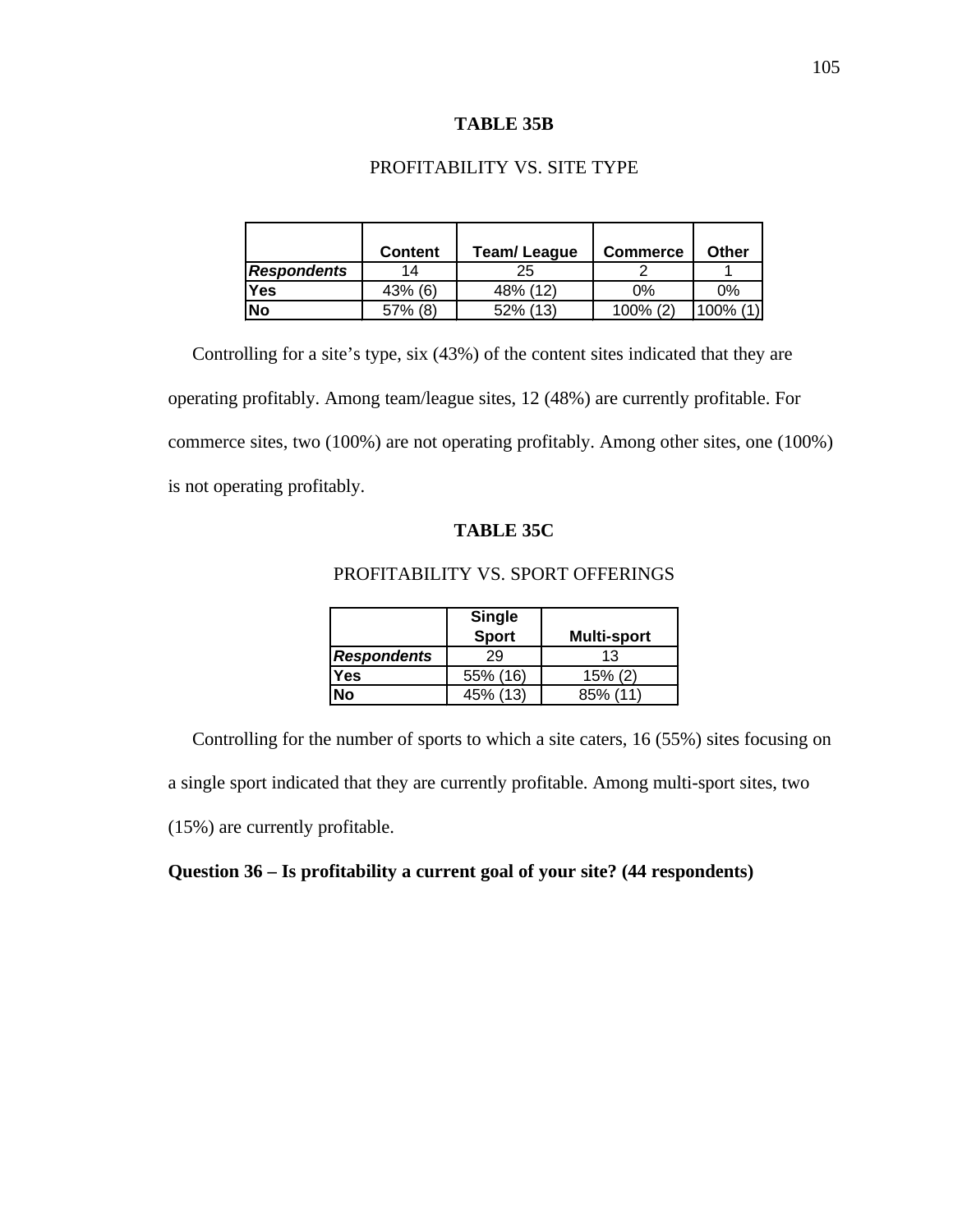#### **TABLE 35B**

# PROFITABILITY VS. SITE TYPE

|                    | <b>Content</b> | <b>Team/League</b> | <b>Commerce</b> | <b>Other</b> |
|--------------------|----------------|--------------------|-----------------|--------------|
| <b>Respondents</b> | 14             | 25                 |                 |              |
| <b>Yes</b>         | $43\%$ (6)     | 48% (12)           | 0%              | $0\%$        |
| No                 | $57\%$ (8)     | 52% (13)           | $100\%$ (2)     | 100%         |

 Controlling for a site's type, six (43%) of the content sites indicated that they are operating profitably. Among team/league sites, 12 (48%) are currently profitable. For commerce sites, two (100%) are not operating profitably. Among other sites, one (100%) is not operating profitably.

# **TABLE 35C**

# PROFITABILITY VS. SPORT OFFERINGS

|                    | <b>Single</b> |                    |
|--------------------|---------------|--------------------|
|                    | <b>Sport</b>  | <b>Multi-sport</b> |
| <b>Respondents</b> | 29            | 13                 |
| <b>Yes</b>         | 55% (16)      | 15% (2)            |
| No                 | 45% (13)      | 85% (11            |

Controlling for the number of sports to which a site caters, 16 (55%) sites focusing on

a single sport indicated that they are currently profitable. Among multi-sport sites, two

(15%) are currently profitable.

# **Question 36 – Is profitability a current goal of your site? (44 respondents)**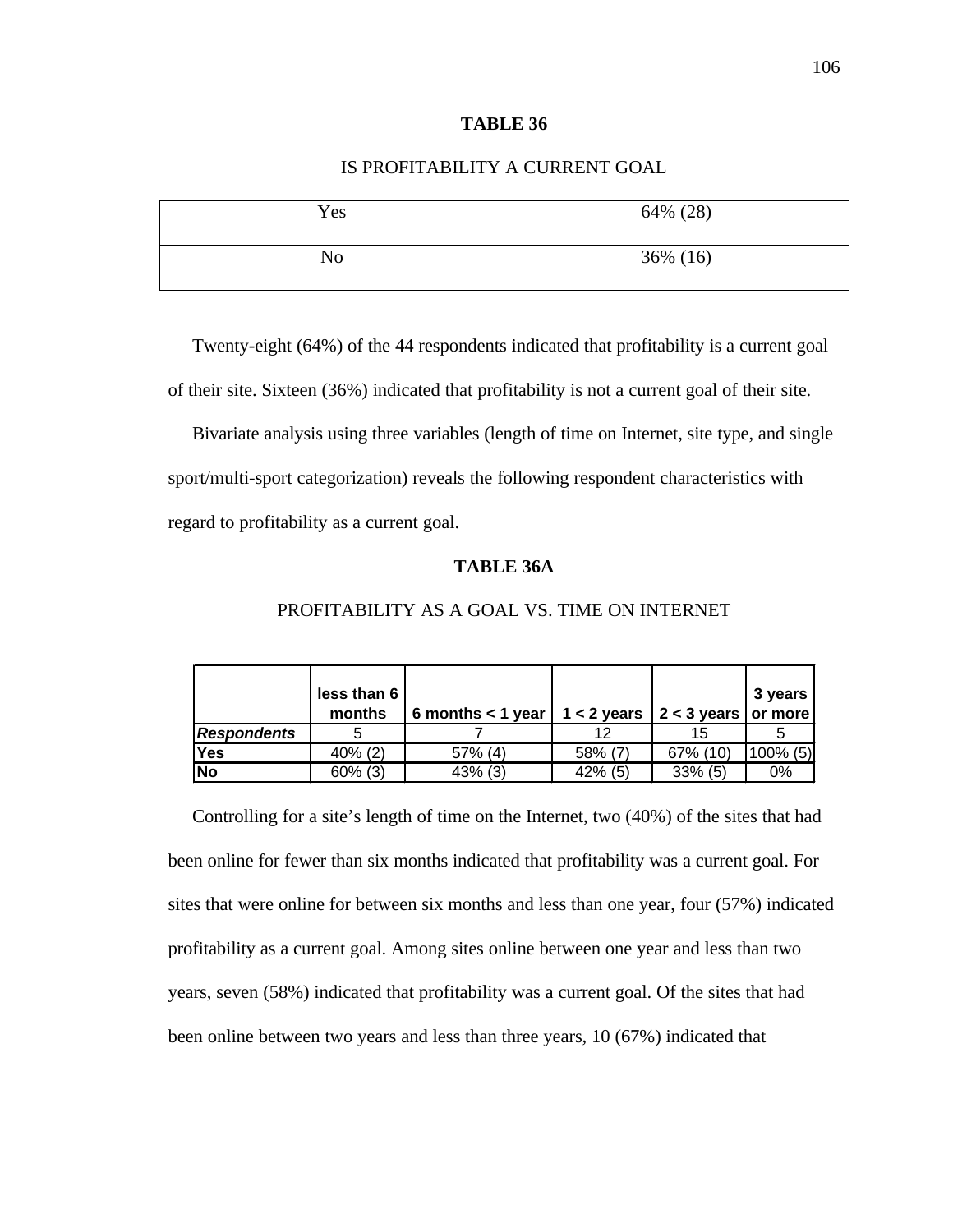#### **TABLE 36**

# IS PROFITABILITY A CURRENT GOAL

| Yes | 64% (28) |
|-----|----------|
| No  | 36% (16) |

Twenty-eight (64%) of the 44 respondents indicated that profitability is a current goal of their site. Sixteen (36%) indicated that profitability is not a current goal of their site.

 Bivariate analysis using three variables (length of time on Internet, site type, and single sport/multi-sport categorization) reveals the following respondent characteristics with regard to profitability as a current goal.

# **TABLE 36A**

|                    | less than 6<br>months | 6 months $<$ 1 year $\vert$ | 1 < 2 years $ 2 < 3$ years $ $ or more |            | 3 years     |
|--------------------|-----------------------|-----------------------------|----------------------------------------|------------|-------------|
| <b>Respondents</b> |                       |                             |                                        | 15         |             |
| Yes                | $40\%$ (2)            | 57% (4)                     | 58% (7)                                | 67% (10)   | $100\%$ (5) |
| No                 | $60\%$ (3)            | $43\%$ (3)                  | $42\%$ (5)                             | $33\%$ (5) | $0\%$       |

#### PROFITABILITY AS A GOAL VS. TIME ON INTERNET

Controlling for a site's length of time on the Internet, two (40%) of the sites that had been online for fewer than six months indicated that profitability was a current goal. For sites that were online for between six months and less than one year, four (57%) indicated profitability as a current goal. Among sites online between one year and less than two years, seven (58%) indicated that profitability was a current goal. Of the sites that had been online between two years and less than three years, 10 (67%) indicated that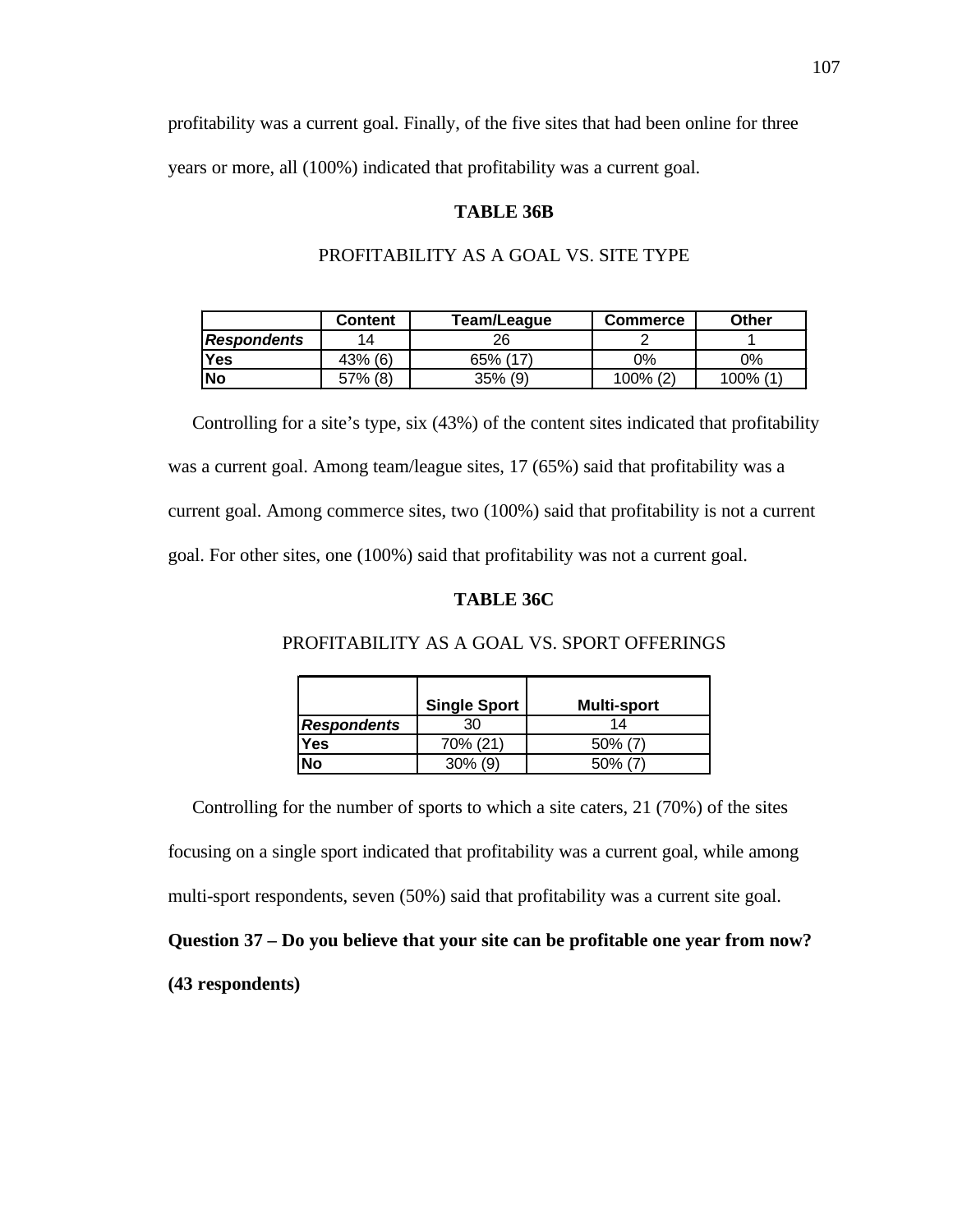profitability was a current goal. Finally, of the five sites that had been online for three years or more, all (100%) indicated that profitability was a current goal.

#### **TABLE 36B**

#### PROFITABILITY AS A GOAL VS. SITE TYPE

|             | Content | Team/League | <b>Commerce</b>  | Other                        |
|-------------|---------|-------------|------------------|------------------------------|
| Respondents | 14      | 26          |                  |                              |
| Yes         | 43% (6) | 65% (17)    | 0%               | 0%                           |
| <b>No</b>   | 57% (8) | $35\%$ (9)  | (2)<br>$100\%$ , | $\overline{14}$<br>$100\%$ . |

 Controlling for a site's type, six (43%) of the content sites indicated that profitability was a current goal. Among team/league sites, 17 (65%) said that profitability was a current goal. Among commerce sites, two (100%) said that profitability is not a current goal. For other sites, one (100%) said that profitability was not a current goal.

# **TABLE 36C**

|                    | Single Sport | <b>Multi-sport</b> |
|--------------------|--------------|--------------------|
| <b>Respondents</b> |              | 14                 |
| Yes                | 70% (21)     | $50\%$ (7)         |
| No                 | $30\%$ (9)   | 50%                |

#### PROFITABILITY AS A GOAL VS. SPORT OFFERINGS

 Controlling for the number of sports to which a site caters, 21 (70%) of the sites focusing on a single sport indicated that profitability was a current goal, while among multi-sport respondents, seven (50%) said that profitability was a current site goal. **Question 37 – Do you believe that your site can be profitable one year from now?**

# **(43 respondents)**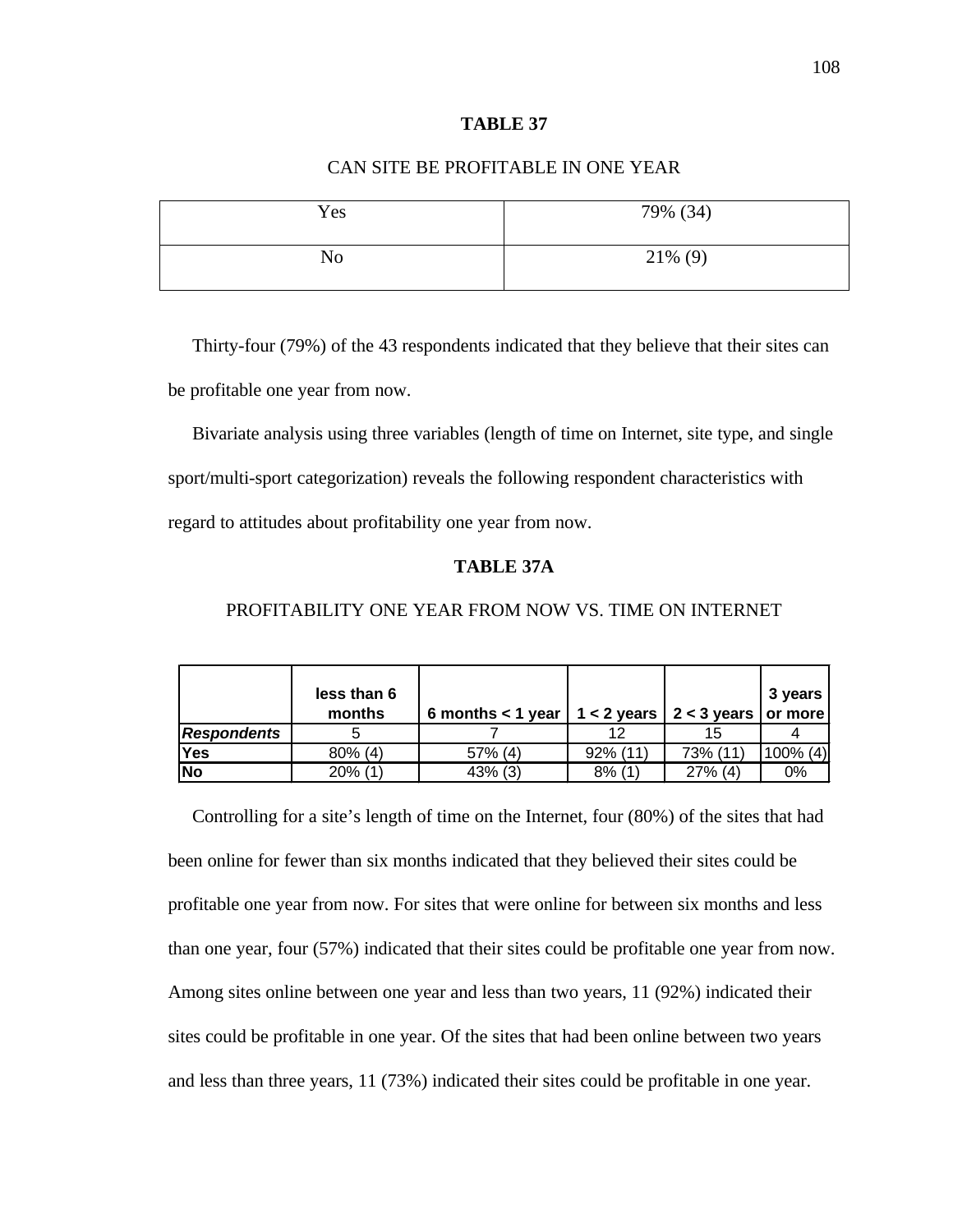# CAN SITE BE PROFITABLE IN ONE YEAR

| Yes            | 79% (34)   |
|----------------|------------|
| N <sub>o</sub> | $21\%$ (9) |

Thirty-four (79%) of the 43 respondents indicated that they believe that their sites can be profitable one year from now.

 Bivariate analysis using three variables (length of time on Internet, site type, and single sport/multi-sport categorization) reveals the following respondent characteristics with regard to attitudes about profitability one year from now.

# **TABLE 37A**

|                    | less than 6<br>months | 6 months < 1 year   $1 < 2$ years   $2 < 3$ years   or more |             |            | 3 years     |
|--------------------|-----------------------|-------------------------------------------------------------|-------------|------------|-------------|
| <b>Respondents</b> |                       |                                                             | 12          | 15         |             |
| Yes                | $80\%$ (4)            | $57\%$ (4)                                                  | $92\%$ (11) | 73% (11)   | $100\%$ (4) |
| <b>No</b>          | $20\%$ (1)            | $43\%$ (3)                                                  | $8\%$ (1)   | $27\%$ (4) | $0\%$       |

# PROFITABILITY ONE YEAR FROM NOW VS. TIME ON INTERNET

Controlling for a site's length of time on the Internet, four (80%) of the sites that had been online for fewer than six months indicated that they believed their sites could be profitable one year from now. For sites that were online for between six months and less than one year, four (57%) indicated that their sites could be profitable one year from now. Among sites online between one year and less than two years, 11 (92%) indicated their sites could be profitable in one year. Of the sites that had been online between two years and less than three years, 11 (73%) indicated their sites could be profitable in one year.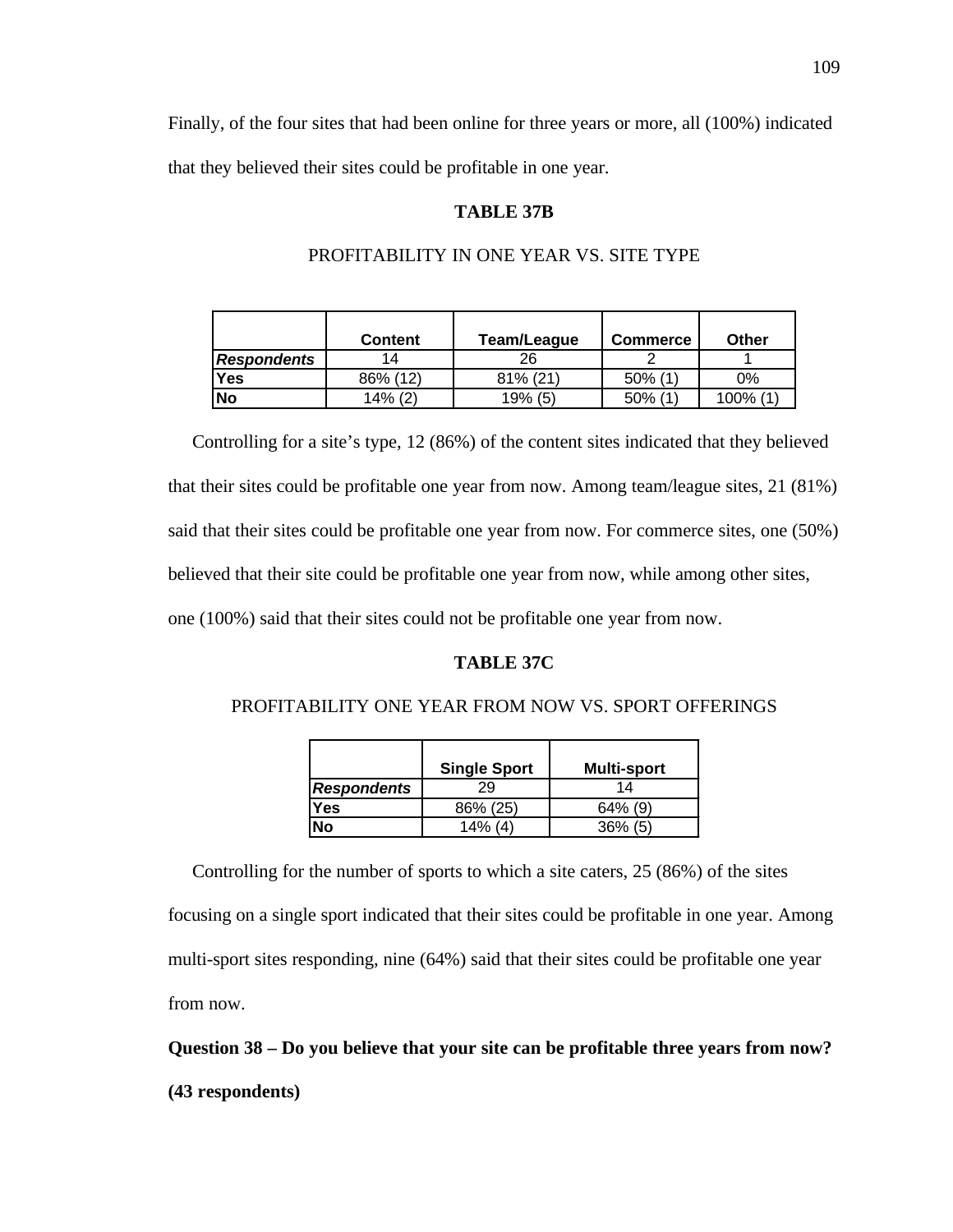Finally, of the four sites that had been online for three years or more, all (100%) indicated that they believed their sites could be profitable in one year.

#### **TABLE 37B**

## PROFITABILITY IN ONE YEAR VS. SITE TYPE

|                    | <b>Content</b> | Team/League | <b>Commerce</b> | Other   |
|--------------------|----------------|-------------|-----------------|---------|
| <b>Respondents</b> | 14             | 26          |                 |         |
| Yes                | 86% (12)       | 81% (21)    | $50\%$ (1)      | 0%      |
| <b>No</b>          | $14\%$ (2)     | 19% (5)     | 50% (1          | 100% (1 |

 Controlling for a site's type, 12 (86%) of the content sites indicated that they believed that their sites could be profitable one year from now. Among team/league sites, 21 (81%) said that their sites could be profitable one year from now. For commerce sites, one (50%) believed that their site could be profitable one year from now, while among other sites, one (100%) said that their sites could not be profitable one year from now.

### **TABLE 37C**

#### PROFITABILITY ONE YEAR FROM NOW VS. SPORT OFFERINGS

|             | <b>Single Sport</b> | <b>Multi-sport</b> |
|-------------|---------------------|--------------------|
| Respondents | 29                  | 14                 |
| Yes         | 86% (25)            | $64\%$ (9)         |
| No          | $14\%$ (4)          | 36%<br>(5)         |

 Controlling for the number of sports to which a site caters, 25 (86%) of the sites focusing on a single sport indicated that their sites could be profitable in one year. Among multi-sport sites responding, nine (64%) said that their sites could be profitable one year from now.

**Question 38 – Do you believe that your site can be profitable three years from now? (43 respondents)**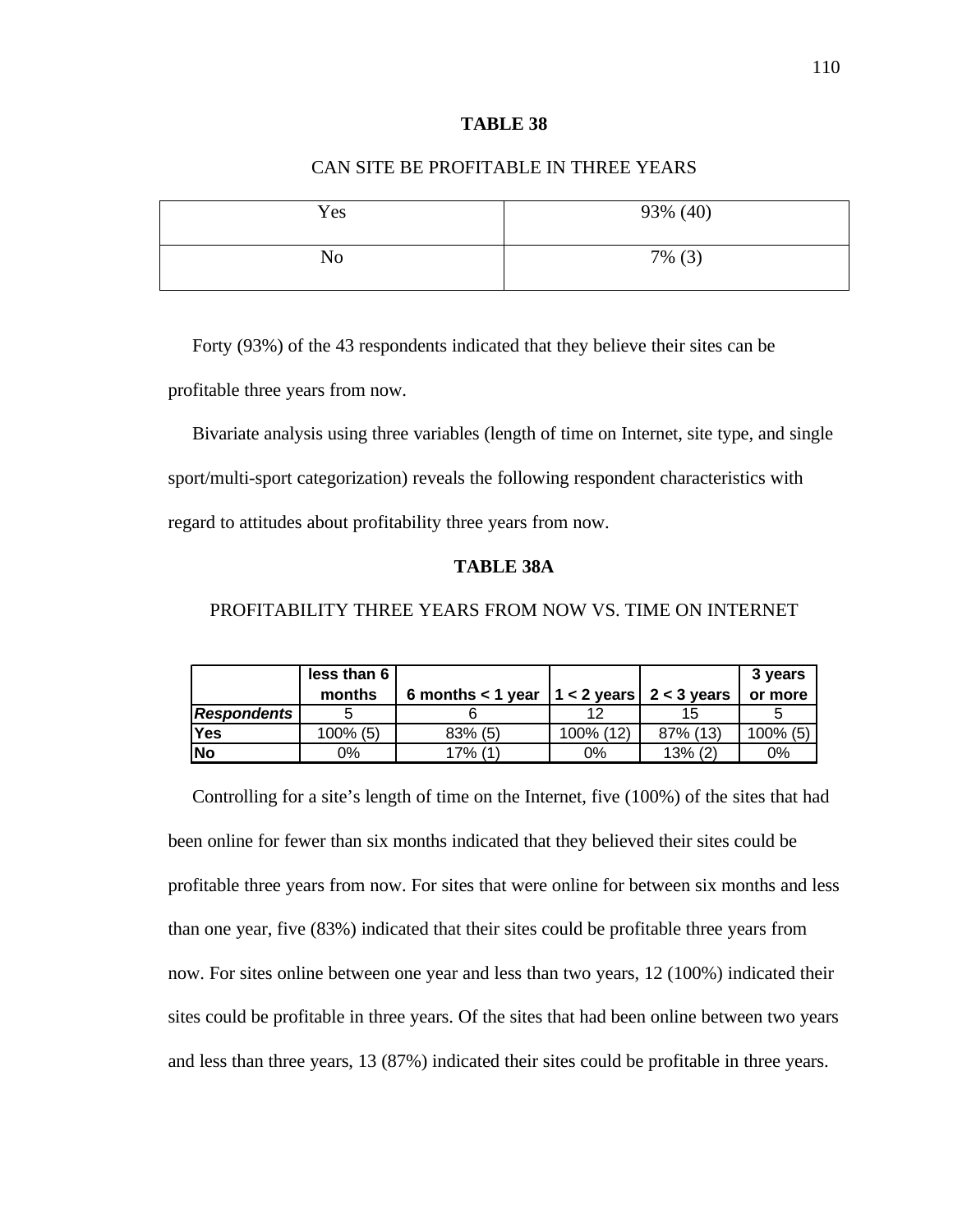## CAN SITE BE PROFITABLE IN THREE YEARS

| Yes | 93% (40)  |
|-----|-----------|
| No  | $7\%$ (3) |

Forty (93%) of the 43 respondents indicated that they believe their sites can be

profitable three years from now.

 Bivariate analysis using three variables (length of time on Internet, site type, and single sport/multi-sport categorization) reveals the following respondent characteristics with regard to attitudes about profitability three years from now.

## **TABLE 38A**

# PROFITABILITY THREE YEARS FROM NOW VS. TIME ON INTERNET

|                    | less than 6 |                                                 |           |            | 3 years     |
|--------------------|-------------|-------------------------------------------------|-----------|------------|-------------|
|                    | months      | 6 months < 1 year $ 1 < 2$ years $ 2 < 3$ years |           |            | or more     |
| <b>Respondents</b> |             |                                                 | 12        | 15         |             |
| Yes                | 100% (5)    | 83% (5)                                         | 100% (12) | 87% (13)   | $100\%$ (5) |
| lNo                | 0%          | 17% (1,                                         | 0%        | $13\%$ (2) | 0%          |

Controlling for a site's length of time on the Internet, five (100%) of the sites that had been online for fewer than six months indicated that they believed their sites could be profitable three years from now. For sites that were online for between six months and less than one year, five (83%) indicated that their sites could be profitable three years from now. For sites online between one year and less than two years, 12 (100%) indicated their sites could be profitable in three years. Of the sites that had been online between two years and less than three years, 13 (87%) indicated their sites could be profitable in three years.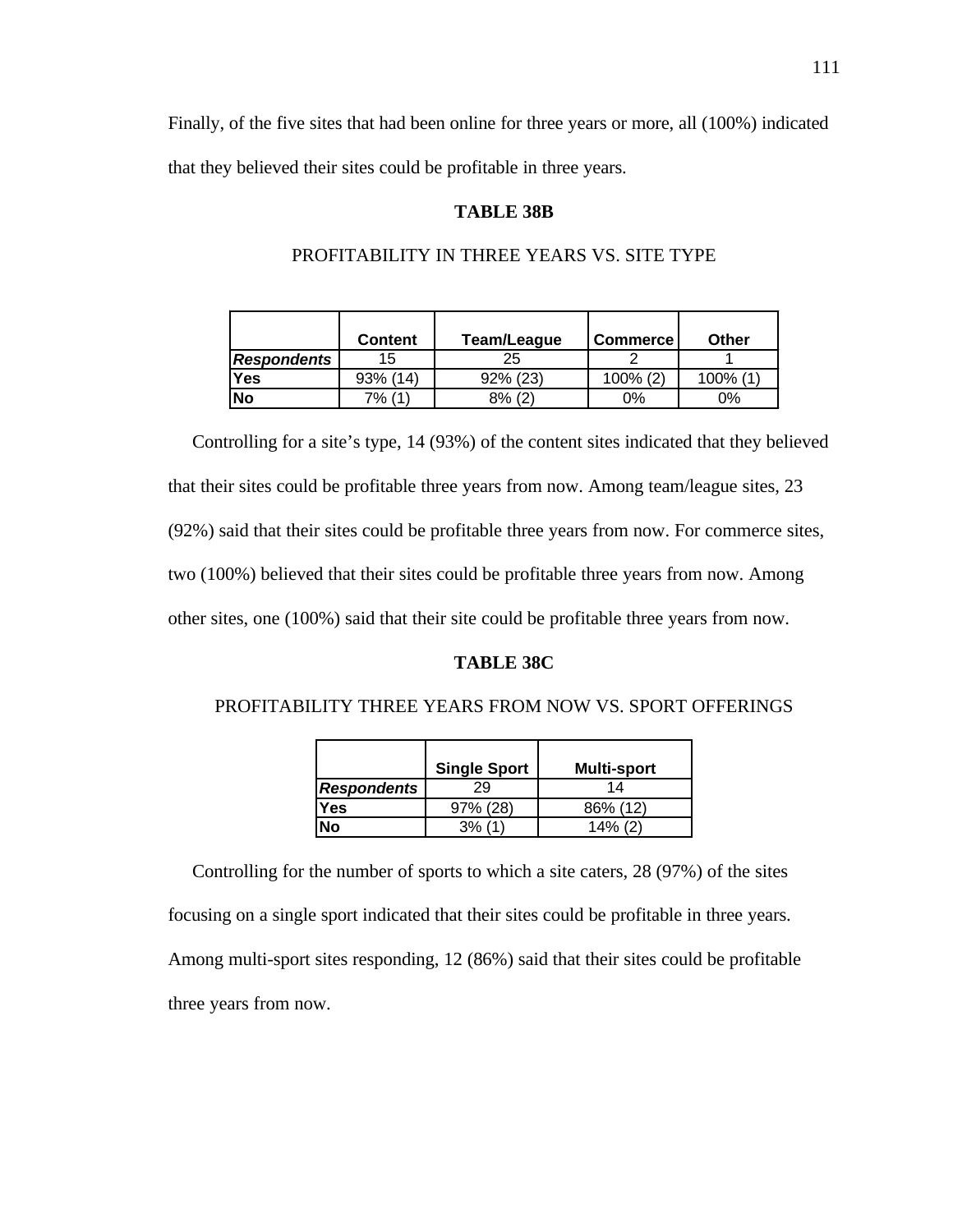Finally, of the five sites that had been online for three years or more, all (100%) indicated that they believed their sites could be profitable in three years.

#### **TABLE 38B**

|                    | Content  | Team/League | Commerce    | Other   |
|--------------------|----------|-------------|-------------|---------|
| <b>Respondents</b> | 15       | 25          |             |         |
| Yes                | 93% (14) | 92% (23)    | $100\%$ (2) | 100% (1 |
| No                 | $7\%$ (  | 8% (2)      | 0%          | 0%      |

#### PROFITABILITY IN THREE YEARS VS. SITE TYPE

 Controlling for a site's type, 14 (93%) of the content sites indicated that they believed that their sites could be profitable three years from now. Among team/league sites, 23 (92%) said that their sites could be profitable three years from now. For commerce sites, two (100%) believed that their sites could be profitable three years from now. Among other sites, one (100%) said that their site could be profitable three years from now.

#### **TABLE 38C**

#### PROFITABILITY THREE YEARS FROM NOW VS. SPORT OFFERINGS

|                    | <b>Single Sport</b> | <b>Multi-sport</b> |
|--------------------|---------------------|--------------------|
| <b>Respondents</b> | 29                  | 14                 |
| Yes                | 97% (28)            | 86% (12)           |
| Nο                 | 3%                  | $14\%$ (2)         |

 Controlling for the number of sports to which a site caters, 28 (97%) of the sites focusing on a single sport indicated that their sites could be profitable in three years. Among multi-sport sites responding, 12 (86%) said that their sites could be profitable three years from now.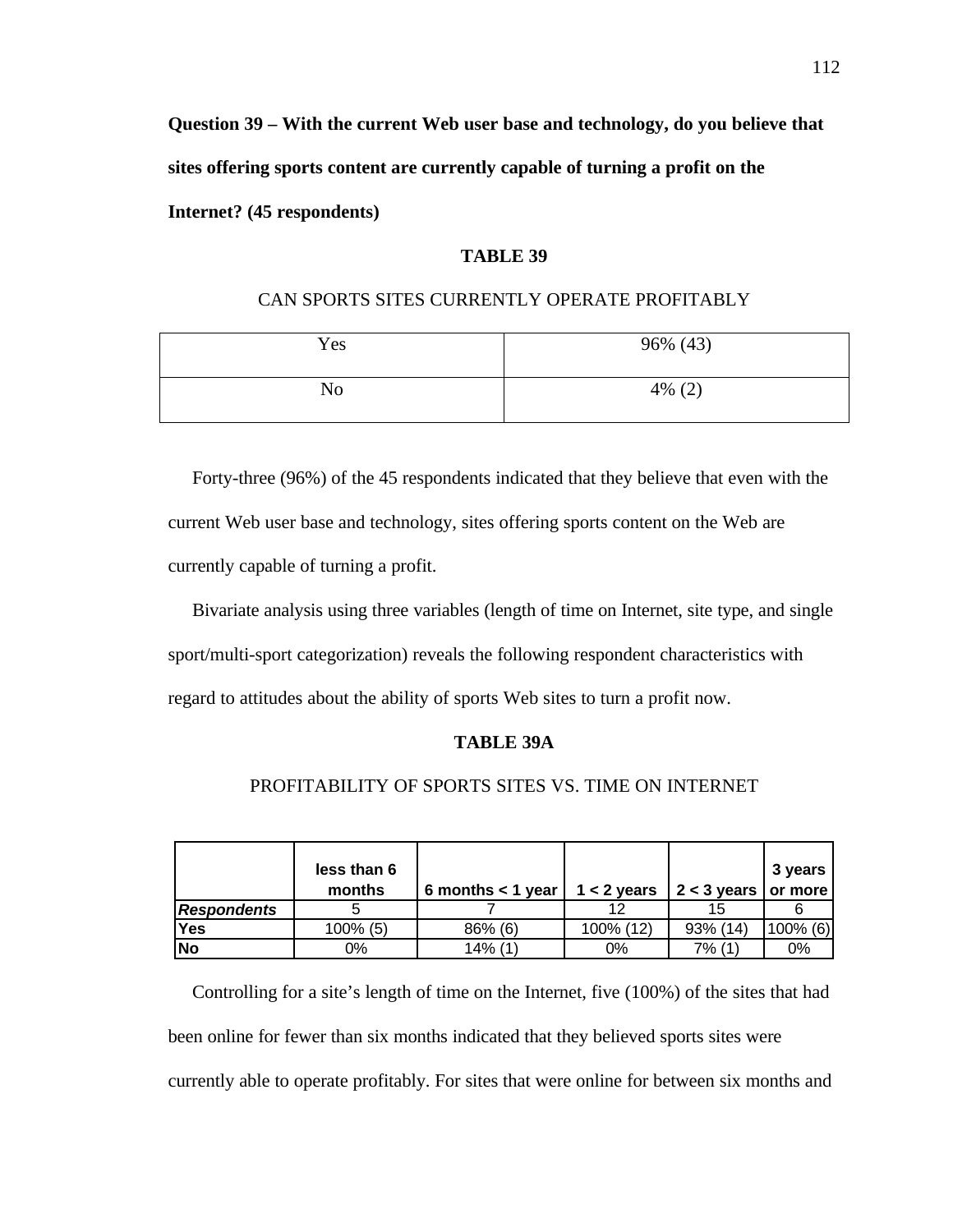**Question 39 – With the current Web user base and technology, do you believe that sites offering sports content are currently capable of turning a profit on the Internet? (45 respondents)**

## **TABLE 39**

#### CAN SPORTS SITES CURRENTLY OPERATE PROFITABLY

| Yes            | 96% (43)  |
|----------------|-----------|
| N <sub>o</sub> | $4\%$ (2) |

Forty-three (96%) of the 45 respondents indicated that they believe that even with the current Web user base and technology, sites offering sports content on the Web are currently capable of turning a profit.

 Bivariate analysis using three variables (length of time on Internet, site type, and single sport/multi-sport categorization) reveals the following respondent characteristics with regard to attitudes about the ability of sports Web sites to turn a profit now.

#### **TABLE 39A**

## PROFITABILITY OF SPORTS SITES VS. TIME ON INTERNET

|                    | less than 6<br>months | 6 months $<$ 1 year $\parallel$ | $1 < 2$ years | $2 < 3$ years or more | 3 years     |
|--------------------|-----------------------|---------------------------------|---------------|-----------------------|-------------|
| <b>Respondents</b> |                       |                                 | 12            | 15                    |             |
| <b>Yes</b>         | 100% (5)              | 86% (6)                         | 100% (12)     | 93% (14)              | $100\%$ (6) |
| No                 | 0%                    | 14% (1                          | 0%            | 7% (1)                | 0%          |

Controlling for a site's length of time on the Internet, five (100%) of the sites that had been online for fewer than six months indicated that they believed sports sites were currently able to operate profitably. For sites that were online for between six months and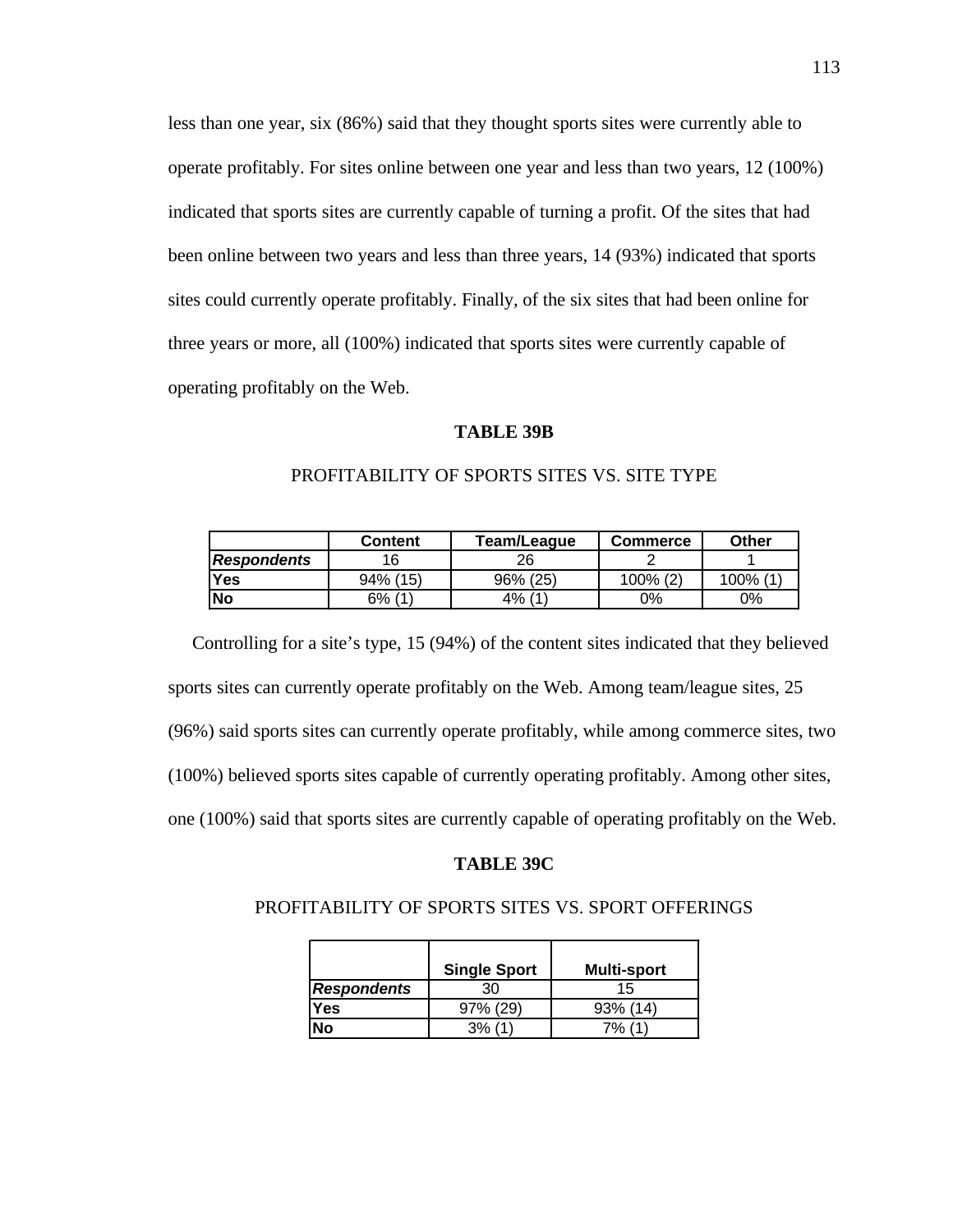less than one year, six (86%) said that they thought sports sites were currently able to operate profitably. For sites online between one year and less than two years, 12 (100%) indicated that sports sites are currently capable of turning a profit. Of the sites that had been online between two years and less than three years, 14 (93%) indicated that sports sites could currently operate profitably. Finally, of the six sites that had been online for three years or more, all (100%) indicated that sports sites were currently capable of operating profitably on the Web.

#### **TABLE 39B**

|             | <b>Content</b> | Team/League | Commerce    | Other   |
|-------------|----------------|-------------|-------------|---------|
| Respondents | 6              | 26          |             |         |
| <b>Yes</b>  | 94% (15)       | 96% (25)    | $100\% (2)$ | 100% (1 |
| lNo         | 6% (1          | $4\%$ (1)   | 0%          | 0%      |

## PROFITABILITY OF SPORTS SITES VS. SITE TYPE

 Controlling for a site's type, 15 (94%) of the content sites indicated that they believed sports sites can currently operate profitably on the Web. Among team/league sites, 25 (96%) said sports sites can currently operate profitably, while among commerce sites, two (100%) believed sports sites capable of currently operating profitably. Among other sites, one (100%) said that sports sites are currently capable of operating profitably on the Web.

#### **TABLE 39C**

## PROFITABILITY OF SPORTS SITES VS. SPORT OFFERINGS

|             | <b>Single Sport</b> | <b>Multi-sport</b> |
|-------------|---------------------|--------------------|
| Respondents | 30                  | 15                 |
| Yes         | $97\%$ (29)         | $93\%$ (14)        |
| N٥          | 3%                  | י ס⁄9              |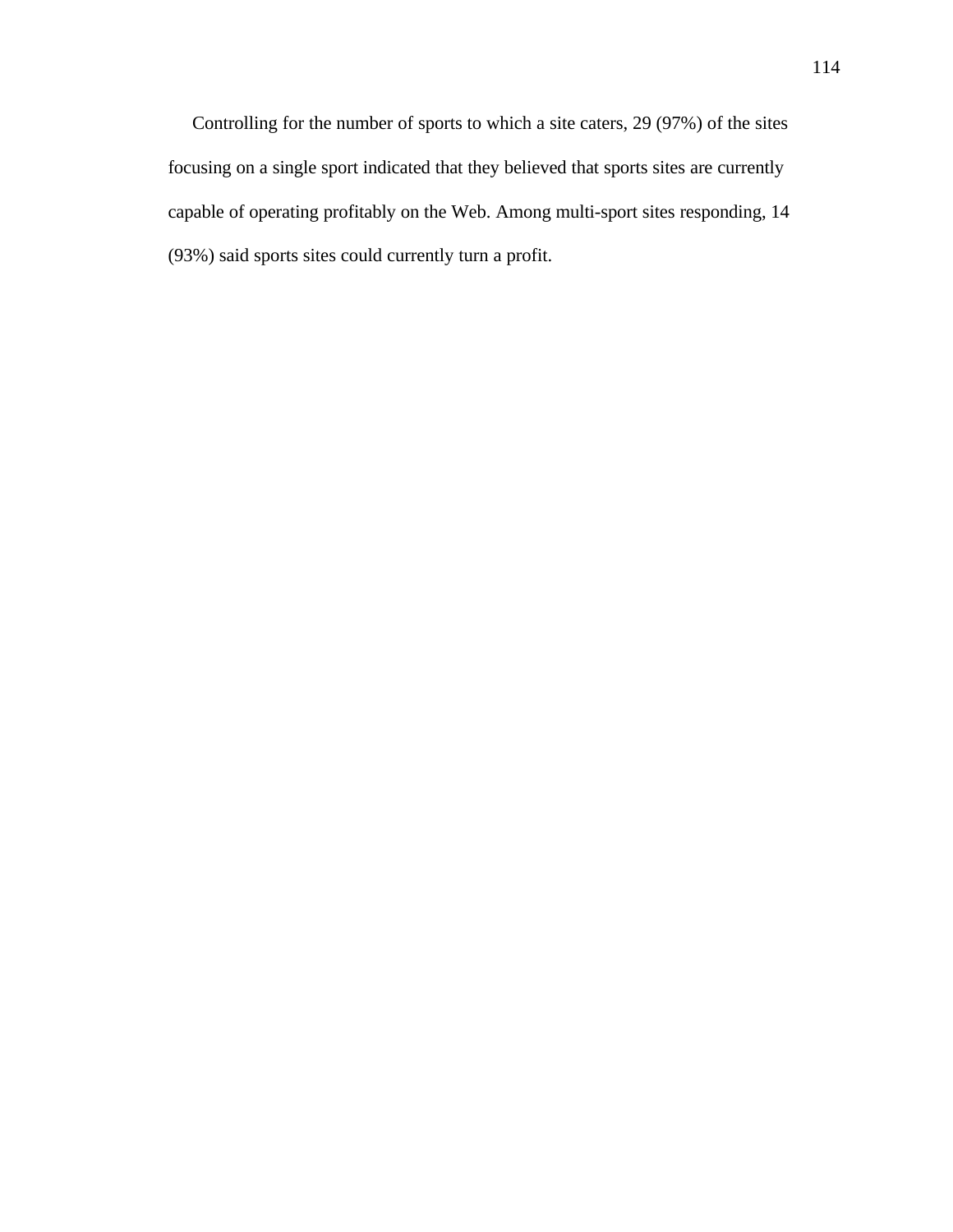Controlling for the number of sports to which a site caters, 29 (97%) of the sites focusing on a single sport indicated that they believed that sports sites are currently capable of operating profitably on the Web. Among multi-sport sites responding, 14 (93%) said sports sites could currently turn a profit.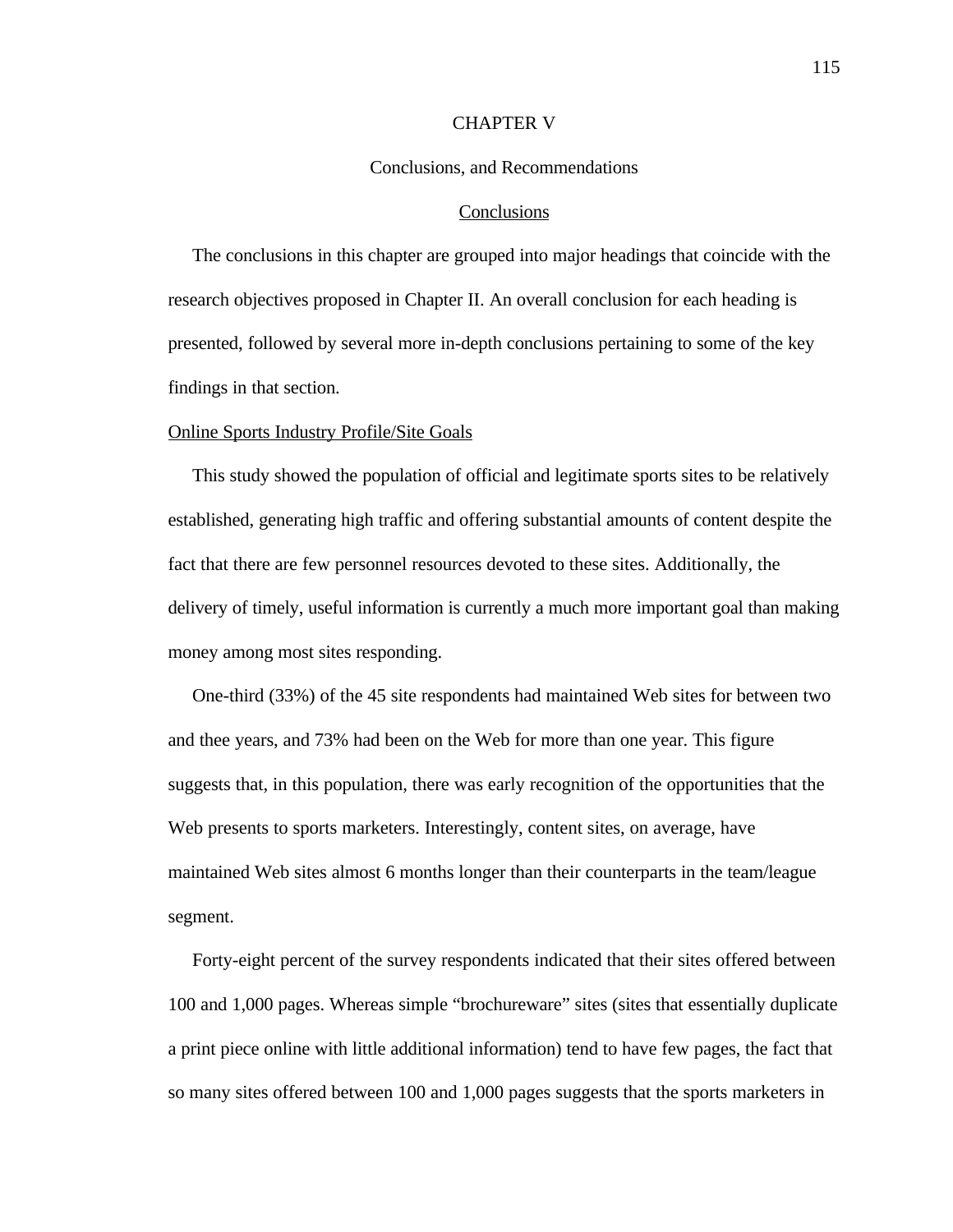#### CHAPTER V

#### Conclusions, and Recommendations

#### Conclusions

 The conclusions in this chapter are grouped into major headings that coincide with the research objectives proposed in Chapter II. An overall conclusion for each heading is presented, followed by several more in-depth conclusions pertaining to some of the key findings in that section.

#### Online Sports Industry Profile/Site Goals

 This study showed the population of official and legitimate sports sites to be relatively established, generating high traffic and offering substantial amounts of content despite the fact that there are few personnel resources devoted to these sites. Additionally, the delivery of timely, useful information is currently a much more important goal than making money among most sites responding.

One-third (33%) of the 45 site respondents had maintained Web sites for between two and thee years, and 73% had been on the Web for more than one year. This figure suggests that, in this population, there was early recognition of the opportunities that the Web presents to sports marketers. Interestingly, content sites, on average, have maintained Web sites almost 6 months longer than their counterparts in the team/league segment.

 Forty-eight percent of the survey respondents indicated that their sites offered between 100 and 1,000 pages. Whereas simple "brochureware" sites (sites that essentially duplicate a print piece online with little additional information) tend to have few pages, the fact that so many sites offered between 100 and 1,000 pages suggests that the sports marketers in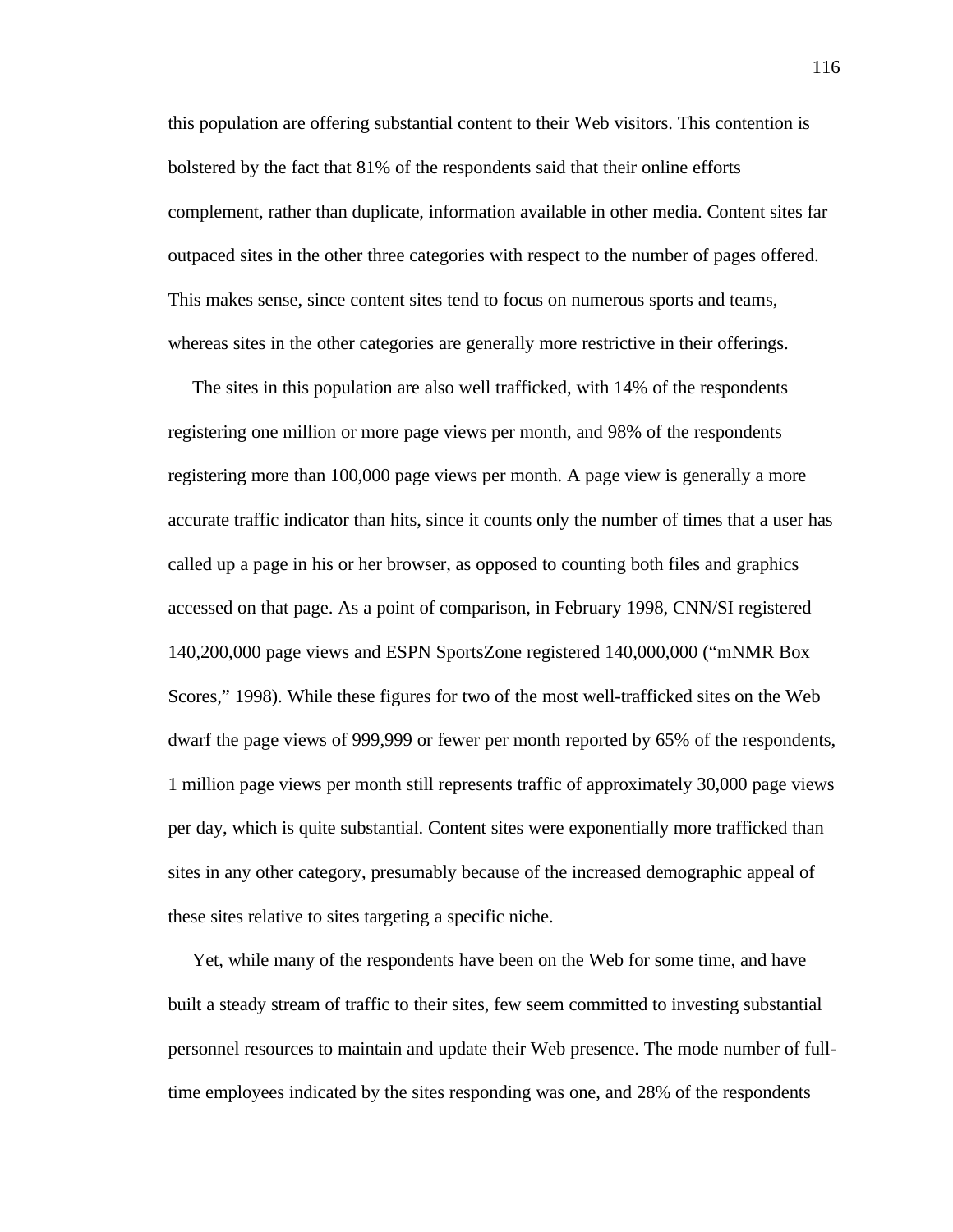this population are offering substantial content to their Web visitors. This contention is bolstered by the fact that 81% of the respondents said that their online efforts complement, rather than duplicate, information available in other media. Content sites far outpaced sites in the other three categories with respect to the number of pages offered. This makes sense, since content sites tend to focus on numerous sports and teams, whereas sites in the other categories are generally more restrictive in their offerings.

 The sites in this population are also well trafficked, with 14% of the respondents registering one million or more page views per month, and 98% of the respondents registering more than 100,000 page views per month. A page view is generally a more accurate traffic indicator than hits, since it counts only the number of times that a user has called up a page in his or her browser, as opposed to counting both files and graphics accessed on that page. As a point of comparison, in February 1998, CNN/SI registered 140,200,000 page views and ESPN SportsZone registered 140,000,000 ("mNMR Box Scores," 1998). While these figures for two of the most well-trafficked sites on the Web dwarf the page views of 999,999 or fewer per month reported by 65% of the respondents, 1 million page views per month still represents traffic of approximately 30,000 page views per day, which is quite substantial. Content sites were exponentially more trafficked than sites in any other category, presumably because of the increased demographic appeal of these sites relative to sites targeting a specific niche.

 Yet, while many of the respondents have been on the Web for some time, and have built a steady stream of traffic to their sites, few seem committed to investing substantial personnel resources to maintain and update their Web presence. The mode number of fulltime employees indicated by the sites responding was one, and 28% of the respondents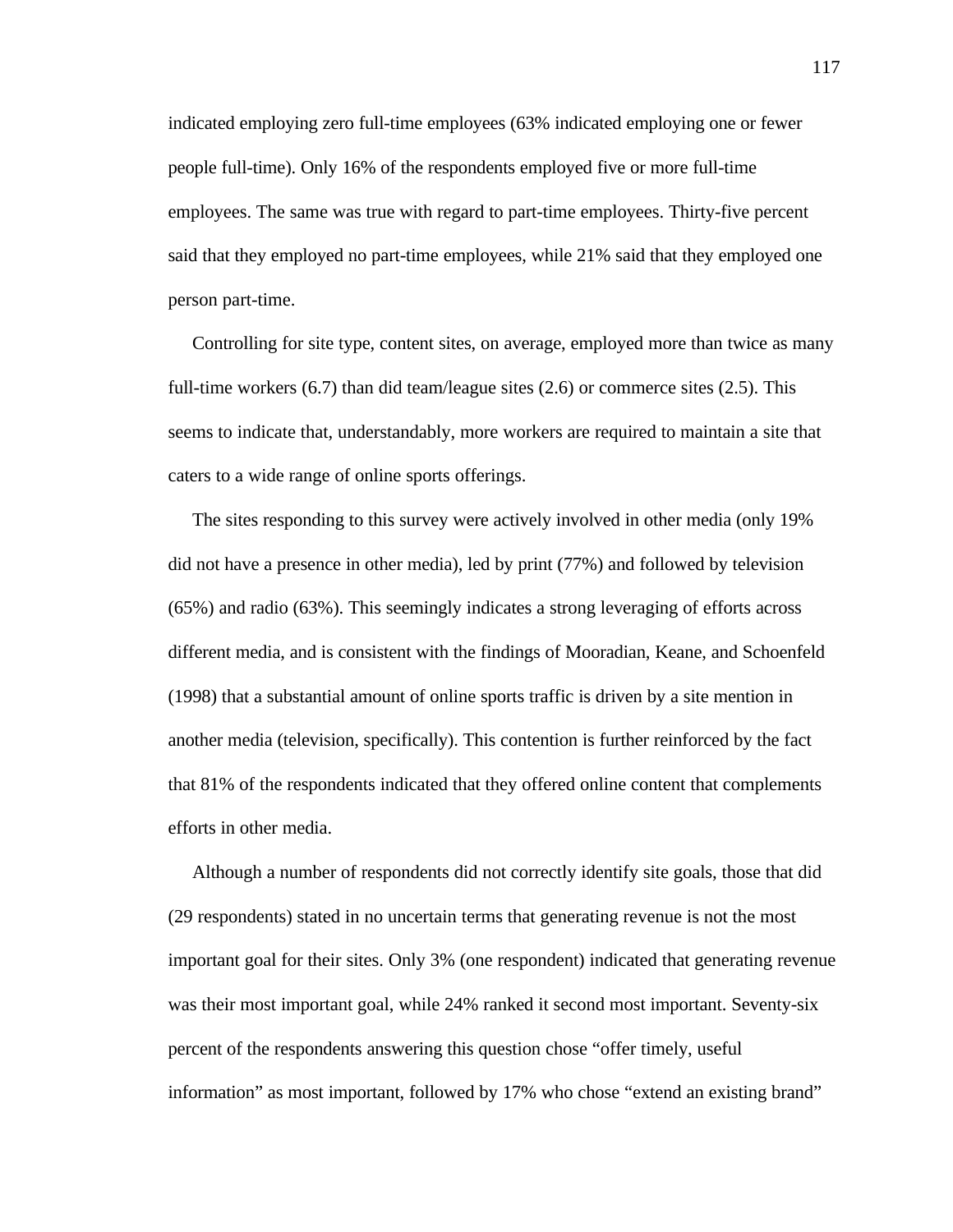indicated employing zero full-time employees (63% indicated employing one or fewer people full-time). Only 16% of the respondents employed five or more full-time employees. The same was true with regard to part-time employees. Thirty-five percent said that they employed no part-time employees, while 21% said that they employed one person part-time.

 Controlling for site type, content sites, on average, employed more than twice as many full-time workers (6.7) than did team/league sites (2.6) or commerce sites (2.5). This seems to indicate that, understandably, more workers are required to maintain a site that caters to a wide range of online sports offerings.

 The sites responding to this survey were actively involved in other media (only 19% did not have a presence in other media), led by print (77%) and followed by television (65%) and radio (63%). This seemingly indicates a strong leveraging of efforts across different media, and is consistent with the findings of Mooradian, Keane, and Schoenfeld (1998) that a substantial amount of online sports traffic is driven by a site mention in another media (television, specifically). This contention is further reinforced by the fact that 81% of the respondents indicated that they offered online content that complements efforts in other media.

 Although a number of respondents did not correctly identify site goals, those that did (29 respondents) stated in no uncertain terms that generating revenue is not the most important goal for their sites. Only 3% (one respondent) indicated that generating revenue was their most important goal, while 24% ranked it second most important. Seventy-six percent of the respondents answering this question chose "offer timely, useful information" as most important, followed by 17% who chose "extend an existing brand"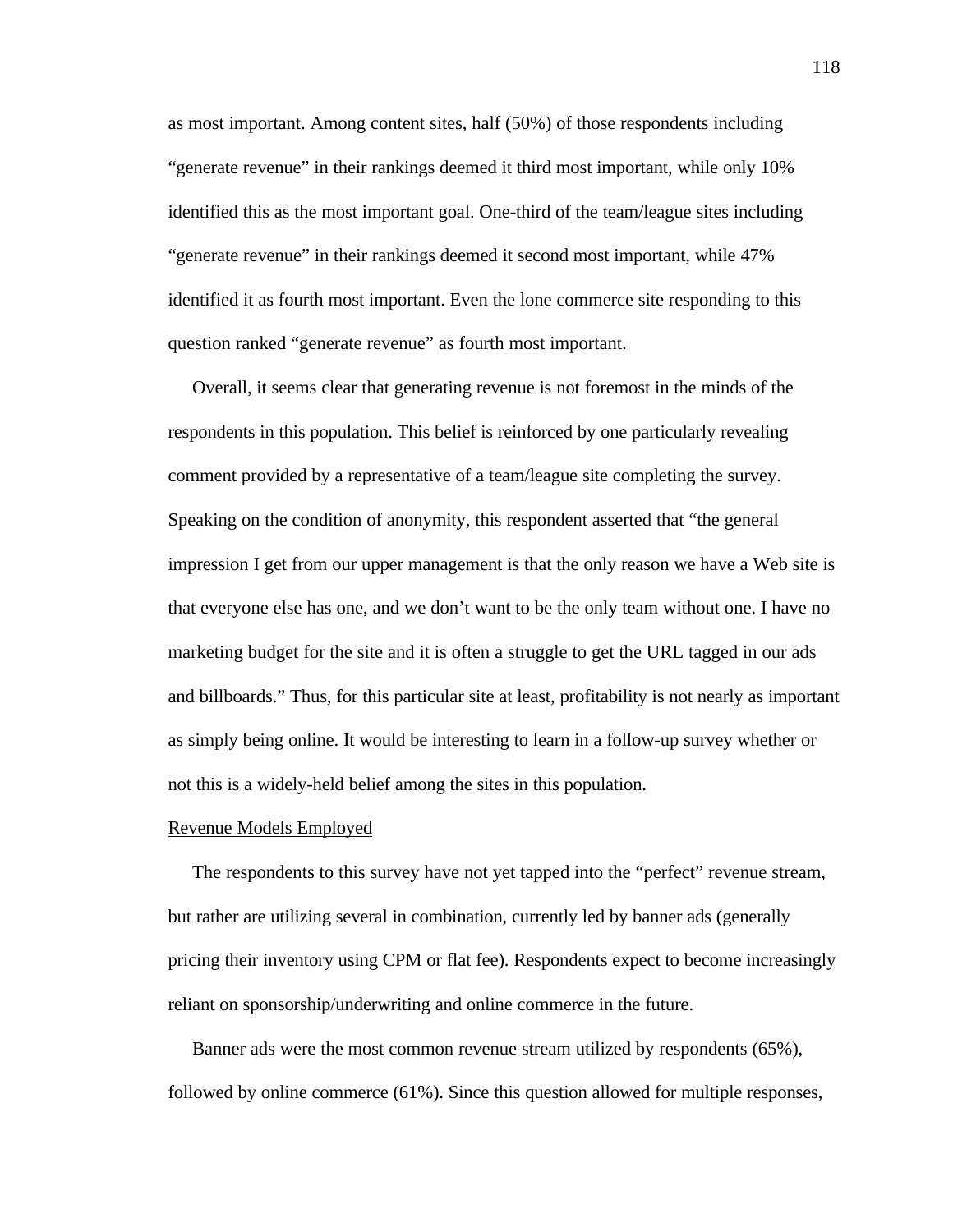as most important. Among content sites, half (50%) of those respondents including "generate revenue" in their rankings deemed it third most important, while only 10% identified this as the most important goal. One-third of the team/league sites including "generate revenue" in their rankings deemed it second most important, while 47% identified it as fourth most important. Even the lone commerce site responding to this question ranked "generate revenue" as fourth most important.

 Overall, it seems clear that generating revenue is not foremost in the minds of the respondents in this population. This belief is reinforced by one particularly revealing comment provided by a representative of a team/league site completing the survey. Speaking on the condition of anonymity, this respondent asserted that "the general impression I get from our upper management is that the only reason we have a Web site is that everyone else has one, and we don't want to be the only team without one. I have no marketing budget for the site and it is often a struggle to get the URL tagged in our ads and billboards." Thus, for this particular site at least, profitability is not nearly as important as simply being online. It would be interesting to learn in a follow-up survey whether or not this is a widely-held belief among the sites in this population.

#### Revenue Models Employed

 The respondents to this survey have not yet tapped into the "perfect" revenue stream, but rather are utilizing several in combination, currently led by banner ads (generally pricing their inventory using CPM or flat fee). Respondents expect to become increasingly reliant on sponsorship/underwriting and online commerce in the future.

 Banner ads were the most common revenue stream utilized by respondents (65%), followed by online commerce (61%). Since this question allowed for multiple responses,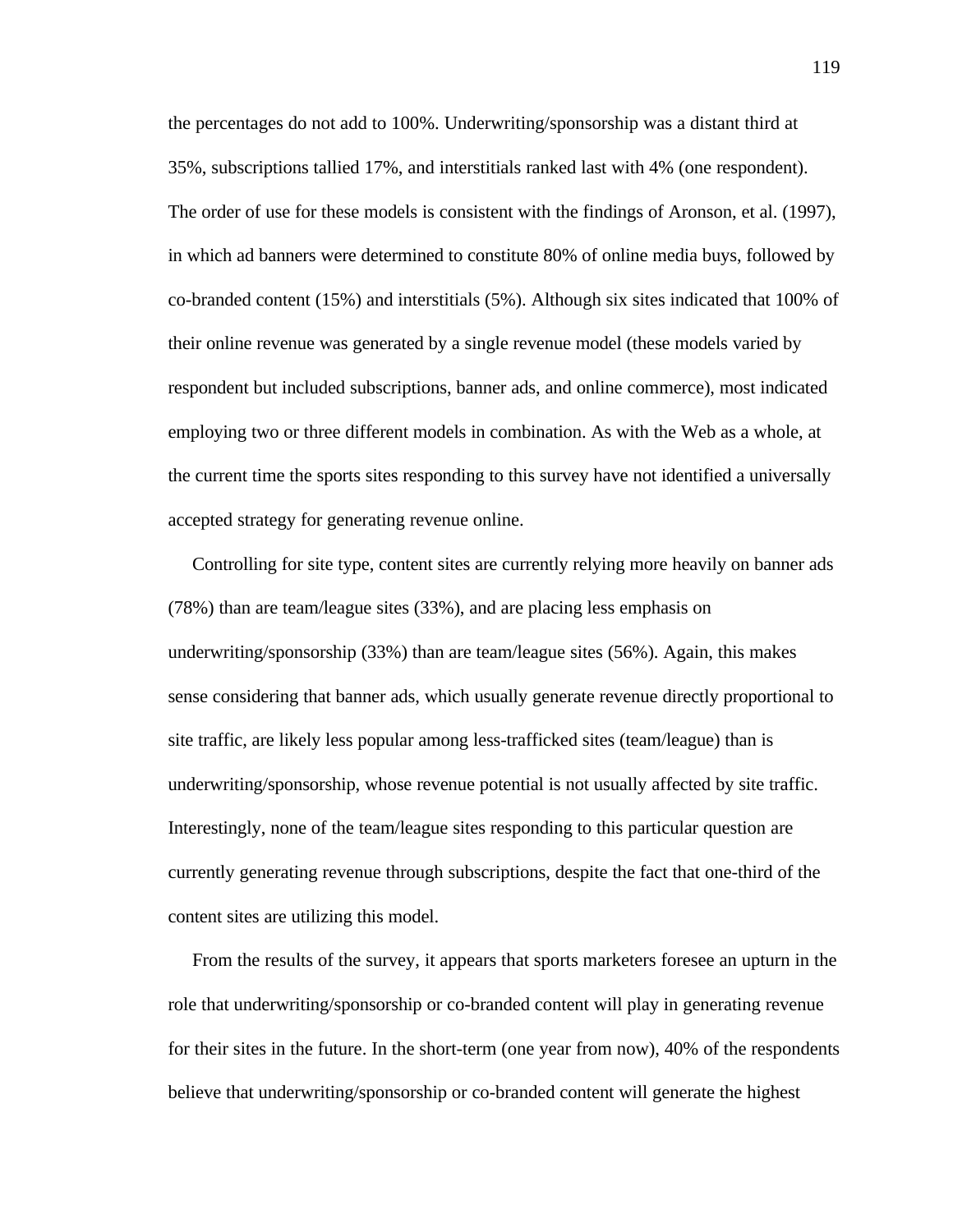the percentages do not add to 100%. Underwriting/sponsorship was a distant third at 35%, subscriptions tallied 17%, and interstitials ranked last with 4% (one respondent). The order of use for these models is consistent with the findings of Aronson, et al. (1997), in which ad banners were determined to constitute 80% of online media buys, followed by co-branded content (15%) and interstitials (5%). Although six sites indicated that 100% of their online revenue was generated by a single revenue model (these models varied by respondent but included subscriptions, banner ads, and online commerce), most indicated employing two or three different models in combination. As with the Web as a whole, at the current time the sports sites responding to this survey have not identified a universally accepted strategy for generating revenue online.

 Controlling for site type, content sites are currently relying more heavily on banner ads (78%) than are team/league sites (33%), and are placing less emphasis on underwriting/sponsorship (33%) than are team/league sites (56%). Again, this makes sense considering that banner ads, which usually generate revenue directly proportional to site traffic, are likely less popular among less-trafficked sites (team/league) than is underwriting/sponsorship, whose revenue potential is not usually affected by site traffic. Interestingly, none of the team/league sites responding to this particular question are currently generating revenue through subscriptions, despite the fact that one-third of the content sites are utilizing this model.

 From the results of the survey, it appears that sports marketers foresee an upturn in the role that underwriting/sponsorship or co-branded content will play in generating revenue for their sites in the future. In the short-term (one year from now), 40% of the respondents believe that underwriting/sponsorship or co-branded content will generate the highest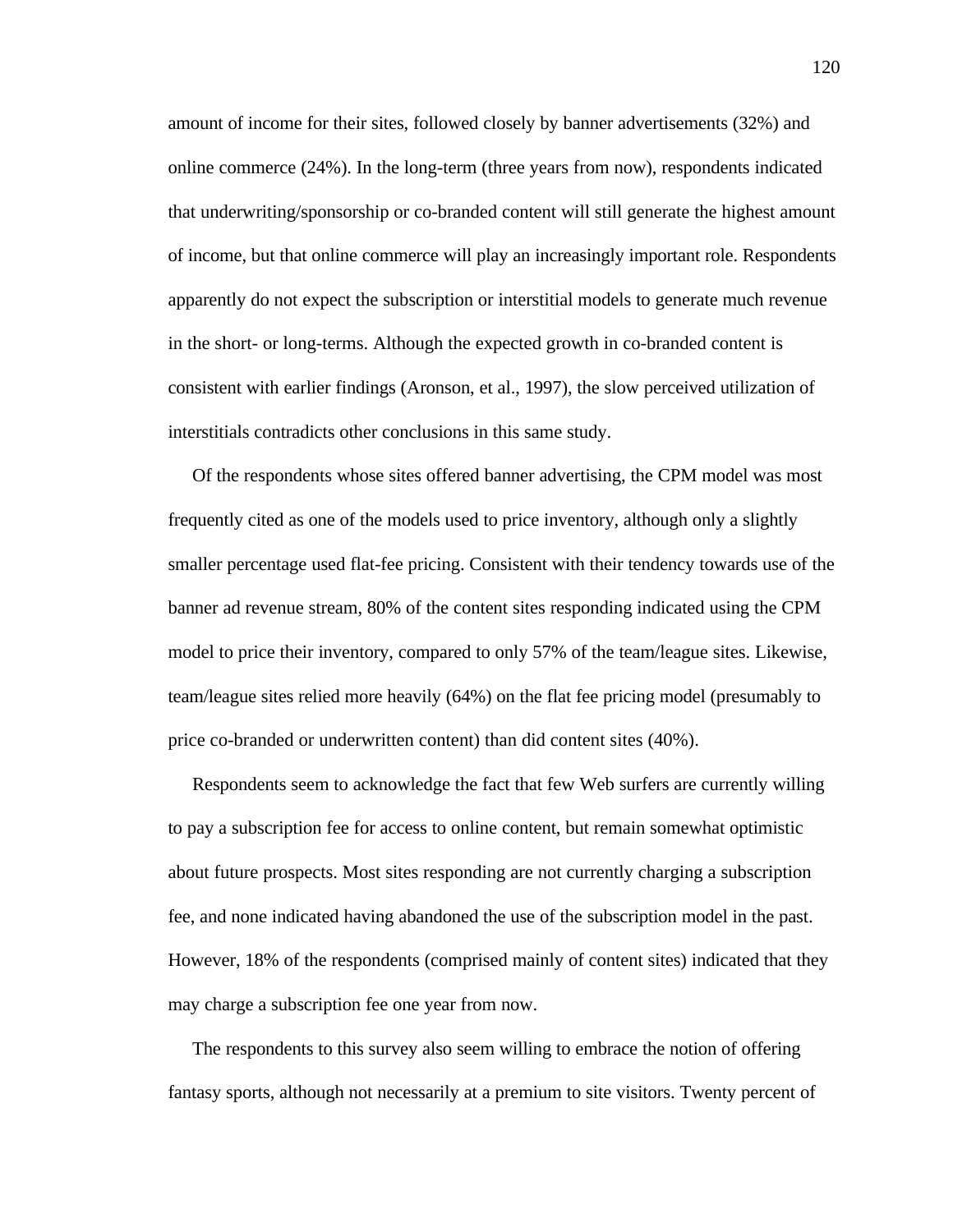amount of income for their sites, followed closely by banner advertisements (32%) and online commerce (24%). In the long-term (three years from now), respondents indicated that underwriting/sponsorship or co-branded content will still generate the highest amount of income, but that online commerce will play an increasingly important role. Respondents apparently do not expect the subscription or interstitial models to generate much revenue in the short- or long-terms. Although the expected growth in co-branded content is consistent with earlier findings (Aronson, et al., 1997), the slow perceived utilization of interstitials contradicts other conclusions in this same study.

 Of the respondents whose sites offered banner advertising, the CPM model was most frequently cited as one of the models used to price inventory, although only a slightly smaller percentage used flat-fee pricing. Consistent with their tendency towards use of the banner ad revenue stream, 80% of the content sites responding indicated using the CPM model to price their inventory, compared to only 57% of the team/league sites. Likewise, team/league sites relied more heavily (64%) on the flat fee pricing model (presumably to price co-branded or underwritten content) than did content sites (40%).

 Respondents seem to acknowledge the fact that few Web surfers are currently willing to pay a subscription fee for access to online content, but remain somewhat optimistic about future prospects. Most sites responding are not currently charging a subscription fee, and none indicated having abandoned the use of the subscription model in the past. However, 18% of the respondents (comprised mainly of content sites) indicated that they may charge a subscription fee one year from now.

 The respondents to this survey also seem willing to embrace the notion of offering fantasy sports, although not necessarily at a premium to site visitors. Twenty percent of

120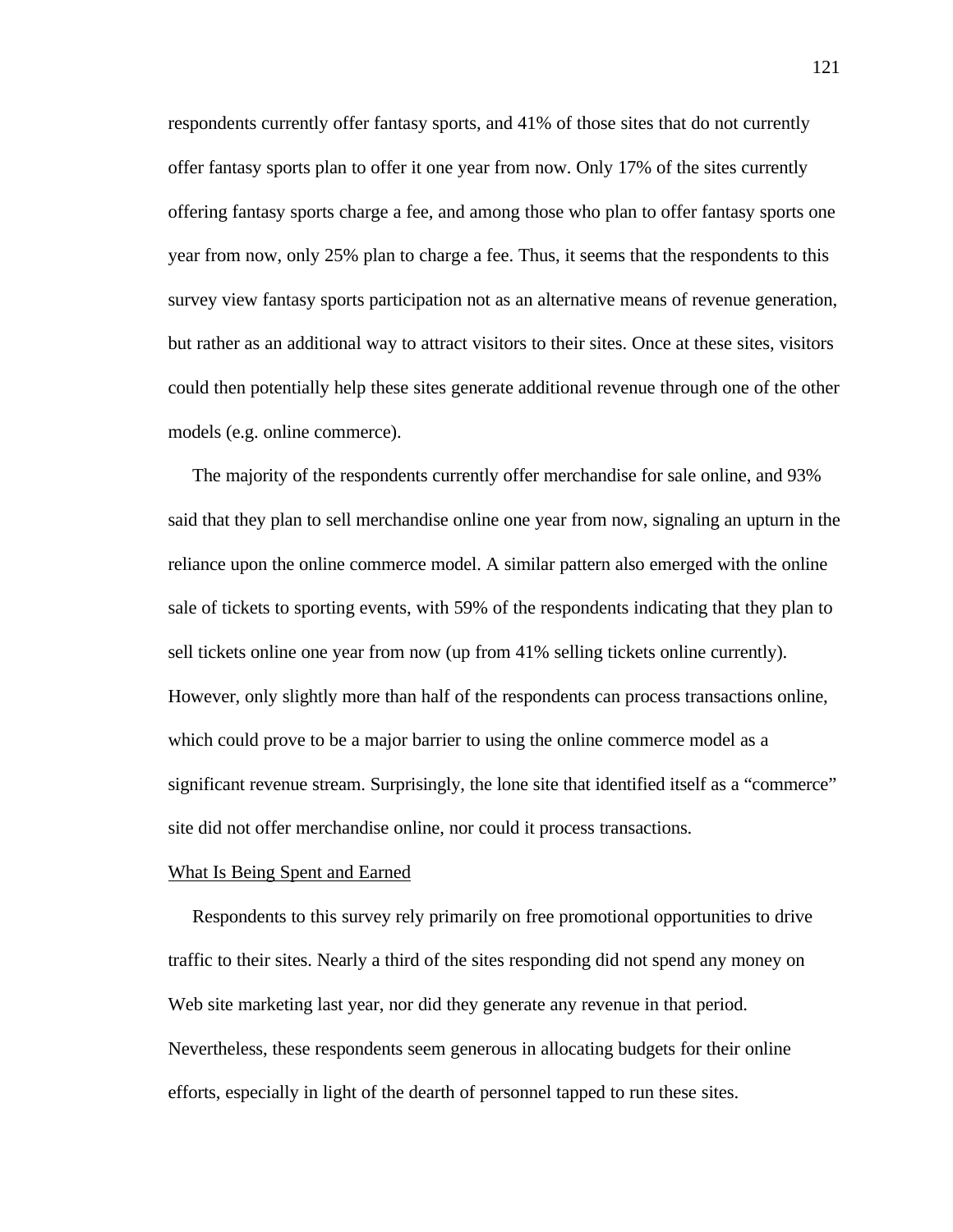respondents currently offer fantasy sports, and 41% of those sites that do not currently offer fantasy sports plan to offer it one year from now. Only 17% of the sites currently offering fantasy sports charge a fee, and among those who plan to offer fantasy sports one year from now, only 25% plan to charge a fee. Thus, it seems that the respondents to this survey view fantasy sports participation not as an alternative means of revenue generation, but rather as an additional way to attract visitors to their sites. Once at these sites, visitors could then potentially help these sites generate additional revenue through one of the other models (e.g. online commerce).

 The majority of the respondents currently offer merchandise for sale online, and 93% said that they plan to sell merchandise online one year from now, signaling an upturn in the reliance upon the online commerce model. A similar pattern also emerged with the online sale of tickets to sporting events, with 59% of the respondents indicating that they plan to sell tickets online one year from now (up from 41% selling tickets online currently). However, only slightly more than half of the respondents can process transactions online, which could prove to be a major barrier to using the online commerce model as a significant revenue stream. Surprisingly, the lone site that identified itself as a "commerce" site did not offer merchandise online, nor could it process transactions.

## What Is Being Spent and Earned

 Respondents to this survey rely primarily on free promotional opportunities to drive traffic to their sites. Nearly a third of the sites responding did not spend any money on Web site marketing last year, nor did they generate any revenue in that period. Nevertheless, these respondents seem generous in allocating budgets for their online efforts, especially in light of the dearth of personnel tapped to run these sites.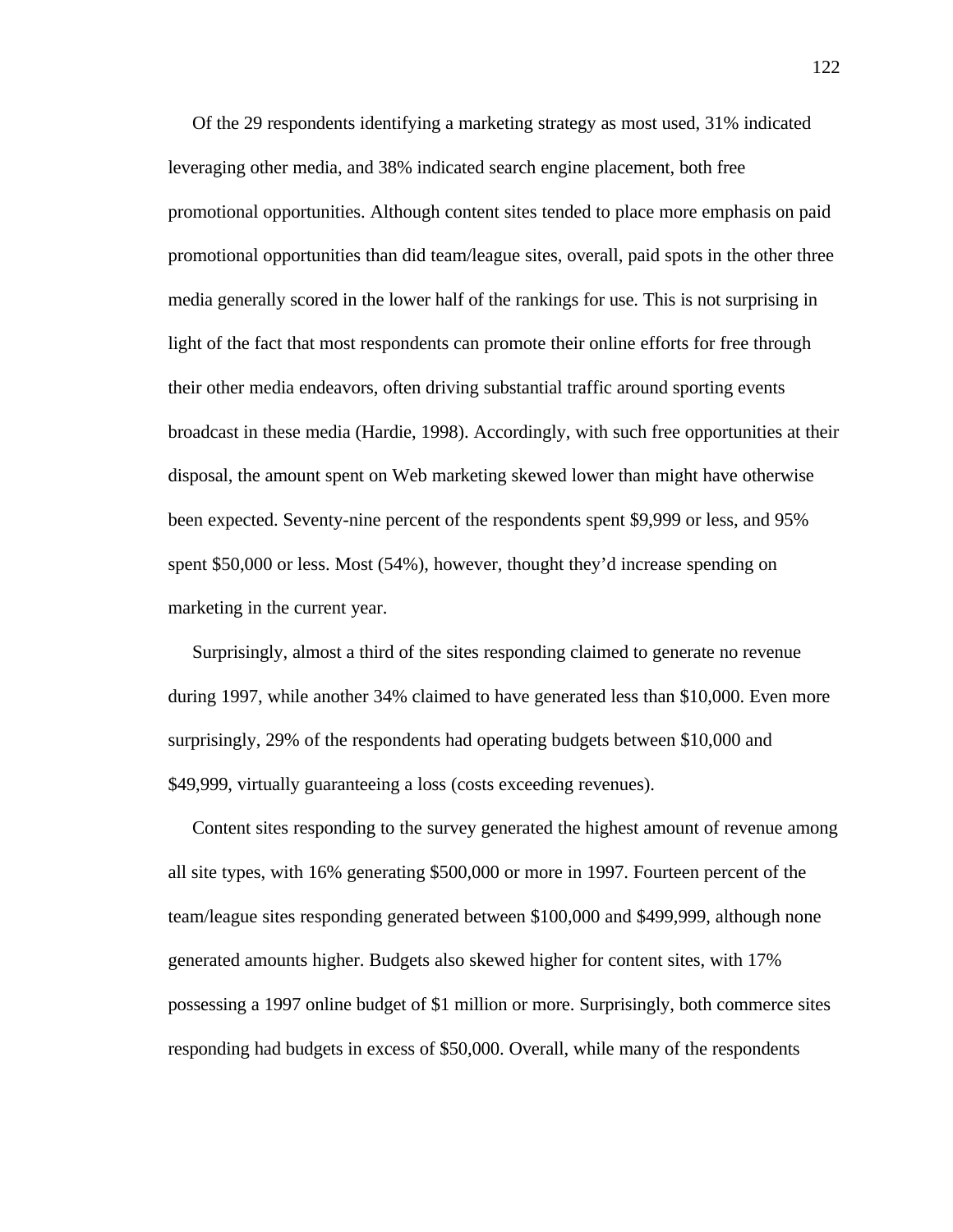Of the 29 respondents identifying a marketing strategy as most used, 31% indicated leveraging other media, and 38% indicated search engine placement, both free promotional opportunities. Although content sites tended to place more emphasis on paid promotional opportunities than did team/league sites, overall, paid spots in the other three media generally scored in the lower half of the rankings for use. This is not surprising in light of the fact that most respondents can promote their online efforts for free through their other media endeavors, often driving substantial traffic around sporting events broadcast in these media (Hardie, 1998). Accordingly, with such free opportunities at their disposal, the amount spent on Web marketing skewed lower than might have otherwise been expected. Seventy-nine percent of the respondents spent \$9,999 or less, and 95% spent \$50,000 or less. Most (54%), however, thought they'd increase spending on marketing in the current year.

 Surprisingly, almost a third of the sites responding claimed to generate no revenue during 1997, while another 34% claimed to have generated less than \$10,000. Even more surprisingly, 29% of the respondents had operating budgets between \$10,000 and \$49,999, virtually guaranteeing a loss (costs exceeding revenues).

 Content sites responding to the survey generated the highest amount of revenue among all site types, with 16% generating \$500,000 or more in 1997. Fourteen percent of the team/league sites responding generated between \$100,000 and \$499,999, although none generated amounts higher. Budgets also skewed higher for content sites, with 17% possessing a 1997 online budget of \$1 million or more. Surprisingly, both commerce sites responding had budgets in excess of \$50,000. Overall, while many of the respondents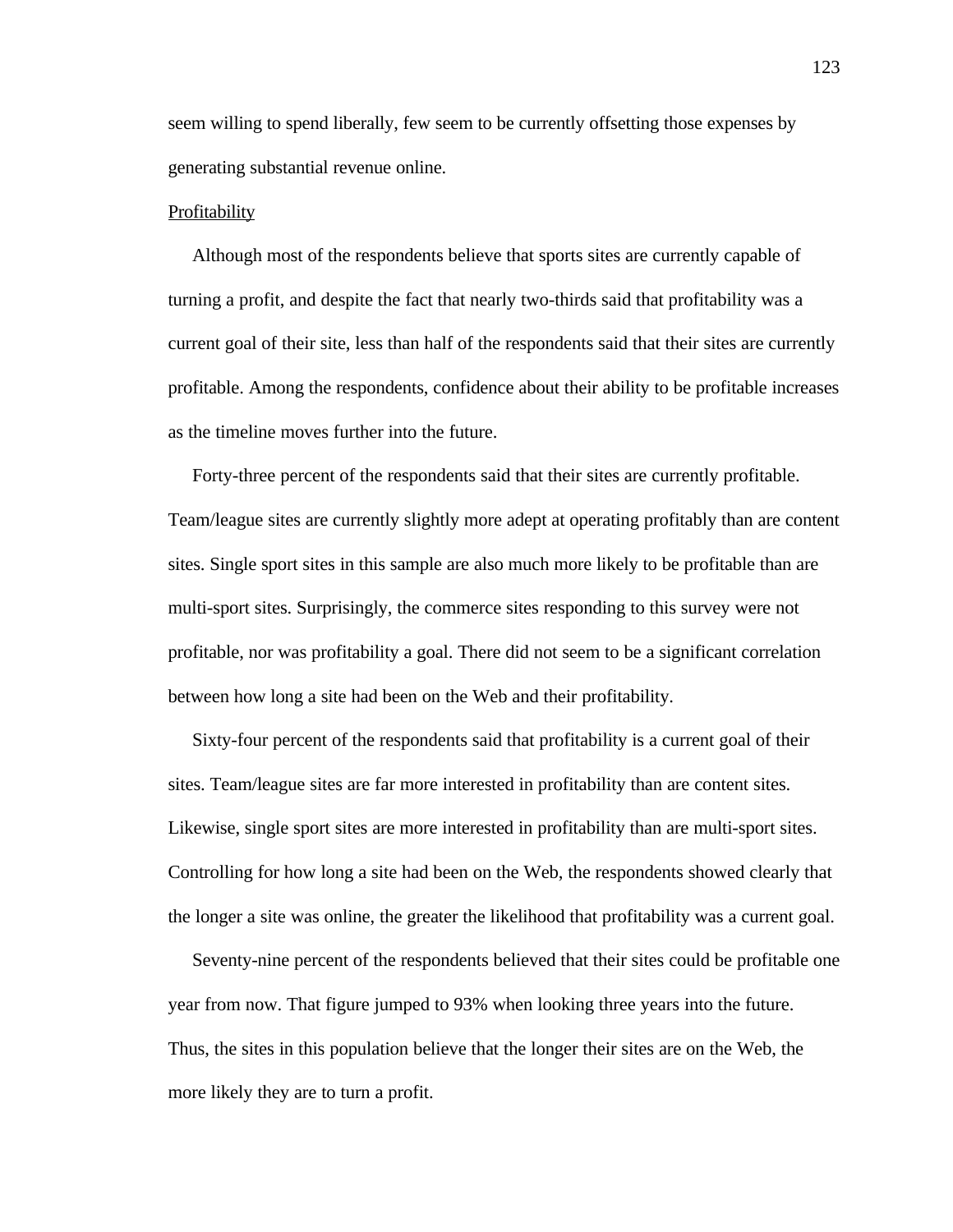seem willing to spend liberally, few seem to be currently offsetting those expenses by generating substantial revenue online.

#### Profitability

 Although most of the respondents believe that sports sites are currently capable of turning a profit, and despite the fact that nearly two-thirds said that profitability was a current goal of their site, less than half of the respondents said that their sites are currently profitable. Among the respondents, confidence about their ability to be profitable increases as the timeline moves further into the future.

 Forty-three percent of the respondents said that their sites are currently profitable. Team/league sites are currently slightly more adept at operating profitably than are content sites. Single sport sites in this sample are also much more likely to be profitable than are multi-sport sites. Surprisingly, the commerce sites responding to this survey were not profitable, nor was profitability a goal. There did not seem to be a significant correlation between how long a site had been on the Web and their profitability.

 Sixty-four percent of the respondents said that profitability is a current goal of their sites. Team/league sites are far more interested in profitability than are content sites. Likewise, single sport sites are more interested in profitability than are multi-sport sites. Controlling for how long a site had been on the Web, the respondents showed clearly that the longer a site was online, the greater the likelihood that profitability was a current goal.

 Seventy-nine percent of the respondents believed that their sites could be profitable one year from now. That figure jumped to 93% when looking three years into the future. Thus, the sites in this population believe that the longer their sites are on the Web, the more likely they are to turn a profit.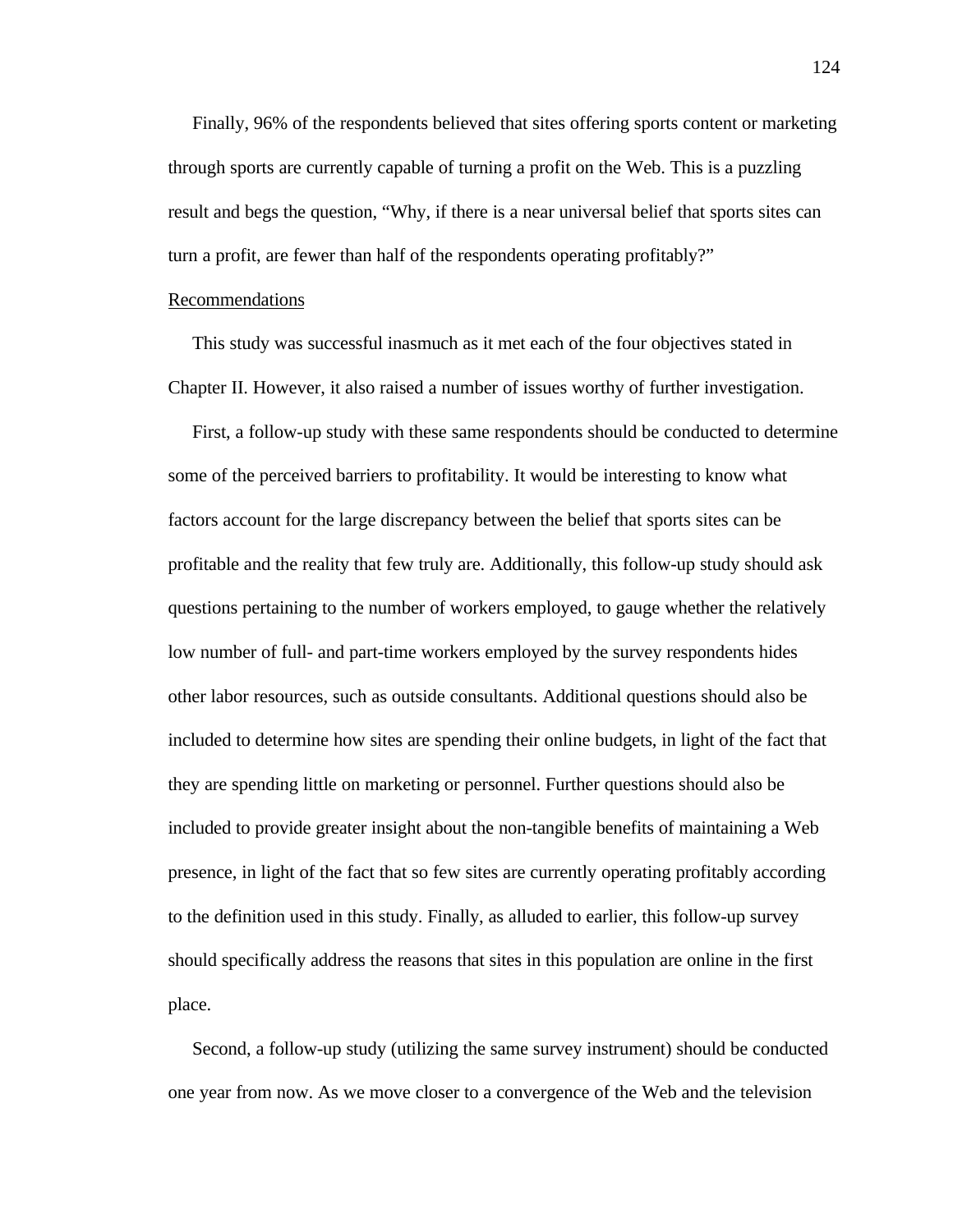Finally, 96% of the respondents believed that sites offering sports content or marketing through sports are currently capable of turning a profit on the Web. This is a puzzling result and begs the question, "Why, if there is a near universal belief that sports sites can turn a profit, are fewer than half of the respondents operating profitably?"

#### **Recommendations**

 This study was successful inasmuch as it met each of the four objectives stated in Chapter II. However, it also raised a number of issues worthy of further investigation.

 First, a follow-up study with these same respondents should be conducted to determine some of the perceived barriers to profitability. It would be interesting to know what factors account for the large discrepancy between the belief that sports sites can be profitable and the reality that few truly are. Additionally, this follow-up study should ask questions pertaining to the number of workers employed, to gauge whether the relatively low number of full- and part-time workers employed by the survey respondents hides other labor resources, such as outside consultants. Additional questions should also be included to determine how sites are spending their online budgets, in light of the fact that they are spending little on marketing or personnel. Further questions should also be included to provide greater insight about the non-tangible benefits of maintaining a Web presence, in light of the fact that so few sites are currently operating profitably according to the definition used in this study. Finally, as alluded to earlier, this follow-up survey should specifically address the reasons that sites in this population are online in the first place.

 Second, a follow-up study (utilizing the same survey instrument) should be conducted one year from now. As we move closer to a convergence of the Web and the television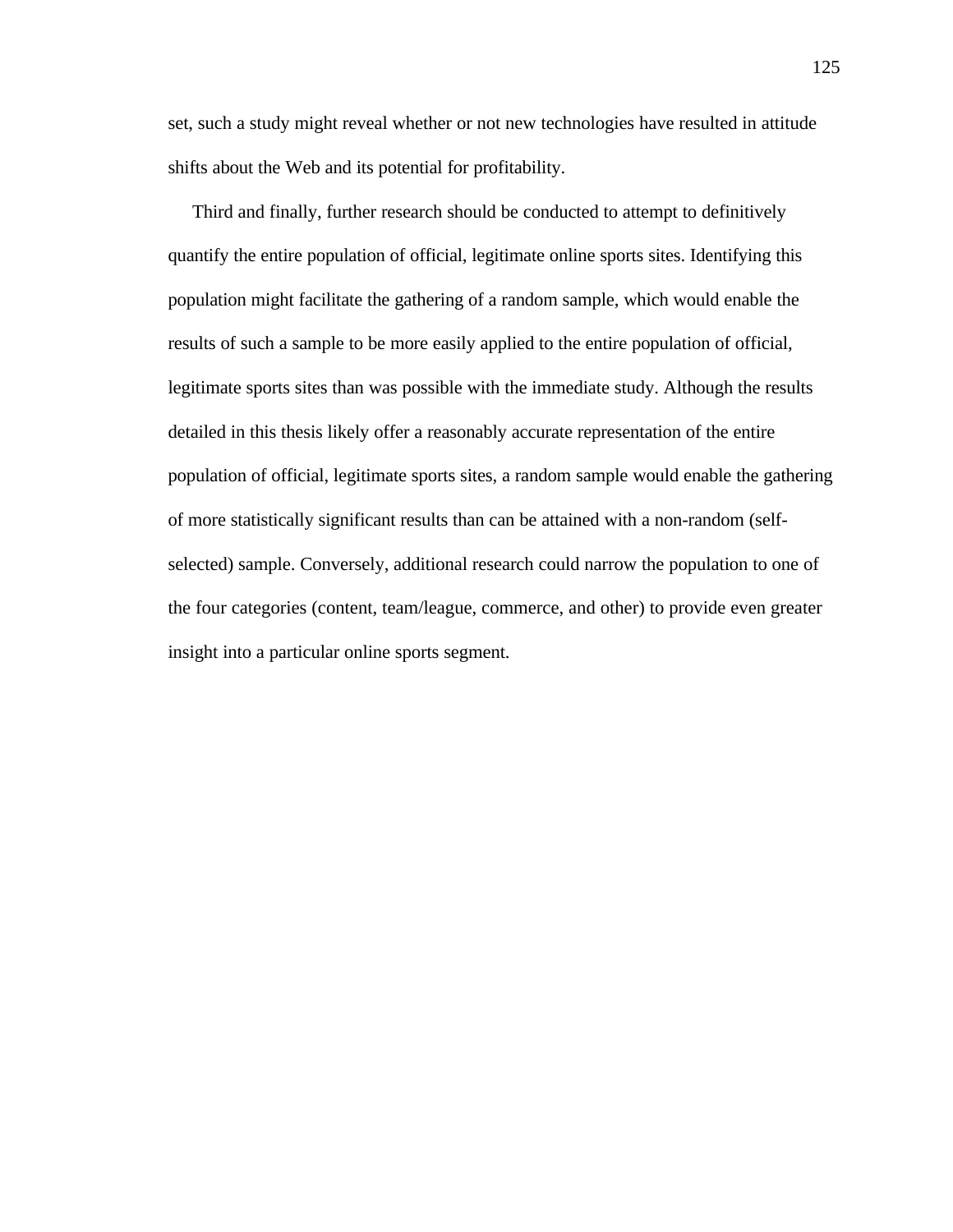set, such a study might reveal whether or not new technologies have resulted in attitude shifts about the Web and its potential for profitability.

 Third and finally, further research should be conducted to attempt to definitively quantify the entire population of official, legitimate online sports sites. Identifying this population might facilitate the gathering of a random sample, which would enable the results of such a sample to be more easily applied to the entire population of official, legitimate sports sites than was possible with the immediate study. Although the results detailed in this thesis likely offer a reasonably accurate representation of the entire population of official, legitimate sports sites, a random sample would enable the gathering of more statistically significant results than can be attained with a non-random (selfselected) sample. Conversely, additional research could narrow the population to one of the four categories (content, team/league, commerce, and other) to provide even greater insight into a particular online sports segment.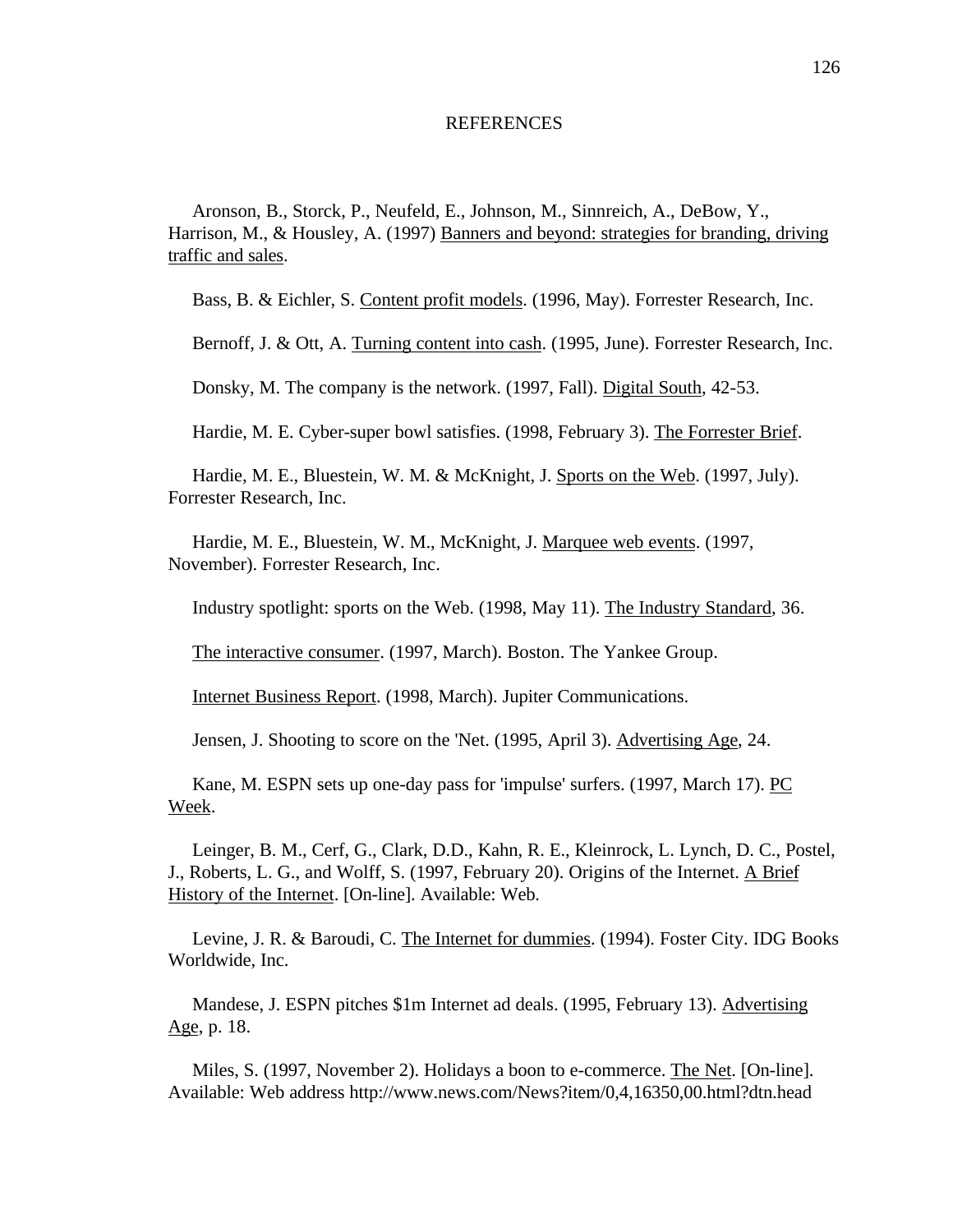#### **REFERENCES**

 Aronson, B., Storck, P., Neufeld, E., Johnson, M., Sinnreich, A., DeBow, Y., Harrison, M., & Housley, A. (1997) Banners and beyond: strategies for branding, driving traffic and sales.

Bass, B. & Eichler, S. Content profit models. (1996, May). Forrester Research, Inc.

Bernoff, J. & Ott, A. Turning content into cash. (1995, June). Forrester Research, Inc.

Donsky, M. The company is the network. (1997, Fall). Digital South, 42-53.

Hardie, M. E. Cyber-super bowl satisfies. (1998, February 3). The Forrester Brief.

 Hardie, M. E., Bluestein, W. M. & McKnight, J. Sports on the Web. (1997, July). Forrester Research, Inc.

 Hardie, M. E., Bluestein, W. M., McKnight, J. Marquee web events. (1997, November). Forrester Research, Inc.

Industry spotlight: sports on the Web. (1998, May 11). The Industry Standard, 36.

The interactive consumer. (1997, March). Boston. The Yankee Group.

Internet Business Report. (1998, March). Jupiter Communications.

Jensen, J. Shooting to score on the 'Net. (1995, April 3). Advertising Age, 24.

 Kane, M. ESPN sets up one-day pass for 'impulse' surfers. (1997, March 17). PC Week.

 Leinger, B. M., Cerf, G., Clark, D.D., Kahn, R. E., Kleinrock, L. Lynch, D. C., Postel, J., Roberts, L. G., and Wolff, S. (1997, February 20). Origins of the Internet. A Brief History of the Internet. [On-line]. Available: Web.

 Levine, J. R. & Baroudi, C. The Internet for dummies. (1994). Foster City. IDG Books Worldwide, Inc.

 Mandese, J. ESPN pitches \$1m Internet ad deals. (1995, February 13). Advertising Age, p. 18.

 Miles, S. (1997, November 2). Holidays a boon to e-commerce. The Net. [On-line]. Available: Web address http://www.news.com/News?item/0,4,16350,00.html?dtn.head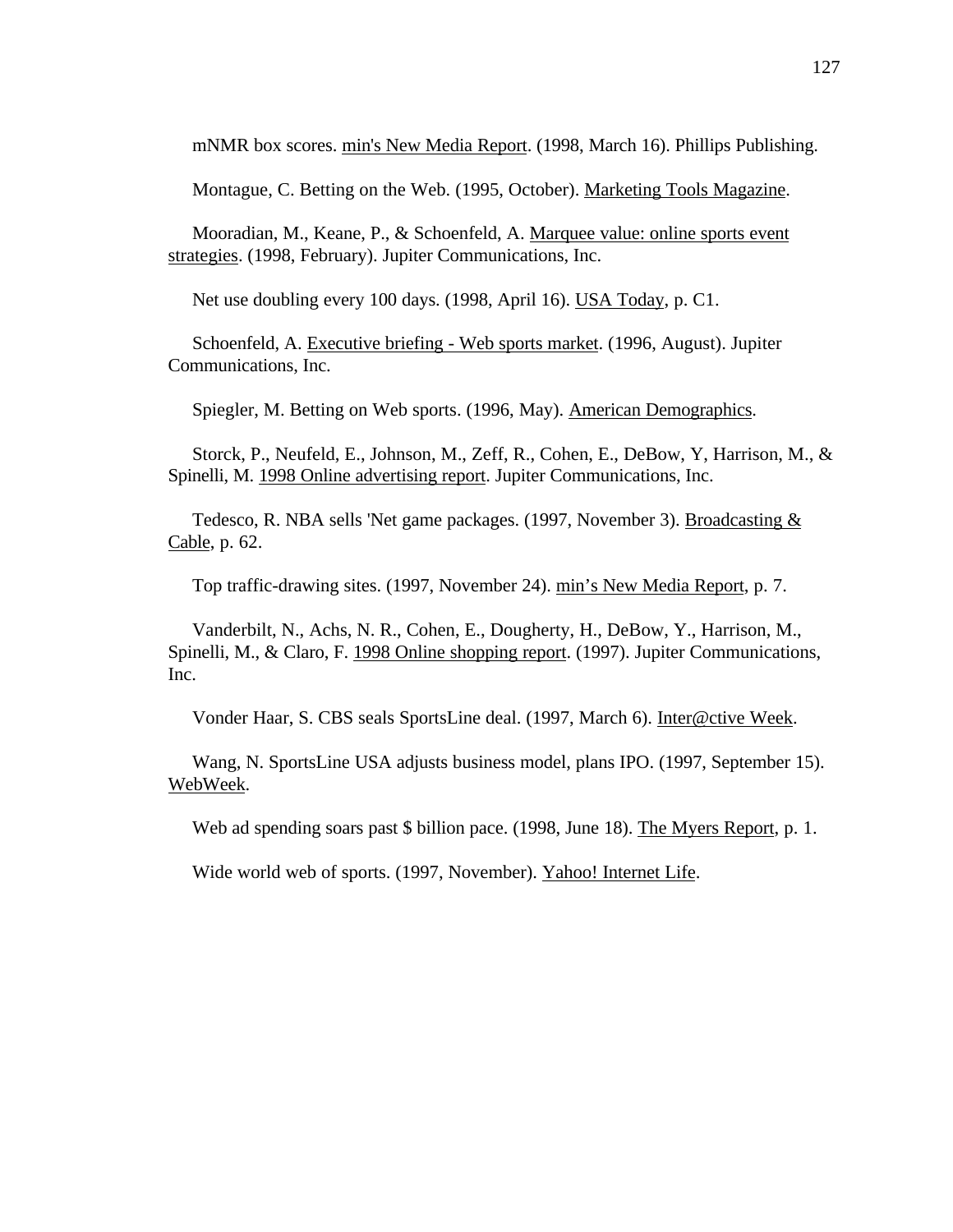mNMR box scores. min's New Media Report. (1998, March 16). Phillips Publishing.

Montague, C. Betting on the Web. (1995, October). Marketing Tools Magazine.

 Mooradian, M., Keane, P., & Schoenfeld, A. Marquee value: online sports event strategies. (1998, February). Jupiter Communications, Inc.

Net use doubling every 100 days. (1998, April 16). USA Today, p. C1.

 Schoenfeld, A. Executive briefing - Web sports market. (1996, August). Jupiter Communications, Inc.

Spiegler, M. Betting on Web sports. (1996, May). American Demographics.

 Storck, P., Neufeld, E., Johnson, M., Zeff, R., Cohen, E., DeBow, Y, Harrison, M., & Spinelli, M. 1998 Online advertising report. Jupiter Communications, Inc.

Tedesco, R. NBA sells 'Net game packages. (1997, November 3). Broadcasting & Cable, p. 62.

Top traffic-drawing sites. (1997, November 24). min's New Media Report, p. 7.

 Vanderbilt, N., Achs, N. R., Cohen, E., Dougherty, H., DeBow, Y., Harrison, M., Spinelli, M., & Claro, F. 1998 Online shopping report. (1997). Jupiter Communications, Inc.

Vonder Haar, S. CBS seals SportsLine deal. (1997, March 6). Inter@ctive Week.

 Wang, N. SportsLine USA adjusts business model, plans IPO. (1997, September 15). WebWeek.

Web ad spending soars past \$ billion pace. (1998, June 18). The Myers Report, p. 1.

Wide world web of sports. (1997, November). Yahoo! Internet Life.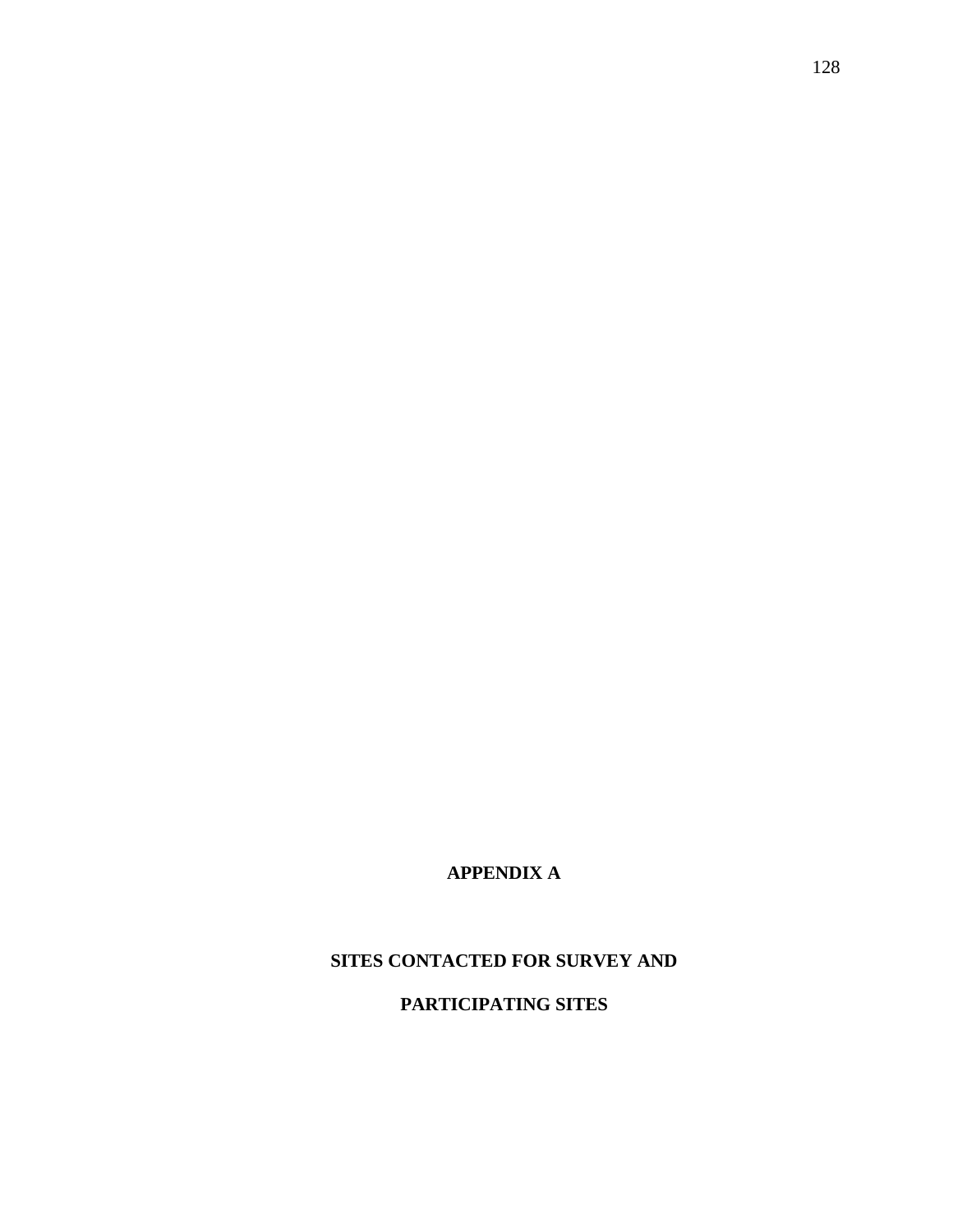# **APPENDIX A**

# **SITES CONTACTED FOR SURVEY AND**

# **PARTICIPATING SITES**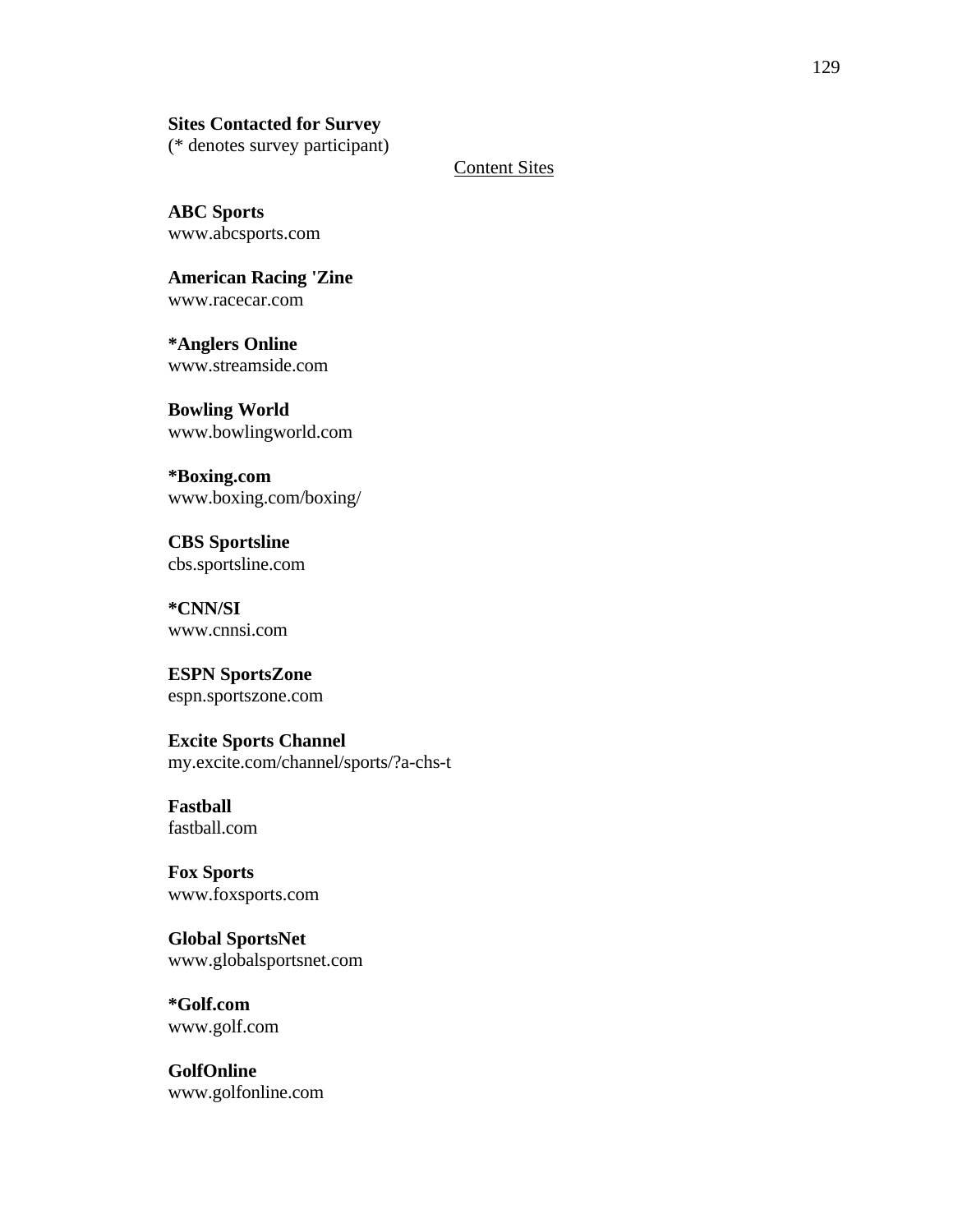## **Sites Contacted for Survey**

(\* denotes survey participant)

Content Sites

**ABC Sports** www.abcsports.com

**American Racing 'Zine** www.racecar.com

**\*Anglers Online** www.streamside.com

**Bowling World** www.bowlingworld.com

**\*Boxing.com** www.boxing.com/boxing/

**CBS Sportsline** cbs.sportsline.com

**\*CNN/SI** www.cnnsi.com

**ESPN SportsZone** espn.sportszone.com

## **Excite Sports Channel**

my.excite.com/channel/sports/?a-chs-t

## **Fastball** fastball.com

**Fox Sports** www.foxsports.com

**Global SportsNet** www.globalsportsnet.com

**\*Golf.com** www.golf.com

**GolfOnline** www.golfonline.com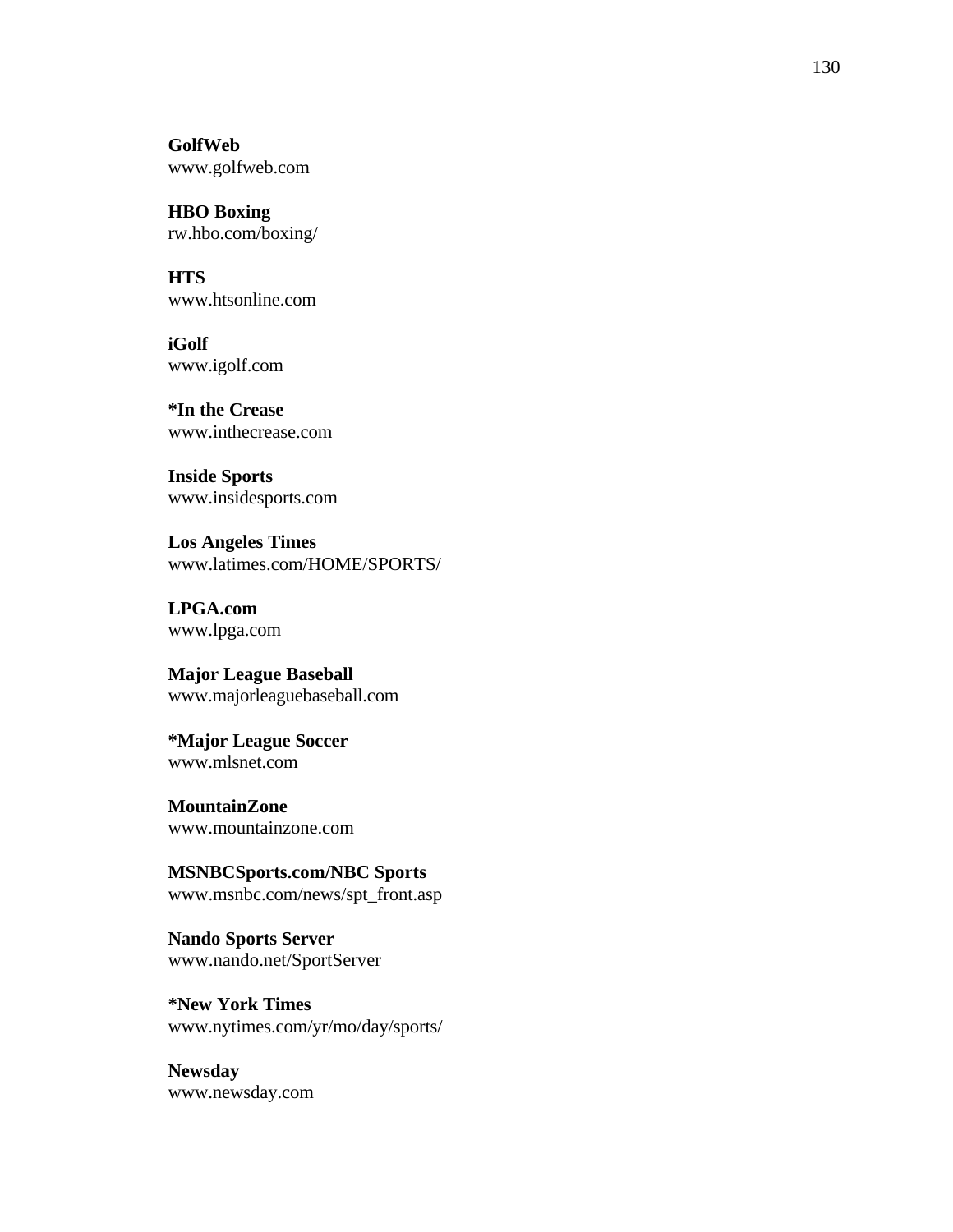**GolfWeb** www.golfweb.com

**HBO Boxing** rw.hbo.com/boxing/

**HTS** www.htsonline.com

**iGolf** www.igolf.com

**\*In the Crease** www.inthecrease.com

**Inside Sports** www.insidesports.com

**Los Angeles Times** www.latimes.com/HOME/SPORTS/

**LPGA.com** www.lpga.com

**Major League Baseball** www.majorleaguebaseball.com

**\*Major League Soccer** www.mlsnet.com

**MountainZone** www.mountainzone.com

**MSNBCSports.com/NBC Sports** www.msnbc.com/news/spt\_front.asp

**Nando Sports Server** www.nando.net/SportServer

**\*New York Times** www.nytimes.com/yr/mo/day/sports/

**Newsday** www.newsday.com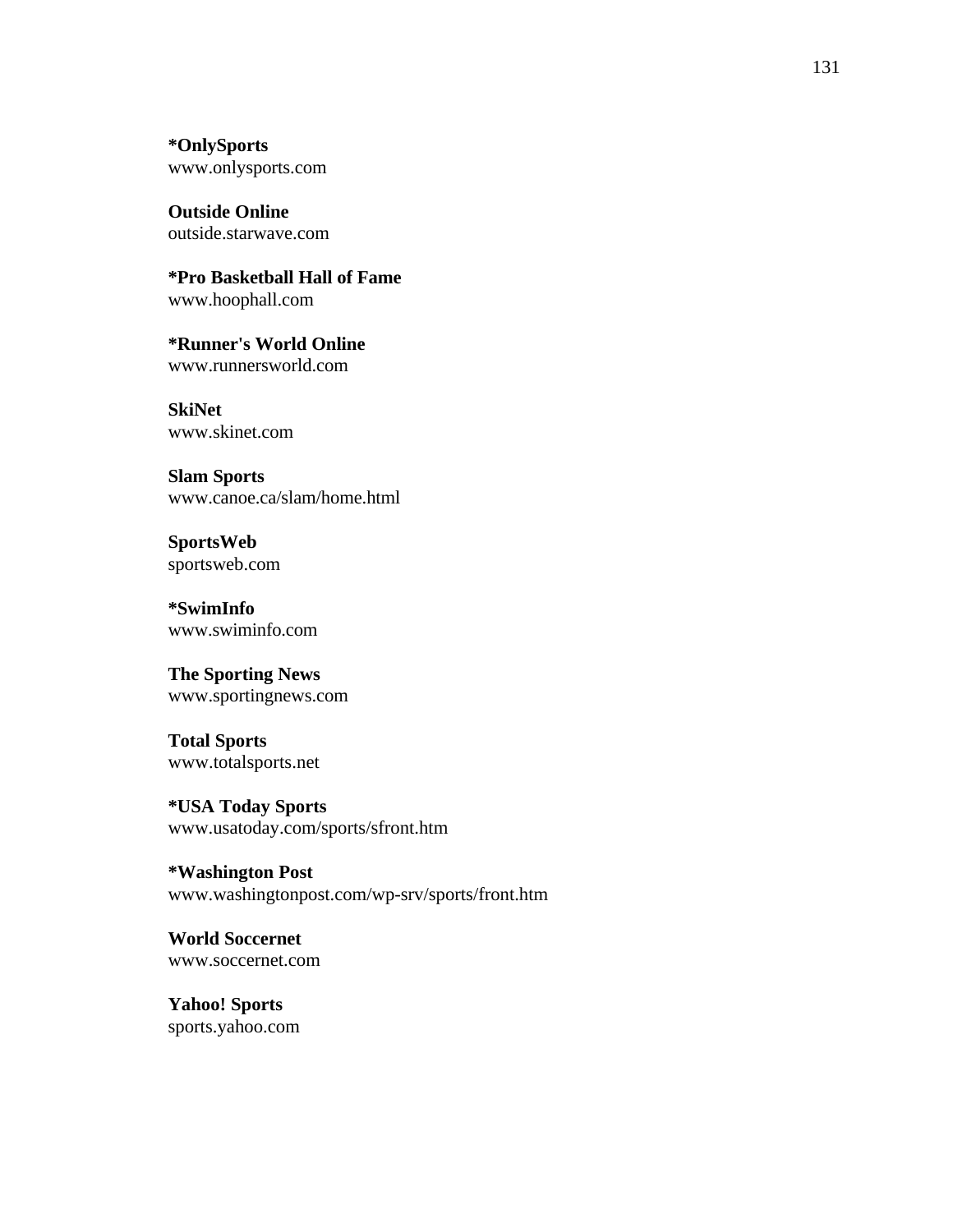**\*OnlySports** www.onlysports.com

**Outside Online** outside.starwave.com

**\*Pro Basketball Hall of Fame** www.hoophall.com

**\*Runner's World Online** www.runnersworld.com

**SkiNet** www.skinet.com

**Slam Sports** www.canoe.ca/slam/home.html

**SportsWeb** sportsweb.com

**\*SwimInfo** www.swiminfo.com

**The Sporting News** www.sportingnews.com

**Total Sports** www.totalsports.net

**\*USA Today Sports** www.usatoday.com/sports/sfront.htm

**\*Washington Post** www.washingtonpost.com/wp-srv/sports/front.htm

**World Soccernet** www.soccernet.com

**Yahoo! Sports** sports.yahoo.com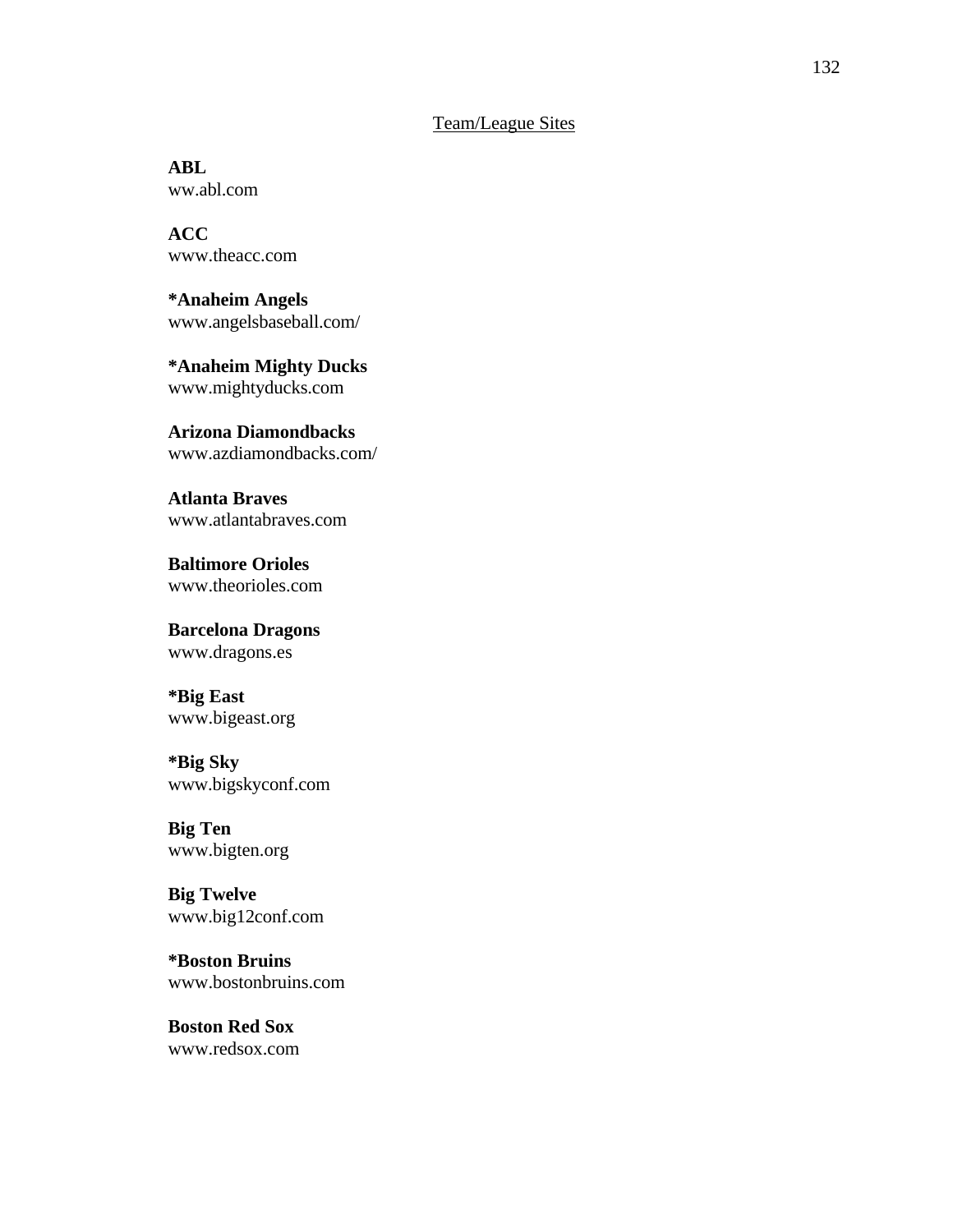## Team/League Sites

**ABL** ww.abl.com

**ACC** www.theacc.com

**\*Anaheim Angels** www.angelsbaseball.com/

**\*Anaheim Mighty Ducks** www.mightyducks.com

**Arizona Diamondbacks** www.azdiamondbacks.com/

**Atlanta Braves** www.atlantabraves.com

**Baltimore Orioles** www.theorioles.com

**Barcelona Dragons** www.dragons.es

**\*Big East** www.bigeast.org

## **\*Big Sky**

www.bigskyconf.com

**Big Ten** www.bigten.org

**Big Twelve** www.big12conf.com

**\*Boston Bruins** www.bostonbruins.com

**Boston Red Sox** www.redsox.com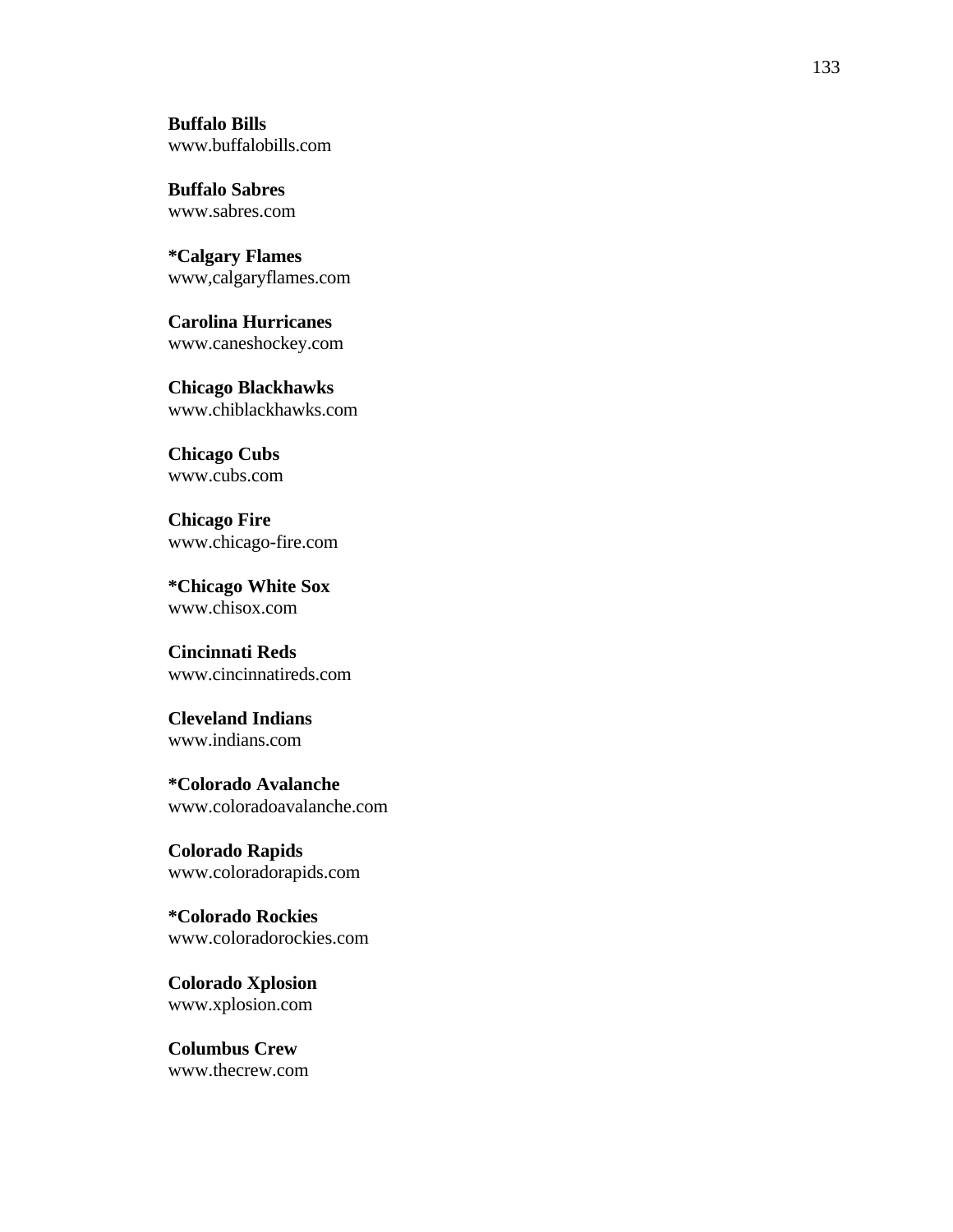**Buffalo Bills** www.buffalobills.com

**Buffalo Sabres** www.sabres.com

**\*Calgary Flames** www,calgaryflames.com

**Carolina Hurricanes** www.caneshockey.com

**Chicago Blackhawks** www.chiblackhawks.com

**Chicago Cubs** www.cubs.com

**Chicago Fire** www.chicago-fire.com

**\*Chicago White Sox** www.chisox.com

**Cincinnati Reds** www.cincinnatireds.com

**Cleveland Indians** www.indians.com

**\*Colorado Avalanche** www.coloradoavalanche.com

**Colorado Rapids** www.coloradorapids.com

**\*Colorado Rockies** www.coloradorockies.com

**Colorado Xplosion** www.xplosion.com

**Columbus Crew** www.thecrew.com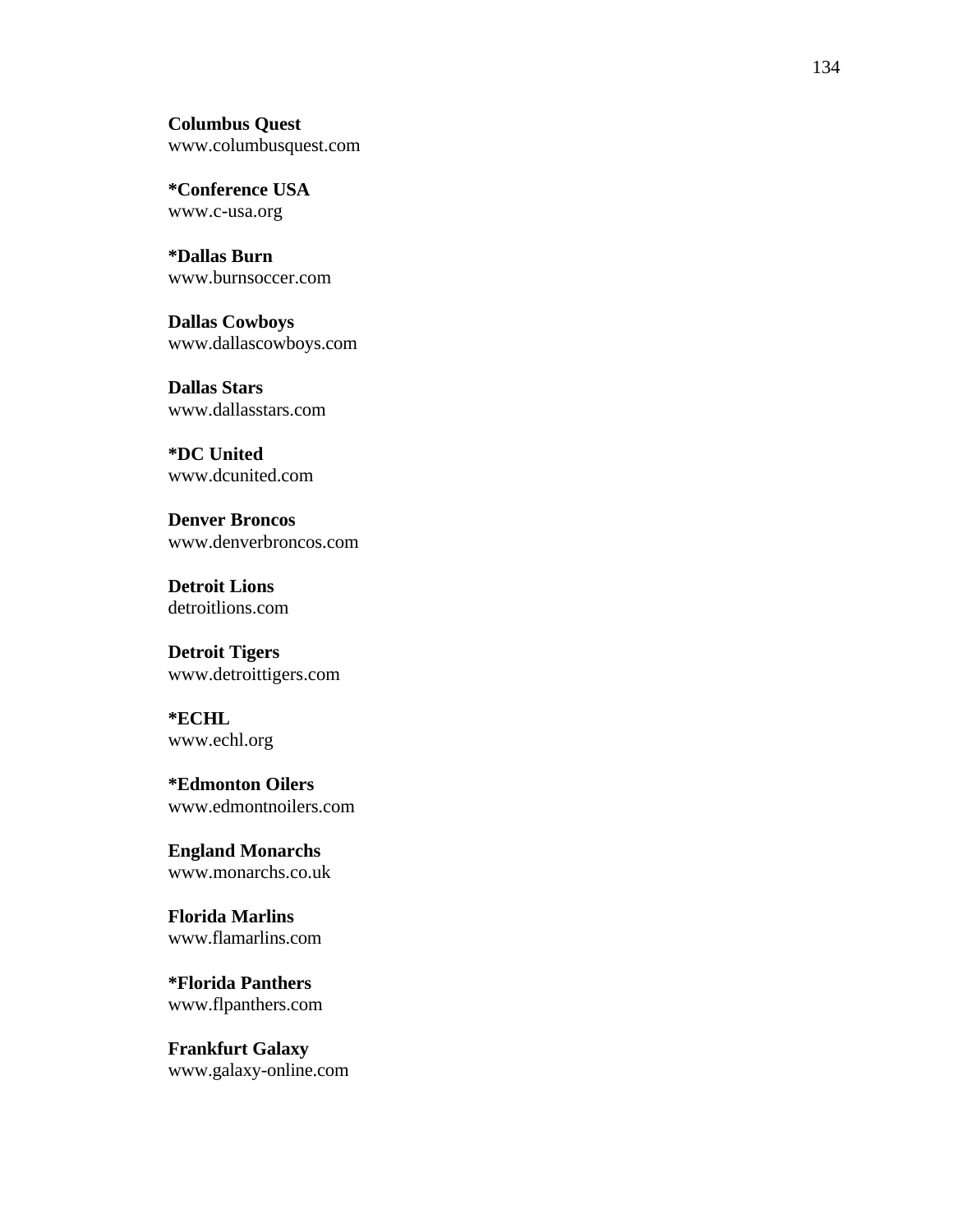**Columbus Quest** www.columbusquest.com

**\*Conference USA** www.c-usa.org

**\*Dallas Burn** www.burnsoccer.com

**Dallas Cowboys** www.dallascowboys.com

**Dallas Stars** www.dallasstars.com

**\*DC United** www.dcunited.com

**Denver Broncos** www.denverbroncos.com

**Detroit Lions** detroitlions.com

**Detroit Tigers** www.detroittigers.com

**\*ECHL** www.echl.org

**\*Edmonton Oilers** www.edmontnoilers.com

**England Monarchs** www.monarchs.co.uk

**Florida Marlins** www.flamarlins.com

**\*Florida Panthers** www.flpanthers.com

**Frankfurt Galaxy** www.galaxy-online.com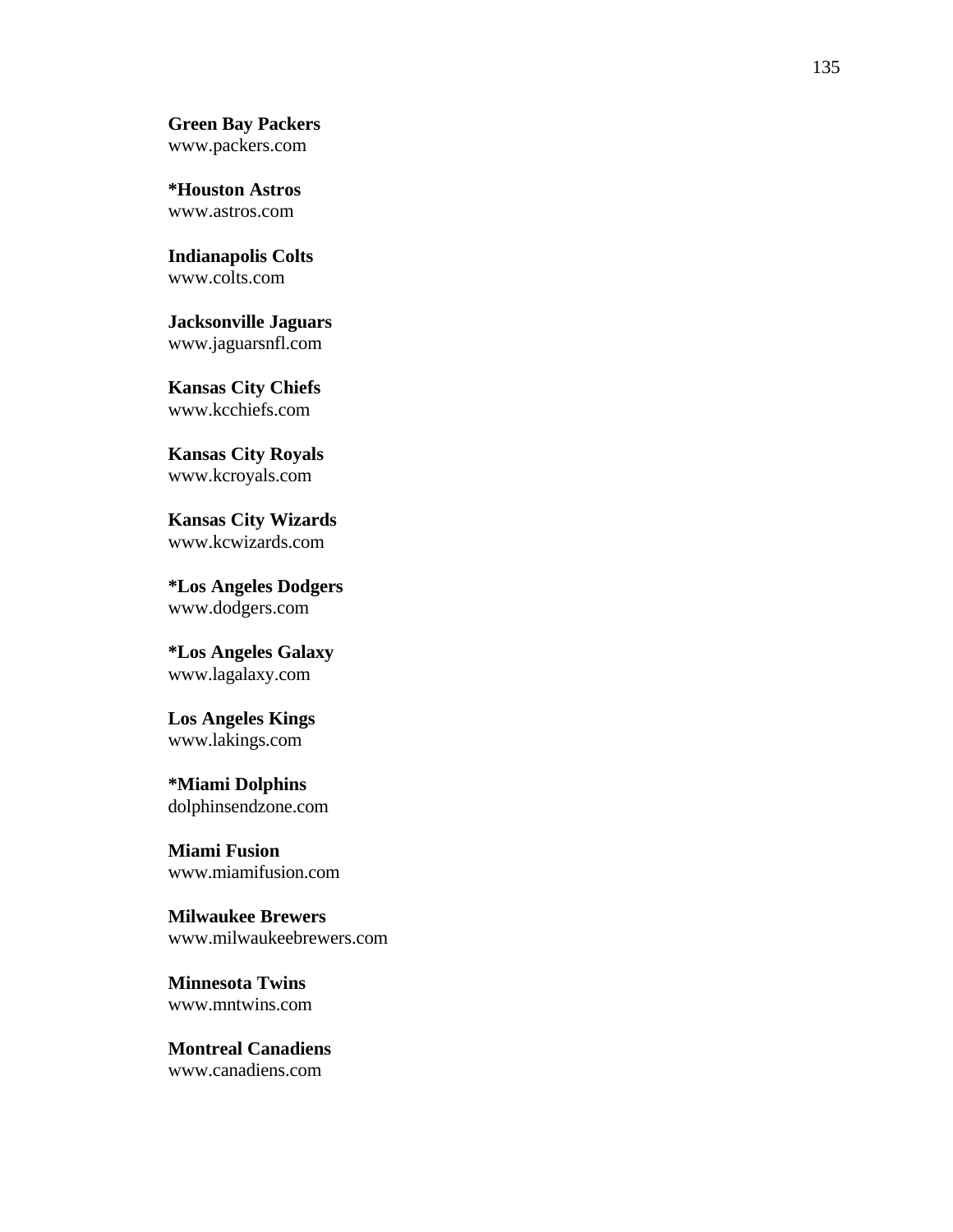**Green Bay Packers** www.packers.com

**\*Houston Astros** www.astros.com

**Indianapolis Colts** www.colts.com

**Jacksonville Jaguars** www.jaguarsnfl.com

**Kansas City Chiefs** www.kcchiefs.com

**Kansas City Royals** www.kcroyals.com

**Kansas City Wizards** www.kcwizards.com

**\*Los Angeles Dodgers** www.dodgers.com

**\*Los Angeles Galaxy** www.lagalaxy.com

**Los Angeles Kings** www.lakings.com

**\*Miami Dolphins** dolphinsendzone.com

**Miami Fusion** www.miamifusion.com

**Milwaukee Brewers** www.milwaukeebrewers.com

**Minnesota Twins** www.mntwins.com

**Montreal Canadiens** www.canadiens.com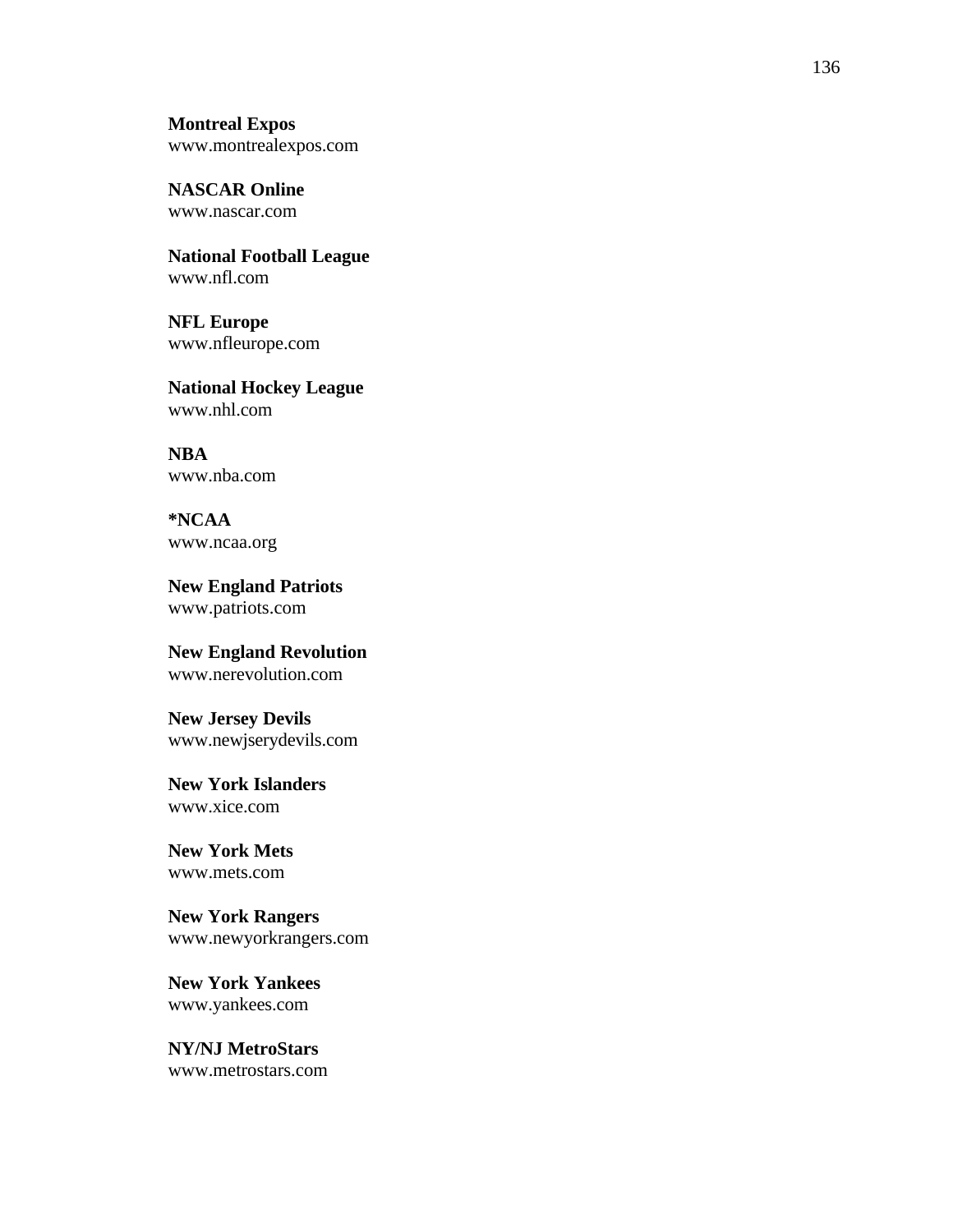**Montreal Expos** www.montrealexpos.com

**NASCAR Online** www.nascar.com

**National Football League** www.nfl.com

**NFL Europe** www.nfleurope.com

**National Hockey League** www.nhl.com

**NBA** www.nba.com

**\*NCAA** www.ncaa.org

**New England Patriots** www.patriots.com

**New England Revolution** www.nerevolution.com

**New Jersey Devils** www.newjserydevils.com

**New York Islanders** www.xice.com

**New York Mets** www.mets.com

**New York Rangers** www.newyorkrangers.com

**New York Yankees** www.yankees.com

**NY/NJ MetroStars** www.metrostars.com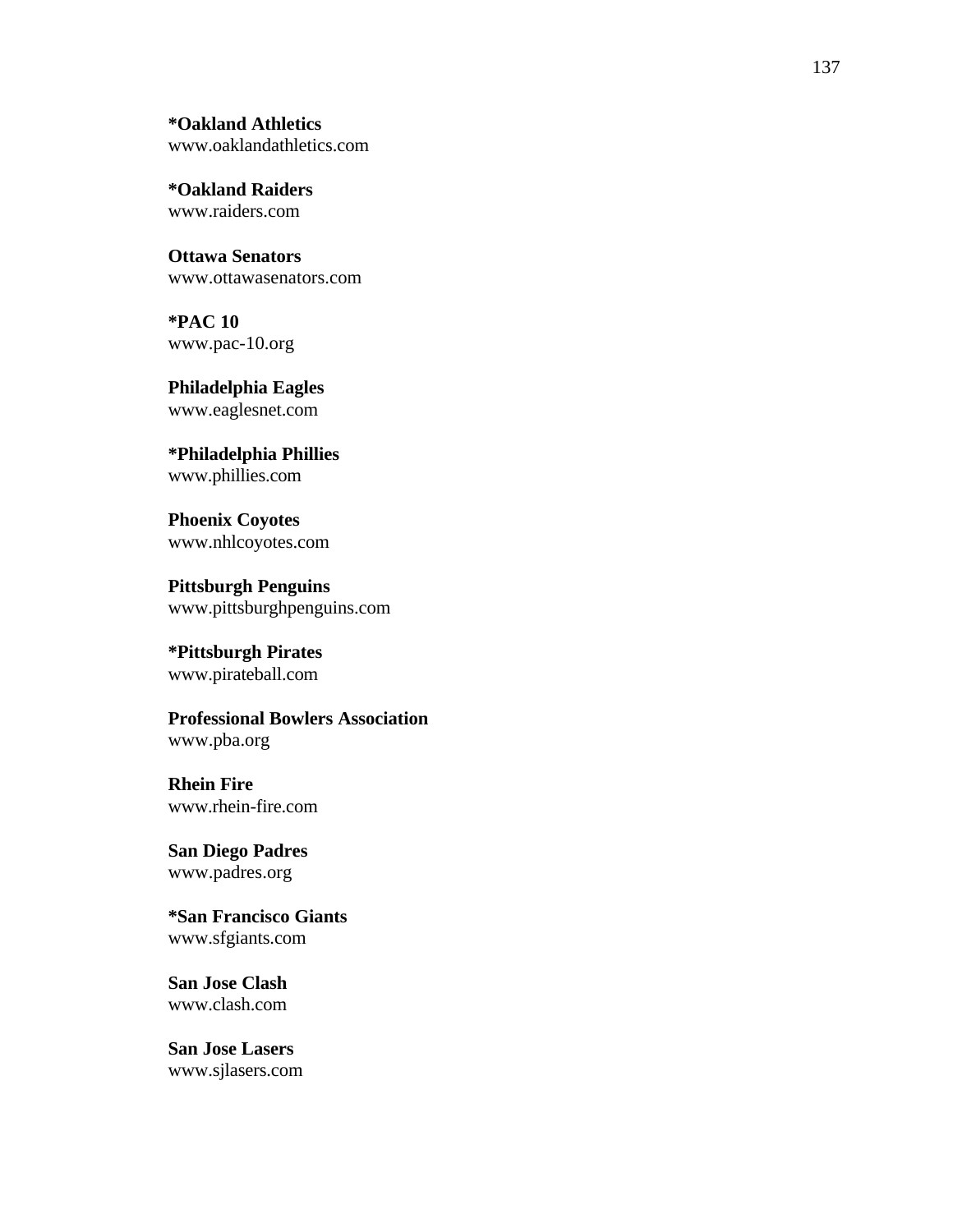**\*Oakland Athletics** www.oaklandathletics.com

**\*Oakland Raiders** www.raiders.com

**Ottawa Senators** www.ottawasenators.com

**\*PAC 10** www.pac-10.org

**Philadelphia Eagles** www.eaglesnet.com

**\*Philadelphia Phillies** www.phillies.com

**Phoenix Coyotes** www.nhlcoyotes.com

**Pittsburgh Penguins** www.pittsburghpenguins.com

**\*Pittsburgh Pirates** www.pirateball.com

**Professional Bowlers Association** www.pba.org

**Rhein Fire** www.rhein-fire.com

**San Diego Padres** www.padres.org

**\*San Francisco Giants** www.sfgiants.com

**San Jose Clash** www.clash.com

**San Jose Lasers** www.sjlasers.com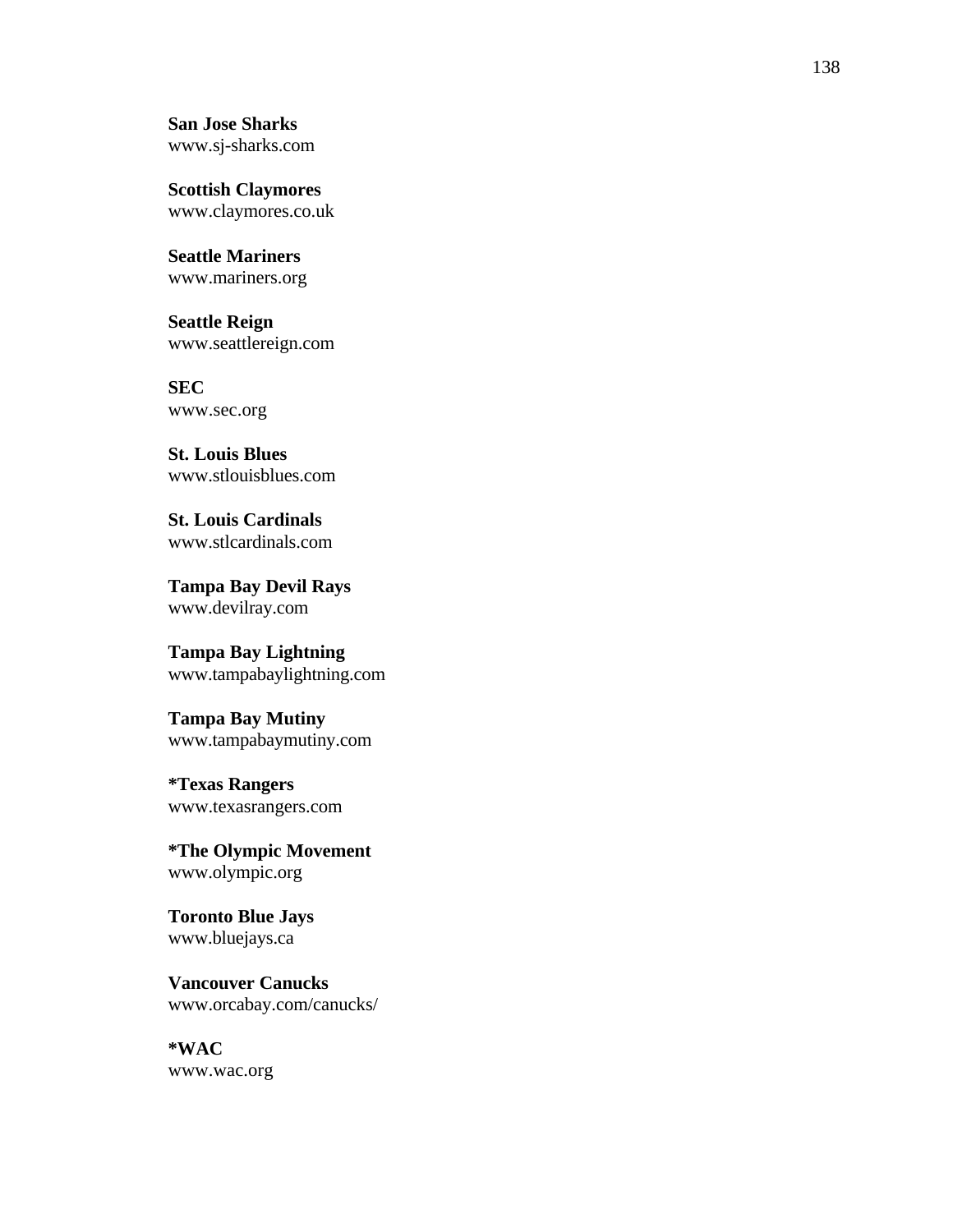**San Jose Sharks** www.sj-sharks.com

**Scottish Claymores** www.claymores.co.uk

**Seattle Mariners** www.mariners.org

**Seattle Reign** www.seattlereign.com

**SEC** www.sec.org

**St. Louis Blues** www.stlouisblues.com

**St. Louis Cardinals** www.stlcardinals.com

**Tampa Bay Devil Rays** www.devilray.com

**Tampa Bay Lightning** www.tampabaylightning.com

**Tampa Bay Mutiny** www.tampabaymutiny.com

**\*Texas Rangers** www.texasrangers.com

**\*The Olympic Movement** www.olympic.org

**Toronto Blue Jays** www.bluejays.ca

**Vancouver Canucks** www.orcabay.com/canucks/

**\*WAC** www.wac.org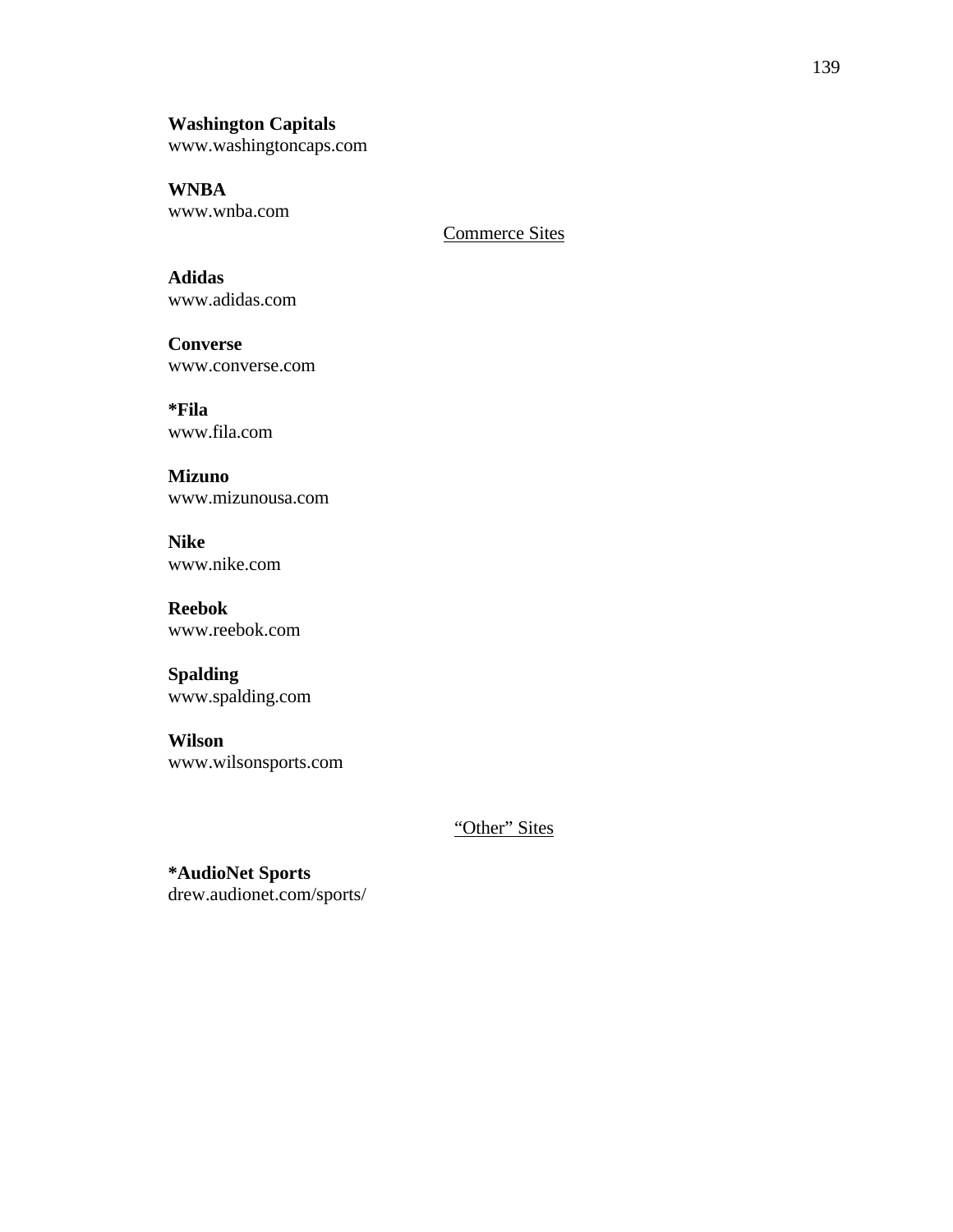# **Washington Capitals**

www.washingtoncaps.com

**WNBA** www.wnba.com

Commerce Sites

**Adidas** www.adidas.com

**Converse** www.converse.com

**\*Fila** www.fila.com

**Mizuno** www.mizunousa.com

**Nike** www.nike.com

**Reebok** www.reebok.com

**Spalding** www.spalding.com

**Wilson** www.wilsonsports.com

"Other" Sites

**\*AudioNet Sports** drew.audionet.com/sports/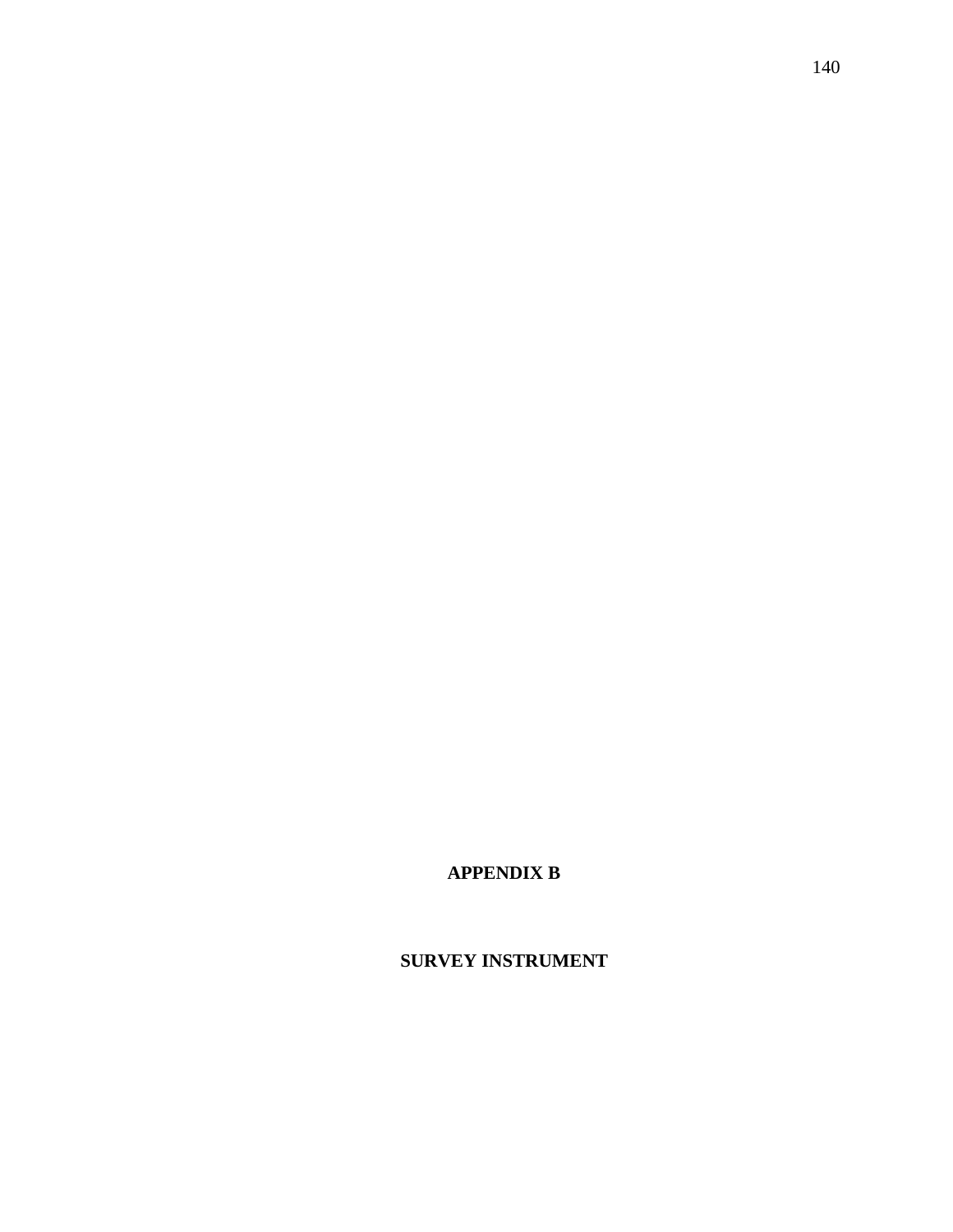**SURVEY INSTRUMENT**

**APPENDIX B**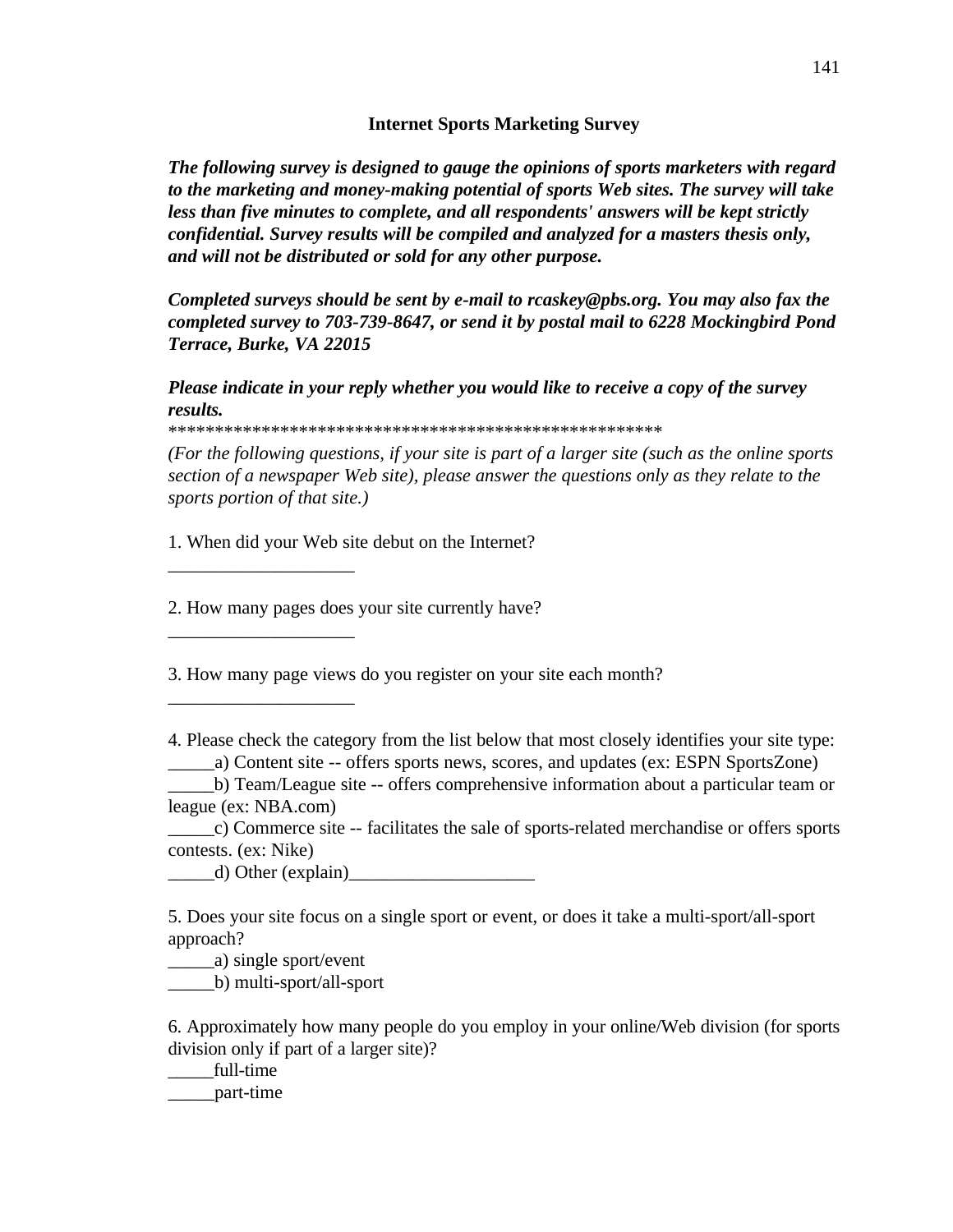## **Internet Sports Marketing Survey**

*The following survey is designed to gauge the opinions of sports marketers with regard to the marketing and money-making potential of sports Web sites. The survey will take less than five minutes to complete, and all respondents' answers will be kept strictly confidential. Survey results will be compiled and analyzed for a masters thesis only, and will not be distributed or sold for any other purpose.*

*Completed surveys should be sent by e-mail to rcaskey@pbs.org. You may also fax the completed survey to 703-739-8647, or send it by postal mail to 6228 Mockingbird Pond Terrace, Burke, VA 22015*

*Please indicate in your reply whether you would like to receive a copy of the survey results.*

\*\*\*\*\*\*\*\*\*\*\*\*\*\*\*\*\*\*\*\*\*\*\*\*\*\*\*\*\*\*\*\*\*\*\*\*\*\*\*\*\*\*\*\*\*\*\*\*\*\*\*\*\*

*(For the following questions, if your site is part of a larger site (such as the online sports section of a newspaper Web site), please answer the questions only as they relate to the sports portion of that site.)*

1. When did your Web site debut on the Internet?

2. How many pages does your site currently have?

3. How many page views do you register on your site each month?

4. Please check the category from the list below that most closely identifies your site type: \_\_\_\_\_a) Content site -- offers sports news, scores, and updates (ex: ESPN SportsZone)

\_\_\_\_\_b) Team/League site -- offers comprehensive information about a particular team or league (ex: NBA.com)

\_\_\_\_\_c) Commerce site -- facilitates the sale of sports-related merchandise or offers sports contests. (ex: Nike)

 $\Box$  Other (explain)

5. Does your site focus on a single sport or event, or does it take a multi-sport/all-sport approach?

\_\_\_\_\_a) single sport/event

\_\_\_\_\_\_\_\_\_\_\_\_\_\_\_\_\_\_\_\_

\_\_\_\_\_\_\_\_\_\_\_\_\_\_\_\_\_\_\_\_

\_\_\_\_\_\_\_\_\_\_\_\_\_\_\_\_\_\_\_\_

\_\_\_\_\_b) multi-sport/all-sport

6. Approximately how many people do you employ in your online/Web division (for sports division only if part of a larger site)?

\_\_\_\_\_full-time \_\_\_\_\_part-time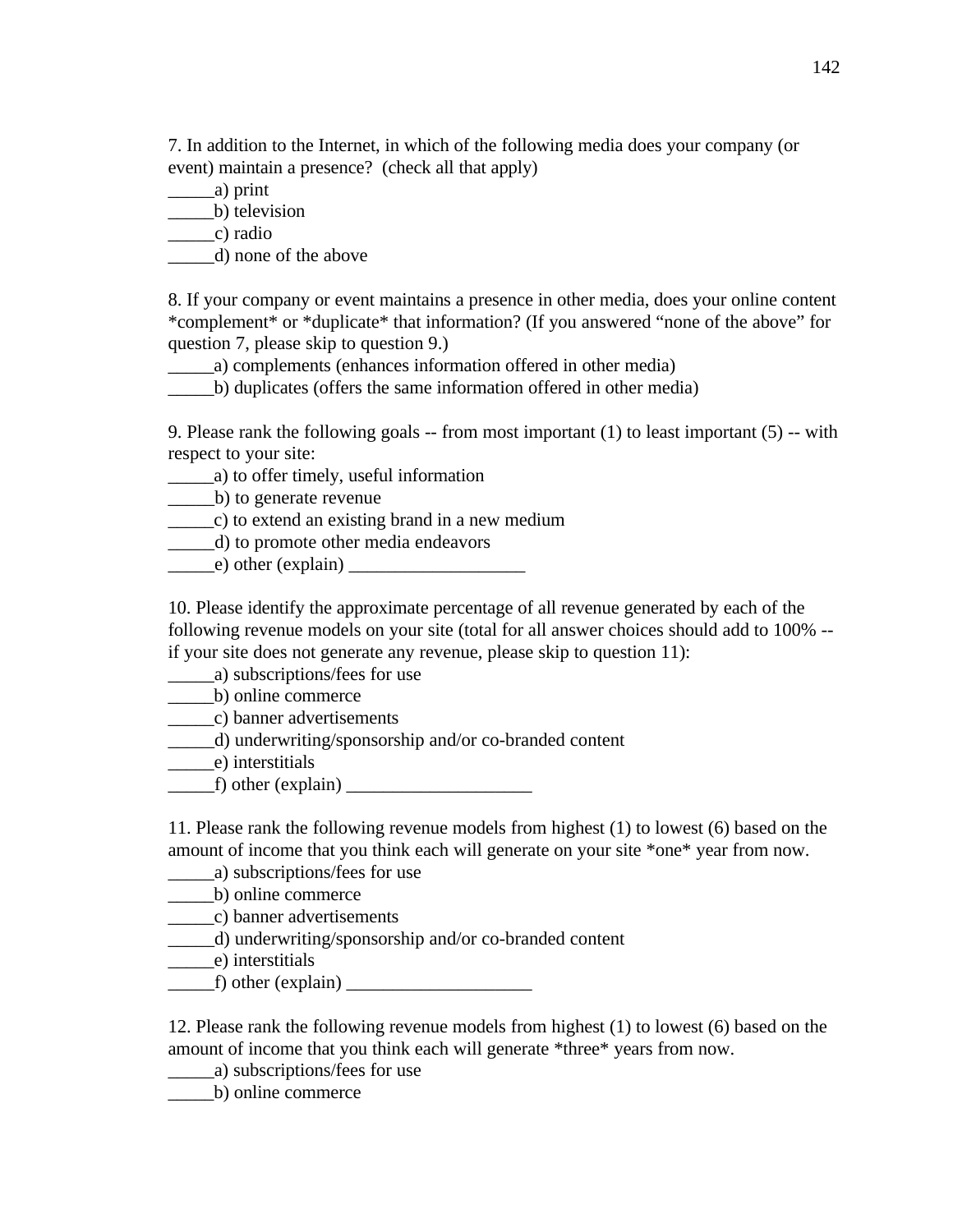7. In addition to the Internet, in which of the following media does your company (or event) maintain a presence? (check all that apply)

\_\_\_\_\_a) print

\_\_\_\_\_\_\_\_\_\_\_\_b) television

 $\equiv$  c) radio

\_\_\_\_\_d) none of the above

8. If your company or event maintains a presence in other media, does your online content \*complement\* or \*duplicate\* that information? (If you answered "none of the above" for question 7, please skip to question 9.)

\_\_\_\_\_a) complements (enhances information offered in other media)

\_\_\_\_\_b) duplicates (offers the same information offered in other media)

9. Please rank the following goals  $-$  from most important (1) to least important (5)  $-$  with respect to your site:

\_\_\_\_\_a) to offer timely, useful information

\_\_\_\_\_b) to generate revenue

\_\_\_\_\_c) to extend an existing brand in a new medium

\_\_\_\_\_d) to promote other media endeavors

 $\qquad \qquad$  e) other (explain)  $\qquad \qquad$ 

10. Please identify the approximate percentage of all revenue generated by each of the following revenue models on your site (total for all answer choices should add to 100% - if your site does not generate any revenue, please skip to question 11):

\_\_\_\_\_a) subscriptions/fees for use

\_\_\_\_\_b) online commerce

\_\_\_\_\_c) banner advertisements

\_\_\_\_\_d) underwriting/sponsorship and/or co-branded content

\_\_\_\_\_e) interstitials

 $f$ ) other (explain)  $\qquad \qquad$ 

11. Please rank the following revenue models from highest (1) to lowest (6) based on the amount of income that you think each will generate on your site \*one\* year from now.

\_\_\_\_\_a) subscriptions/fees for use

\_\_\_\_\_b) online commerce

\_\_\_\_\_c) banner advertisements

\_\_\_\_\_d) underwriting/sponsorship and/or co-branded content

\_\_\_\_\_e) interstitials

 $f$ ) other (explain)  $\qquad \qquad$ 

12. Please rank the following revenue models from highest (1) to lowest (6) based on the amount of income that you think each will generate \*three\* years from now.

\_\_\_\_\_a) subscriptions/fees for use

\_\_\_\_\_b) online commerce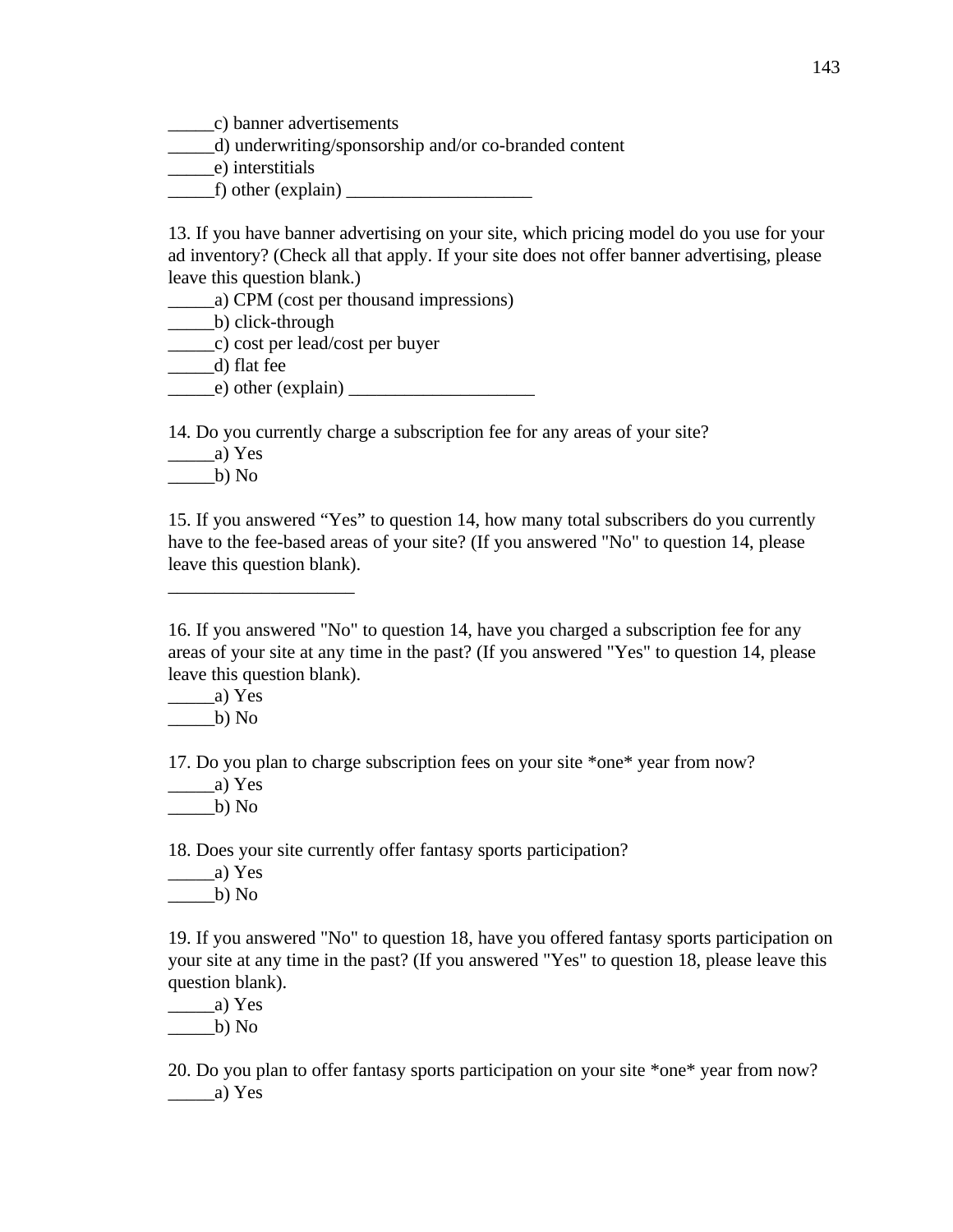\_\_\_\_\_c) banner advertisements

\_\_\_\_\_d) underwriting/sponsorship and/or co-branded content

\_\_\_\_\_e) interstitials

 $f$ ) other (explain)

13. If you have banner advertising on your site, which pricing model do you use for your ad inventory? (Check all that apply. If your site does not offer banner advertising, please leave this question blank.)

\_\_\_\_\_a) CPM (cost per thousand impressions)

b) click-through

\_\_\_\_\_c) cost per lead/cost per buyer

\_\_\_\_\_d) flat fee

 $\qquad$  e) other (explain)  $\qquad$ 

14. Do you currently charge a subscription fee for any areas of your site?

 $\_\_a)$  Yes

 $\underline{\hspace{2cm}}$ b) No

\_\_\_\_\_\_\_\_\_\_\_\_\_\_\_\_\_\_\_\_

15. If you answered "Yes" to question 14, how many total subscribers do you currently have to the fee-based areas of your site? (If you answered "No" to question 14, please leave this question blank).

16. If you answered "No" to question 14, have you charged a subscription fee for any areas of your site at any time in the past? (If you answered "Yes" to question 14, please leave this question blank).

 $\_\_a)$  Yes

 $\qquad$  b) No

17. Do you plan to charge subscription fees on your site \*one\* year from now?

 $\frac{a}{x}$  Yes

 $b)$  No

18. Does your site currently offer fantasy sports participation?

\_\_\_\_\_a) Yes

 $\_\_b)$  No

19. If you answered "No" to question 18, have you offered fantasy sports participation on your site at any time in the past? (If you answered "Yes" to question 18, please leave this question blank).

\_\_\_\_\_a) Yes

 $_b)$  No

20. Do you plan to offer fantasy sports participation on your site \*one\* year from now?  $\_\_a)$  Yes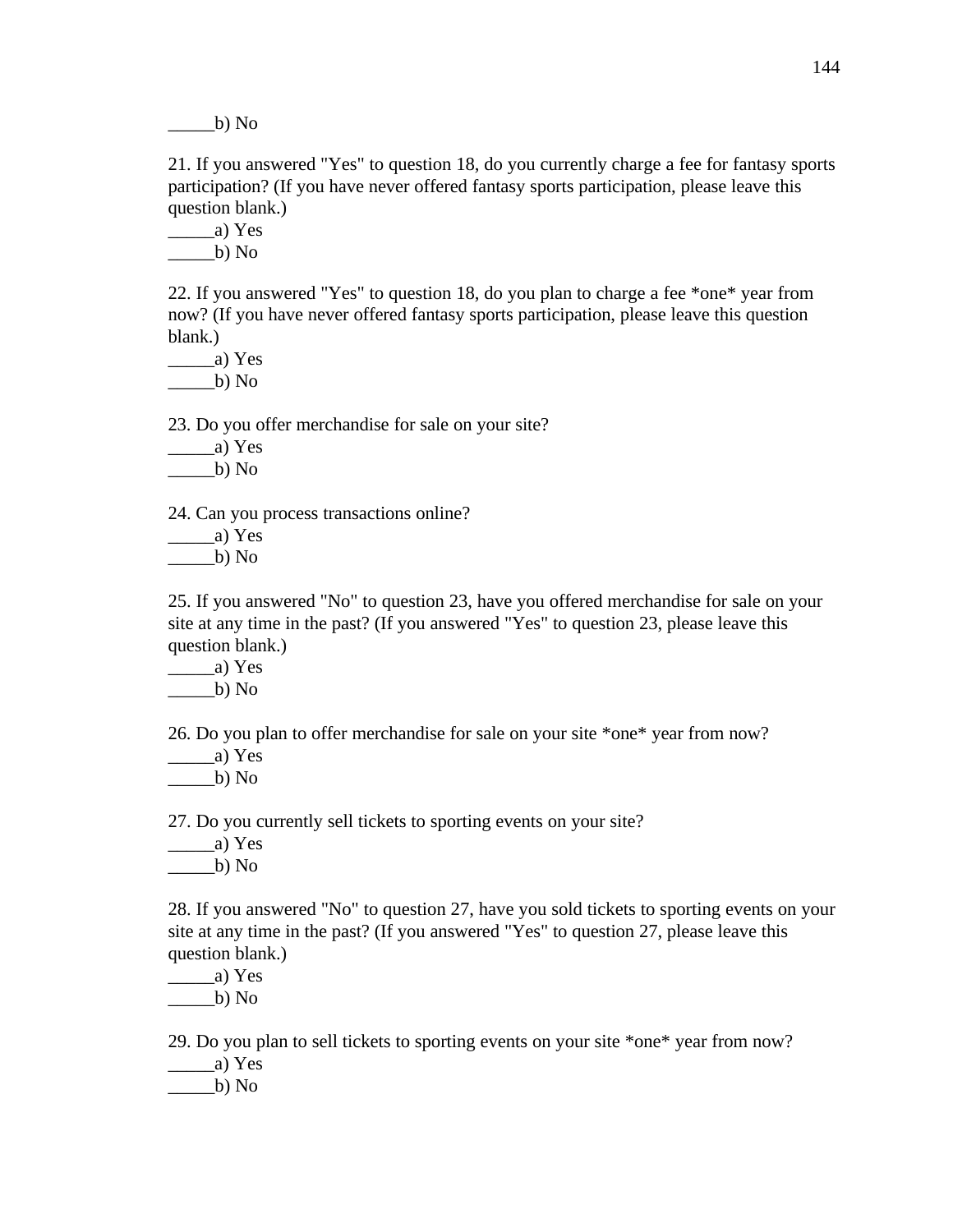$b)$  No

21. If you answered "Yes" to question 18, do you currently charge a fee for fantasy sports participation? (If you have never offered fantasy sports participation, please leave this question blank.)

 $\_\_a)$  Yes

 $\frac{\ }{}$  b) No

22. If you answered "Yes" to question 18, do you plan to charge a fee \*one\* year from now? (If you have never offered fantasy sports participation, please leave this question blank.)

 $\_\_a)$  Yes  $\_\_b)$  No

23. Do you offer merchandise for sale on your site?

\_\_\_\_\_a) Yes

 $b)$  No

24. Can you process transactions online?

 $\_\_a)$  Yes

 $b)$  No

25. If you answered "No" to question 23, have you offered merchandise for sale on your site at any time in the past? (If you answered "Yes" to question 23, please leave this question blank.)

 $\qquad$  a) Yes

 $b)$  No

26. Do you plan to offer merchandise for sale on your site \*one\* year from now?

 $\frac{a}{x}$  Yes

 $\_\_$ b) No

27. Do you currently sell tickets to sporting events on your site?

 $\frac{a}{x}$  Yes

 $b)$  No

28. If you answered "No" to question 27, have you sold tickets to sporting events on your site at any time in the past? (If you answered "Yes" to question 27, please leave this question blank.)

\_\_\_\_\_a) Yes

 $\qquad$  b) No

29. Do you plan to sell tickets to sporting events on your site \*one\* year from now?

 $\qquad$   $\qquad$   $\qquad$   $\qquad$   $\qquad$   $\qquad$   $\qquad$   $\qquad$   $\qquad$   $\qquad$   $\qquad$   $\qquad$   $\qquad$   $\qquad$   $\qquad$   $\qquad$   $\qquad$   $\qquad$   $\qquad$   $\qquad$   $\qquad$   $\qquad$   $\qquad$   $\qquad$   $\qquad$   $\qquad$   $\qquad$   $\qquad$   $\qquad$   $\qquad$   $\qquad$   $\qquad$   $\qquad$   $\qquad$   $\qquad$   $\qquad$   $\qquad$ 

 $b)$  No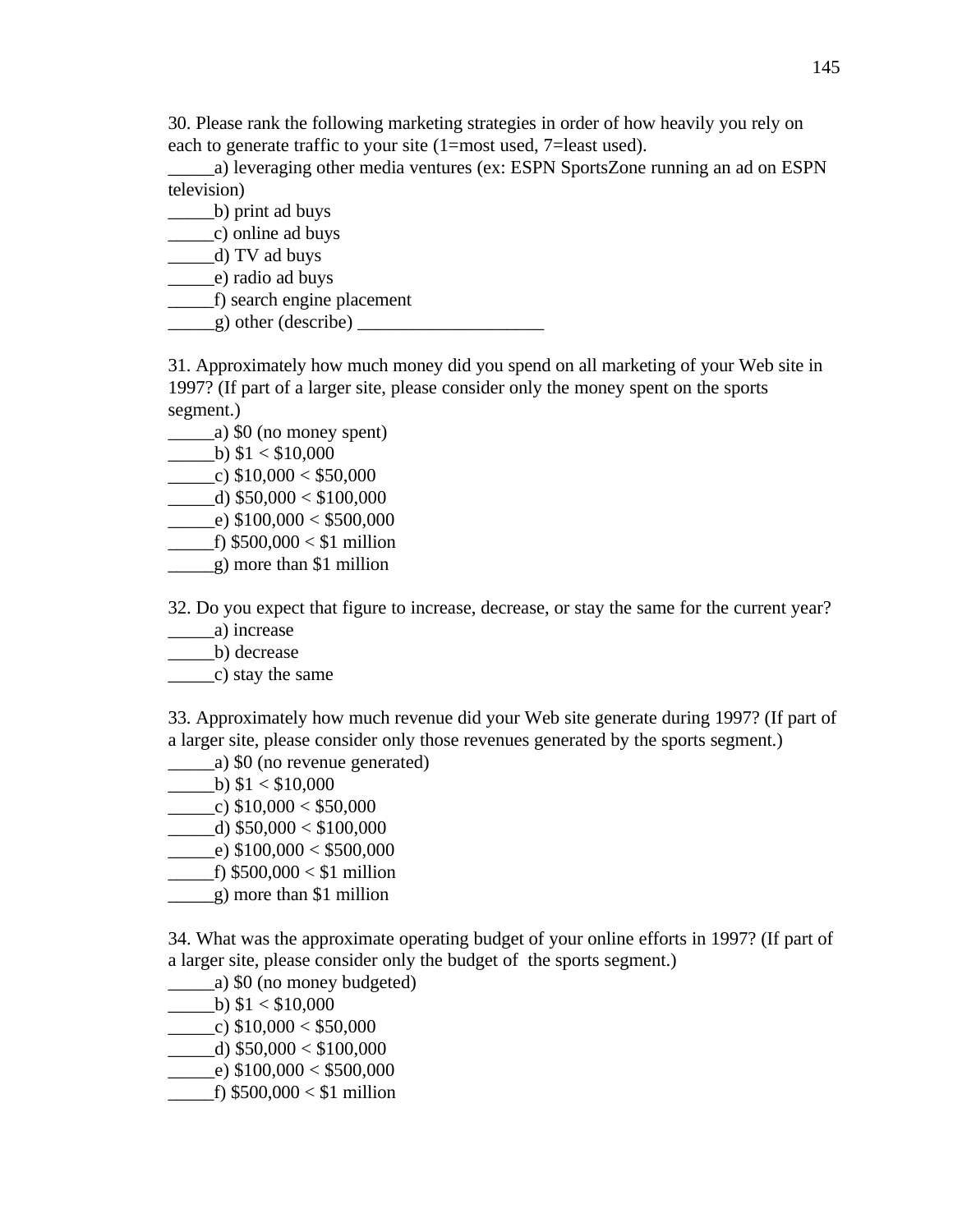30. Please rank the following marketing strategies in order of how heavily you rely on each to generate traffic to your site (1=most used, 7=least used).

\_\_\_\_\_a) leveraging other media ventures (ex: ESPN SportsZone running an ad on ESPN television)

\_\_\_\_\_b) print ad buys

\_\_\_\_\_c) online ad buys

\_\_\_\_\_d) TV ad buys

\_\_\_\_\_e) radio ad buys

\_\_\_\_\_f) search engine placement

\_\_\_\_\_g) other (describe) \_\_\_\_\_\_\_\_\_\_\_\_\_\_\_\_\_\_\_\_

31. Approximately how much money did you spend on all marketing of your Web site in 1997? (If part of a larger site, please consider only the money spent on the sports segment.)

- $\frac{1}{2}$  (a) \$0 (no money spent)
- $\_\_$ b)  $$1 < $10,000$

 $\frac{\text{c}}{\text{c}}$  \$10,000 < \$50,000

 $\_$ d) \$50,000 < \$100,000

 $\qquad$  \_e) \$100,000 < \$500,000

- f)  $$500,000 < $1$  million
- \_\_\_\_\_g) more than \$1 million

32. Do you expect that figure to increase, decrease, or stay the same for the current year?

\_\_\_\_\_a) increase

\_\_\_\_\_b) decrease

\_\_\_\_\_c) stay the same

33. Approximately how much revenue did your Web site generate during 1997? (If part of a larger site, please consider only those revenues generated by the sports segment.)

- \_\_\_\_\_a) \$0 (no revenue generated)
- $\underline{\hspace{1cm}}$  b) \$1 < \$10,000
- $\_\_c)$  \$10,000 < \$50,000
- $\_$ d) \$50,000 < \$100,000
- $\qquad$  \_e) \$100,000 < \$500,000
- $\_$ f) \$500,000 < \$1 million
- \_\_\_\_\_g) more than \$1 million

34. What was the approximate operating budget of your online efforts in 1997? (If part of a larger site, please consider only the budget of the sports segment.)

- \_\_\_\_\_a) \$0 (no money budgeted)
- $\_\_$ b)  $$1 < $10,000$
- $\qquad$  (c) \$10,000 < \$50,000
- $\_$ d) \$50,000 < \$100,000

 $\qquad$  \_e) \$100,000 < \$500,000

 $\_$ f) \$500,000 < \$1 million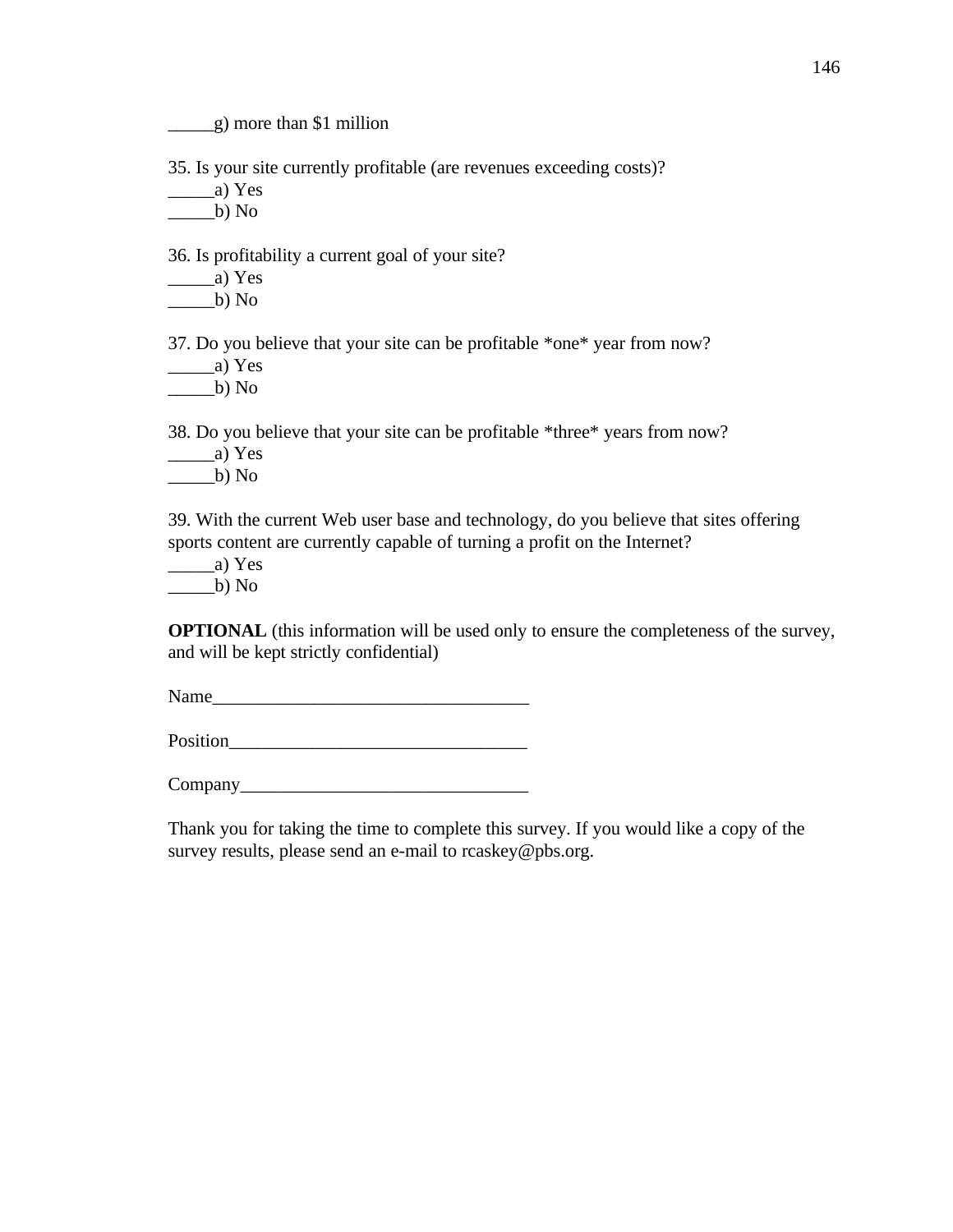\_\_\_\_\_g) more than \$1 million

35. Is your site currently profitable (are revenues exceeding costs)?

 $\frac{a}{x}$  Yes

 $\underline{\hspace{1cm}}$ b) No

36. Is profitability a current goal of your site?

 $\frac{a}{x}$  Yes  $\underline{\hspace{2cm}}$ b) No

37. Do you believe that your site can be profitable \*one\* year from now?

 $\_\_a)$  Yes  $\qquad$  b) No

38. Do you believe that your site can be profitable \*three\* years from now?

 $\frac{a}{x}$  Yes

 $\_\_b)$  No

39. With the current Web user base and technology, do you believe that sites offering sports content are currently capable of turning a profit on the Internet?

 $\frac{a}{x}$  Yes

 $\underline{\hspace{2cm}}$ b) No

**OPTIONAL** (this information will be used only to ensure the completeness of the survey, and will be kept strictly confidential)

Name

Position\_\_\_\_\_\_\_\_\_\_\_\_\_\_\_\_\_\_\_\_\_\_\_\_\_\_\_\_\_\_\_\_

Company\_\_\_\_\_\_\_\_\_\_\_\_\_\_\_\_\_\_\_\_\_\_\_\_\_\_\_\_\_\_\_

Thank you for taking the time to complete this survey. If you would like a copy of the survey results, please send an e-mail to rcaskey@pbs.org.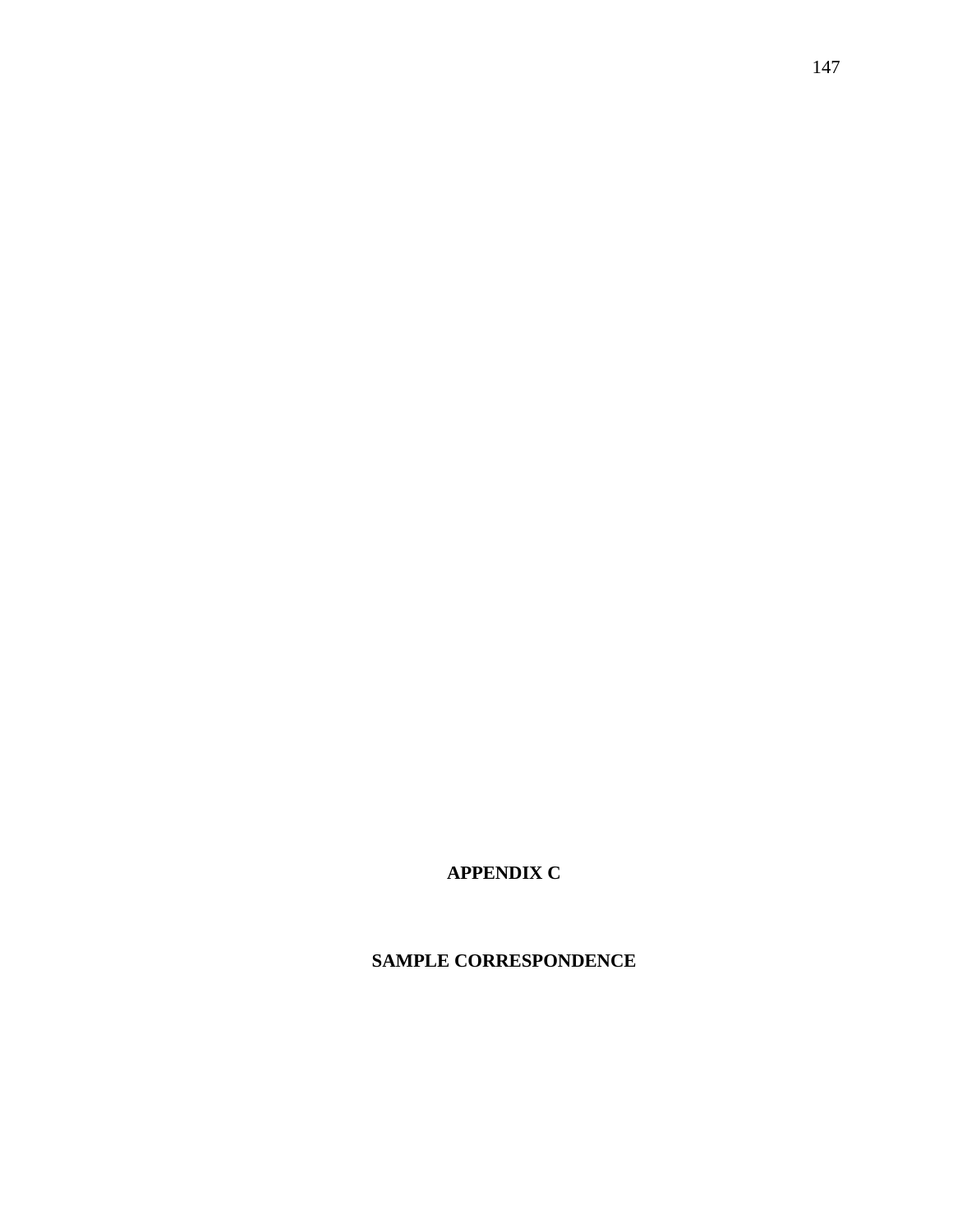**APPENDIX C**

**SAMPLE CORRESPONDENCE**